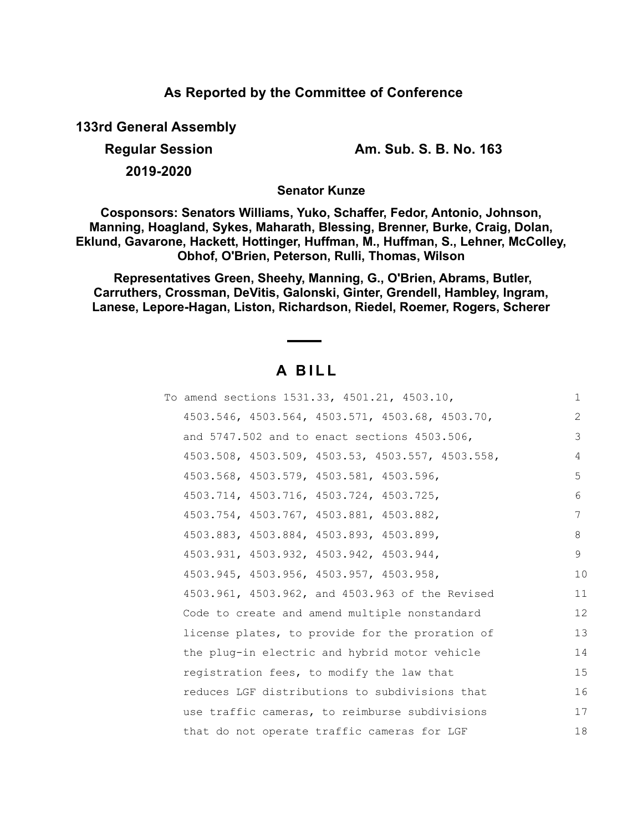## **As Reported by the Committee of Conference**

**133rd General Assembly**

**Regular Session Am. Sub. S. B. No. 163**

**2019-2020**

**Senator Kunze**

**Cosponsors: Senators Williams, Yuko, Schaffer, Fedor, Antonio, Johnson, Manning, Hoagland, Sykes, Maharath, Blessing, Brenner, Burke, Craig, Dolan, Eklund, Gavarone, Hackett, Hottinger, Huffman, M., Huffman, S., Lehner, McColley, Obhof, O'Brien, Peterson, Rulli, Thomas, Wilson**

 **Representatives Green, Sheehy, Manning, G., O'Brien, Abrams, Butler, Carruthers, Crossman, DeVitis, Galonski, Ginter, Grendell, Hambley, Ingram, Lanese, Lepore-Hagan, Liston, Richardson, Riedel, Roemer, Rogers, Scherer**

# **A B I L L**

| To amend sections 1531.33, 4501.21, 4503.10,     | $\mathbf{1}$ |
|--------------------------------------------------|--------------|
| 4503.546, 4503.564, 4503.571, 4503.68, 4503.70,  | 2            |
| and 5747.502 and to enact sections 4503.506,     | 3            |
| 4503.508, 4503.509, 4503.53, 4503.557, 4503.558, | 4            |
| 4503.568, 4503.579, 4503.581, 4503.596,          | 5            |
| 4503.714, 4503.716, 4503.724, 4503.725,          | 6            |
| 4503.754, 4503.767, 4503.881, 4503.882,          | 7            |
| 4503.883, 4503.884, 4503.893, 4503.899,          | 8            |
| 4503.931, 4503.932, 4503.942, 4503.944,          | 9            |
| 4503.945, 4503.956, 4503.957, 4503.958,          | 10           |
| 4503.961, 4503.962, and 4503.963 of the Revised  | 11           |
| Code to create and amend multiple nonstandard    | 12           |
| license plates, to provide for the proration of  | 13           |
| the plug-in electric and hybrid motor vehicle    | 14           |
| registration fees, to modify the law that        | 15           |
| reduces LGF distributions to subdivisions that   | 16           |
| use traffic cameras, to reimburse subdivisions   | 17           |
| that do not operate traffic cameras for LGF      | 18           |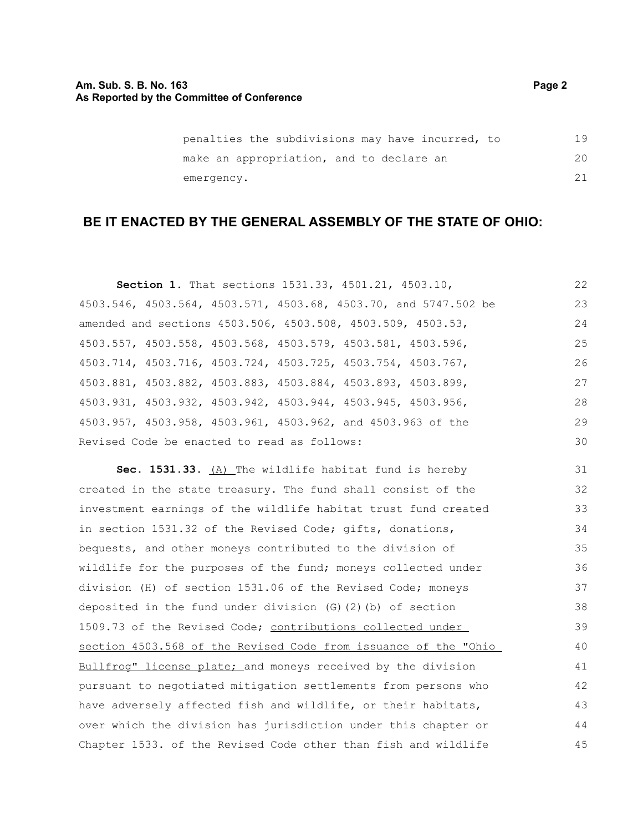| penalties the subdivisions may have incurred, to | 19 |
|--------------------------------------------------|----|
| make an appropriation, and to declare an         | 20 |
| emergency.                                       | 21 |

## **BE IT ENACTED BY THE GENERAL ASSEMBLY OF THE STATE OF OHIO:**

| Section 1. That sections 1531.33, 4501.21, 4503.10,               | 22 |
|-------------------------------------------------------------------|----|
| 4503.546, 4503.564, 4503.571, 4503.68, 4503.70, and 5747.502 be   | 23 |
| amended and sections 4503.506, 4503.508, 4503.509, 4503.53,       | 24 |
| 4503.557, 4503.558, 4503.568, 4503.579, 4503.581, 4503.596,       | 25 |
| 4503.714, 4503.716, 4503.724, 4503.725, 4503.754, 4503.767,       | 26 |
| 4503.881, 4503.882, 4503.883, 4503.884, 4503.893, 4503.899,       | 27 |
| 4503.931, 4503.932, 4503.942, 4503.944, 4503.945, 4503.956,       | 28 |
| 4503.957, 4503.958, 4503.961, 4503.962, and 4503.963 of the       | 29 |
| Revised Code be enacted to read as follows:                       | 30 |
| Sec. 1531.33. (A) The wildlife habitat fund is hereby             | 31 |
|                                                                   |    |
| created in the state treasury. The fund shall consist of the      | 32 |
| investment earnings of the wildlife habitat trust fund created    | 33 |
| in section 1531.32 of the Revised Code; gifts, donations,         | 34 |
| bequests, and other moneys contributed to the division of         | 35 |
| wildlife for the purposes of the fund; moneys collected under     | 36 |
| division (H) of section 1531.06 of the Revised Code; moneys       | 37 |
| deposited in the fund under division $(G)$ $(2)$ $(b)$ of section | 38 |
| 1509.73 of the Revised Code; contributions collected under        | 39 |
| section 4503.568 of the Revised Code from issuance of the "Ohio   | 40 |
| Bullfroq" license plate; and moneys received by the division      | 41 |
| pursuant to negotiated mitigation settlements from persons who    | 42 |
| have adversely affected fish and wildlife, or their habitats,     | 43 |
| over which the division has jurisdiction under this chapter or    | 44 |

Chapter 1533. of the Revised Code other than fish and wildlife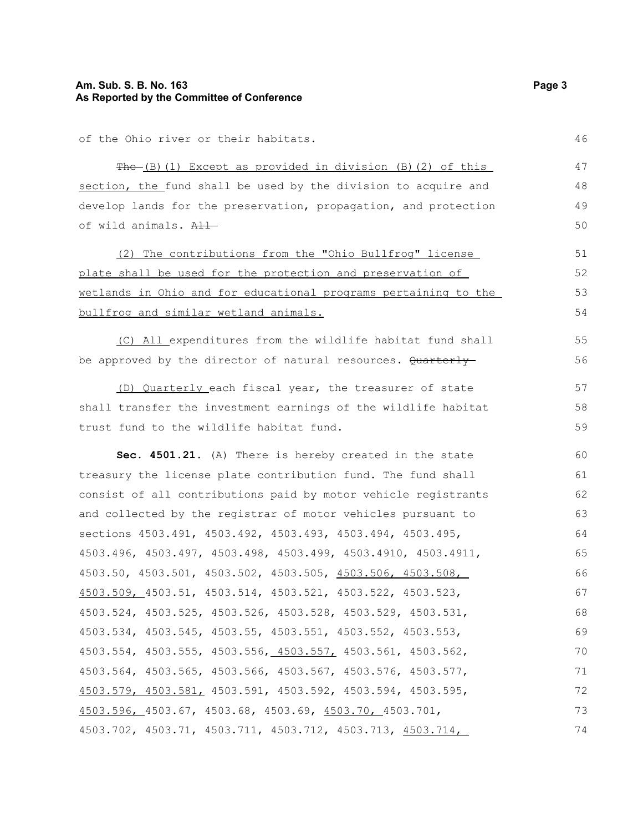#### **Am. Sub. S. B. No. 163 Page 3 As Reported by the Committee of Conference**

of the Ohio river or their habitats.

The (B)(1) Except as provided in division (B)(2) of this section, the fund shall be used by the division to acquire and develop lands for the preservation, propagation, and protection of wild animals. All

(2) The contributions from the "Ohio Bullfrog" license plate shall be used for the protection and preservation of wetlands in Ohio and for educational programs pertaining to the bullfrog and similar wetland animals. 51 52 53 54

(C) All expenditures from the wildlife habitat fund shall be approved by the director of natural resources.  $\theta$ uarterly

(D) Quarterly each fiscal year, the treasurer of state shall transfer the investment earnings of the wildlife habitat trust fund to the wildlife habitat fund.

**Sec. 4501.21.** (A) There is hereby created in the state treasury the license plate contribution fund. The fund shall consist of all contributions paid by motor vehicle registrants and collected by the registrar of motor vehicles pursuant to sections 4503.491, 4503.492, 4503.493, 4503.494, 4503.495, 4503.496, 4503.497, 4503.498, 4503.499, 4503.4910, 4503.4911, 4503.50, 4503.501, 4503.502, 4503.505, 4503.506, 4503.508, 4503.509, 4503.51, 4503.514, 4503.521, 4503.522, 4503.523, 4503.524, 4503.525, 4503.526, 4503.528, 4503.529, 4503.531, 4503.534, 4503.545, 4503.55, 4503.551, 4503.552, 4503.553, 4503.554, 4503.555, 4503.556, 4503.557, 4503.561, 4503.562, 4503.564, 4503.565, 4503.566, 4503.567, 4503.576, 4503.577, 4503.579, 4503.581, 4503.591, 4503.592, 4503.594, 4503.595, 4503.596, 4503.67, 4503.68, 4503.69, 4503.70, 4503.701, 4503.702, 4503.71, 4503.711, 4503.712, 4503.713, 4503.714, 60 61 62 63 64 65 66 67 68 69 70 71 72 73 74

46

47 48

> 49 50

> 55 56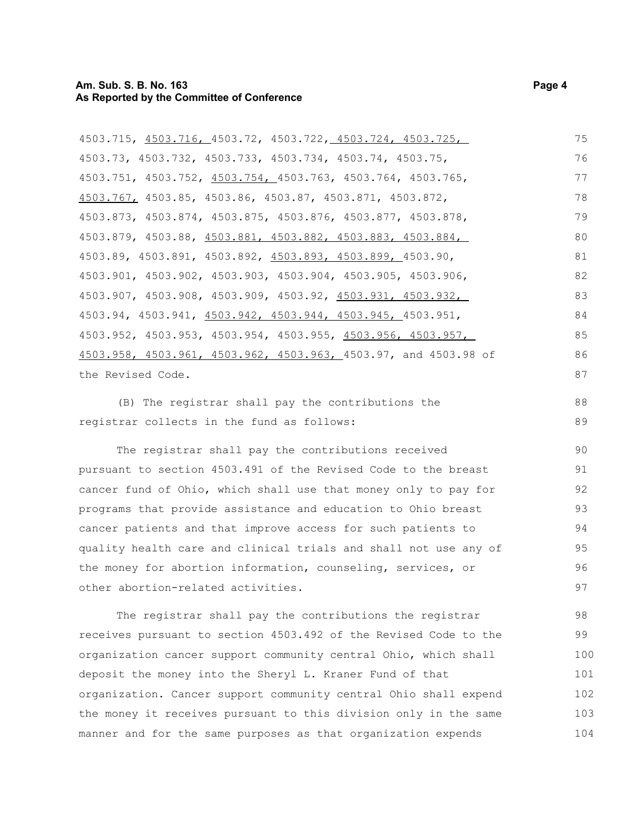| 4503.715, 4503.716, 4503.72, 4503.722, 4503.724, 4503.725,          | 75  |
|---------------------------------------------------------------------|-----|
| 4503.73, 4503.732, 4503.733, 4503.734, 4503.74, 4503.75,            | 76  |
| 4503.751, 4503.752, <u>4503.754, 4503.763</u> , 4503.764, 4503.765, | 77  |
| 4503.767, 4503.85, 4503.86, 4503.87, 4503.871, 4503.872,            | 78  |
| 4503.873, 4503.874, 4503.875, 4503.876, 4503.877, 4503.878,         | 79  |
| 4503.879, 4503.88, 4503.881, 4503.882, 4503.883, 4503.884,          | 80  |
| 4503.89, 4503.891, 4503.892, 4503.893, 4503.899, 4503.90,           | 81  |
| 4503.901, 4503.902, 4503.903, 4503.904, 4503.905, 4503.906,         | 82  |
| 4503.907, 4503.908, 4503.909, 4503.92, <u>4503.931, 4503.932,</u>   | 83  |
| 4503.94, 4503.941, 4503.942, 4503.944, 4503.945, 4503.951,          | 84  |
| 4503.952, 4503.953, 4503.954, 4503.955, 4503.956, 4503.957,         | 85  |
| 4503.958, 4503.961, 4503.962, 4503.963, 4503.97, and 4503.98 of     | 86  |
| the Revised Code.                                                   | 87  |
| (B) The registrar shall pay the contributions the                   | 88  |
| registrar collects in the fund as follows:                          | 89  |
|                                                                     |     |
| The registrar shall pay the contributions received                  | 90  |
| pursuant to section 4503.491 of the Revised Code to the breast      | 91  |
| cancer fund of Ohio, which shall use that money only to pay for     | 92  |
| programs that provide assistance and education to Ohio breast       | 93  |
| cancer patients and that improve access for such patients to        | 94  |
| quality health care and clinical trials and shall not use any of    | 95  |
| the money for abortion information, counseling, services, or        | 96  |
| other abortion-related activities.                                  | 97  |
| The registrar shall pay the contributions the registrar             | 98  |
| receives pursuant to section 4503.492 of the Revised Code to the    | 99  |
| organization cancer support community central Ohio, which shall     | 100 |
| deposit the money into the Sheryl L. Kraner Fund of that            | 101 |
| organization. Cancer support community central Ohio shall expend    | 102 |
| the money it receives pursuant to this division only in the same    | 103 |
|                                                                     |     |

manner and for the same purposes as that organization expends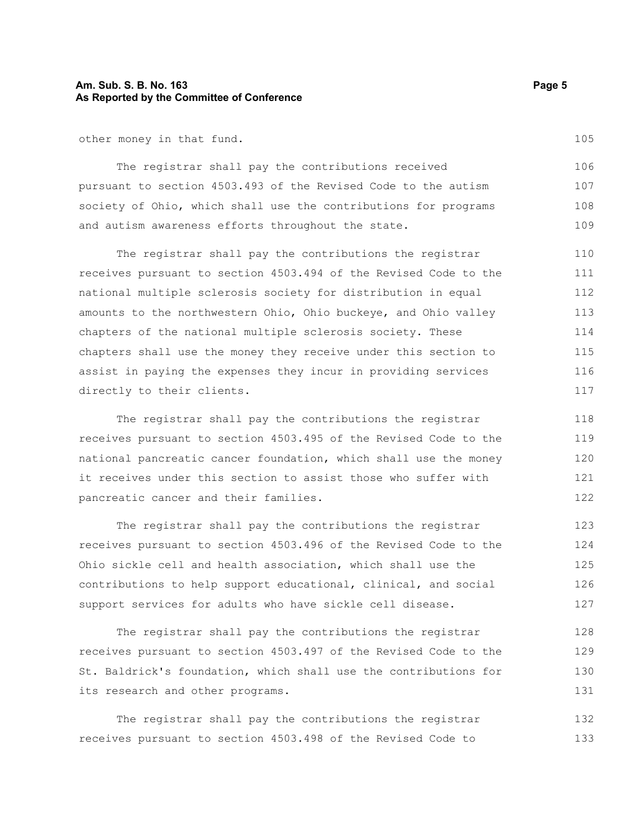#### **Am. Sub. S. B. No. 163 Page 5 As Reported by the Committee of Conference**

other money in that fund.

The registrar shall pay the contributions received pursuant to section 4503.493 of the Revised Code to the autism society of Ohio, which shall use the contributions for programs and autism awareness efforts throughout the state. 106 107 108 109

The registrar shall pay the contributions the registrar receives pursuant to section 4503.494 of the Revised Code to the national multiple sclerosis society for distribution in equal amounts to the northwestern Ohio, Ohio buckeye, and Ohio valley chapters of the national multiple sclerosis society. These chapters shall use the money they receive under this section to assist in paying the expenses they incur in providing services directly to their clients. 110 111 112 113 114 115 116

The registrar shall pay the contributions the registrar receives pursuant to section 4503.495 of the Revised Code to the national pancreatic cancer foundation, which shall use the money it receives under this section to assist those who suffer with pancreatic cancer and their families.

The registrar shall pay the contributions the registrar receives pursuant to section 4503.496 of the Revised Code to the Ohio sickle cell and health association, which shall use the contributions to help support educational, clinical, and social support services for adults who have sickle cell disease. 123 124 125 126 127

The registrar shall pay the contributions the registrar receives pursuant to section 4503.497 of the Revised Code to the St. Baldrick's foundation, which shall use the contributions for its research and other programs. 128 129 130 131

The registrar shall pay the contributions the registrar receives pursuant to section 4503.498 of the Revised Code to 132 133

105

117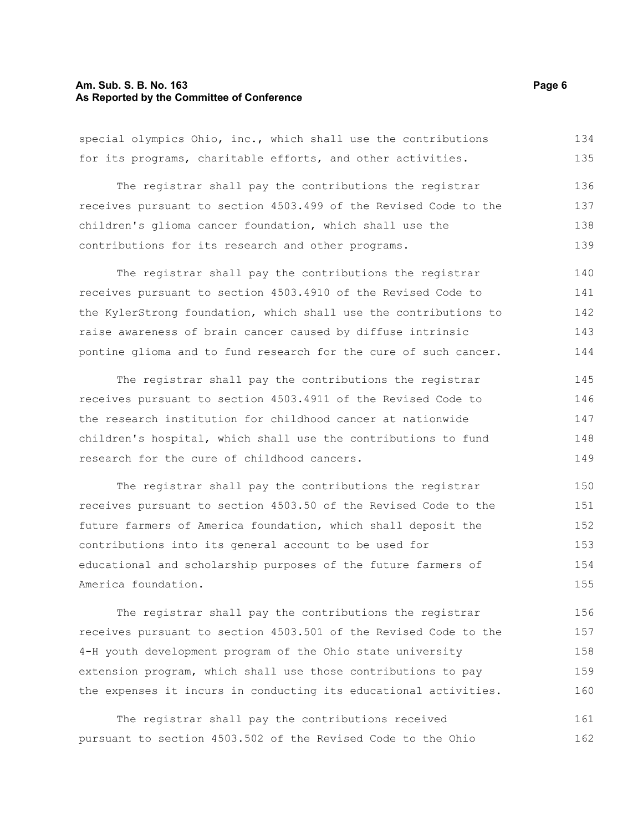#### **Am. Sub. S. B. No. 163 Page 6 As Reported by the Committee of Conference**

America foundation.

special olympics Ohio, inc., which shall use the contributions for its programs, charitable efforts, and other activities. The registrar shall pay the contributions the registrar receives pursuant to section 4503.499 of the Revised Code to the children's glioma cancer foundation, which shall use the contributions for its research and other programs. The registrar shall pay the contributions the registrar receives pursuant to section 4503.4910 of the Revised Code to the KylerStrong foundation, which shall use the contributions to raise awareness of brain cancer caused by diffuse intrinsic pontine glioma and to fund research for the cure of such cancer. The registrar shall pay the contributions the registrar receives pursuant to section 4503.4911 of the Revised Code to the research institution for childhood cancer at nationwide children's hospital, which shall use the contributions to fund research for the cure of childhood cancers. The registrar shall pay the contributions the registrar receives pursuant to section 4503.50 of the Revised Code to the future farmers of America foundation, which shall deposit the contributions into its general account to be used for educational and scholarship purposes of the future farmers of 134 135 136 137 138 139 140 141 142 143 144 145 146 147 148 149 150 151 152 153 154

The registrar shall pay the contributions the registrar receives pursuant to section 4503.501 of the Revised Code to the 4-H youth development program of the Ohio state university extension program, which shall use those contributions to pay the expenses it incurs in conducting its educational activities. 156 157 158 159 160

The registrar shall pay the contributions received pursuant to section 4503.502 of the Revised Code to the Ohio 161 162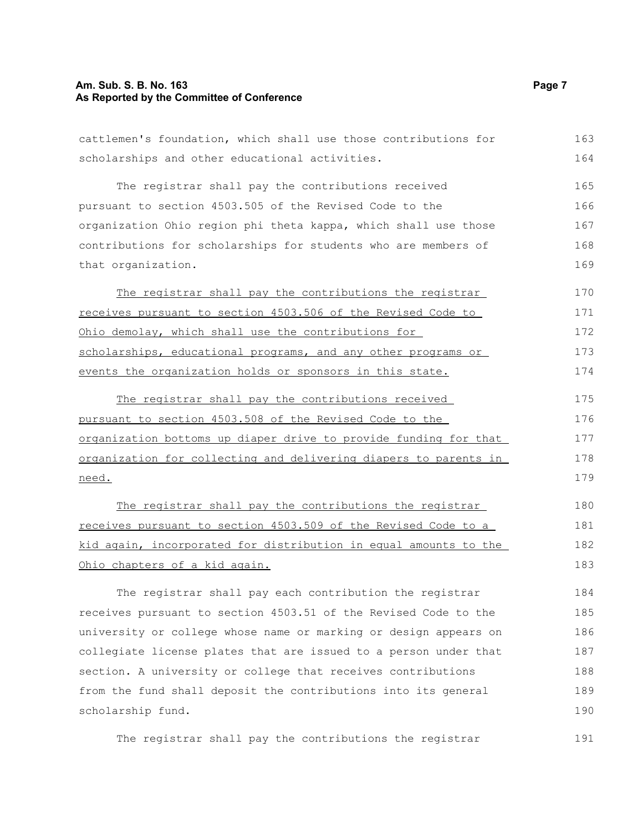## **Am. Sub. S. B. No. 163 Page 7 As Reported by the Committee of Conference**

| cattlemen's foundation, which shall use those contributions for  | 163 |
|------------------------------------------------------------------|-----|
| scholarships and other educational activities.                   | 164 |
| The registrar shall pay the contributions received               | 165 |
| pursuant to section 4503.505 of the Revised Code to the          | 166 |
| organization Ohio region phi theta kappa, which shall use those  | 167 |
| contributions for scholarships for students who are members of   | 168 |
| that organization.                                               | 169 |
| The registrar shall pay the contributions the registrar          | 170 |
| receives pursuant to section 4503.506 of the Revised Code to     | 171 |
| Ohio demolay, which shall use the contributions for              | 172 |
| scholarships, educational programs, and any other programs or    | 173 |
| events the organization holds or sponsors in this state.         | 174 |
| The registrar shall pay the contributions received               | 175 |
| pursuant to section 4503.508 of the Revised Code to the          | 176 |
| organization bottoms up diaper drive to provide funding for that | 177 |
| organization for collecting and delivering diapers to parents in | 178 |
| need.                                                            | 179 |
| The registrar shall pay the contributions the registrar          | 180 |
| receives pursuant to section 4503.509 of the Revised Code to a   | 181 |
| kid again, incorporated for distribution in equal amounts to the | 182 |
| Ohio chapters of a kid again.                                    | 183 |
| The registrar shall pay each contribution the registrar          | 184 |
| receives pursuant to section 4503.51 of the Revised Code to the  | 185 |
| university or college whose name or marking or design appears on | 186 |
| collegiate license plates that are issued to a person under that | 187 |
| section. A university or college that receives contributions     | 188 |
| from the fund shall deposit the contributions into its general   | 189 |
| scholarship fund.                                                | 190 |

The registrar shall pay the contributions the registrar 191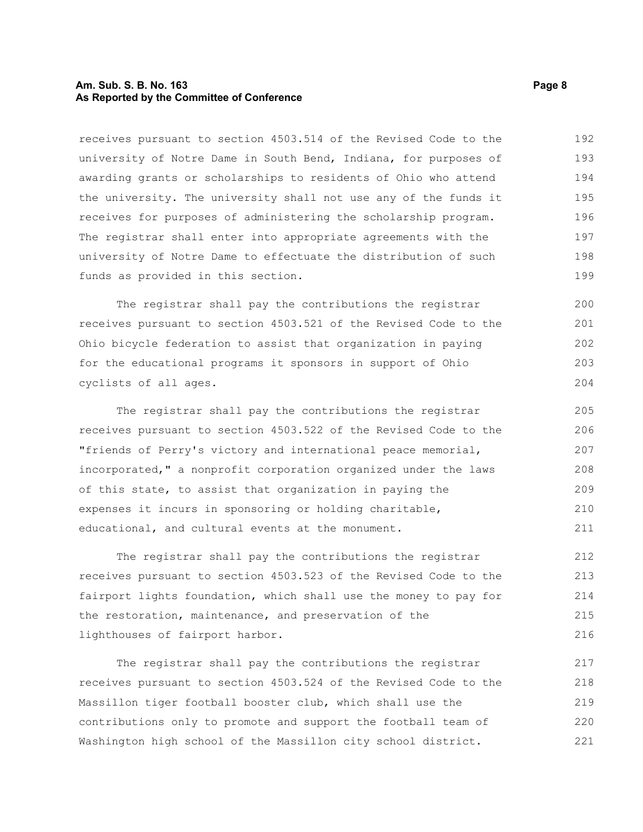#### **Am. Sub. S. B. No. 163 Page 8 As Reported by the Committee of Conference**

receives pursuant to section 4503.514 of the Revised Code to the university of Notre Dame in South Bend, Indiana, for purposes of awarding grants or scholarships to residents of Ohio who attend the university. The university shall not use any of the funds it receives for purposes of administering the scholarship program. The registrar shall enter into appropriate agreements with the university of Notre Dame to effectuate the distribution of such funds as provided in this section. 192 193 194 195 196 197 198 199

The registrar shall pay the contributions the registrar receives pursuant to section 4503.521 of the Revised Code to the Ohio bicycle federation to assist that organization in paying for the educational programs it sponsors in support of Ohio cyclists of all ages.

The registrar shall pay the contributions the registrar receives pursuant to section 4503.522 of the Revised Code to the "friends of Perry's victory and international peace memorial, incorporated," a nonprofit corporation organized under the laws of this state, to assist that organization in paying the expenses it incurs in sponsoring or holding charitable, educational, and cultural events at the monument. 205 206 207 208 209 210 211

The registrar shall pay the contributions the registrar receives pursuant to section 4503.523 of the Revised Code to the fairport lights foundation, which shall use the money to pay for the restoration, maintenance, and preservation of the lighthouses of fairport harbor. 212 213 214 215 216

The registrar shall pay the contributions the registrar receives pursuant to section 4503.524 of the Revised Code to the Massillon tiger football booster club, which shall use the contributions only to promote and support the football team of Washington high school of the Massillon city school district. 217 218 219 220 221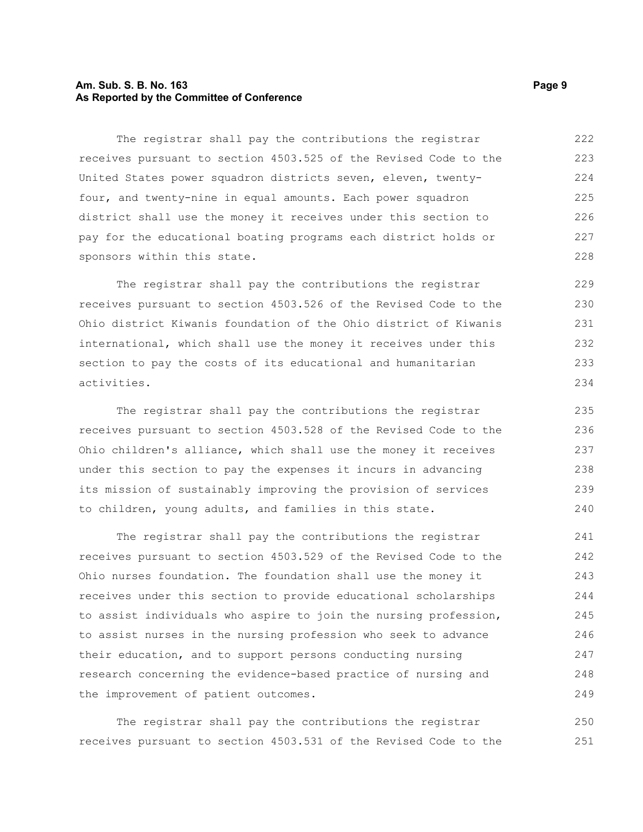#### **Am. Sub. S. B. No. 163 Page 9 As Reported by the Committee of Conference**

The registrar shall pay the contributions the registrar receives pursuant to section 4503.525 of the Revised Code to the United States power squadron districts seven, eleven, twentyfour, and twenty-nine in equal amounts. Each power squadron district shall use the money it receives under this section to pay for the educational boating programs each district holds or sponsors within this state. 222 223 224 225 226 227 228

The registrar shall pay the contributions the registrar receives pursuant to section 4503.526 of the Revised Code to the Ohio district Kiwanis foundation of the Ohio district of Kiwanis international, which shall use the money it receives under this section to pay the costs of its educational and humanitarian activities.

The registrar shall pay the contributions the registrar receives pursuant to section 4503.528 of the Revised Code to the Ohio children's alliance, which shall use the money it receives under this section to pay the expenses it incurs in advancing its mission of sustainably improving the provision of services to children, young adults, and families in this state. 235 236 237 238 239 240

The registrar shall pay the contributions the registrar receives pursuant to section 4503.529 of the Revised Code to the Ohio nurses foundation. The foundation shall use the money it receives under this section to provide educational scholarships to assist individuals who aspire to join the nursing profession, to assist nurses in the nursing profession who seek to advance their education, and to support persons conducting nursing research concerning the evidence-based practice of nursing and the improvement of patient outcomes. 241 242 243 244 245 246 247 248 249

The registrar shall pay the contributions the registrar receives pursuant to section 4503.531 of the Revised Code to the 250 251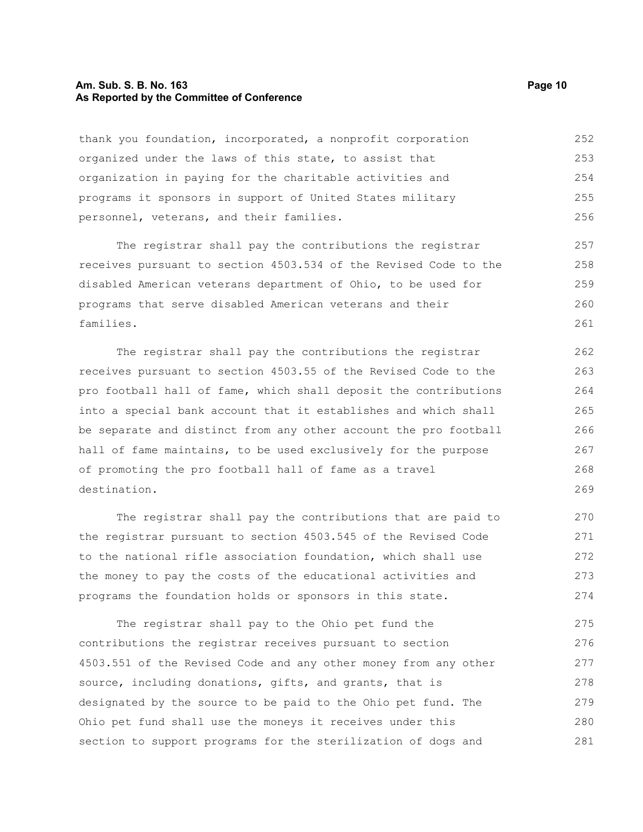#### **Am. Sub. S. B. No. 163 Page 10 As Reported by the Committee of Conference**

| thank you foundation, incorporated, a nonprofit corporation | 252 |
|-------------------------------------------------------------|-----|
| organized under the laws of this state, to assist that      | 253 |
| organization in paying for the charitable activities and    | 254 |
| programs it sponsors in support of United States military   | 255 |
| personnel, veterans, and their families.                    | 256 |

The registrar shall pay the contributions the registrar receives pursuant to section 4503.534 of the Revised Code to the disabled American veterans department of Ohio, to be used for programs that serve disabled American veterans and their families.

The registrar shall pay the contributions the registrar receives pursuant to section 4503.55 of the Revised Code to the pro football hall of fame, which shall deposit the contributions into a special bank account that it establishes and which shall be separate and distinct from any other account the pro football hall of fame maintains, to be used exclusively for the purpose of promoting the pro football hall of fame as a travel destination. 262 263 264 265 266 267 268 269

The registrar shall pay the contributions that are paid to the registrar pursuant to section 4503.545 of the Revised Code to the national rifle association foundation, which shall use the money to pay the costs of the educational activities and programs the foundation holds or sponsors in this state.

The registrar shall pay to the Ohio pet fund the contributions the registrar receives pursuant to section 4503.551 of the Revised Code and any other money from any other source, including donations, gifts, and grants, that is designated by the source to be paid to the Ohio pet fund. The Ohio pet fund shall use the moneys it receives under this section to support programs for the sterilization of dogs and 275 276 277 278 279 280 281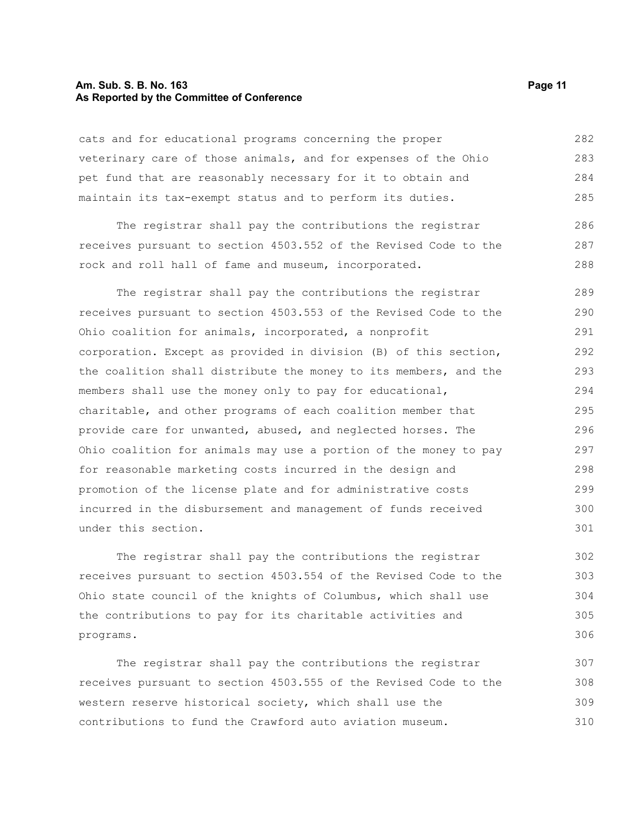#### **Am. Sub. S. B. No. 163 Page 11 As Reported by the Committee of Conference**

cats and for educational programs concerning the proper veterinary care of those animals, and for expenses of the Ohio pet fund that are reasonably necessary for it to obtain and maintain its tax-exempt status and to perform its duties. 282 283 284 285

The registrar shall pay the contributions the registrar receives pursuant to section 4503.552 of the Revised Code to the rock and roll hall of fame and museum, incorporated. 286 287 288

The registrar shall pay the contributions the registrar receives pursuant to section 4503.553 of the Revised Code to the Ohio coalition for animals, incorporated, a nonprofit corporation. Except as provided in division (B) of this section, the coalition shall distribute the money to its members, and the members shall use the money only to pay for educational, charitable, and other programs of each coalition member that provide care for unwanted, abused, and neglected horses. The Ohio coalition for animals may use a portion of the money to pay for reasonable marketing costs incurred in the design and promotion of the license plate and for administrative costs incurred in the disbursement and management of funds received under this section. 289 290 291 292 293 294 295 296 297 298 299 300 301

The registrar shall pay the contributions the registrar receives pursuant to section 4503.554 of the Revised Code to the Ohio state council of the knights of Columbus, which shall use the contributions to pay for its charitable activities and programs. 302 303 304 305 306

The registrar shall pay the contributions the registrar receives pursuant to section 4503.555 of the Revised Code to the western reserve historical society, which shall use the contributions to fund the Crawford auto aviation museum. 307 308 309 310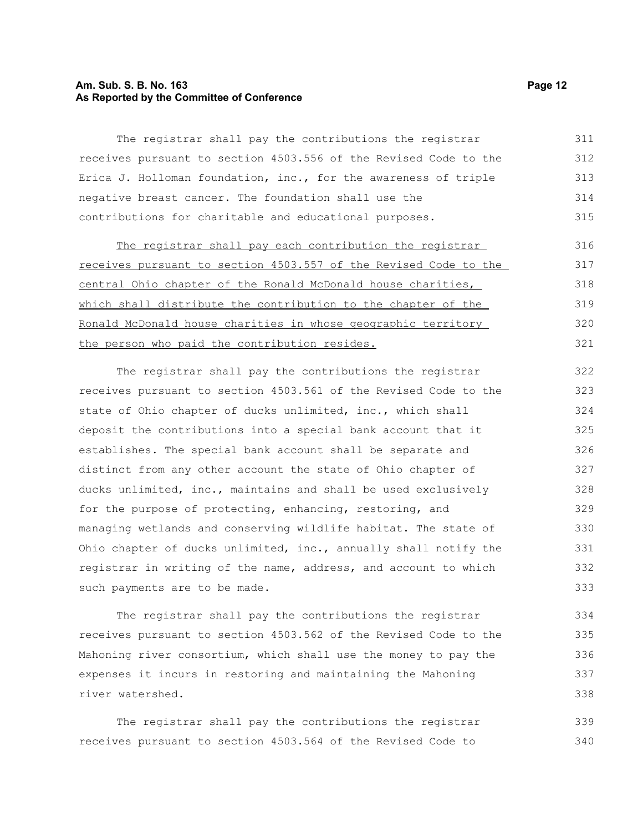#### **Am. Sub. S. B. No. 163 Page 12 As Reported by the Committee of Conference**

The registrar shall pay the contributions the registrar receives pursuant to section 4503.556 of the Revised Code to the Erica J. Holloman foundation, inc., for the awareness of triple negative breast cancer. The foundation shall use the contributions for charitable and educational purposes. 311 312 313 314 315

The registrar shall pay each contribution the registrar receives pursuant to section 4503.557 of the Revised Code to the central Ohio chapter of the Ronald McDonald house charities, which shall distribute the contribution to the chapter of the Ronald McDonald house charities in whose geographic territory the person who paid the contribution resides. 316 317 318 319 320 321

The registrar shall pay the contributions the registrar receives pursuant to section 4503.561 of the Revised Code to the state of Ohio chapter of ducks unlimited, inc., which shall deposit the contributions into a special bank account that it establishes. The special bank account shall be separate and distinct from any other account the state of Ohio chapter of ducks unlimited, inc., maintains and shall be used exclusively for the purpose of protecting, enhancing, restoring, and managing wetlands and conserving wildlife habitat. The state of Ohio chapter of ducks unlimited, inc., annually shall notify the registrar in writing of the name, address, and account to which such payments are to be made. 322 323 324 325 326 327 328 329 330 331 332 333

The registrar shall pay the contributions the registrar receives pursuant to section 4503.562 of the Revised Code to the Mahoning river consortium, which shall use the money to pay the expenses it incurs in restoring and maintaining the Mahoning river watershed.

The registrar shall pay the contributions the registrar receives pursuant to section 4503.564 of the Revised Code to 339 340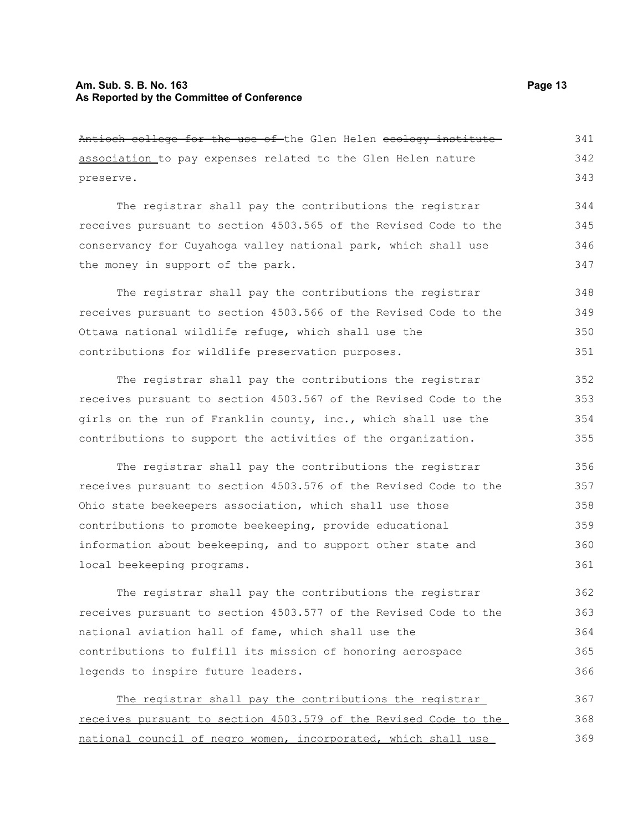#### **Am. Sub. S. B. No. 163 Page 13 As Reported by the Committee of Conference**

Antioch college for the use of the Glen Helen ecology institute association to pay expenses related to the Glen Helen nature preserve. The registrar shall pay the contributions the registrar receives pursuant to section 4503.565 of the Revised Code to the conservancy for Cuyahoga valley national park, which shall use the money in support of the park. The registrar shall pay the contributions the registrar receives pursuant to section 4503.566 of the Revised Code to the Ottawa national wildlife refuge, which shall use the contributions for wildlife preservation purposes. The registrar shall pay the contributions the registrar receives pursuant to section 4503.567 of the Revised Code to the girls on the run of Franklin county, inc., which shall use the contributions to support the activities of the organization. The registrar shall pay the contributions the registrar receives pursuant to section 4503.576 of the Revised Code to the Ohio state beekeepers association, which shall use those contributions to promote beekeeping, provide educational information about beekeeping, and to support other state and local beekeeping programs. The registrar shall pay the contributions the registrar receives pursuant to section 4503.577 of the Revised Code to the national aviation hall of fame, which shall use the contributions to fulfill its mission of honoring aerospace legends to inspire future leaders. The registrar shall pay the contributions the registrar receives pursuant to section 4503.579 of the Revised Code to the 341 342 343 344 345 346 347 348 349 350 351 352 353 354 355 356 357 358 359 360 361 362 363 364 365 366 367 368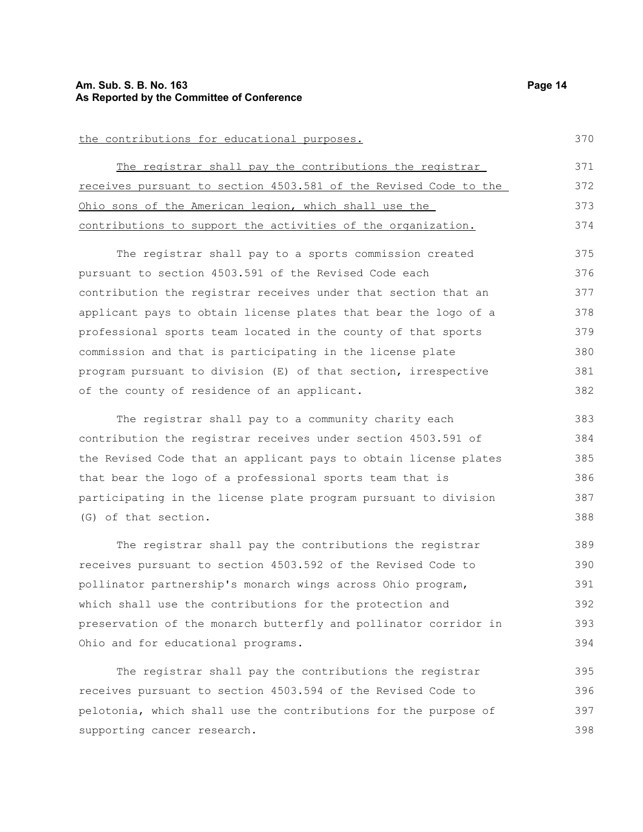#### **Am. Sub. S. B. No. 163 Page 14 As Reported by the Committee of Conference**

supporting cancer research.

#### the contributions for educational purposes. The registrar shall pay the contributions the registrar receives pursuant to section 4503.581 of the Revised Code to the Ohio sons of the American legion, which shall use the contributions to support the activities of the organization. The registrar shall pay to a sports commission created pursuant to section 4503.591 of the Revised Code each contribution the registrar receives under that section that an applicant pays to obtain license plates that bear the logo of a professional sports team located in the county of that sports commission and that is participating in the license plate program pursuant to division (E) of that section, irrespective of the county of residence of an applicant. The registrar shall pay to a community charity each contribution the registrar receives under section 4503.591 of the Revised Code that an applicant pays to obtain license plates that bear the logo of a professional sports team that is participating in the license plate program pursuant to division (G) of that section. The registrar shall pay the contributions the registrar receives pursuant to section 4503.592 of the Revised Code to pollinator partnership's monarch wings across Ohio program, which shall use the contributions for the protection and preservation of the monarch butterfly and pollinator corridor in Ohio and for educational programs. The registrar shall pay the contributions the registrar receives pursuant to section 4503.594 of the Revised Code to pelotonia, which shall use the contributions for the purpose of 370 371 372 373 374 375 376 377 378 379 380 381 382 383 384 385 386 387 388 389 390 391 392 393 394 395 396 397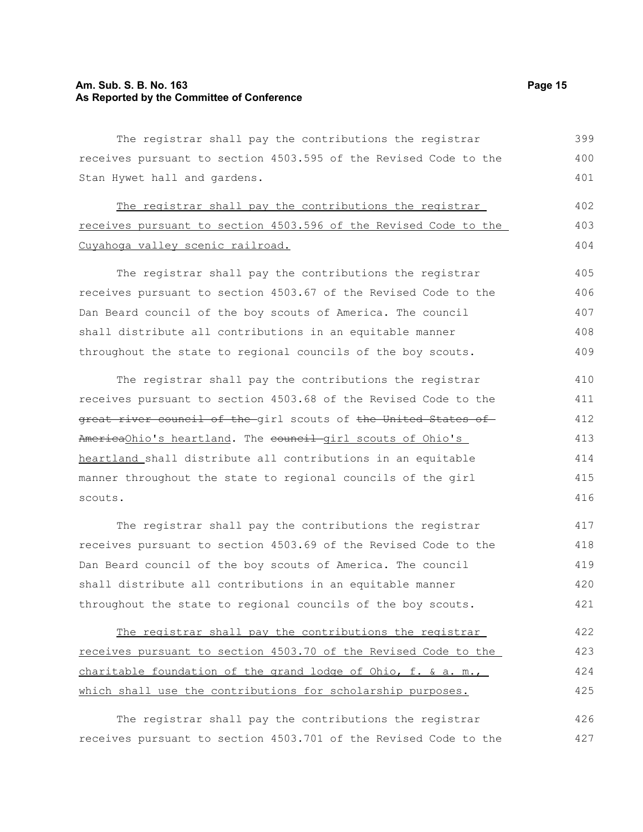#### **Am. Sub. S. B. No. 163 Page 15 As Reported by the Committee of Conference**

The registrar shall pay the contributions the registrar receives pursuant to section 4503.595 of the Revised Code to the Stan Hywet hall and gardens. 399 400 401

The reqistrar shall pay the contributions the registrar receives pursuant to section 4503.596 of the Revised Code to the Cuyahoga valley scenic railroad. 402 403 404

The registrar shall pay the contributions the registrar receives pursuant to section 4503.67 of the Revised Code to the Dan Beard council of the boy scouts of America. The council shall distribute all contributions in an equitable manner throughout the state to regional councils of the boy scouts. 405 406 407 408 409

The registrar shall pay the contributions the registrar receives pursuant to section 4503.68 of the Revised Code to the great river council of the girl scouts of the United States of AmericaOhio's heartland. The council girl scouts of Ohio's heartland shall distribute all contributions in an equitable manner throughout the state to regional councils of the girl scouts. 410 411 412 413 414 415 416

The registrar shall pay the contributions the registrar receives pursuant to section 4503.69 of the Revised Code to the Dan Beard council of the boy scouts of America. The council shall distribute all contributions in an equitable manner throughout the state to regional councils of the boy scouts. 417 418 419 420 421

The registrar shall pay the contributions the registrar receives pursuant to section 4503.70 of the Revised Code to the charitable foundation of the grand lodge of Ohio, f. & a. m., which shall use the contributions for scholarship purposes. 422 423 424 425

The registrar shall pay the contributions the registrar receives pursuant to section 4503.701 of the Revised Code to the 426 427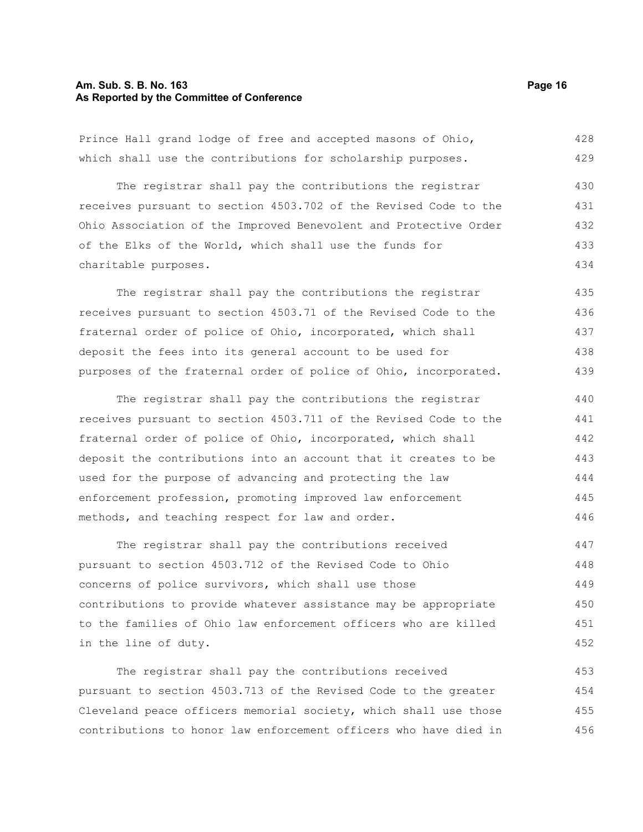#### **Am. Sub. S. B. No. 163 Page 16 As Reported by the Committee of Conference**

Prince Hall grand lodge of free and accepted masons of Ohio, which shall use the contributions for scholarship purposes. The registrar shall pay the contributions the registrar receives pursuant to section 4503.702 of the Revised Code to the Ohio Association of the Improved Benevolent and Protective Order of the Elks of the World, which shall use the funds for charitable purposes. The registrar shall pay the contributions the registrar receives pursuant to section 4503.71 of the Revised Code to the fraternal order of police of Ohio, incorporated, which shall deposit the fees into its general account to be used for purposes of the fraternal order of police of Ohio, incorporated. The registrar shall pay the contributions the registrar receives pursuant to section 4503.711 of the Revised Code to the fraternal order of police of Ohio, incorporated, which shall deposit the contributions into an account that it creates to be used for the purpose of advancing and protecting the law enforcement profession, promoting improved law enforcement 428 429 430 431 432 433 434 435 436 437 438 439 440 441 442 443 444 445

The registrar shall pay the contributions received pursuant to section 4503.712 of the Revised Code to Ohio concerns of police survivors, which shall use those contributions to provide whatever assistance may be appropriate to the families of Ohio law enforcement officers who are killed in the line of duty. 447 448 449 450 451 452

methods, and teaching respect for law and order.

The registrar shall pay the contributions received pursuant to section 4503.713 of the Revised Code to the greater Cleveland peace officers memorial society, which shall use those contributions to honor law enforcement officers who have died in 453 454 455 456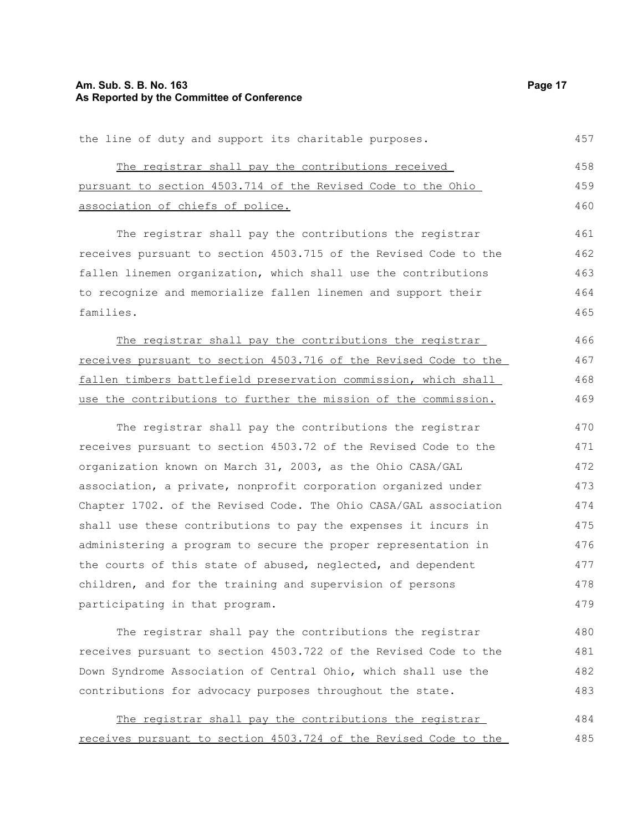## **Am. Sub. S. B. No. 163 Page 17 As Reported by the Committee of Conference**

| the line of duty and support its charitable purposes.            | 457 |
|------------------------------------------------------------------|-----|
| The registrar shall pay the contributions received               | 458 |
| pursuant to section 4503.714 of the Revised Code to the Ohio     | 459 |
| association of chiefs of police.                                 | 460 |
| The registrar shall pay the contributions the registrar          | 461 |
| receives pursuant to section 4503.715 of the Revised Code to the | 462 |
| fallen linemen organization, which shall use the contributions   | 463 |
| to recognize and memorialize fallen linemen and support their    | 464 |
| families.                                                        | 465 |
| The registrar shall pay the contributions the registrar          | 466 |
| receives pursuant to section 4503.716 of the Revised Code to the | 467 |
| fallen timbers battlefield preservation commission, which shall  | 468 |
| use the contributions to further the mission of the commission.  | 469 |
| The registrar shall pay the contributions the registrar          | 470 |
| receives pursuant to section 4503.72 of the Revised Code to the  | 471 |
| organization known on March 31, 2003, as the Ohio CASA/GAL       | 472 |
| association, a private, nonprofit corporation organized under    | 473 |
| Chapter 1702. of the Revised Code. The Ohio CASA/GAL association | 474 |
| shall use these contributions to pay the expenses it incurs in   | 475 |
| administering a program to secure the proper representation in   | 476 |
| the courts of this state of abused, neglected, and dependent     | 477 |
| children, and for the training and supervision of persons        | 478 |
| participating in that program.                                   | 479 |
| The registrar shall pay the contributions the registrar          | 480 |
| receives pursuant to section 4503.722 of the Revised Code to the | 481 |
| Down Syndrome Association of Central Ohio, which shall use the   | 482 |
| contributions for advocacy purposes throughout the state.        | 483 |

The registrar shall pay the contributions the registrar receives pursuant to section 4503.724 of the Revised Code to the 484 485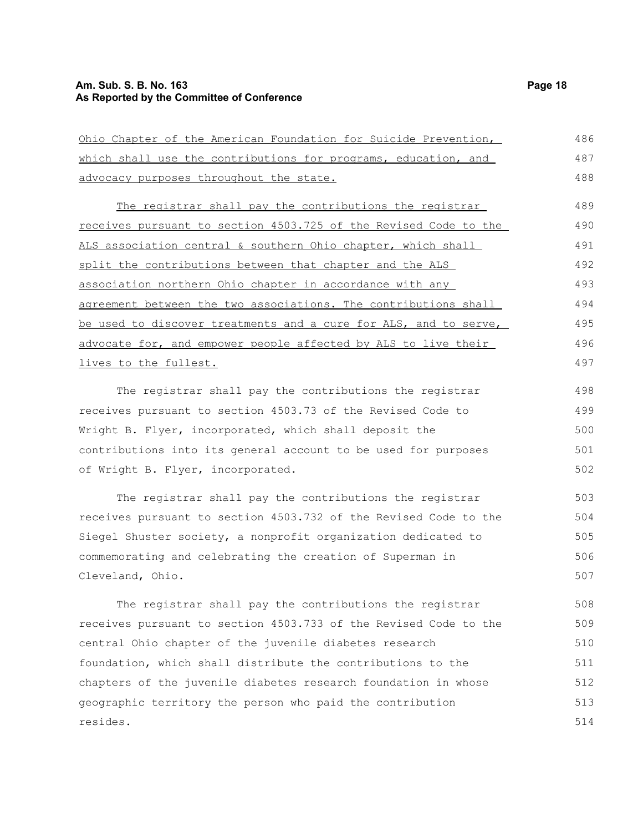## **Am. Sub. S. B. No. 163 Page 18 As Reported by the Committee of Conference**

| Ohio Chapter of the American Foundation for Suicide Prevention,  | 486 |
|------------------------------------------------------------------|-----|
| which shall use the contributions for programs, education, and   | 487 |
| advocacy purposes throughout the state.                          | 488 |
| The registrar shall pay the contributions the registrar          | 489 |
| receives pursuant to section 4503.725 of the Revised Code to the | 490 |
| ALS association central & southern Ohio chapter, which shall     | 491 |
| split the contributions between that chapter and the ALS         | 492 |
| association northern Ohio chapter in accordance with any         | 493 |
| agreement between the two associations. The contributions shall  | 494 |
| be used to discover treatments and a cure for ALS, and to serve, | 495 |
| advocate for, and empower people affected by ALS to live their   | 496 |
| lives to the fullest.                                            | 497 |
| The registrar shall pay the contributions the registrar          | 498 |
| receives pursuant to section 4503.73 of the Revised Code to      | 499 |
| Wright B. Flyer, incorporated, which shall deposit the           | 500 |
| contributions into its general account to be used for purposes   | 501 |
| of Wright B. Flyer, incorporated.                                | 502 |
| The registrar shall pay the contributions the registrar          | 503 |
| receives pursuant to section 4503.732 of the Revised Code to the | 504 |
| Siegel Shuster society, a nonprofit organization dedicated to    | 505 |
| commemorating and celebrating the creation of Superman in        | 506 |
| Cleveland, Ohio.                                                 | 507 |
| The registrar shall pay the contributions the registrar          | 508 |
| receives pursuant to section 4503.733 of the Revised Code to the | 509 |
| central Ohio chapter of the juvenile diabetes research           | 510 |
| foundation, which shall distribute the contributions to the      | 511 |
| chapters of the juvenile diabetes research foundation in whose   | 512 |
| geographic territory the person who paid the contribution        | 513 |
| resides.                                                         | 514 |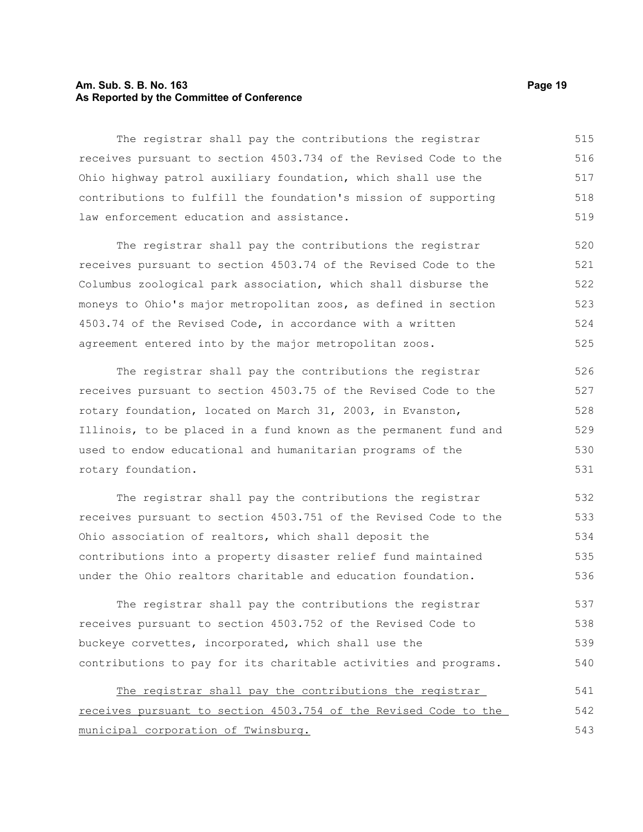#### **Am. Sub. S. B. No. 163 Page 19 As Reported by the Committee of Conference**

The registrar shall pay the contributions the registrar receives pursuant to section 4503.734 of the Revised Code to the Ohio highway patrol auxiliary foundation, which shall use the contributions to fulfill the foundation's mission of supporting law enforcement education and assistance. 515 516 517 518 519

The registrar shall pay the contributions the registrar receives pursuant to section 4503.74 of the Revised Code to the Columbus zoological park association, which shall disburse the moneys to Ohio's major metropolitan zoos, as defined in section 4503.74 of the Revised Code, in accordance with a written agreement entered into by the major metropolitan zoos. 520 521 522 523 524 525

The registrar shall pay the contributions the registrar receives pursuant to section 4503.75 of the Revised Code to the rotary foundation, located on March 31, 2003, in Evanston, Illinois, to be placed in a fund known as the permanent fund and used to endow educational and humanitarian programs of the rotary foundation. 526 527 528 529 530 531

The registrar shall pay the contributions the registrar receives pursuant to section 4503.751 of the Revised Code to the Ohio association of realtors, which shall deposit the contributions into a property disaster relief fund maintained under the Ohio realtors charitable and education foundation. 532 533 534 535 536

The registrar shall pay the contributions the registrar receives pursuant to section 4503.752 of the Revised Code to buckeye corvettes, incorporated, which shall use the contributions to pay for its charitable activities and programs. 537 538 539 540

The registrar shall pay the contributions the registrar receives pursuant to section 4503.754 of the Revised Code to the municipal corporation of Twinsburg. 541 542 543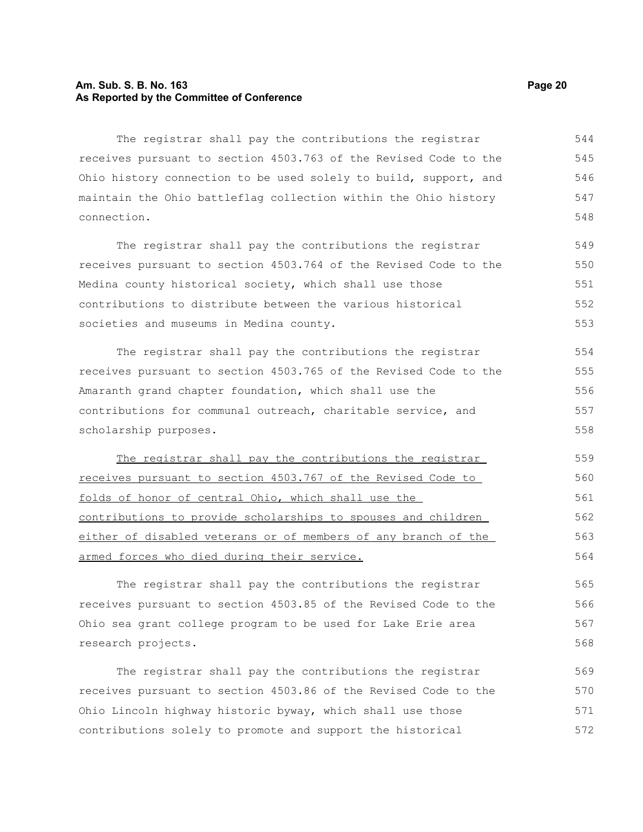#### **Am. Sub. S. B. No. 163 Page 20 As Reported by the Committee of Conference**

The registrar shall pay the contributions the registrar receives pursuant to section 4503.763 of the Revised Code to the Ohio history connection to be used solely to build, support, and maintain the Ohio battleflag collection within the Ohio history connection. 544 545 546 547 548

The registrar shall pay the contributions the registrar receives pursuant to section 4503.764 of the Revised Code to the Medina county historical society, which shall use those contributions to distribute between the various historical societies and museums in Medina county. 549 550 551 552 553

The registrar shall pay the contributions the registrar receives pursuant to section 4503.765 of the Revised Code to the Amaranth grand chapter foundation, which shall use the contributions for communal outreach, charitable service, and scholarship purposes. 554 555 556 557 558

The registrar shall pay the contributions the registrar receives pursuant to section 4503.767 of the Revised Code to folds of honor of central Ohio, which shall use the contributions to provide scholarships to spouses and children either of disabled veterans or of members of any branch of the armed forces who died during their service.

The registrar shall pay the contributions the registrar receives pursuant to section 4503.85 of the Revised Code to the Ohio sea grant college program to be used for Lake Erie area research projects.

The registrar shall pay the contributions the registrar receives pursuant to section 4503.86 of the Revised Code to the Ohio Lincoln highway historic byway, which shall use those contributions solely to promote and support the historical 569 570 571 572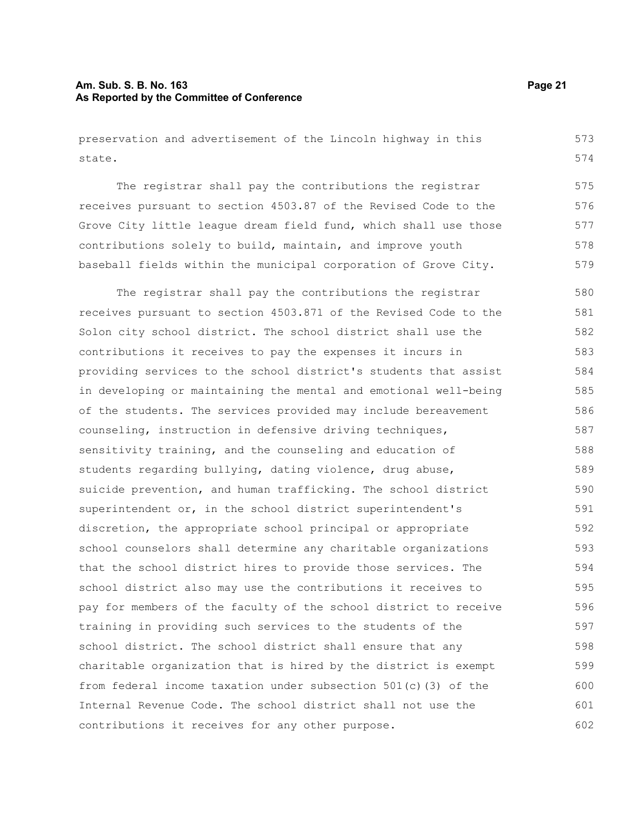### **Am. Sub. S. B. No. 163 Page 21 As Reported by the Committee of Conference**

preservation and advertisement of the Lincoln highway in this state.

The registrar shall pay the contributions the registrar receives pursuant to section 4503.87 of the Revised Code to the Grove City little league dream field fund, which shall use those contributions solely to build, maintain, and improve youth baseball fields within the municipal corporation of Grove City. 575 576 577 578 579

The registrar shall pay the contributions the registrar receives pursuant to section 4503.871 of the Revised Code to the Solon city school district. The school district shall use the contributions it receives to pay the expenses it incurs in providing services to the school district's students that assist in developing or maintaining the mental and emotional well-being of the students. The services provided may include bereavement counseling, instruction in defensive driving techniques, sensitivity training, and the counseling and education of students regarding bullying, dating violence, drug abuse, suicide prevention, and human trafficking. The school district superintendent or, in the school district superintendent's discretion, the appropriate school principal or appropriate school counselors shall determine any charitable organizations that the school district hires to provide those services. The school district also may use the contributions it receives to pay for members of the faculty of the school district to receive training in providing such services to the students of the school district. The school district shall ensure that any charitable organization that is hired by the district is exempt from federal income taxation under subsection 501(c)(3) of the Internal Revenue Code. The school district shall not use the contributions it receives for any other purpose. 580 581 582 583 584 585 586 587 588 589 590 591 592 593 594 595 596 597 598 599 600 601 602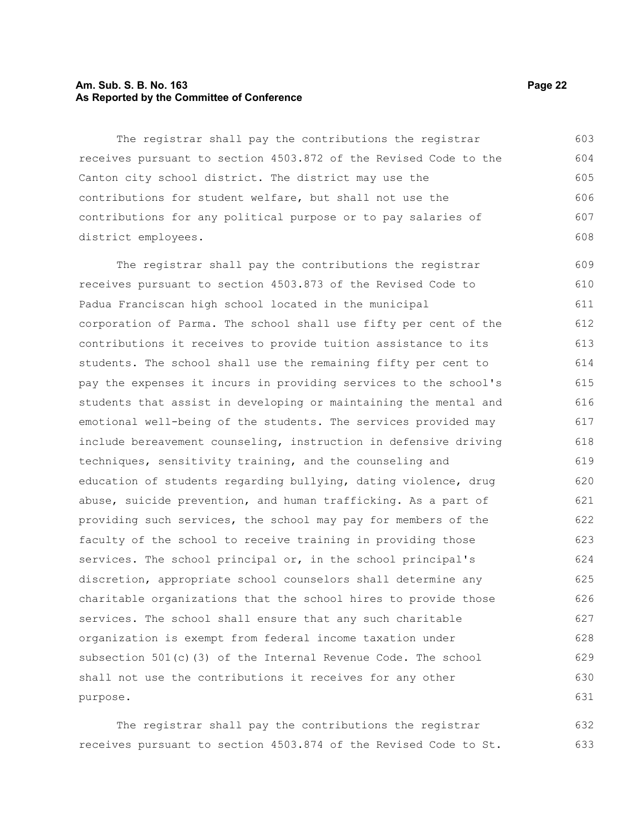#### **Am. Sub. S. B. No. 163 Page 22 As Reported by the Committee of Conference**

The registrar shall pay the contributions the registrar receives pursuant to section 4503.872 of the Revised Code to the Canton city school district. The district may use the contributions for student welfare, but shall not use the contributions for any political purpose or to pay salaries of district employees. 603 604 605 606 607 608

The registrar shall pay the contributions the registrar receives pursuant to section 4503.873 of the Revised Code to Padua Franciscan high school located in the municipal corporation of Parma. The school shall use fifty per cent of the contributions it receives to provide tuition assistance to its students. The school shall use the remaining fifty per cent to pay the expenses it incurs in providing services to the school's students that assist in developing or maintaining the mental and emotional well-being of the students. The services provided may include bereavement counseling, instruction in defensive driving techniques, sensitivity training, and the counseling and education of students regarding bullying, dating violence, drug abuse, suicide prevention, and human trafficking. As a part of providing such services, the school may pay for members of the faculty of the school to receive training in providing those services. The school principal or, in the school principal's discretion, appropriate school counselors shall determine any charitable organizations that the school hires to provide those services. The school shall ensure that any such charitable organization is exempt from federal income taxation under subsection 501(c)(3) of the Internal Revenue Code. The school shall not use the contributions it receives for any other purpose. 609 610 611 612 613 614 615 616 617 618 619 620 621 622 623 624 625 626 627 628 629 630 631

The registrar shall pay the contributions the registrar receives pursuant to section 4503.874 of the Revised Code to St. 632 633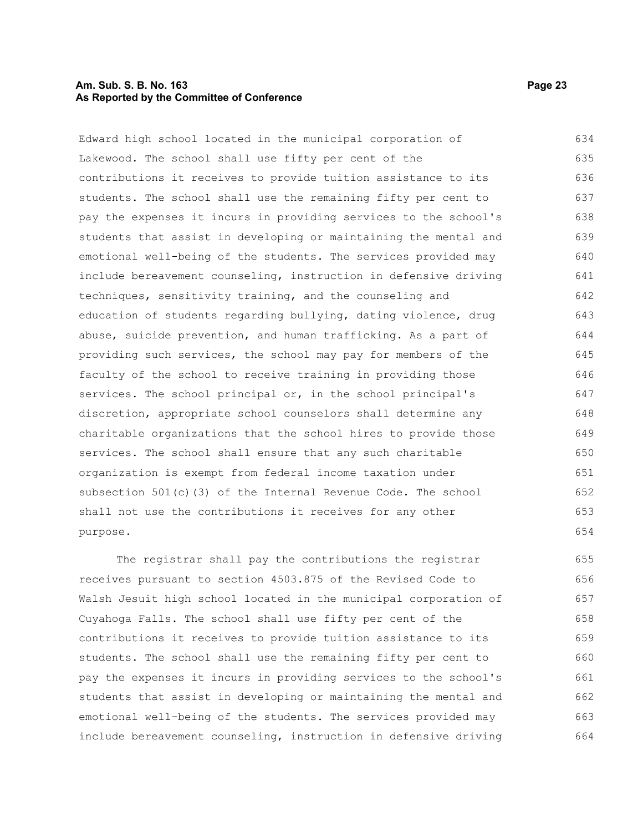#### **Am. Sub. S. B. No. 163 Page 23 As Reported by the Committee of Conference**

| Edward high school located in the municipal corporation of       | 634 |
|------------------------------------------------------------------|-----|
| Lakewood. The school shall use fifty per cent of the             | 635 |
| contributions it receives to provide tuition assistance to its   | 636 |
| students. The school shall use the remaining fifty per cent to   | 637 |
| pay the expenses it incurs in providing services to the school's | 638 |
| students that assist in developing or maintaining the mental and | 639 |
| emotional well-being of the students. The services provided may  | 640 |
| include bereavement counseling, instruction in defensive driving | 641 |
| techniques, sensitivity training, and the counseling and         | 642 |
| education of students regarding bullying, dating violence, drug  | 643 |
| abuse, suicide prevention, and human trafficking. As a part of   | 644 |
| providing such services, the school may pay for members of the   | 645 |
| faculty of the school to receive training in providing those     | 646 |
| services. The school principal or, in the school principal's     | 647 |
| discretion, appropriate school counselors shall determine any    | 648 |
| charitable organizations that the school hires to provide those  | 649 |
| services. The school shall ensure that any such charitable       | 650 |
| organization is exempt from federal income taxation under        | 651 |
| subsection $501(c)$ (3) of the Internal Revenue Code. The school | 652 |
| shall not use the contributions it receives for any other        | 653 |
| purpose.                                                         | 654 |
| The registrar shall pay the contributions the registrar          | 655 |

receives pursuant to section 4503.875 of the Revised Code to Walsh Jesuit high school located in the municipal corporation of Cuyahoga Falls. The school shall use fifty per cent of the contributions it receives to provide tuition assistance to its students. The school shall use the remaining fifty per cent to pay the expenses it incurs in providing services to the school's students that assist in developing or maintaining the mental and emotional well-being of the students. The services provided may include bereavement counseling, instruction in defensive driving 656 657 658 659 660 661 662 663 664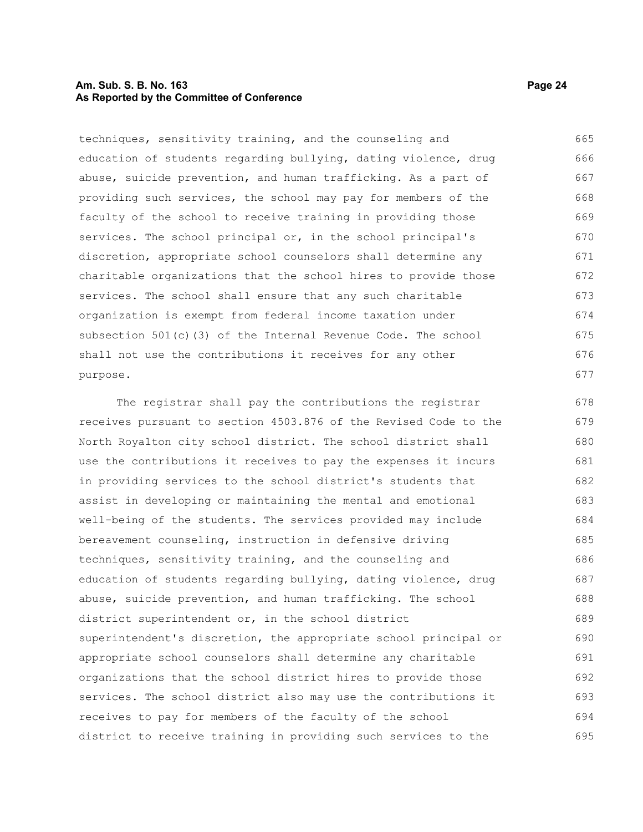#### **Am. Sub. S. B. No. 163 Page 24 As Reported by the Committee of Conference**

techniques, sensitivity training, and the counseling and education of students regarding bullying, dating violence, drug abuse, suicide prevention, and human trafficking. As a part of providing such services, the school may pay for members of the faculty of the school to receive training in providing those services. The school principal or, in the school principal's discretion, appropriate school counselors shall determine any charitable organizations that the school hires to provide those services. The school shall ensure that any such charitable organization is exempt from federal income taxation under subsection 501(c)(3) of the Internal Revenue Code. The school shall not use the contributions it receives for any other purpose. 665 666 667 668 669 670 671 672 673 674 675 676 677

The registrar shall pay the contributions the registrar receives pursuant to section 4503.876 of the Revised Code to the North Royalton city school district. The school district shall use the contributions it receives to pay the expenses it incurs in providing services to the school district's students that assist in developing or maintaining the mental and emotional well-being of the students. The services provided may include bereavement counseling, instruction in defensive driving techniques, sensitivity training, and the counseling and education of students regarding bullying, dating violence, drug abuse, suicide prevention, and human trafficking. The school district superintendent or, in the school district superintendent's discretion, the appropriate school principal or appropriate school counselors shall determine any charitable organizations that the school district hires to provide those services. The school district also may use the contributions it receives to pay for members of the faculty of the school district to receive training in providing such services to the 678 679 680 681 682 683 684 685 686 687 688 689 690 691 692 693 694 695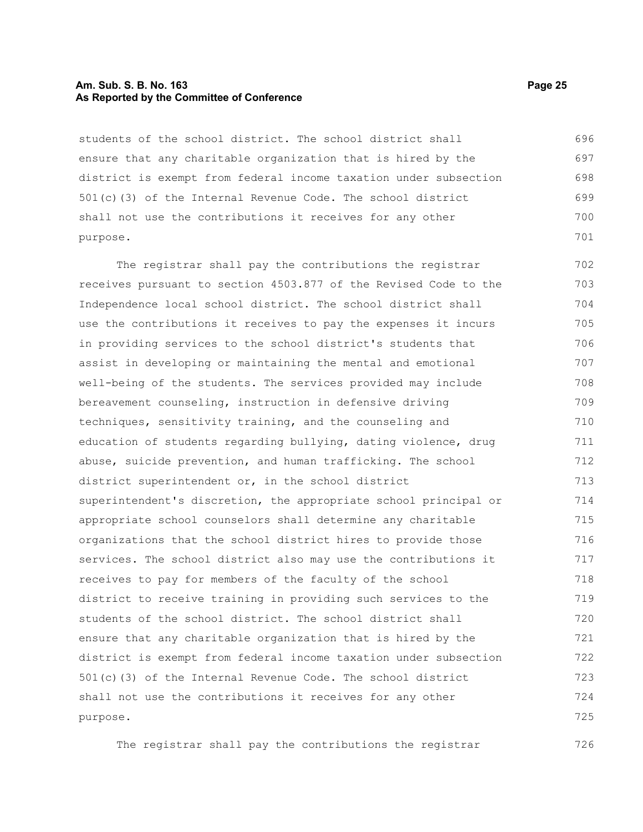#### **Am. Sub. S. B. No. 163 Page 25 As Reported by the Committee of Conference**

students of the school district. The school district shall ensure that any charitable organization that is hired by the district is exempt from federal income taxation under subsection 501(c)(3) of the Internal Revenue Code. The school district shall not use the contributions it receives for any other purpose. 696 697 698 699 700 701

The registrar shall pay the contributions the registrar receives pursuant to section 4503.877 of the Revised Code to the Independence local school district. The school district shall use the contributions it receives to pay the expenses it incurs in providing services to the school district's students that assist in developing or maintaining the mental and emotional well-being of the students. The services provided may include bereavement counseling, instruction in defensive driving techniques, sensitivity training, and the counseling and education of students regarding bullying, dating violence, drug abuse, suicide prevention, and human trafficking. The school district superintendent or, in the school district superintendent's discretion, the appropriate school principal or appropriate school counselors shall determine any charitable organizations that the school district hires to provide those services. The school district also may use the contributions it receives to pay for members of the faculty of the school district to receive training in providing such services to the students of the school district. The school district shall ensure that any charitable organization that is hired by the district is exempt from federal income taxation under subsection 501(c)(3) of the Internal Revenue Code. The school district shall not use the contributions it receives for any other purpose. 702 703 704 705 706 707 708 709 710 711 712 713 714 715 716 717 718 719 720 721 722 723 724 725

The registrar shall pay the contributions the registrar 726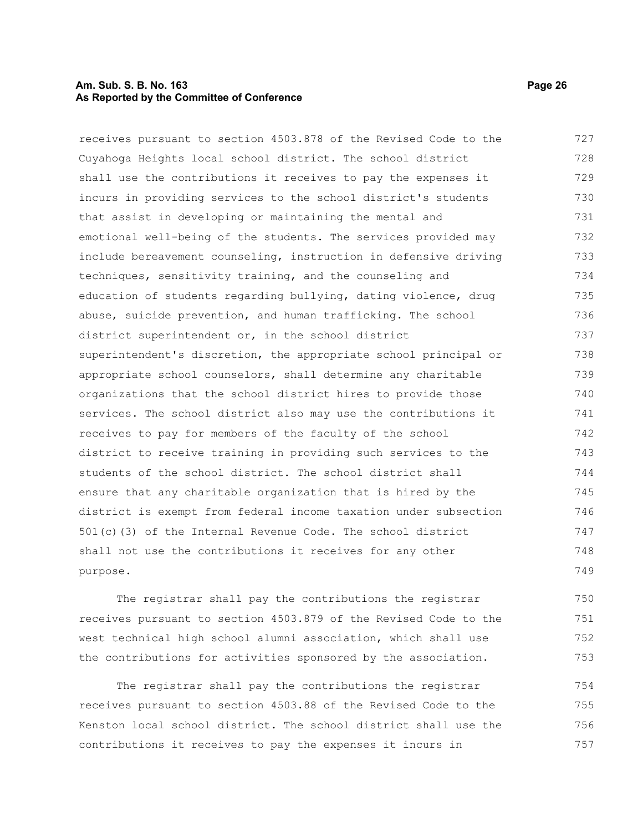#### **Am. Sub. S. B. No. 163 Page 26 As Reported by the Committee of Conference**

receives pursuant to section 4503.878 of the Revised Code to the Cuyahoga Heights local school district. The school district shall use the contributions it receives to pay the expenses it incurs in providing services to the school district's students that assist in developing or maintaining the mental and emotional well-being of the students. The services provided may include bereavement counseling, instruction in defensive driving techniques, sensitivity training, and the counseling and education of students regarding bullying, dating violence, drug abuse, suicide prevention, and human trafficking. The school district superintendent or, in the school district superintendent's discretion, the appropriate school principal or appropriate school counselors, shall determine any charitable organizations that the school district hires to provide those services. The school district also may use the contributions it receives to pay for members of the faculty of the school district to receive training in providing such services to the students of the school district. The school district shall ensure that any charitable organization that is hired by the district is exempt from federal income taxation under subsection 501(c)(3) of the Internal Revenue Code. The school district shall not use the contributions it receives for any other purpose. 727 728 729 730 731 732 733 734 735 736 737 738 739 740 741 742 743 744 745 746 747 748 749

The registrar shall pay the contributions the registrar receives pursuant to section 4503.879 of the Revised Code to the west technical high school alumni association, which shall use the contributions for activities sponsored by the association.

The registrar shall pay the contributions the registrar receives pursuant to section 4503.88 of the Revised Code to the Kenston local school district. The school district shall use the contributions it receives to pay the expenses it incurs in 754 755 756 757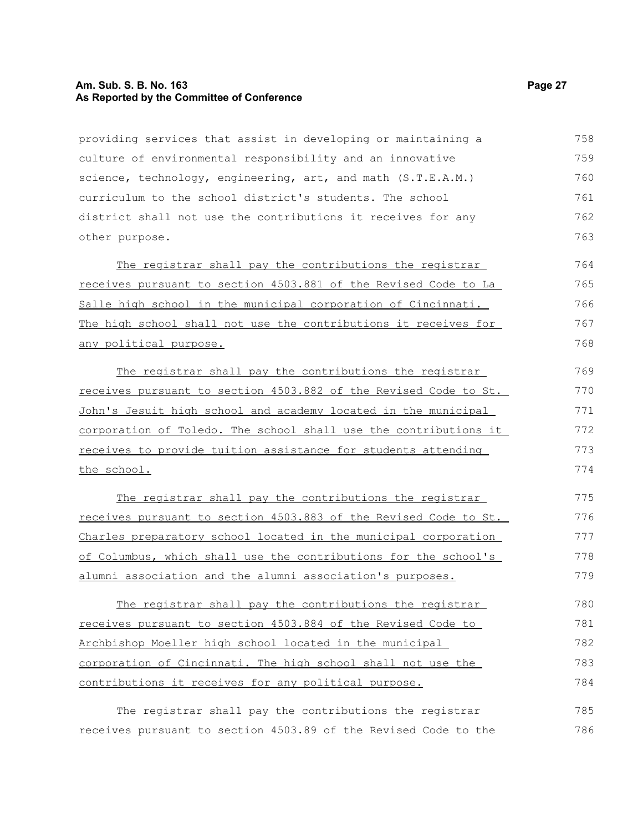## **Am. Sub. S. B. No. 163 Page 27 As Reported by the Committee of Conference**

| providing services that assist in developing or maintaining a    | 758 |
|------------------------------------------------------------------|-----|
| culture of environmental responsibility and an innovative        | 759 |
| science, technology, engineering, art, and math (S.T.E.A.M.)     | 760 |
| curriculum to the school district's students. The school         | 761 |
| district shall not use the contributions it receives for any     | 762 |
| other purpose.                                                   | 763 |
| The registrar shall pay the contributions the registrar          | 764 |
| receives pursuant to section 4503.881 of the Revised Code to La  | 765 |
| Salle high school in the municipal corporation of Cincinnati.    | 766 |
| The high school shall not use the contributions it receives for  | 767 |
| any political purpose.                                           | 768 |
| The registrar shall pay the contributions the registrar          | 769 |
| receives pursuant to section 4503.882 of the Revised Code to St. | 770 |
| John's Jesuit high school and academy located in the municipal   | 771 |
| corporation of Toledo. The school shall use the contributions it | 772 |
| receives to provide tuition assistance for students attending    | 773 |
| the school.                                                      | 774 |
| The registrar shall pay the contributions the registrar          | 775 |
| receives pursuant to section 4503.883 of the Revised Code to St. | 776 |
| Charles preparatory school located in the municipal corporation  | 777 |
| of Columbus, which shall use the contributions for the school's  | 778 |
| alumni association and the alumni association's purposes.        | 779 |
| The registrar shall pay the contributions the registrar          | 780 |
| receives pursuant to section 4503.884 of the Revised Code to     | 781 |
| Archbishop Moeller high school located in the municipal          | 782 |
| corporation of Cincinnati. The high school shall not use the     | 783 |
| contributions it receives for any political purpose.             | 784 |
| The registrar shall pay the contributions the registrar          | 785 |
| receives pursuant to section 4503.89 of the Revised Code to the  | 786 |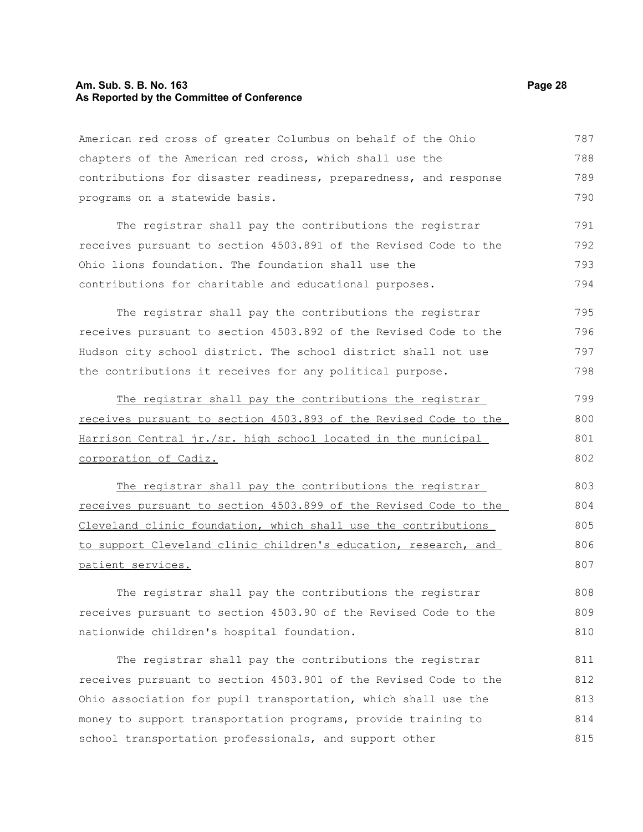### **Am. Sub. S. B. No. 163 Page 28 As Reported by the Committee of Conference**

| American red cross of greater Columbus on behalf of the Ohio     | 787 |
|------------------------------------------------------------------|-----|
| chapters of the American red cross, which shall use the          | 788 |
| contributions for disaster readiness, preparedness, and response | 789 |
| programs on a statewide basis.                                   | 790 |
| The registrar shall pay the contributions the registrar          | 791 |
| receives pursuant to section 4503.891 of the Revised Code to the | 792 |
| Ohio lions foundation. The foundation shall use the              | 793 |
| contributions for charitable and educational purposes.           | 794 |
| The registrar shall pay the contributions the registrar          | 795 |
| receives pursuant to section 4503.892 of the Revised Code to the | 796 |
| Hudson city school district. The school district shall not use   | 797 |
| the contributions it receives for any political purpose.         | 798 |
| The registrar shall pay the contributions the registrar          | 799 |
| receives pursuant to section 4503.893 of the Revised Code to the | 800 |
| Harrison Central jr./sr. high school located in the municipal    | 801 |
| corporation of Cadiz.                                            | 802 |
| The registrar shall pay the contributions the registrar          | 803 |
| receives pursuant to section 4503.899 of the Revised Code to the | 804 |
| Cleveland clinic foundation, which shall use the contributions   | 805 |
| to support Cleveland clinic children's education, research, and  | 806 |
| patient services.                                                | 807 |
| The registrar shall pay the contributions the registrar          | 808 |
| receives pursuant to section 4503.90 of the Revised Code to the  | 809 |
| nationwide children's hospital foundation.                       | 810 |
| The registrar shall pay the contributions the registrar          | 811 |
| receives pursuant to section 4503.901 of the Revised Code to the | 812 |
| Ohio association for pupil transportation, which shall use the   | 813 |
| money to support transportation programs, provide training to    | 814 |
| school transportation professionals, and support other           | 815 |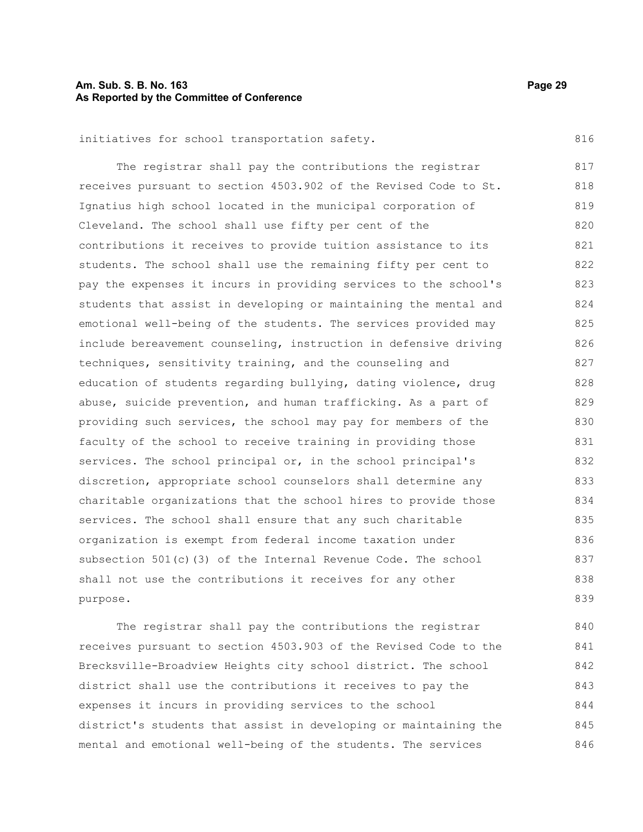### **Am. Sub. S. B. No. 163 Page 29 As Reported by the Committee of Conference**

816

initiatives for school transportation safety.

The registrar shall pay the contributions the registrar receives pursuant to section 4503.902 of the Revised Code to St. Ignatius high school located in the municipal corporation of Cleveland. The school shall use fifty per cent of the contributions it receives to provide tuition assistance to its students. The school shall use the remaining fifty per cent to pay the expenses it incurs in providing services to the school's students that assist in developing or maintaining the mental and emotional well-being of the students. The services provided may include bereavement counseling, instruction in defensive driving techniques, sensitivity training, and the counseling and education of students regarding bullying, dating violence, drug abuse, suicide prevention, and human trafficking. As a part of providing such services, the school may pay for members of the faculty of the school to receive training in providing those services. The school principal or, in the school principal's discretion, appropriate school counselors shall determine any charitable organizations that the school hires to provide those services. The school shall ensure that any such charitable organization is exempt from federal income taxation under subsection 501(c)(3) of the Internal Revenue Code. The school shall not use the contributions it receives for any other purpose. 817 818 819 820 821 822 823 824 825 826 827 828 829 830 831 832 833 834 835 836 837 838 839

The registrar shall pay the contributions the registrar receives pursuant to section 4503.903 of the Revised Code to the Brecksville-Broadview Heights city school district. The school district shall use the contributions it receives to pay the expenses it incurs in providing services to the school district's students that assist in developing or maintaining the mental and emotional well-being of the students. The services 840 841 842 843 844 845 846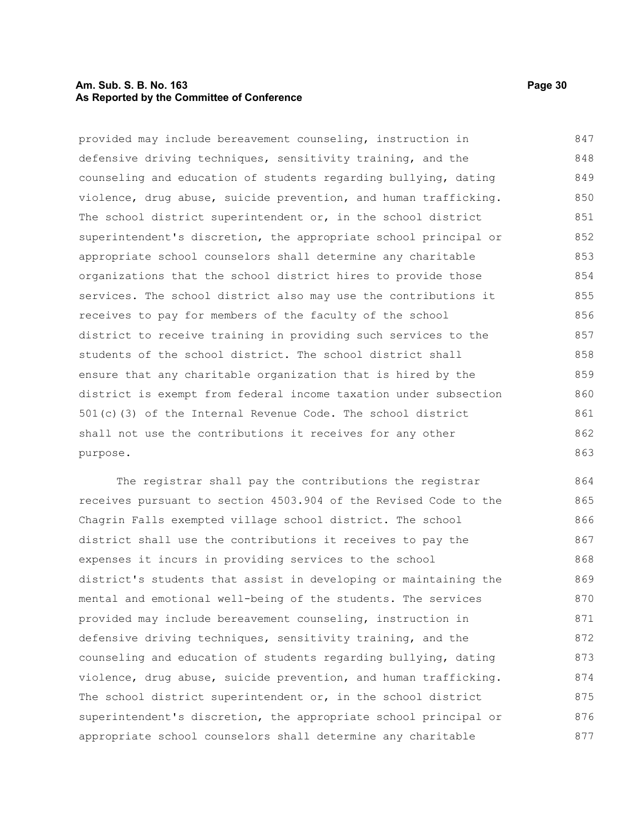#### **Am. Sub. S. B. No. 163 Page 30 As Reported by the Committee of Conference**

provided may include bereavement counseling, instruction in defensive driving techniques, sensitivity training, and the counseling and education of students regarding bullying, dating violence, drug abuse, suicide prevention, and human trafficking. The school district superintendent or, in the school district superintendent's discretion, the appropriate school principal or appropriate school counselors shall determine any charitable organizations that the school district hires to provide those services. The school district also may use the contributions it receives to pay for members of the faculty of the school district to receive training in providing such services to the students of the school district. The school district shall ensure that any charitable organization that is hired by the district is exempt from federal income taxation under subsection 501(c)(3) of the Internal Revenue Code. The school district shall not use the contributions it receives for any other purpose. 847 848 849 850 851 852 853 854 855 856 857 858 859 860 861 862 863

The registrar shall pay the contributions the registrar receives pursuant to section 4503.904 of the Revised Code to the Chagrin Falls exempted village school district. The school district shall use the contributions it receives to pay the expenses it incurs in providing services to the school district's students that assist in developing or maintaining the mental and emotional well-being of the students. The services provided may include bereavement counseling, instruction in defensive driving techniques, sensitivity training, and the counseling and education of students regarding bullying, dating violence, drug abuse, suicide prevention, and human trafficking. The school district superintendent or, in the school district superintendent's discretion, the appropriate school principal or appropriate school counselors shall determine any charitable 864 865 866 867 868 869 870 871 872 873 874 875 876 877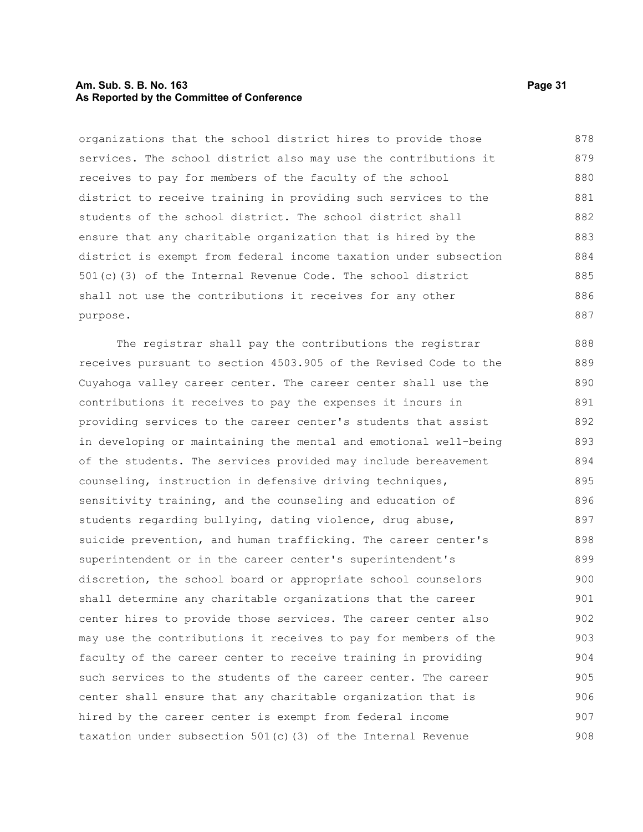#### **Am. Sub. S. B. No. 163 Page 31 As Reported by the Committee of Conference**

organizations that the school district hires to provide those services. The school district also may use the contributions it receives to pay for members of the faculty of the school district to receive training in providing such services to the students of the school district. The school district shall ensure that any charitable organization that is hired by the district is exempt from federal income taxation under subsection 501(c)(3) of the Internal Revenue Code. The school district shall not use the contributions it receives for any other purpose. 878 879 880 881 882 883 884 885 886 887

The registrar shall pay the contributions the registrar receives pursuant to section 4503.905 of the Revised Code to the Cuyahoga valley career center. The career center shall use the contributions it receives to pay the expenses it incurs in providing services to the career center's students that assist in developing or maintaining the mental and emotional well-being of the students. The services provided may include bereavement counseling, instruction in defensive driving techniques, sensitivity training, and the counseling and education of students regarding bullying, dating violence, drug abuse, suicide prevention, and human trafficking. The career center's superintendent or in the career center's superintendent's discretion, the school board or appropriate school counselors shall determine any charitable organizations that the career center hires to provide those services. The career center also may use the contributions it receives to pay for members of the faculty of the career center to receive training in providing such services to the students of the career center. The career center shall ensure that any charitable organization that is hired by the career center is exempt from federal income taxation under subsection 501(c)(3) of the Internal Revenue 888 889 890 891 892 893 894 895 896 897 898 899 900 901 902 903 904 905 906 907 908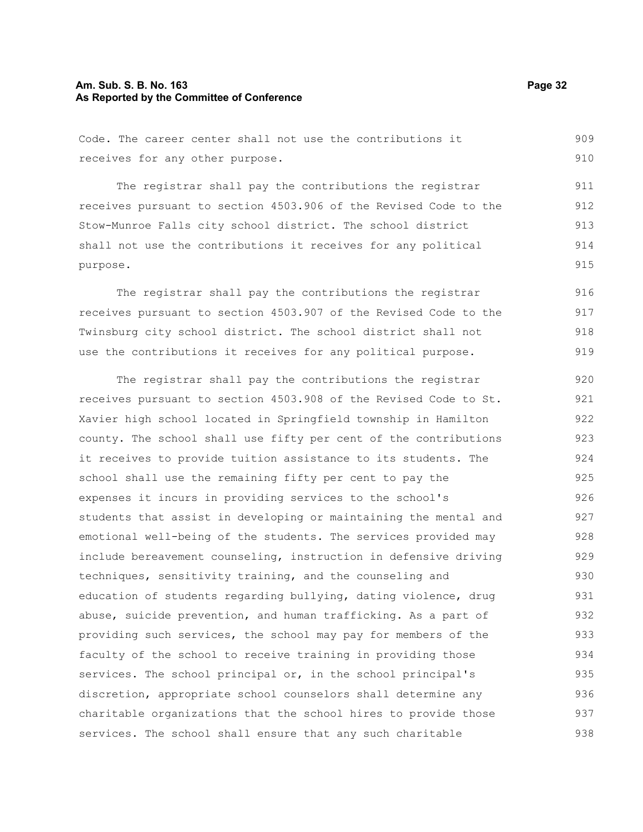#### **Am. Sub. S. B. No. 163 Page 32 As Reported by the Committee of Conference**

Code. The career center shall not use the contributions it receives for any other purpose. 909 910

The registrar shall pay the contributions the registrar receives pursuant to section 4503.906 of the Revised Code to the Stow-Munroe Falls city school district. The school district shall not use the contributions it receives for any political purpose. 911 912 913 914 915

The registrar shall pay the contributions the registrar receives pursuant to section 4503.907 of the Revised Code to the Twinsburg city school district. The school district shall not use the contributions it receives for any political purpose. 916 917 918 919

The registrar shall pay the contributions the registrar receives pursuant to section 4503.908 of the Revised Code to St. Xavier high school located in Springfield township in Hamilton county. The school shall use fifty per cent of the contributions it receives to provide tuition assistance to its students. The school shall use the remaining fifty per cent to pay the expenses it incurs in providing services to the school's students that assist in developing or maintaining the mental and emotional well-being of the students. The services provided may include bereavement counseling, instruction in defensive driving techniques, sensitivity training, and the counseling and education of students regarding bullying, dating violence, drug abuse, suicide prevention, and human trafficking. As a part of providing such services, the school may pay for members of the faculty of the school to receive training in providing those services. The school principal or, in the school principal's discretion, appropriate school counselors shall determine any charitable organizations that the school hires to provide those services. The school shall ensure that any such charitable 920 921 922 923 924 925 926 927 928 929 930 931 932 933 934 935 936 937 938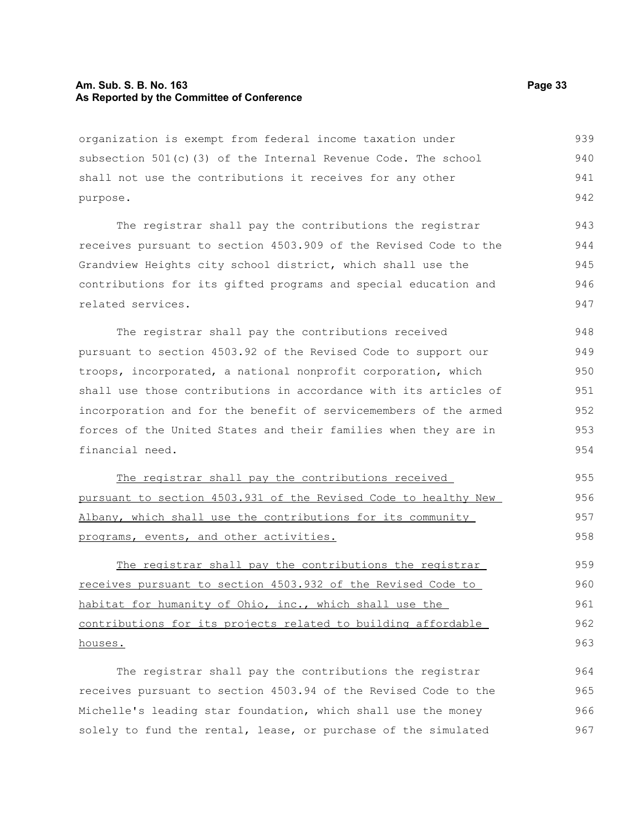#### **Am. Sub. S. B. No. 163 Page 33 As Reported by the Committee of Conference**

organization is exempt from federal income taxation under subsection 501(c)(3) of the Internal Revenue Code. The school shall not use the contributions it receives for any other purpose. 939 940 941 942

The registrar shall pay the contributions the registrar receives pursuant to section 4503.909 of the Revised Code to the Grandview Heights city school district, which shall use the contributions for its gifted programs and special education and related services. 943 944 945 946 947

The registrar shall pay the contributions received pursuant to section 4503.92 of the Revised Code to support our troops, incorporated, a national nonprofit corporation, which shall use those contributions in accordance with its articles of incorporation and for the benefit of servicemembers of the armed forces of the United States and their families when they are in financial need. 948 949 950 951 952 953 954

The registrar shall pay the contributions received pursuant to section 4503.931 of the Revised Code to healthy New Albany, which shall use the contributions for its community programs, events, and other activities.

The registrar shall pay the contributions the registrar receives pursuant to section 4503.932 of the Revised Code to habitat for humanity of Ohio, inc., which shall use the contributions for its projects related to building affordable houses. 959 960 961 962 963

The registrar shall pay the contributions the registrar receives pursuant to section 4503.94 of the Revised Code to the Michelle's leading star foundation, which shall use the money solely to fund the rental, lease, or purchase of the simulated 964 965 966 967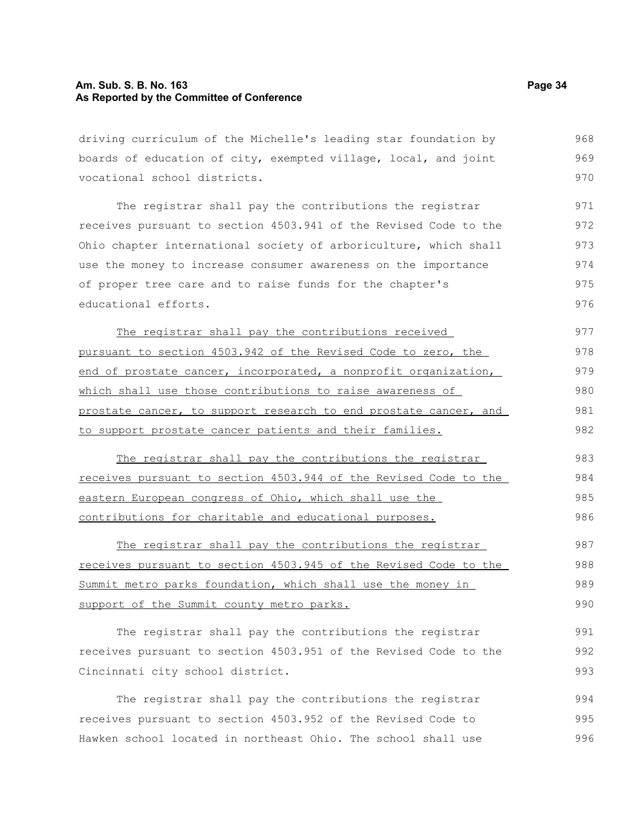#### **Am. Sub. S. B. No. 163 Page 34 As Reported by the Committee of Conference**

driving curriculum of the Michelle's leading star foundation by boards of education of city, exempted village, local, and joint vocational school districts. The registrar shall pay the contributions the registrar receives pursuant to section 4503.941 of the Revised Code to the Ohio chapter international society of arboriculture, which shall use the money to increase consumer awareness on the importance of proper tree care and to raise funds for the chapter's educational efforts. The registrar shall pay the contributions received pursuant to section 4503.942 of the Revised Code to zero, the end of prostate cancer, incorporated, a nonprofit organization, which shall use those contributions to raise awareness of prostate cancer, to support research to end prostate cancer, and to support prostate cancer patients and their families. The registrar shall pay the contributions the registrar receives pursuant to section 4503.944 of the Revised Code to the eastern European congress of Ohio, which shall use the contributions for charitable and educational purposes. The registrar shall pay the contributions the registrar receives pursuant to section 4503.945 of the Revised Code to the Summit metro parks foundation, which shall use the money in support of the Summit county metro parks. The registrar shall pay the contributions the registrar receives pursuant to section 4503.951 of the Revised Code to the Cincinnati city school district. 968 969 970 971 972 973 974 975 976 977 978 979 980 981 982 983 984 985 986 987 988 989 990 991 992 993

The registrar shall pay the contributions the registrar receives pursuant to section 4503.952 of the Revised Code to Hawken school located in northeast Ohio. The school shall use 994 995 996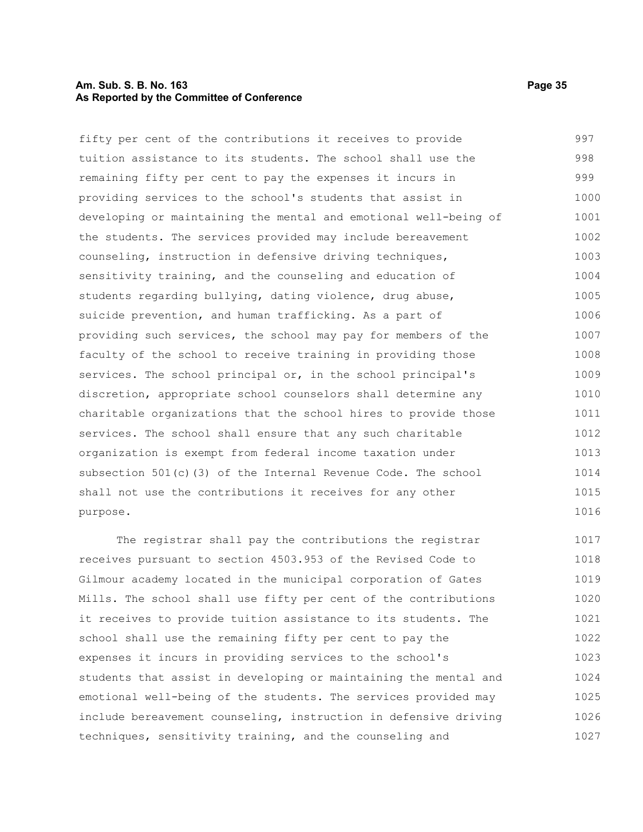#### **Am. Sub. S. B. No. 163 Page 35 As Reported by the Committee of Conference**

fifty per cent of the contributions it receives to provide tuition assistance to its students. The school shall use the remaining fifty per cent to pay the expenses it incurs in providing services to the school's students that assist in developing or maintaining the mental and emotional well-being of the students. The services provided may include bereavement counseling, instruction in defensive driving techniques, sensitivity training, and the counseling and education of students regarding bullying, dating violence, drug abuse, suicide prevention, and human trafficking. As a part of providing such services, the school may pay for members of the faculty of the school to receive training in providing those services. The school principal or, in the school principal's discretion, appropriate school counselors shall determine any charitable organizations that the school hires to provide those services. The school shall ensure that any such charitable organization is exempt from federal income taxation under subsection 501(c)(3) of the Internal Revenue Code. The school shall not use the contributions it receives for any other purpose. 997 998 999 1000 1001 1002 1003 1004 1005 1006 1007 1008 1009 1010 1011 1012 1013 1014 1015 1016

The registrar shall pay the contributions the registrar receives pursuant to section 4503.953 of the Revised Code to Gilmour academy located in the municipal corporation of Gates Mills. The school shall use fifty per cent of the contributions it receives to provide tuition assistance to its students. The school shall use the remaining fifty per cent to pay the expenses it incurs in providing services to the school's students that assist in developing or maintaining the mental and emotional well-being of the students. The services provided may include bereavement counseling, instruction in defensive driving techniques, sensitivity training, and the counseling and 1017 1018 1019 1020 1021 1022 1023 1024 1025 1026 1027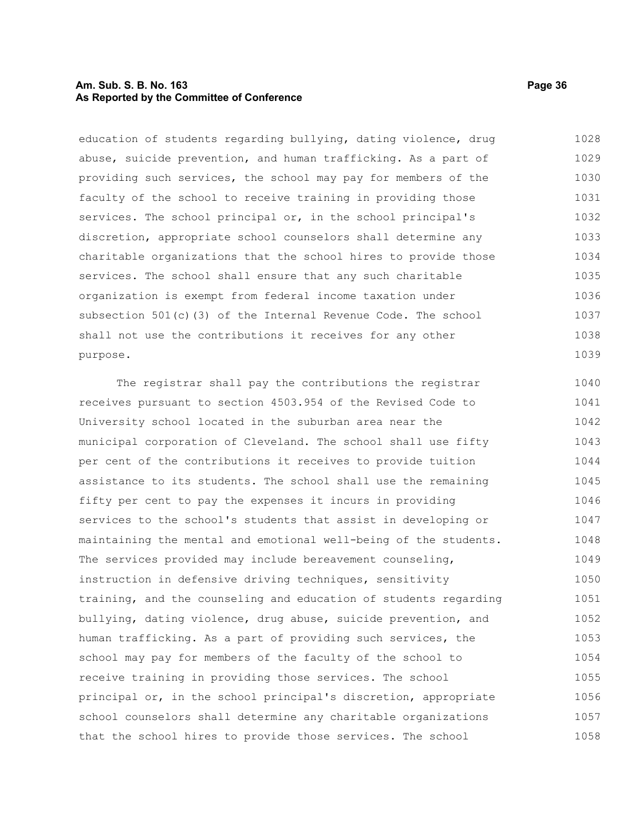#### **Am. Sub. S. B. No. 163 Page 36 As Reported by the Committee of Conference**

education of students regarding bullying, dating violence, drug abuse, suicide prevention, and human trafficking. As a part of providing such services, the school may pay for members of the faculty of the school to receive training in providing those services. The school principal or, in the school principal's discretion, appropriate school counselors shall determine any charitable organizations that the school hires to provide those services. The school shall ensure that any such charitable organization is exempt from federal income taxation under subsection 501(c)(3) of the Internal Revenue Code. The school shall not use the contributions it receives for any other purpose. 1028 1029 1030 1031 1032 1033 1034 1035 1036 1037 1038 1039

The registrar shall pay the contributions the registrar receives pursuant to section 4503.954 of the Revised Code to University school located in the suburban area near the municipal corporation of Cleveland. The school shall use fifty per cent of the contributions it receives to provide tuition assistance to its students. The school shall use the remaining fifty per cent to pay the expenses it incurs in providing services to the school's students that assist in developing or maintaining the mental and emotional well-being of the students. The services provided may include bereavement counseling, instruction in defensive driving techniques, sensitivity training, and the counseling and education of students regarding bullying, dating violence, drug abuse, suicide prevention, and human trafficking. As a part of providing such services, the school may pay for members of the faculty of the school to receive training in providing those services. The school principal or, in the school principal's discretion, appropriate school counselors shall determine any charitable organizations that the school hires to provide those services. The school 1040 1041 1042 1043 1044 1045 1046 1047 1048 1049 1050 1051 1052 1053 1054 1055 1056 1057 1058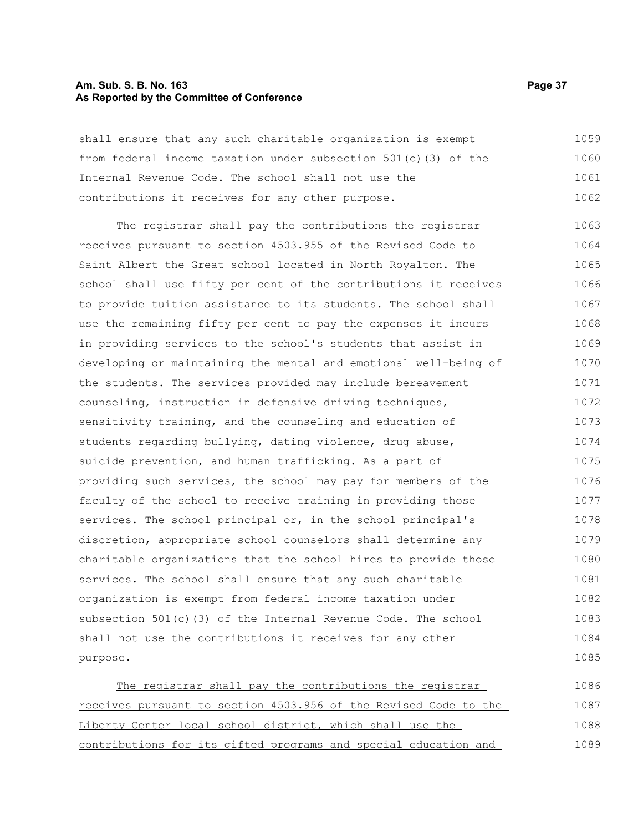#### **Am. Sub. S. B. No. 163 Page 37 As Reported by the Committee of Conference**

shall ensure that any such charitable organization is exempt from federal income taxation under subsection 501(c)(3) of the Internal Revenue Code. The school shall not use the contributions it receives for any other purpose. 1059 1060 1061 1062

The registrar shall pay the contributions the registrar receives pursuant to section 4503.955 of the Revised Code to Saint Albert the Great school located in North Royalton. The school shall use fifty per cent of the contributions it receives to provide tuition assistance to its students. The school shall use the remaining fifty per cent to pay the expenses it incurs in providing services to the school's students that assist in developing or maintaining the mental and emotional well-being of the students. The services provided may include bereavement counseling, instruction in defensive driving techniques, sensitivity training, and the counseling and education of students regarding bullying, dating violence, drug abuse, suicide prevention, and human trafficking. As a part of providing such services, the school may pay for members of the faculty of the school to receive training in providing those services. The school principal or, in the school principal's discretion, appropriate school counselors shall determine any charitable organizations that the school hires to provide those services. The school shall ensure that any such charitable organization is exempt from federal income taxation under subsection 501(c)(3) of the Internal Revenue Code. The school shall not use the contributions it receives for any other purpose. 1063 1064 1065 1066 1067 1068 1069 1070 1071 1072 1073 1074 1075 1076 1077 1078 1079 1080 1081 1082 1083 1084 1085

The registrar shall pay the contributions the registrar receives pursuant to section 4503.956 of the Revised Code to the Liberty Center local school district, which shall use the contributions for its gifted programs and special education and 1086 1087 1088 1089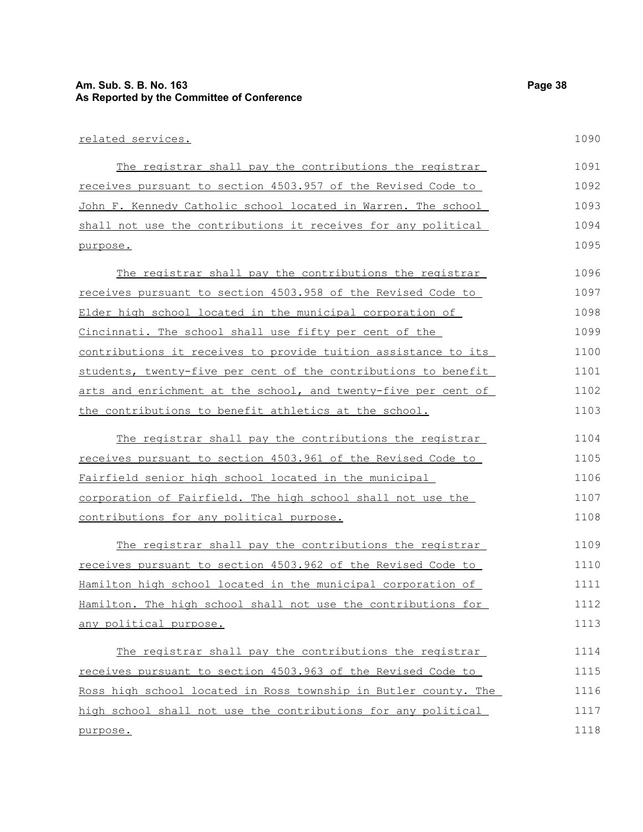## **Am. Sub. S. B. No. 163 Page 38 As Reported by the Committee of Conference**

#### related services.

The registrar shall pay the contributions the registrar receives pursuant to section 4503.957 of the Revised Code to John F. Kennedy Catholic school located in Warren. The school shall not use the contributions it receives for any political purpose. 1091 1092 1093 1094 1095

The registrar shall pay the contributions the registrar receives pursuant to section 4503.958 of the Revised Code to Elder high school located in the municipal corporation of Cincinnati. The school shall use fifty per cent of the contributions it receives to provide tuition assistance to its students, twenty-five per cent of the contributions to benefit arts and enrichment at the school, and twenty-five per cent of the contributions to benefit athletics at the school. 1096 1097 1098 1099 1100 1101 1102 1103

The registrar shall pay the contributions the registrar receives pursuant to section 4503.961 of the Revised Code to Fairfield senior high school located in the municipal corporation of Fairfield. The high school shall not use the contributions for any political purpose. 1104 1105 1106 1107 1108

The registrar shall pay the contributions the registrar receives pursuant to section 4503.962 of the Revised Code to Hamilton high school located in the municipal corporation of Hamilton. The high school shall not use the contributions for any political purpose. 1109 1110 1111 1112 1113

The registrar shall pay the contributions the registrar receives pursuant to section 4503.963 of the Revised Code to Ross high school located in Ross township in Butler county. The high school shall not use the contributions for any political purpose. 1114 1115 1116 1117 1118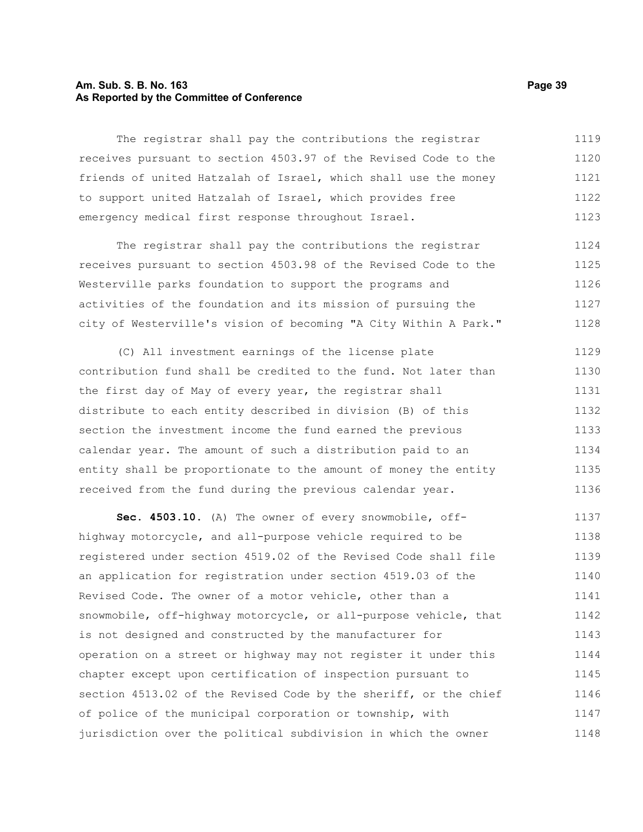## **Am. Sub. S. B. No. 163 Page 39 As Reported by the Committee of Conference**

The registrar shall pay the contributions the registrar receives pursuant to section 4503.97 of the Revised Code to the friends of united Hatzalah of Israel, which shall use the money to support united Hatzalah of Israel, which provides free emergency medical first response throughout Israel. 1119 1120 1121 1122 1123

The registrar shall pay the contributions the registrar receives pursuant to section 4503.98 of the Revised Code to the Westerville parks foundation to support the programs and activities of the foundation and its mission of pursuing the city of Westerville's vision of becoming "A City Within A Park." 1124 1125 1126 1127 1128

(C) All investment earnings of the license plate contribution fund shall be credited to the fund. Not later than the first day of May of every year, the registrar shall distribute to each entity described in division (B) of this section the investment income the fund earned the previous calendar year. The amount of such a distribution paid to an entity shall be proportionate to the amount of money the entity received from the fund during the previous calendar year. 1129 1130 1131 1132 1133 1134 1135 1136

**Sec. 4503.10.** (A) The owner of every snowmobile, offhighway motorcycle, and all-purpose vehicle required to be registered under section 4519.02 of the Revised Code shall file an application for registration under section 4519.03 of the Revised Code. The owner of a motor vehicle, other than a snowmobile, off-highway motorcycle, or all-purpose vehicle, that is not designed and constructed by the manufacturer for operation on a street or highway may not register it under this chapter except upon certification of inspection pursuant to section 4513.02 of the Revised Code by the sheriff, or the chief of police of the municipal corporation or township, with jurisdiction over the political subdivision in which the owner 1137 1138 1139 1140 1141 1142 1143 1144 1145 1146 1147 1148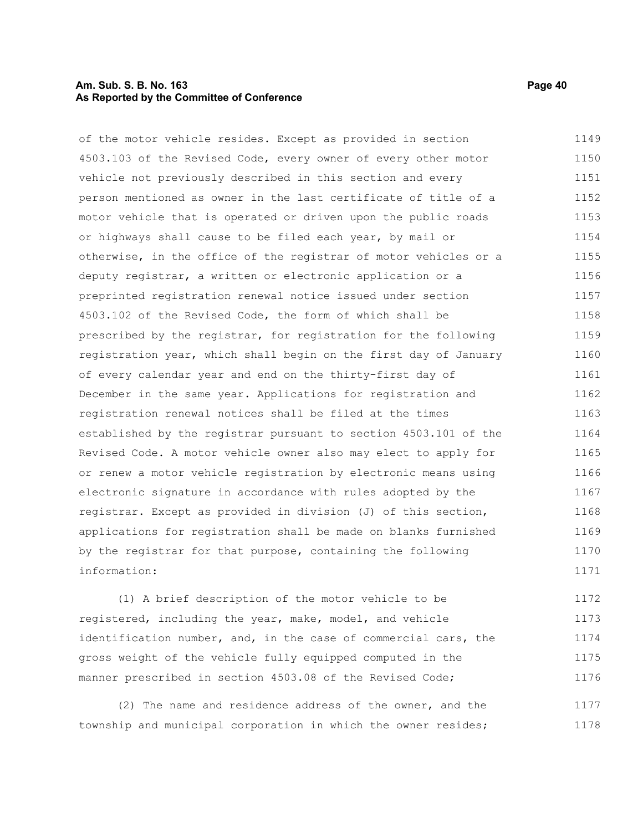## **Am. Sub. S. B. No. 163 Page 40 As Reported by the Committee of Conference**

of the motor vehicle resides. Except as provided in section 4503.103 of the Revised Code, every owner of every other motor vehicle not previously described in this section and every person mentioned as owner in the last certificate of title of a motor vehicle that is operated or driven upon the public roads or highways shall cause to be filed each year, by mail or otherwise, in the office of the registrar of motor vehicles or a deputy registrar, a written or electronic application or a preprinted registration renewal notice issued under section 4503.102 of the Revised Code, the form of which shall be prescribed by the registrar, for registration for the following registration year, which shall begin on the first day of January of every calendar year and end on the thirty-first day of December in the same year. Applications for registration and registration renewal notices shall be filed at the times established by the registrar pursuant to section 4503.101 of the Revised Code. A motor vehicle owner also may elect to apply for or renew a motor vehicle registration by electronic means using electronic signature in accordance with rules adopted by the registrar. Except as provided in division (J) of this section, applications for registration shall be made on blanks furnished by the registrar for that purpose, containing the following information: 1149 1150 1151 1152 1153 1154 1155 1156 1157 1158 1159 1160 1161 1162 1163 1164 1165 1166 1167 1168 1169 1170 1171

(1) A brief description of the motor vehicle to be registered, including the year, make, model, and vehicle identification number, and, in the case of commercial cars, the gross weight of the vehicle fully equipped computed in the manner prescribed in section 4503.08 of the Revised Code; 1172 1173 1174 1175 1176

(2) The name and residence address of the owner, and the township and municipal corporation in which the owner resides; 1177 1178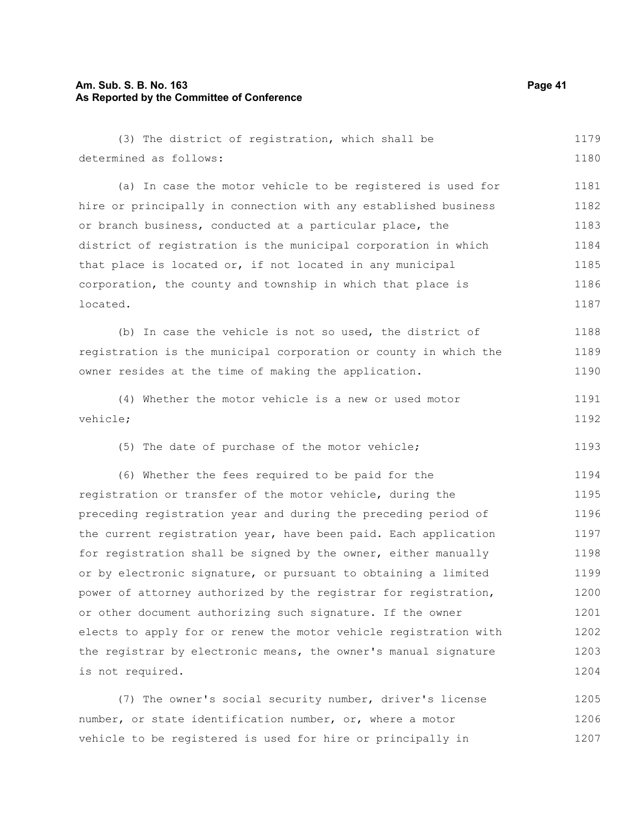## **Am. Sub. S. B. No. 163 Page 41 As Reported by the Committee of Conference**

| (3) The district of registration, which shall be                 | 1179 |
|------------------------------------------------------------------|------|
| determined as follows:                                           | 1180 |
| (a) In case the motor vehicle to be registered is used for       | 1181 |
| hire or principally in connection with any established business  | 1182 |
| or branch business, conducted at a particular place, the         | 1183 |
| district of registration is the municipal corporation in which   | 1184 |
| that place is located or, if not located in any municipal        | 1185 |
| corporation, the county and township in which that place is      | 1186 |
| located.                                                         | 1187 |
| (b) In case the vehicle is not so used, the district of          | 1188 |
| registration is the municipal corporation or county in which the | 1189 |
| owner resides at the time of making the application.             | 1190 |
| (4) Whether the motor vehicle is a new or used motor             | 1191 |
| vehicle;                                                         | 1192 |
| (5) The date of purchase of the motor vehicle;                   | 1193 |
| (6) Whether the fees required to be paid for the                 | 1194 |
| registration or transfer of the motor vehicle, during the        | 1195 |
| preceding registration year and during the preceding period of   | 1196 |
| the current registration year, have been paid. Each application  | 1197 |
| for registration shall be signed by the owner, either manually   | 1198 |
| or by electronic signature, or pursuant to obtaining a limited   | 1199 |
| power of attorney authorized by the registrar for registration,  | 1200 |
| or other document authorizing such signature. If the owner       | 1201 |
| elects to apply for or renew the motor vehicle registration with | 1202 |
| the registrar by electronic means, the owner's manual signature  | 1203 |
| is not required.                                                 | 1204 |
| $\frac{1}{2}$                                                    | 1205 |

(7) The owner's social security number, driver's license number, or state identification number, or, where a motor vehicle to be registered is used for hire or principally in 1205 1206 1207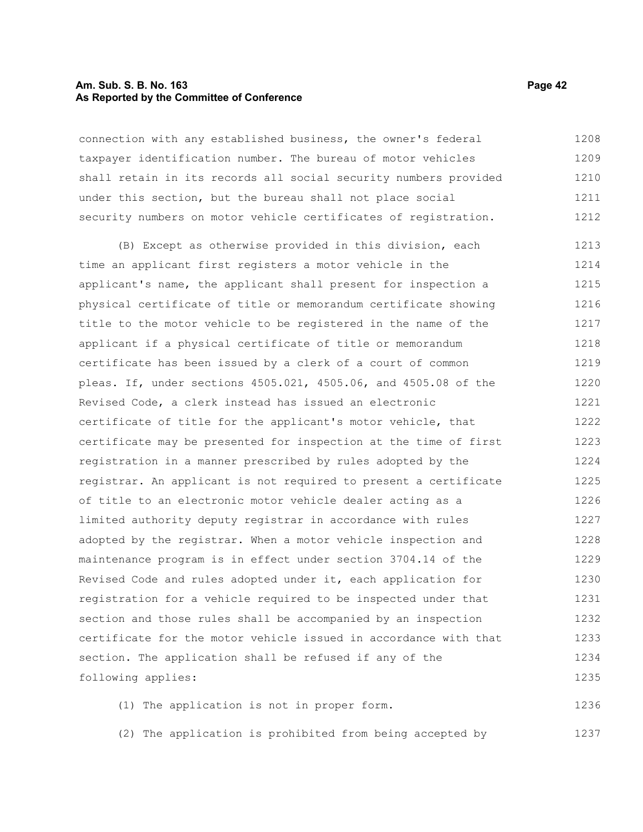#### **Am. Sub. S. B. No. 163 Page 42 As Reported by the Committee of Conference**

connection with any established business, the owner's federal taxpayer identification number. The bureau of motor vehicles shall retain in its records all social security numbers provided under this section, but the bureau shall not place social security numbers on motor vehicle certificates of registration. 1208 1209 1210 1211 1212

(B) Except as otherwise provided in this division, each time an applicant first registers a motor vehicle in the applicant's name, the applicant shall present for inspection a physical certificate of title or memorandum certificate showing title to the motor vehicle to be registered in the name of the applicant if a physical certificate of title or memorandum certificate has been issued by a clerk of a court of common pleas. If, under sections 4505.021, 4505.06, and 4505.08 of the Revised Code, a clerk instead has issued an electronic certificate of title for the applicant's motor vehicle, that certificate may be presented for inspection at the time of first registration in a manner prescribed by rules adopted by the registrar. An applicant is not required to present a certificate of title to an electronic motor vehicle dealer acting as a limited authority deputy registrar in accordance with rules adopted by the registrar. When a motor vehicle inspection and maintenance program is in effect under section 3704.14 of the Revised Code and rules adopted under it, each application for registration for a vehicle required to be inspected under that section and those rules shall be accompanied by an inspection certificate for the motor vehicle issued in accordance with that section. The application shall be refused if any of the following applies: 1213 1214 1215 1216 1217 1218 1219 1220 1221 1222 1223 1224 1225 1226 1227 1228 1229 1230 1231 1232 1233 1234 1235

|  | (1) The application is not in proper form. |  |  |  | 1236 |
|--|--------------------------------------------|--|--|--|------|
|  |                                            |  |  |  |      |

(2) The application is prohibited from being accepted by 1237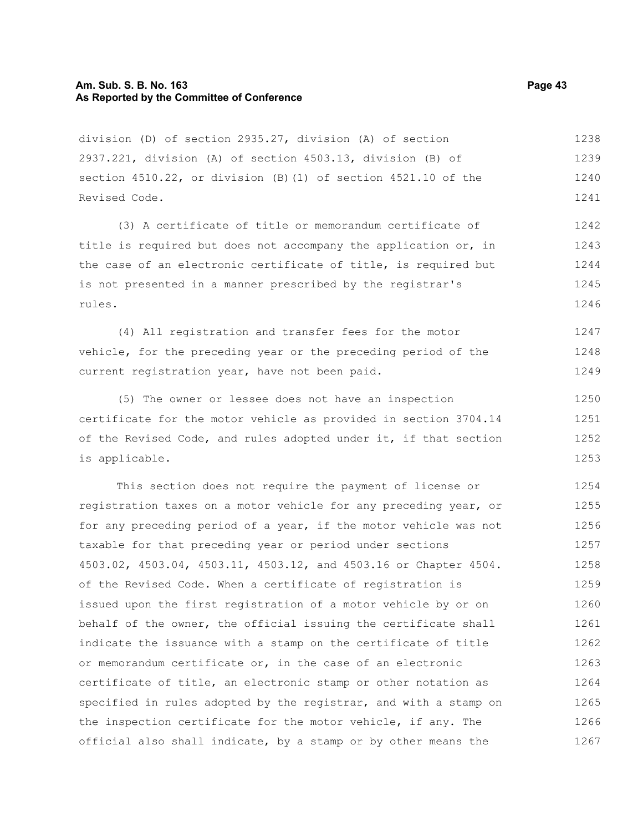#### **Am. Sub. S. B. No. 163 Page 43 As Reported by the Committee of Conference**

division (D) of section 2935.27, division (A) of section 2937.221, division (A) of section 4503.13, division (B) of section 4510.22, or division (B)(1) of section 4521.10 of the Revised Code. (3) A certificate of title or memorandum certificate of title is required but does not accompany the application or, in the case of an electronic certificate of title, is required but is not presented in a manner prescribed by the registrar's rules. 1238 1239 1240 1241 1242 1243 1244 1245 1246

(4) All registration and transfer fees for the motor vehicle, for the preceding year or the preceding period of the current registration year, have not been paid. 1247 1248 1249

(5) The owner or lessee does not have an inspection certificate for the motor vehicle as provided in section 3704.14 of the Revised Code, and rules adopted under it, if that section is applicable. 1250 1251 1252 1253

This section does not require the payment of license or registration taxes on a motor vehicle for any preceding year, or for any preceding period of a year, if the motor vehicle was not taxable for that preceding year or period under sections 4503.02, 4503.04, 4503.11, 4503.12, and 4503.16 or Chapter 4504. of the Revised Code. When a certificate of registration is issued upon the first registration of a motor vehicle by or on behalf of the owner, the official issuing the certificate shall indicate the issuance with a stamp on the certificate of title or memorandum certificate or, in the case of an electronic certificate of title, an electronic stamp or other notation as specified in rules adopted by the registrar, and with a stamp on the inspection certificate for the motor vehicle, if any. The official also shall indicate, by a stamp or by other means the 1254 1255 1256 1257 1258 1259 1260 1261 1262 1263 1264 1265 1266 1267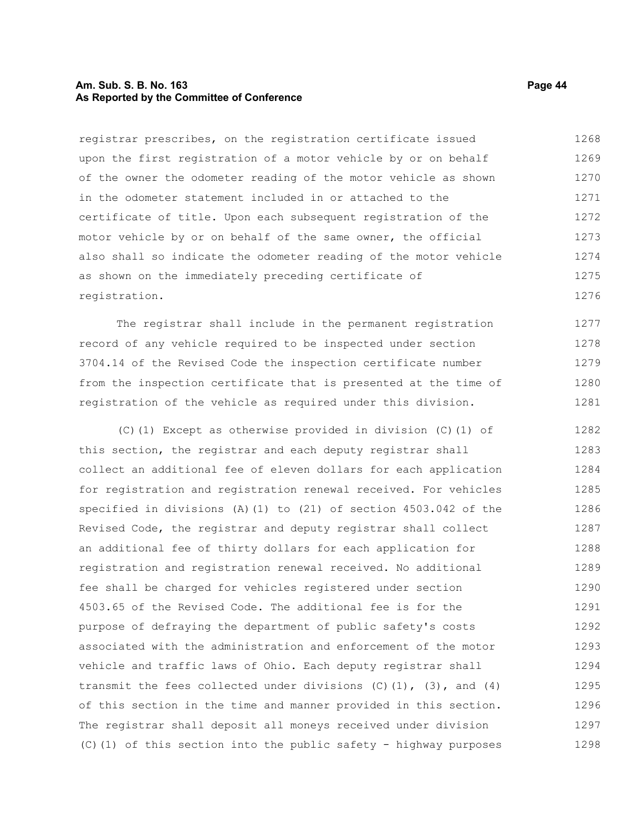#### **Am. Sub. S. B. No. 163 Page 44 As Reported by the Committee of Conference**

registrar prescribes, on the registration certificate issued upon the first registration of a motor vehicle by or on behalf of the owner the odometer reading of the motor vehicle as shown in the odometer statement included in or attached to the certificate of title. Upon each subsequent registration of the motor vehicle by or on behalf of the same owner, the official also shall so indicate the odometer reading of the motor vehicle as shown on the immediately preceding certificate of registration. 1268 1269 1270 1271 1272 1273 1274 1275 1276

The registrar shall include in the permanent registration record of any vehicle required to be inspected under section 3704.14 of the Revised Code the inspection certificate number from the inspection certificate that is presented at the time of registration of the vehicle as required under this division. 1277 1278 1279 1280 1281

(C)(1) Except as otherwise provided in division (C)(1) of this section, the registrar and each deputy registrar shall collect an additional fee of eleven dollars for each application for registration and registration renewal received. For vehicles specified in divisions (A)(1) to (21) of section 4503.042 of the Revised Code, the registrar and deputy registrar shall collect an additional fee of thirty dollars for each application for registration and registration renewal received. No additional fee shall be charged for vehicles registered under section 4503.65 of the Revised Code. The additional fee is for the purpose of defraying the department of public safety's costs associated with the administration and enforcement of the motor vehicle and traffic laws of Ohio. Each deputy registrar shall transmit the fees collected under divisions  $(C)$   $(1)$ ,  $(3)$ , and  $(4)$ of this section in the time and manner provided in this section. The registrar shall deposit all moneys received under division (C)(1) of this section into the public safety - highway purposes 1282 1283 1284 1285 1286 1287 1288 1289 1290 1291 1292 1293 1294 1295 1296 1297 1298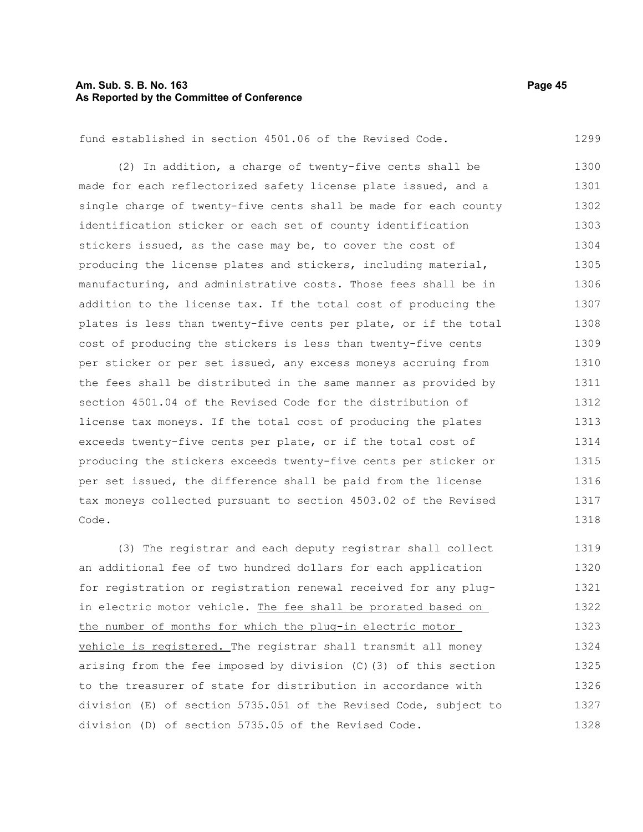## **Am. Sub. S. B. No. 163 Page 45 As Reported by the Committee of Conference**

fund established in section 4501.06 of the Revised Code.

(2) In addition, a charge of twenty-five cents shall be made for each reflectorized safety license plate issued, and a single charge of twenty-five cents shall be made for each county identification sticker or each set of county identification stickers issued, as the case may be, to cover the cost of producing the license plates and stickers, including material, manufacturing, and administrative costs. Those fees shall be in addition to the license tax. If the total cost of producing the plates is less than twenty-five cents per plate, or if the total cost of producing the stickers is less than twenty-five cents per sticker or per set issued, any excess moneys accruing from the fees shall be distributed in the same manner as provided by section 4501.04 of the Revised Code for the distribution of license tax moneys. If the total cost of producing the plates exceeds twenty-five cents per plate, or if the total cost of producing the stickers exceeds twenty-five cents per sticker or per set issued, the difference shall be paid from the license tax moneys collected pursuant to section 4503.02 of the Revised Code. 1300 1301 1302 1303 1304 1305 1306 1307 1308 1309 1310 1311 1312 1313 1314 1315 1316 1317 1318

(3) The registrar and each deputy registrar shall collect an additional fee of two hundred dollars for each application for registration or registration renewal received for any plugin electric motor vehicle. The fee shall be prorated based on the number of months for which the plug-in electric motor vehicle is registered. The registrar shall transmit all money arising from the fee imposed by division (C)(3) of this section to the treasurer of state for distribution in accordance with division (E) of section 5735.051 of the Revised Code, subject to division (D) of section 5735.05 of the Revised Code. 1319 1320 1321 1322 1323 1324 1325 1326 1327 1328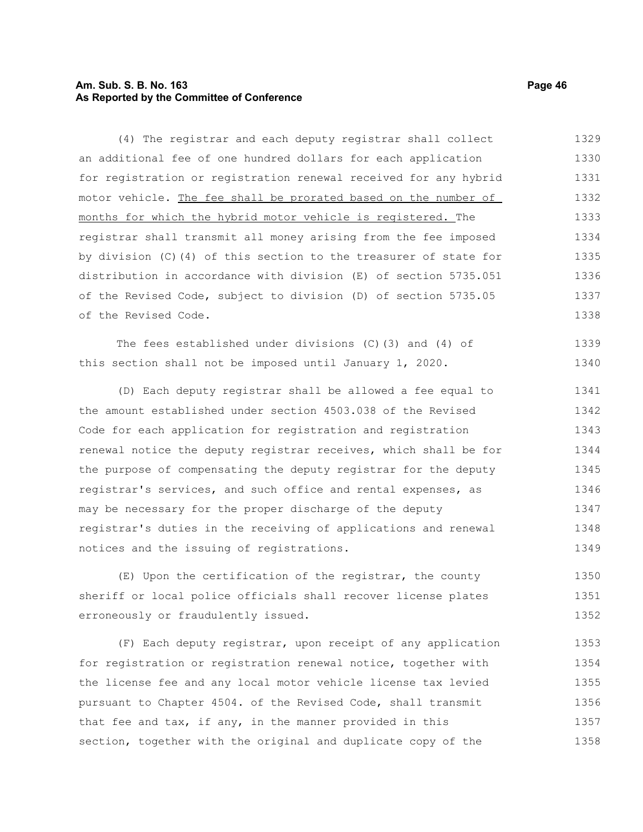## **Am. Sub. S. B. No. 163 Page 46 As Reported by the Committee of Conference**

(4) The registrar and each deputy registrar shall collect an additional fee of one hundred dollars for each application for registration or registration renewal received for any hybrid motor vehicle. The fee shall be prorated based on the number of months for which the hybrid motor vehicle is registered. The registrar shall transmit all money arising from the fee imposed by division (C)(4) of this section to the treasurer of state for distribution in accordance with division (E) of section 5735.051 of the Revised Code, subject to division (D) of section 5735.05 of the Revised Code. The fees established under divisions (C)(3) and (4) of this section shall not be imposed until January 1, 2020. (D) Each deputy registrar shall be allowed a fee equal to the amount established under section 4503.038 of the Revised Code for each application for registration and registration renewal notice the deputy registrar receives, which shall be for the purpose of compensating the deputy registrar for the deputy registrar's services, and such office and rental expenses, as may be necessary for the proper discharge of the deputy registrar's duties in the receiving of applications and renewal notices and the issuing of registrations. (E) Upon the certification of the registrar, the county sheriff or local police officials shall recover license plates erroneously or fraudulently issued. (F) Each deputy registrar, upon receipt of any application for registration or registration renewal notice, together with the license fee and any local motor vehicle license tax levied 1330 1331 1332 1333 1334 1335 1336 1337 1338 1339 1340 1341 1342 1343 1344 1345 1346 1347 1348 1349 1350 1351 1352 1353 1354 1355

that fee and tax, if any, in the manner provided in this section, together with the original and duplicate copy of the 1357 1358

pursuant to Chapter 4504. of the Revised Code, shall transmit

1329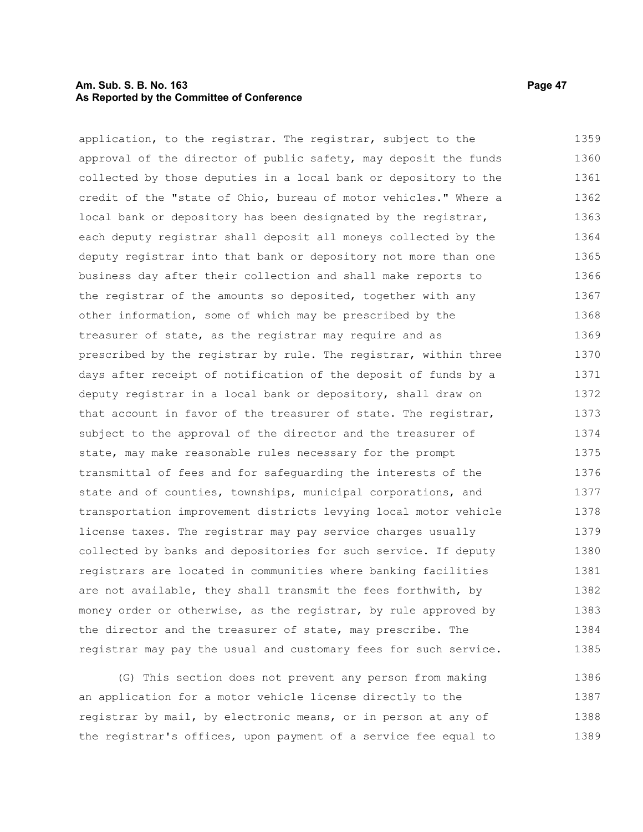## **Am. Sub. S. B. No. 163 Page 47 As Reported by the Committee of Conference**

application, to the registrar. The registrar, subject to the approval of the director of public safety, may deposit the funds collected by those deputies in a local bank or depository to the credit of the "state of Ohio, bureau of motor vehicles." Where a local bank or depository has been designated by the registrar, each deputy registrar shall deposit all moneys collected by the deputy registrar into that bank or depository not more than one business day after their collection and shall make reports to the registrar of the amounts so deposited, together with any other information, some of which may be prescribed by the treasurer of state, as the registrar may require and as prescribed by the registrar by rule. The registrar, within three days after receipt of notification of the deposit of funds by a deputy registrar in a local bank or depository, shall draw on that account in favor of the treasurer of state. The registrar, subject to the approval of the director and the treasurer of state, may make reasonable rules necessary for the prompt transmittal of fees and for safeguarding the interests of the state and of counties, townships, municipal corporations, and transportation improvement districts levying local motor vehicle license taxes. The registrar may pay service charges usually collected by banks and depositories for such service. If deputy registrars are located in communities where banking facilities are not available, they shall transmit the fees forthwith, by money order or otherwise, as the registrar, by rule approved by the director and the treasurer of state, may prescribe. The registrar may pay the usual and customary fees for such service. 1359 1360 1361 1362 1363 1364 1365 1366 1367 1368 1369 1370 1371 1372 1373 1374 1375 1376 1377 1378 1379 1380 1381 1382 1383 1384 1385

(G) This section does not prevent any person from making an application for a motor vehicle license directly to the registrar by mail, by electronic means, or in person at any of the registrar's offices, upon payment of a service fee equal to 1386 1387 1388 1389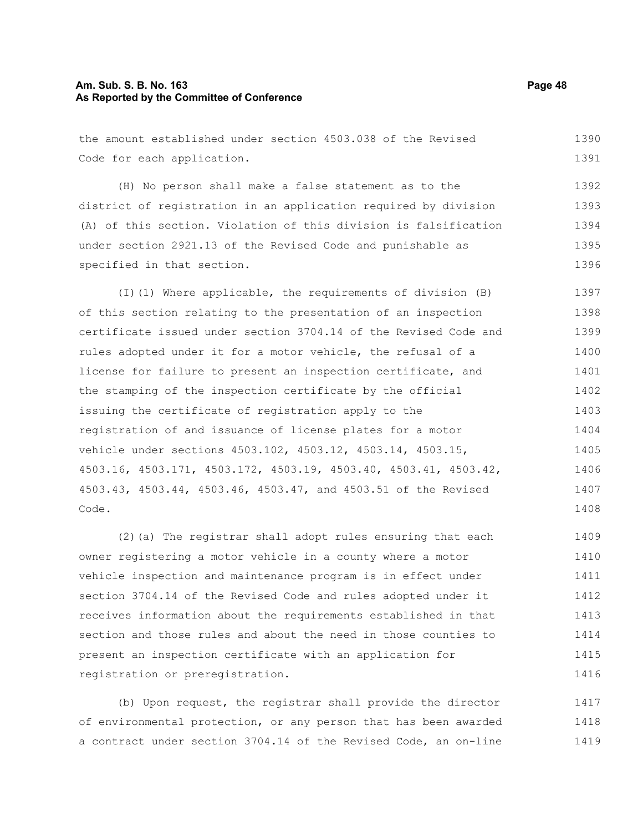#### **Am. Sub. S. B. No. 163 Page 48 As Reported by the Committee of Conference**

the amount established under section 4503.038 of the Revised Code for each application. (H) No person shall make a false statement as to the district of registration in an application required by division (A) of this section. Violation of this division is falsification under section 2921.13 of the Revised Code and punishable as specified in that section. (I)(1) Where applicable, the requirements of division (B) of this section relating to the presentation of an inspection certificate issued under section 3704.14 of the Revised Code and rules adopted under it for a motor vehicle, the refusal of a license for failure to present an inspection certificate, and the stamping of the inspection certificate by the official issuing the certificate of registration apply to the registration of and issuance of license plates for a motor vehicle under sections 4503.102, 4503.12, 4503.14, 4503.15, 4503.16, 4503.171, 4503.172, 4503.19, 4503.40, 4503.41, 4503.42, 4503.43, 4503.44, 4503.46, 4503.47, and 4503.51 of the Revised Code. 1390 1391 1392 1393 1394 1395 1396 1397 1398 1399 1400 1401 1402 1403 1404 1405 1406 1407 1408

(2)(a) The registrar shall adopt rules ensuring that each owner registering a motor vehicle in a county where a motor vehicle inspection and maintenance program is in effect under section 3704.14 of the Revised Code and rules adopted under it receives information about the requirements established in that section and those rules and about the need in those counties to present an inspection certificate with an application for registration or preregistration. 1409 1410 1411 1412 1413 1414 1415 1416

(b) Upon request, the registrar shall provide the director of environmental protection, or any person that has been awarded a contract under section 3704.14 of the Revised Code, an on-line 1417 1418 1419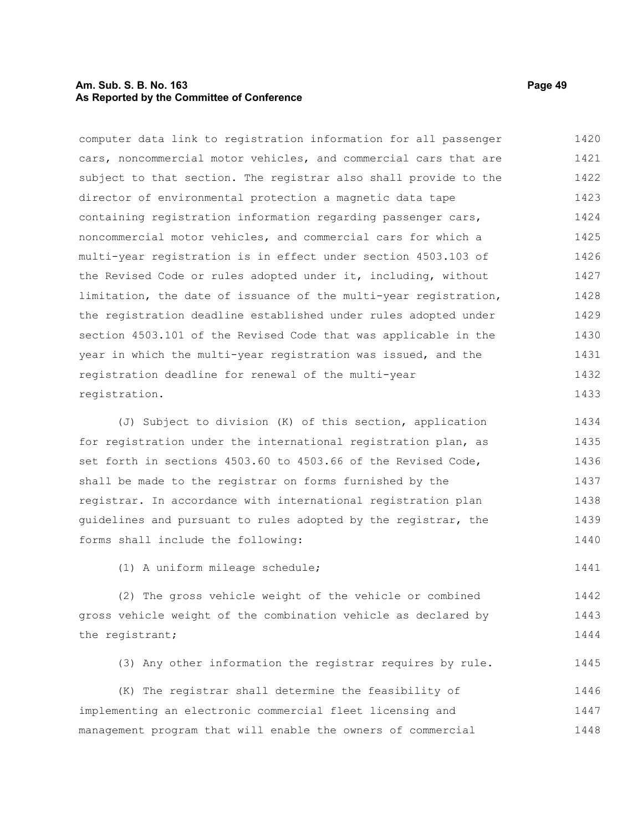## **Am. Sub. S. B. No. 163 Page 49 As Reported by the Committee of Conference**

computer data link to registration information for all passenger cars, noncommercial motor vehicles, and commercial cars that are subject to that section. The registrar also shall provide to the director of environmental protection a magnetic data tape containing registration information regarding passenger cars, noncommercial motor vehicles, and commercial cars for which a multi-year registration is in effect under section 4503.103 of the Revised Code or rules adopted under it, including, without limitation, the date of issuance of the multi-year registration, the registration deadline established under rules adopted under section 4503.101 of the Revised Code that was applicable in the year in which the multi-year registration was issued, and the registration deadline for renewal of the multi-year registration. 1420 1421 1422 1423 1424 1425 1426 1427 1428 1429 1430 1431 1432 1433

(J) Subject to division (K) of this section, application for registration under the international registration plan, as set forth in sections 4503.60 to 4503.66 of the Revised Code, shall be made to the registrar on forms furnished by the registrar. In accordance with international registration plan guidelines and pursuant to rules adopted by the registrar, the forms shall include the following: 1434 1435 1436 1437 1438 1439 1440

(1) A uniform mileage schedule; 1441

(2) The gross vehicle weight of the vehicle or combined gross vehicle weight of the combination vehicle as declared by the registrant; 1442 1443 1444

(3) Any other information the registrar requires by rule. 1445

(K) The registrar shall determine the feasibility of implementing an electronic commercial fleet licensing and management program that will enable the owners of commercial 1446 1447 1448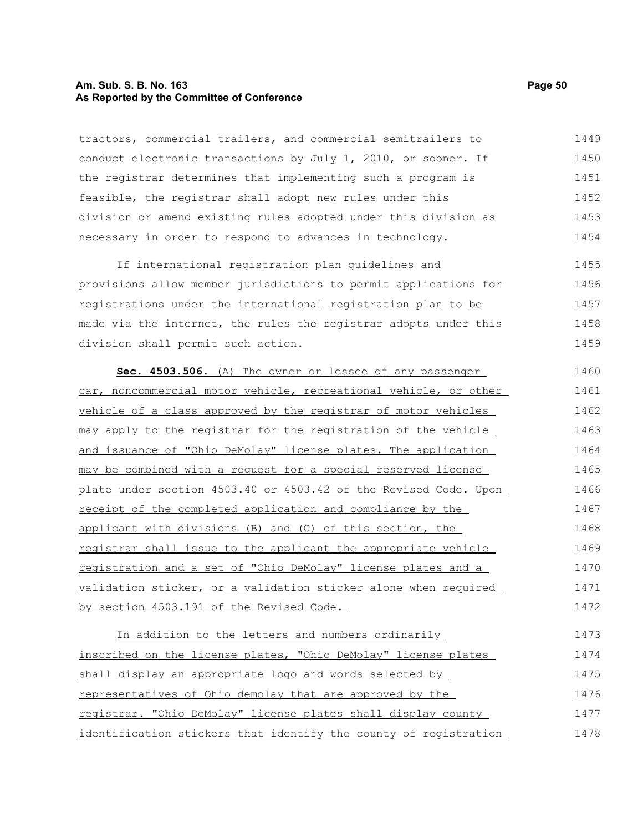#### **Am. Sub. S. B. No. 163 Page 50 As Reported by the Committee of Conference**

tractors, commercial trailers, and commercial semitrailers to conduct electronic transactions by July 1, 2010, or sooner. If the registrar determines that implementing such a program is feasible, the registrar shall adopt new rules under this division or amend existing rules adopted under this division as necessary in order to respond to advances in technology. 1449 1450 1451 1452 1453 1454

If international registration plan guidelines and provisions allow member jurisdictions to permit applications for registrations under the international registration plan to be made via the internet, the rules the registrar adopts under this division shall permit such action. 1455 1456 1457 1458 1459

 **Sec. 4503.506.** (A) The owner or lessee of any passenger car, noncommercial motor vehicle, recreational vehicle, or other vehicle of a class approved by the registrar of motor vehicles may apply to the registrar for the registration of the vehicle and issuance of "Ohio DeMolay" license plates. The application may be combined with a request for a special reserved license plate under section 4503.40 or 4503.42 of the Revised Code. Upon receipt of the completed application and compliance by the applicant with divisions (B) and (C) of this section, the registrar shall issue to the applicant the appropriate vehicle registration and a set of "Ohio DeMolay" license plates and a validation sticker, or a validation sticker alone when required by section 4503.191 of the Revised Code. 1460 1461 1462 1463 1464 1465 1466 1467 1468 1469 1470 1471 1472

In addition to the letters and numbers ordinarily inscribed on the license plates, "Ohio DeMolay" license plates shall display an appropriate logo and words selected by representatives of Ohio demolay that are approved by the registrar. "Ohio DeMolay" license plates shall display county identification stickers that identify the county of registration 1473 1474 1475 1476 1477 1478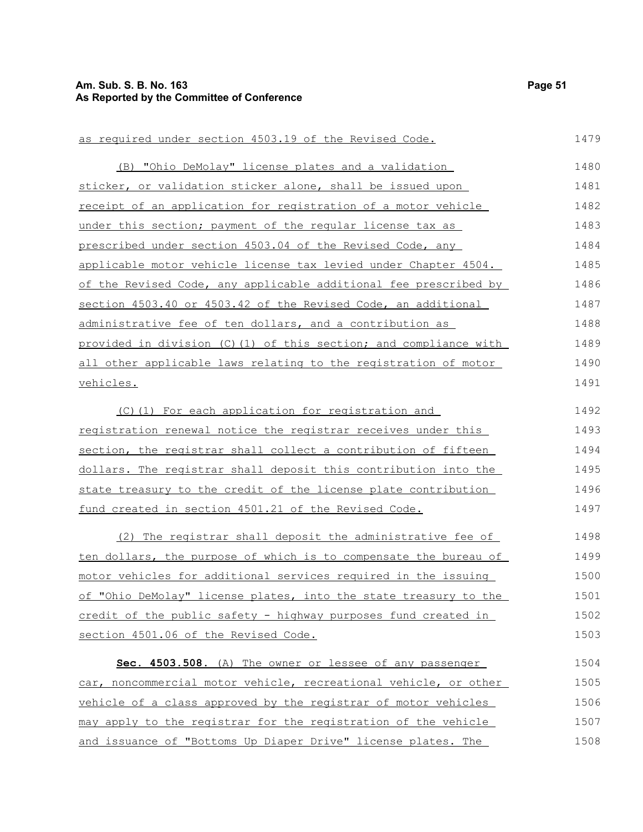## **Am. Sub. S. B. No. 163 Page 51 As Reported by the Committee of Conference**

| as required under section 4503.19 of the Revised Code.            | 1479 |
|-------------------------------------------------------------------|------|
| (B) "Ohio DeMolay" license plates and a validation                | 1480 |
| sticker, or validation sticker alone, shall be issued upon        | 1481 |
| receipt of an application for registration of a motor vehicle     | 1482 |
| under this section; payment of the regular license tax as         | 1483 |
| prescribed under section 4503.04 of the Revised Code, any         | 1484 |
| applicable motor vehicle license tax levied under Chapter 4504.   | 1485 |
| of the Revised Code, any applicable additional fee prescribed by  | 1486 |
| section 4503.40 or 4503.42 of the Revised Code, an additional     | 1487 |
| administrative fee of ten dollars, and a contribution as          | 1488 |
| provided in division (C) (1) of this section; and compliance with | 1489 |
| all other applicable laws relating to the registration of motor   | 1490 |
| vehicles.                                                         | 1491 |
| (C)(1) For each application for registration and                  | 1492 |
| registration renewal notice the registrar receives under this     | 1493 |
| section, the registrar shall collect a contribution of fifteen    | 1494 |
| dollars. The registrar shall deposit this contribution into the   | 1495 |
| state treasury to the credit of the license plate contribution    | 1496 |
| fund created in section 4501.21 of the Revised Code.              | 1497 |
| (2) The registrar shall deposit the administrative fee of         | 1498 |
| ten dollars, the purpose of which is to compensate the bureau of  | 1499 |
| motor vehicles for additional services required in the issuing    | 1500 |
| of "Ohio DeMolay" license plates, into the state treasury to the  | 1501 |
| credit of the public safety - highway purposes fund created in    | 1502 |
| section 4501.06 of the Revised Code.                              | 1503 |
| Sec. 4503.508. (A) The owner or lessee of any passenger           | 1504 |
| car, noncommercial motor vehicle, recreational vehicle, or other  | 1505 |
| vehicle of a class approved by the registrar of motor vehicles    | 1506 |
| may apply to the registrar for the registration of the vehicle    | 1507 |

and issuance of "Bottoms Up Diaper Drive" license plates. The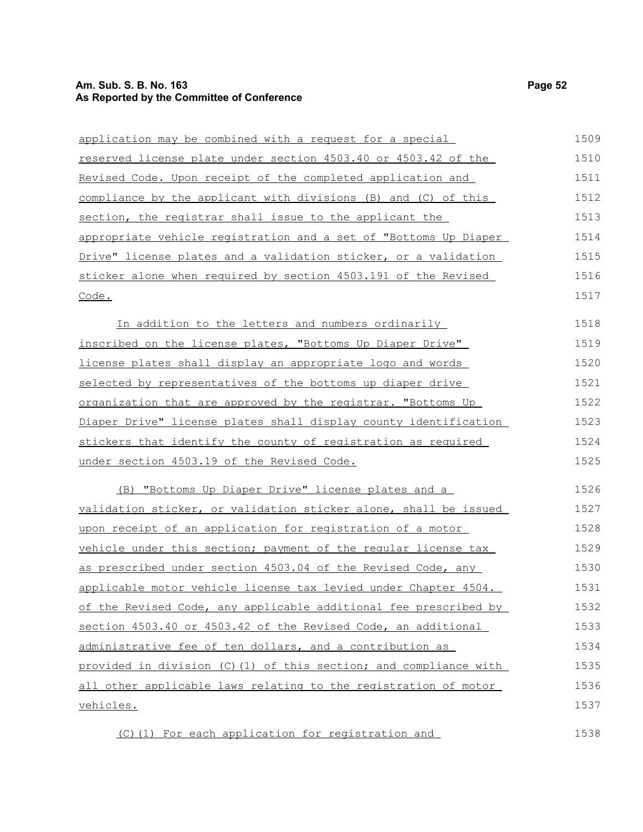## **Am. Sub. S. B. No. 163 Page 52 As Reported by the Committee of Conference**

| application may be combined with a request for a special         | 1509 |
|------------------------------------------------------------------|------|
| reserved license plate under section 4503.40 or 4503.42 of the   | 1510 |
| Revised Code. Upon receipt of the completed application and      | 1511 |
| compliance by the applicant with divisions (B) and (C) of this   | 1512 |
| section, the registrar shall issue to the applicant the          | 1513 |
| appropriate vehicle registration and a set of "Bottoms Up Diaper | 1514 |
| Drive" license plates and a validation sticker, or a validation  | 1515 |
| sticker alone when required by section 4503.191 of the Revised   | 1516 |
| Code.                                                            | 1517 |
| In addition to the letters and numbers ordinarily                | 1518 |
| inscribed on the license plates, "Bottoms Up Diaper Drive"       | 1519 |
| license plates shall display an appropriate logo and words       | 1520 |
| selected by representatives of the bottoms up diaper drive       | 1521 |
| organization that are approved by the registrar. "Bottoms Up     | 1522 |
| Diaper Drive" license plates shall display county identification | 1523 |
| stickers that identify the county of registration as required    | 1524 |
| under section 4503.19 of the Revised Code.                       | 1525 |
| (B) "Bottoms Up Diaper Drive" license plates and a               | 1526 |
| validation sticker, or validation sticker alone, shall be issued | 1527 |
| upon receipt of an application for registration of a motor       | 1528 |
| vehicle under this section; payment of the regular license tax   | 1529 |
| as prescribed under section 4503.04 of the Revised Code, any     | 1530 |
| applicable motor vehicle license tax levied under Chapter 4504.  | 1531 |
| of the Revised Code, any applicable additional fee prescribed by | 1532 |
| section 4503.40 or 4503.42 of the Revised Code, an additional    | 1533 |
| administrative fee of ten dollars, and a contribution as         | 1534 |
| provided in division (C)(1) of this section; and compliance with | 1535 |
| all other applicable laws relating to the registration of motor  | 1536 |
| vehicles.                                                        | 1537 |
| (C) (1) For each application for registration and                | 1538 |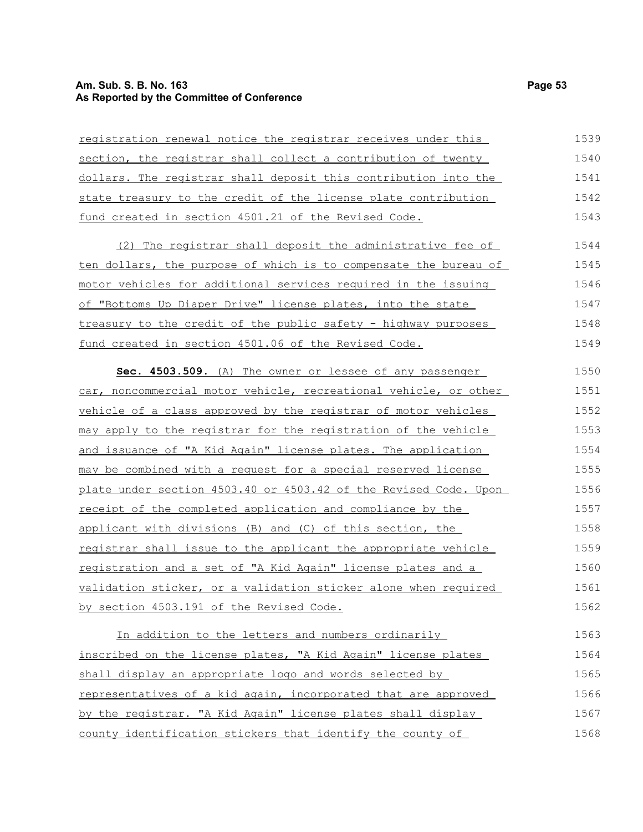## **Am. Sub. S. B. No. 163 Page 53 As Reported by the Committee of Conference**

| registration renewal notice the registrar receives under this    | 1539 |
|------------------------------------------------------------------|------|
| section, the registrar shall collect a contribution of twenty    | 1540 |
| dollars. The registrar shall deposit this contribution into the  | 1541 |
| state treasury to the credit of the license plate contribution   | 1542 |
| fund created in section 4501.21 of the Revised Code.             | 1543 |
| (2) The registrar shall deposit the administrative fee of        | 1544 |
| ten dollars, the purpose of which is to compensate the bureau of | 1545 |
| motor vehicles for additional services required in the issuing   | 1546 |
| of "Bottoms Up Diaper Drive" license plates, into the state      | 1547 |
| treasury to the credit of the public safety - highway purposes   | 1548 |
| fund created in section 4501.06 of the Revised Code.             | 1549 |
| Sec. 4503.509. (A) The owner or lessee of any passenger          | 1550 |
| car, noncommercial motor vehicle, recreational vehicle, or other | 1551 |
| vehicle of a class approved by the registrar of motor vehicles   | 1552 |
| may apply to the registrar for the registration of the vehicle   | 1553 |
| and issuance of "A Kid Again" license plates. The application    | 1554 |
| may be combined with a request for a special reserved license    | 1555 |
| plate under section 4503.40 or 4503.42 of the Revised Code. Upon | 1556 |
| receipt of the completed application and compliance by the       | 1557 |
| applicant with divisions (B) and (C) of this section, the        | 1558 |
| registrar shall issue to the applicant the appropriate vehicle   | 1559 |
| registration and a set of "A Kid Again" license plates and a     | 1560 |
| validation sticker, or a validation sticker alone when required  | 1561 |
| by section 4503.191 of the Revised Code.                         | 1562 |
| In addition to the letters and numbers ordinarily                | 1563 |
| inscribed on the license plates, "A Kid Again" license plates    | 1564 |
| shall display an appropriate logo and words selected by          | 1565 |
| representatives of a kid again, incorporated that are approved   | 1566 |
| by the registrar. "A Kid Again" license plates shall display     | 1567 |

county identification stickers that identify the county of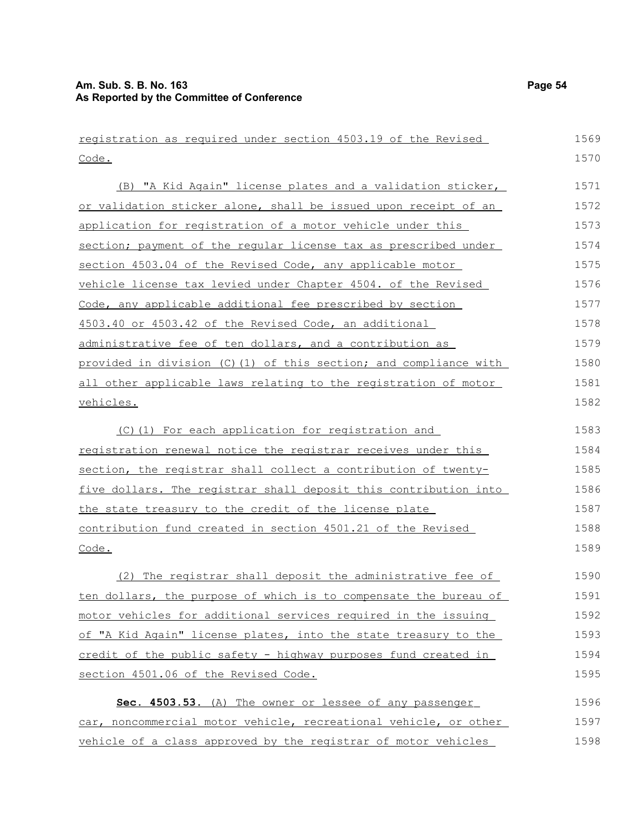| registration as required under section 4503.19 of the Revised           | 1569 |
|-------------------------------------------------------------------------|------|
| Code.                                                                   | 1570 |
| (B) "A Kid Again" license plates and a validation sticker,              | 1571 |
| or validation sticker alone, shall be issued upon receipt of an         | 1572 |
| application for registration of a motor vehicle under this              | 1573 |
| section; payment of the regular license tax as prescribed under         | 1574 |
| section 4503.04 of the Revised Code, any applicable motor               | 1575 |
| vehicle license tax levied under Chapter 4504. of the Revised           | 1576 |
| Code, any applicable additional fee prescribed by section               | 1577 |
| 4503.40 or 4503.42 of the Revised Code, an additional                   | 1578 |
| administrative fee of ten dollars, and a contribution as                | 1579 |
| provided in division (C)(1) of this section; and compliance with        | 1580 |
| all other applicable laws relating to the registration of motor         | 1581 |
| <u>vehicles.</u>                                                        | 1582 |
| (C)(1) For each application for registration and                        | 1583 |
| registration renewal notice the registrar receives under this           | 1584 |
| section, the registrar shall collect a contribution of twenty-          | 1585 |
| <u>five dollars. The registrar shall deposit this contribution into</u> | 1586 |
| the state treasury to the credit of the license plate                   | 1587 |
| <u>contribution fund created in section 4501.21 of the Revised</u>      | 1588 |
| Code.                                                                   | 1589 |
| (2) The registrar shall deposit the administrative fee of               | 1590 |
| ten dollars, the purpose of which is to compensate the bureau of        | 1591 |
| motor vehicles for additional services required in the issuing          | 1592 |
| of "A Kid Again" license plates, into the state treasury to the         | 1593 |
| credit of the public safety - highway purposes fund created in          | 1594 |
| section 4501.06 of the Revised Code.                                    | 1595 |
| Sec. 4503.53. (A) The owner or lessee of any passenger                  | 1596 |
| car, noncommercial motor vehicle, recreational vehicle, or other        | 1597 |
| vehicle of a class approved by the registrar of motor vehicles          | 1598 |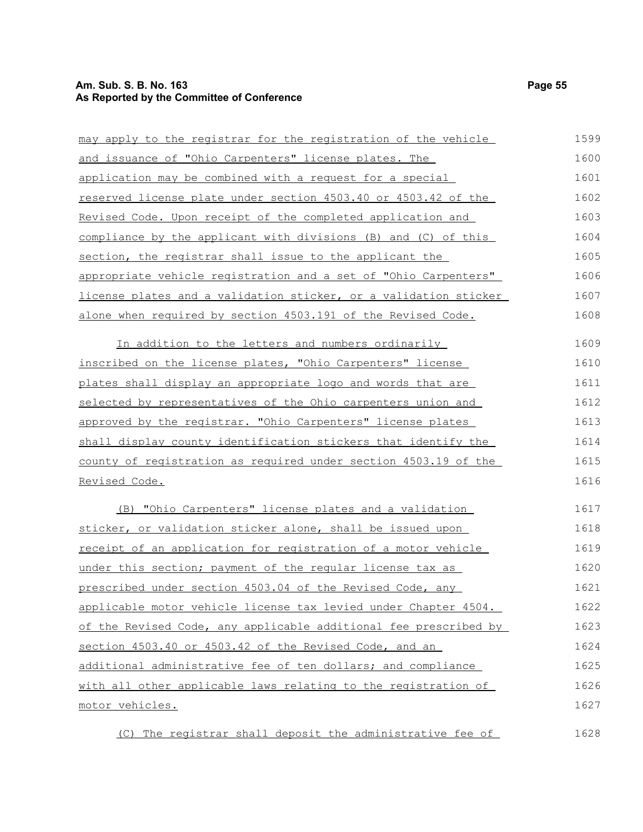## **Am. Sub. S. B. No. 163 Page 55 As Reported by the Committee of Conference**

| may apply to the registrar for the registration of the vehicle   | 1599 |
|------------------------------------------------------------------|------|
| and issuance of "Ohio Carpenters" license plates. The            | 1600 |
| application may be combined with a request for a special         | 1601 |
| reserved license plate under section 4503.40 or 4503.42 of the   | 1602 |
| Revised Code. Upon receipt of the completed application and      | 1603 |
| compliance by the applicant with divisions (B) and (C) of this   | 1604 |
| section, the registrar shall issue to the applicant the          | 1605 |
| appropriate vehicle registration and a set of "Ohio Carpenters"  | 1606 |
| license plates and a validation sticker, or a validation sticker | 1607 |
| alone when required by section 4503.191 of the Revised Code.     | 1608 |
| In addition to the letters and numbers ordinarily                | 1609 |
| inscribed on the license plates, "Ohio Carpenters" license       | 1610 |
| plates shall display an appropriate logo and words that are      | 1611 |
| selected by representatives of the Ohio carpenters union and     | 1612 |
| approved by the registrar. "Ohio Carpenters" license plates      | 1613 |
| shall display county identification stickers that identify the   | 1614 |
| county of registration as required under section 4503.19 of the  | 1615 |
| Revised Code.                                                    | 1616 |
| (B) "Ohio Carpenters" license plates and a validation            | 1617 |
| sticker, or validation sticker alone, shall be issued upon       | 1618 |
| receipt of an application for registration of a motor vehicle    | 1619 |
| under this section; payment of the regular license tax as        | 1620 |
| prescribed under section 4503.04 of the Revised Code, any        | 1621 |
| applicable motor vehicle license tax levied under Chapter 4504.  | 1622 |
| of the Revised Code, any applicable additional fee prescribed by | 1623 |
| section 4503.40 or 4503.42 of the Revised Code, and an           | 1624 |
| additional administrative fee of ten dollars; and compliance     | 1625 |
| with all other applicable laws relating to the registration of   | 1626 |
| motor vehicles.                                                  | 1627 |
| (C) The registrar shall deposit the administrative fee of        | 1628 |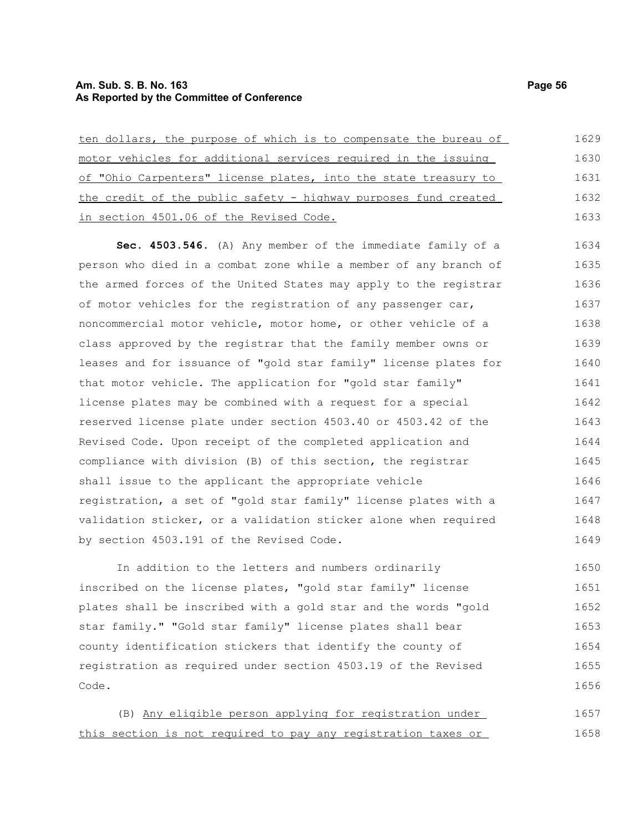### **Am. Sub. S. B. No. 163 Page 56 As Reported by the Committee of Conference**

by section 4503.191 of the Revised Code.

| ten dollars, the purpose of which is to compensate the bureau of | 1629 |
|------------------------------------------------------------------|------|
| motor vehicles for additional services required in the issuing   | 1630 |
| of "Ohio Carpenters" license plates, into the state treasury to  | 1631 |
| the credit of the public safety - highway purposes fund created  | 1632 |
| in section 4501.06 of the Revised Code.                          | 1633 |
| Sec. 4503.546. (A) Any member of the immediate family of a       | 1634 |
| person who died in a combat zone while a member of any branch of | 1635 |
| the armed forces of the United States may apply to the registrar | 1636 |
| of motor vehicles for the registration of any passenger car,     | 1637 |
| noncommercial motor vehicle, motor home, or other vehicle of a   | 1638 |
| class approved by the registrar that the family member owns or   | 1639 |
| leases and for issuance of "gold star family" license plates for | 1640 |
| that motor vehicle. The application for "gold star family"       | 1641 |
| license plates may be combined with a request for a special      | 1642 |
| reserved license plate under section 4503.40 or 4503.42 of the   | 1643 |
| Revised Code. Upon receipt of the completed application and      | 1644 |
| compliance with division (B) of this section, the registrar      | 1645 |
| shall issue to the applicant the appropriate vehicle             | 1646 |
| registration, a set of "gold star family" license plates with a  | 1647 |
| validation sticker, or a validation sticker alone when required  | 1648 |

In addition to the letters and numbers ordinarily inscribed on the license plates, "gold star family" license plates shall be inscribed with a gold star and the words "gold star family." "Gold star family" license plates shall bear county identification stickers that identify the county of registration as required under section 4503.19 of the Revised Code. 1650 1651 1652 1653 1654 1655 1656

(B) Any eligible person applying for registration under this section is not required to pay any registration taxes or 1657 1658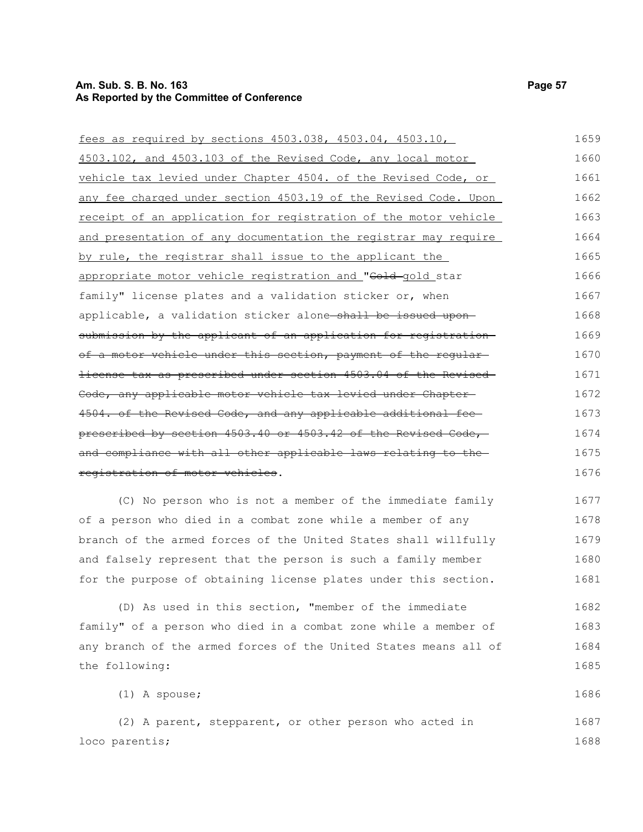## **Am. Sub. S. B. No. 163 Page 57 As Reported by the Committee of Conference**

| fees as required by sections 4503.038, 4503.04, 4503.10,         | 1659 |
|------------------------------------------------------------------|------|
| 4503.102, and 4503.103 of the Revised Code, any local motor      | 1660 |
| vehicle tax levied under Chapter 4504. of the Revised Code, or   | 1661 |
| any fee charged under section 4503.19 of the Revised Code. Upon  | 1662 |
| receipt of an application for registration of the motor vehicle  | 1663 |
| and presentation of any documentation the registrar may require  | 1664 |
| by rule, the registrar shall issue to the applicant the          | 1665 |
| appropriate motor vehicle registration and "Gold-gold star       | 1666 |
| family" license plates and a validation sticker or, when         | 1667 |
| applicable, a validation sticker alone shall be issued upon-     | 1668 |
| submission by the applicant of an application for registration-  | 1669 |
| of a motor vehicle under this section, payment of the regular-   | 1670 |
| license tax as prescribed under section 4503.04 of the Revised-  | 1671 |
| Code, any applicable motor vehicle tax levied under Chapter-     | 1672 |
| 4504. of the Revised Code, and any applicable additional fee     | 1673 |
| prescribed by section 4503.40 or 4503.42 of the Revised Code,    | 1674 |
| and compliance with all other applicable laws relating to the    | 1675 |
| registration of motor vehicles.                                  | 1676 |
| (C) No person who is not a member of the immediate family        | 1677 |
| of a person who died in a combat zone while a member of any      | 1678 |
| branch of the armed forces of the United States shall willfully  | 1679 |
| and falsely represent that the person is such a family member    | 1680 |
| for the purpose of obtaining license plates under this section.  | 1681 |
| (D) As used in this section, "member of the immediate            | 1682 |
| family" of a person who died in a combat zone while a member of  | 1683 |
| any branch of the armed forces of the United States means all of | 1684 |
| the following:                                                   | 1685 |
| $(1)$ A spouse;                                                  | 1686 |
| (2) A parent, stepparent, or other person who acted in           | 1687 |

loco parentis;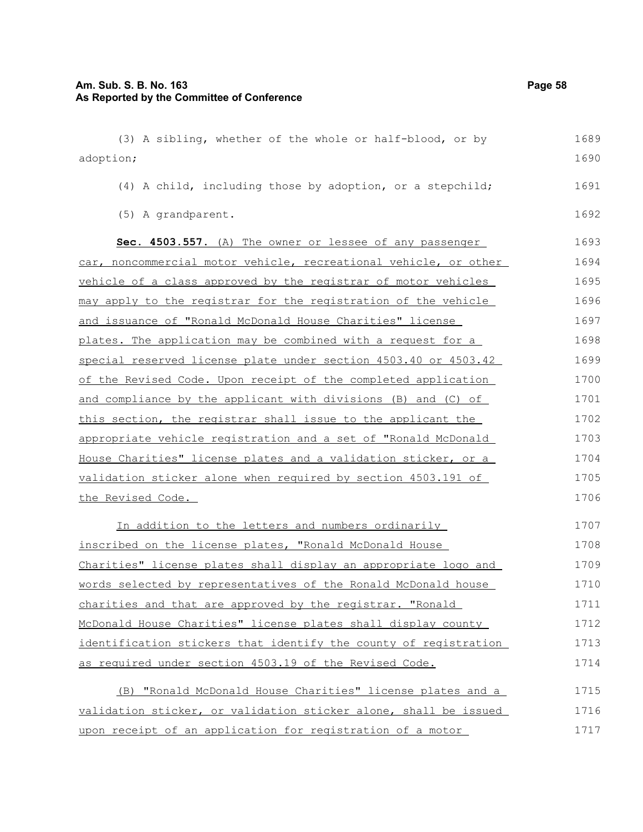| (3) A sibling, whether of the whole or half-blood, or by         | 1689 |
|------------------------------------------------------------------|------|
| adoption;                                                        | 1690 |
| (4) A child, including those by adoption, or a stepchild;        | 1691 |
| (5) A grandparent.                                               | 1692 |
| Sec. 4503.557. (A) The owner or lessee of any passenger          | 1693 |
| car, noncommercial motor vehicle, recreational vehicle, or other | 1694 |
| vehicle of a class approved by the registrar of motor vehicles   | 1695 |
| may apply to the registrar for the registration of the vehicle   | 1696 |
| and issuance of "Ronald McDonald House Charities" license        | 1697 |
| plates. The application may be combined with a request for a     | 1698 |
| special reserved license plate under section 4503.40 or 4503.42  | 1699 |
| of the Revised Code. Upon receipt of the completed application   | 1700 |
| and compliance by the applicant with divisions (B) and (C) of    | 1701 |
| this section, the registrar shall issue to the applicant the     | 1702 |
| appropriate vehicle registration and a set of "Ronald McDonald   | 1703 |
| House Charities" license plates and a validation sticker, or a   | 1704 |
| validation sticker alone when required by section 4503.191 of    | 1705 |
| the Revised Code.                                                | 1706 |
| In addition to the letters and numbers ordinarily                | 1707 |
| inscribed on the license plates, "Ronald McDonald House          | 1708 |
| Charities" license plates shall display an appropriate logo and  | 1709 |
| words selected by representatives of the Ronald McDonald house   | 1710 |
| charities and that are approved by the registrar. "Ronald        | 1711 |
| McDonald House Charities" license plates shall display county    | 1712 |
| identification stickers that identify the county of registration | 1713 |
| as required under section 4503.19 of the Revised Code.           | 1714 |
| (B) "Ronald McDonald House Charities" license plates and a       | 1715 |
| validation sticker, or validation sticker alone, shall be issued | 1716 |
| upon receipt of an application for registration of a motor       | 1717 |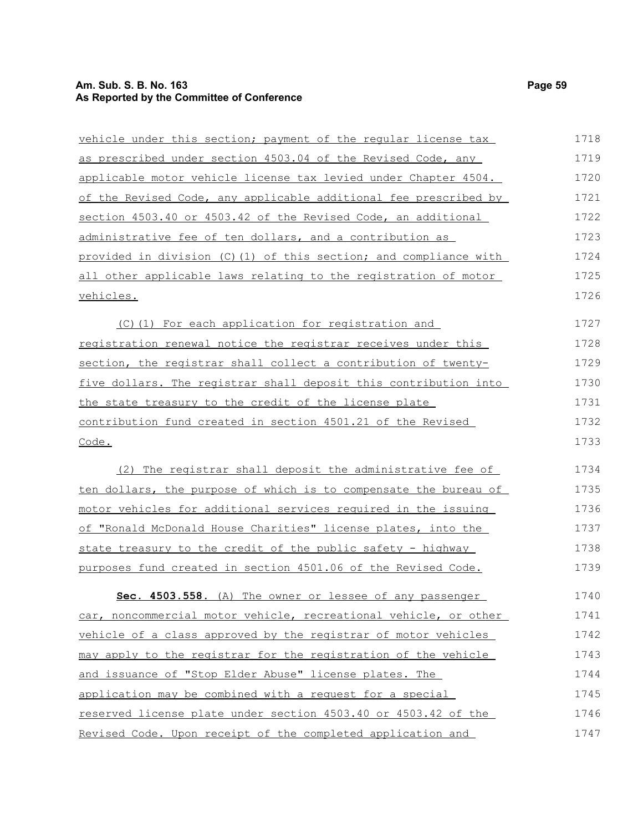## **Am. Sub. S. B. No. 163 Page 59 As Reported by the Committee of Conference**

| vehicle under this section; payment of the reqular license tax       | 1718 |
|----------------------------------------------------------------------|------|
| as prescribed under section 4503.04 of the Revised Code, any         | 1719 |
| applicable motor vehicle license tax levied under Chapter 4504.      | 1720 |
| of the Revised Code, any applicable additional fee prescribed by     | 1721 |
| section 4503.40 or 4503.42 of the Revised Code, an additional        | 1722 |
| administrative fee of ten dollars, and a contribution as             | 1723 |
| provided in division (C) (1) of this section; and compliance with    | 1724 |
| all other applicable laws relating to the registration of motor      | 1725 |
| vehicles.                                                            | 1726 |
| (C)(1) For each application for registration and                     | 1727 |
| registration renewal notice the registrar receives under this        | 1728 |
| section, the registrar shall collect a contribution of twenty-       | 1729 |
| five dollars. The registrar shall deposit this contribution into     | 1730 |
| the state treasury to the credit of the license plate                | 1731 |
| contribution fund created in section 4501.21 of the Revised          | 1732 |
| Code.                                                                | 1733 |
| (2) The registrar shall deposit the administrative fee of            | 1734 |
| ten dollars, the purpose of which is to compensate the bureau of     | 1735 |
| motor vehicles for additional services required in the issuing       | 1736 |
| <u>of "Ronald McDonald House Charities" license plates, into the</u> | 1737 |
| state treasury to the credit of the public safety - highway          | 1738 |
| purposes fund created in section 4501.06 of the Revised Code.        | 1739 |
| Sec. 4503.558. (A) The owner or lessee of any passenger              | 1740 |
| car, noncommercial motor vehicle, recreational vehicle, or other     | 1741 |
| vehicle of a class approved by the registrar of motor vehicles       | 1742 |
| may apply to the registrar for the registration of the vehicle       | 1743 |
| and issuance of "Stop Elder Abuse" license plates. The               | 1744 |
| application may be combined with a request for a special             | 1745 |
| reserved license plate under section 4503.40 or 4503.42 of the       | 1746 |
| Revised Code. Upon receipt of the completed application and          | 1747 |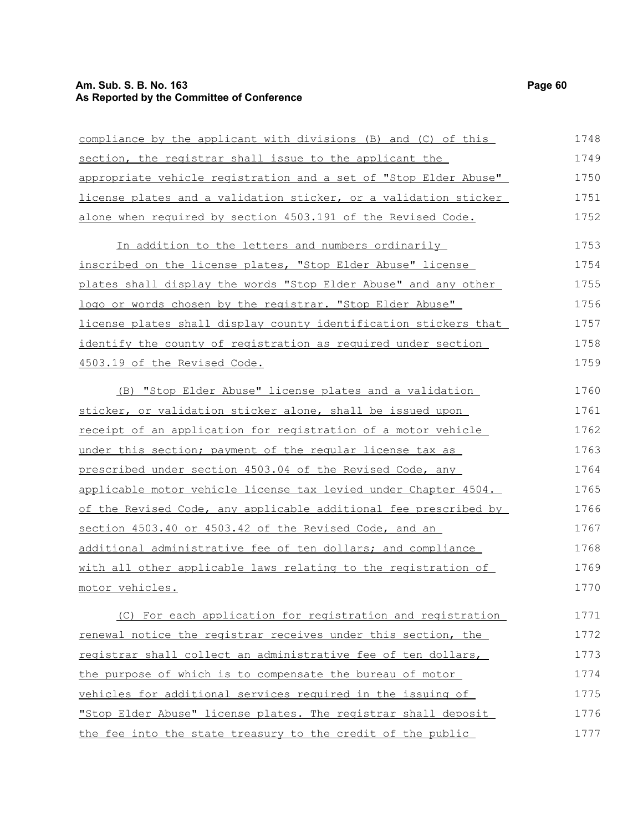## **Am. Sub. S. B. No. 163 Page 60 As Reported by the Committee of Conference**

| compliance by the applicant with divisions (B) and (C) of this   | 1748 |
|------------------------------------------------------------------|------|
| section, the registrar shall issue to the applicant the          | 1749 |
| appropriate vehicle registration and a set of "Stop Elder Abuse" | 1750 |
| license plates and a validation sticker, or a validation sticker | 1751 |
| alone when required by section 4503.191 of the Revised Code.     | 1752 |
| In addition to the letters and numbers ordinarily                | 1753 |
| inscribed on the license plates, "Stop Elder Abuse" license      | 1754 |
| plates shall display the words "Stop Elder Abuse" and any other  | 1755 |
| logo or words chosen by the registrar. "Stop Elder Abuse"        | 1756 |
| license plates shall display county identification stickers that | 1757 |
| identify the county of registration as required under section    | 1758 |
| 4503.19 of the Revised Code.                                     | 1759 |
| (B) "Stop Elder Abuse" license plates and a validation           | 1760 |
| sticker, or validation sticker alone, shall be issued upon       | 1761 |
| receipt of an application for registration of a motor vehicle    | 1762 |
| under this section; payment of the reqular license tax as        | 1763 |
| prescribed under section 4503.04 of the Revised Code, any        | 1764 |
| applicable motor vehicle license tax levied under Chapter 4504.  | 1765 |
| of the Revised Code, any applicable additional fee prescribed by | 1766 |
| section 4503.40 or 4503.42 of the Revised Code, and an           | 1767 |
| additional administrative fee of ten dollars; and compliance     | 1768 |
| with all other applicable laws relating to the registration of   | 1769 |
| motor vehicles.                                                  | 1770 |
| (C) For each application for registration and registration       | 1771 |
| renewal notice the registrar receives under this section, the    | 1772 |
| registrar shall collect an administrative fee of ten dollars,    | 1773 |
| the purpose of which is to compensate the bureau of motor        | 1774 |
| vehicles for additional services required in the issuing of      | 1775 |
| "Stop Elder Abuse" license plates. The registrar shall deposit   | 1776 |
| the fee into the state treasury to the credit of the public      | 1777 |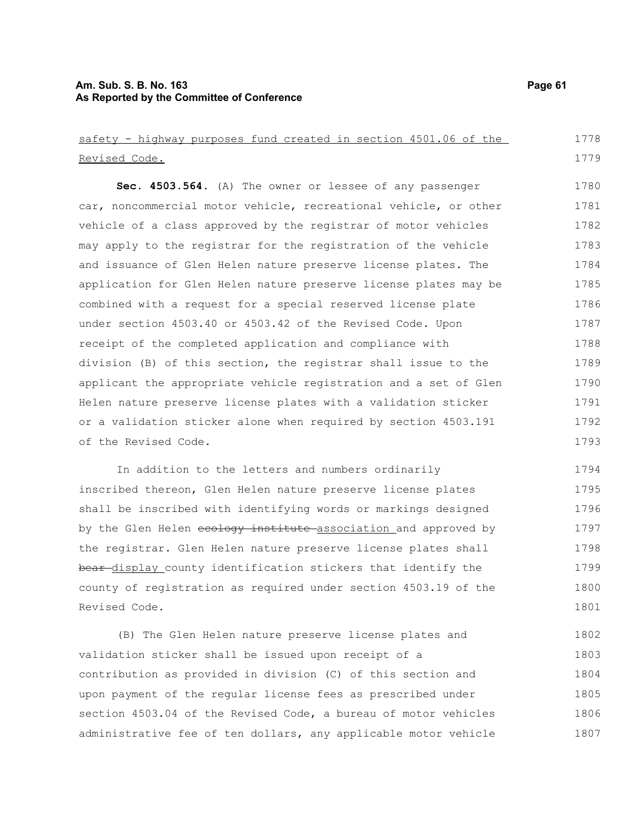## **Am. Sub. S. B. No. 163 Page 61 As Reported by the Committee of Conference**

#### safety - highway purposes fund created in section 4501.06 of the Revised Code. **Sec. 4503.564.** (A) The owner or lessee of any passenger car, noncommercial motor vehicle, recreational vehicle, or other vehicle of a class approved by the registrar of motor vehicles may apply to the registrar for the registration of the vehicle and issuance of Glen Helen nature preserve license plates. The application for Glen Helen nature preserve license plates may be combined with a request for a special reserved license plate under section 4503.40 or 4503.42 of the Revised Code. Upon receipt of the completed application and compliance with division (B) of this section, the registrar shall issue to the applicant the appropriate vehicle registration and a set of Glen Helen nature preserve license plates with a validation sticker or a validation sticker alone when required by section 4503.191 of the Revised Code. In addition to the letters and numbers ordinarily inscribed thereon, Glen Helen nature preserve license plates shall be inscribed with identifying words or markings designed by the Glen Helen ecology institute association and approved by 1778 1779 1780 1781 1782 1783 1784 1785 1786 1787 1788 1789 1790 1791 1792 1793 1794 1795 1796 1797

the registrar. Glen Helen nature preserve license plates shall bear display county identification stickers that identify the county of registration as required under section 4503.19 of the Revised Code. 1798 1799 1800 1801

(B) The Glen Helen nature preserve license plates and validation sticker shall be issued upon receipt of a contribution as provided in division (C) of this section and upon payment of the regular license fees as prescribed under section 4503.04 of the Revised Code, a bureau of motor vehicles administrative fee of ten dollars, any applicable motor vehicle 1802 1803 1804 1805 1806 1807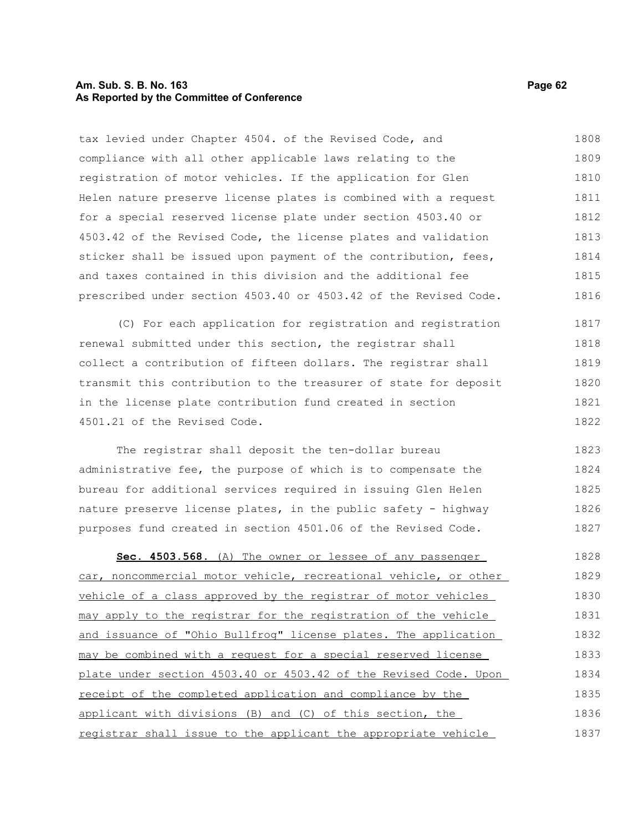## **Am. Sub. S. B. No. 163 Page 62 As Reported by the Committee of Conference**

| tax levied under Chapter 4504. of the Revised Code, and          | 1808 |
|------------------------------------------------------------------|------|
| compliance with all other applicable laws relating to the        | 1809 |
| registration of motor vehicles. If the application for Glen      | 1810 |
| Helen nature preserve license plates is combined with a request  | 1811 |
| for a special reserved license plate under section 4503.40 or    | 1812 |
| 4503.42 of the Revised Code, the license plates and validation   | 1813 |
| sticker shall be issued upon payment of the contribution, fees,  | 1814 |
| and taxes contained in this division and the additional fee      | 1815 |
| prescribed under section 4503.40 or 4503.42 of the Revised Code. | 1816 |
| (C) For each application for registration and registration       | 1817 |
| renewal submitted under this section, the registrar shall        | 1818 |
| collect a contribution of fifteen dollars. The registrar shall   | 1819 |
| transmit this contribution to the treasurer of state for deposit | 1820 |
| in the license plate contribution fund created in section        | 1821 |
| 4501.21 of the Revised Code.                                     | 1822 |
| The registrar shall deposit the ten-dollar bureau                | 1823 |
| administrative fee, the purpose of which is to compensate the    | 1824 |
| bureau for additional services required in issuing Glen Helen    | 1825 |
| nature preserve license plates, in the public safety - highway   | 1826 |
| purposes fund created in section 4501.06 of the Revised Code.    | 1827 |
| Sec. 4503.568. (A) The owner or lessee of any passenger          | 1828 |
| car, noncommercial motor vehicle, recreational vehicle, or other | 1829 |
| vehicle of a class approved by the registrar of motor vehicles   | 1830 |
| may apply to the registrar for the registration of the vehicle   | 1831 |
| and issuance of "Ohio Bullfrog" license plates. The application  | 1832 |
| may be combined with a request for a special reserved license    | 1833 |
| plate under section 4503.40 or 4503.42 of the Revised Code. Upon | 1834 |
| receipt of the completed application and compliance by the       | 1835 |

registrar shall issue to the applicant the appropriate vehicle 1837

applicant with divisions (B) and (C) of this section, the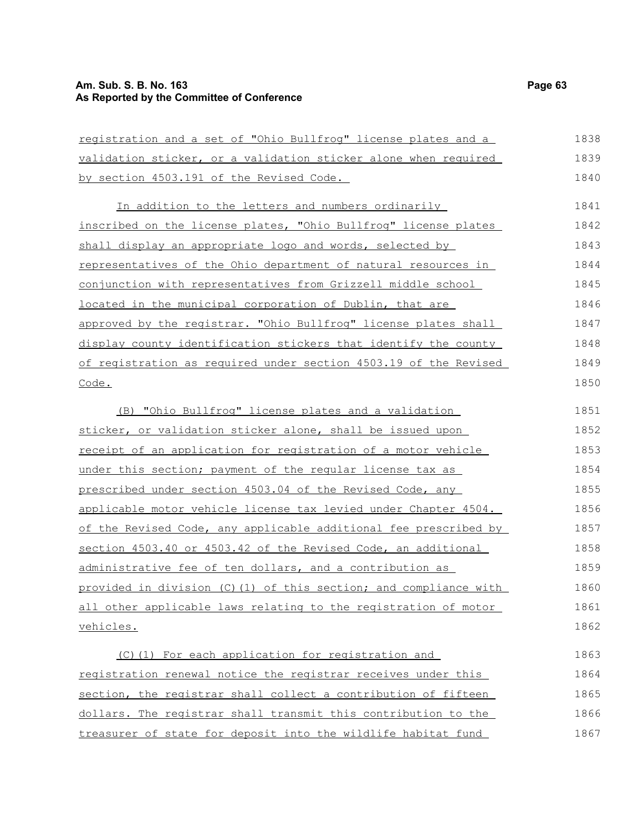## **Am. Sub. S. B. No. 163 Page 63 As Reported by the Committee of Conference**

| registration and a set of "Ohio Bullfrog" license plates and a        | 1838 |
|-----------------------------------------------------------------------|------|
| validation sticker, or a validation sticker alone when required       | 1839 |
| by section 4503.191 of the Revised Code.                              | 1840 |
| In addition to the letters and numbers ordinarily                     | 1841 |
| inscribed on the license plates, "Ohio Bullfroq" license plates       | 1842 |
| shall display an appropriate logo and words, selected by              | 1843 |
| <u>representatives of the Ohio department of natural resources in</u> | 1844 |
| conjunction with representatives from Grizzell middle school          | 1845 |
| located in the municipal corporation of Dublin, that are              | 1846 |
| approved by the registrar. "Ohio Bullfrog" license plates shall       | 1847 |
| display county identification stickers that identify the county       | 1848 |
| of reqistration as required under section 4503.19 of the Revised      | 1849 |
| Code.                                                                 | 1850 |
| (B) "Ohio Bullfrog" license plates and a validation                   | 1851 |
| sticker, or validation sticker alone, shall be issued upon            | 1852 |
| <u>receipt of an application for registration of a motor vehicle</u>  | 1853 |
| <u>under this section; payment of the reqular license tax as</u>      | 1854 |
| prescribed under section 4503.04 of the Revised Code, any             | 1855 |
| applicable motor vehicle license tax levied under Chapter 4504.       | 1856 |
| of the Revised Code, any applicable additional fee prescribed by      | 1857 |
| section 4503.40 or 4503.42 of the Revised Code, an additional         | 1858 |
| administrative fee of ten dollars, and a contribution as              | 1859 |
| provided in division (C)(1) of this section; and compliance with      | 1860 |
| all other applicable laws relating to the registration of motor       | 1861 |
| vehicles.                                                             | 1862 |
| (C)(1) For each application for registration and                      | 1863 |
| registration renewal notice the registrar receives under this         | 1864 |
| section, the registrar shall collect a contribution of fifteen        | 1865 |
| dollars. The registrar shall transmit this contribution to the        | 1866 |
| treasurer of state for deposit into the wildlife habitat fund         | 1867 |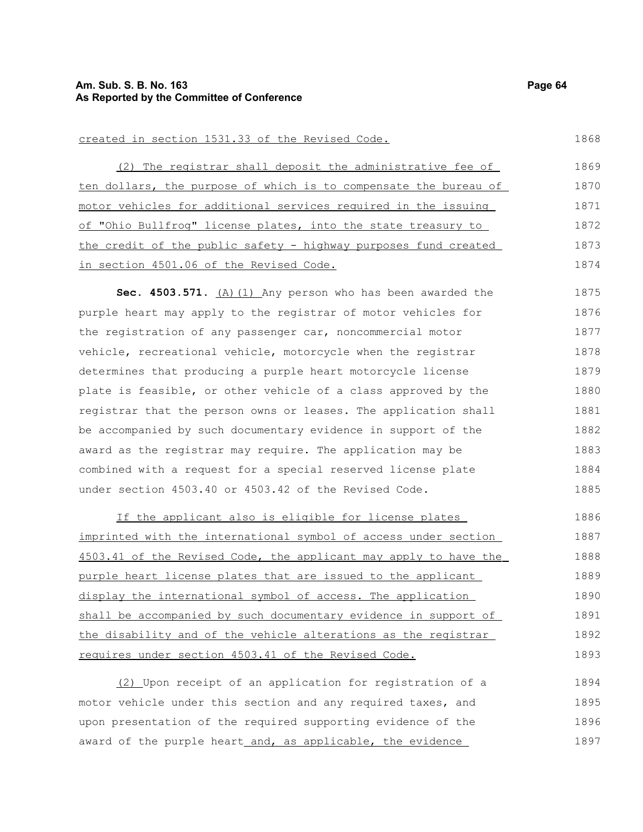## **Am. Sub. S. B. No. 163 Page 64 As Reported by the Committee of Conference**

# created in section 1531.33 of the Revised Code.

(2) The registrar shall deposit the administrative fee of ten dollars, the purpose of which is to compensate the bureau of motor vehicles for additional services required in the issuing of "Ohio Bullfrog" license plates, into the state treasury to the credit of the public safety - highway purposes fund created in section 4501.06 of the Revised Code. 1869 1870 1871 1872 1873 1874

**Sec. 4503.571.** (A) (1) Any person who has been awarded the purple heart may apply to the registrar of motor vehicles for the registration of any passenger car, noncommercial motor vehicle, recreational vehicle, motorcycle when the registrar determines that producing a purple heart motorcycle license plate is feasible, or other vehicle of a class approved by the registrar that the person owns or leases. The application shall be accompanied by such documentary evidence in support of the award as the registrar may require. The application may be combined with a request for a special reserved license plate under section 4503.40 or 4503.42 of the Revised Code. 1875 1876 1877 1878 1879 1880 1881 1882 1883 1884 1885

If the applicant also is eligible for license plates imprinted with the international symbol of access under section 4503.41 of the Revised Code, the applicant may apply to have the purple heart license plates that are issued to the applicant display the international symbol of access. The application shall be accompanied by such documentary evidence in support of the disability and of the vehicle alterations as the registrar requires under section 4503.41 of the Revised Code. 1886 1887 1888 1889 1890 1891 1892 1893

(2) Upon receipt of an application for registration of a motor vehicle under this section and any required taxes, and upon presentation of the required supporting evidence of the award of the purple heart and, as applicable, the evidence 1894 1895 1896 1897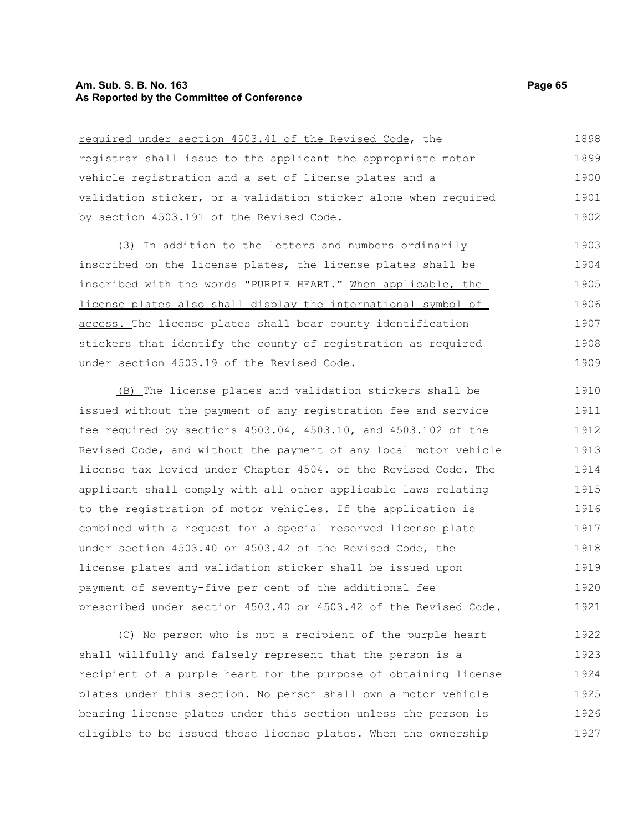#### **Am. Sub. S. B. No. 163 Page 65 As Reported by the Committee of Conference**

| required under section 4503.41 of the Revised Code, the         | 1898 |
|-----------------------------------------------------------------|------|
| registrar shall issue to the applicant the appropriate motor    | 1899 |
| vehicle registration and a set of license plates and a          | 1900 |
| validation sticker, or a validation sticker alone when required | 1901 |
| by section 4503.191 of the Revised Code.                        | 1902 |

(3) In addition to the letters and numbers ordinarily inscribed on the license plates, the license plates shall be inscribed with the words "PURPLE HEART." When applicable, the license plates also shall display the international symbol of access. The license plates shall bear county identification stickers that identify the county of registration as required under section 4503.19 of the Revised Code. 1903 1904 1905 1906 1907 1908 1909

(B) The license plates and validation stickers shall be issued without the payment of any registration fee and service fee required by sections 4503.04, 4503.10, and 4503.102 of the Revised Code, and without the payment of any local motor vehicle license tax levied under Chapter 4504. of the Revised Code. The applicant shall comply with all other applicable laws relating to the registration of motor vehicles. If the application is combined with a request for a special reserved license plate under section 4503.40 or 4503.42 of the Revised Code, the license plates and validation sticker shall be issued upon payment of seventy-five per cent of the additional fee prescribed under section 4503.40 or 4503.42 of the Revised Code. 1910 1911 1912 1913 1914 1915 1916 1917 1918 1919 1920 1921

(C) No person who is not a recipient of the purple heart shall willfully and falsely represent that the person is a recipient of a purple heart for the purpose of obtaining license plates under this section. No person shall own a motor vehicle bearing license plates under this section unless the person is eligible to be issued those license plates. When the ownership 1922 1923 1924 1925 1926 1927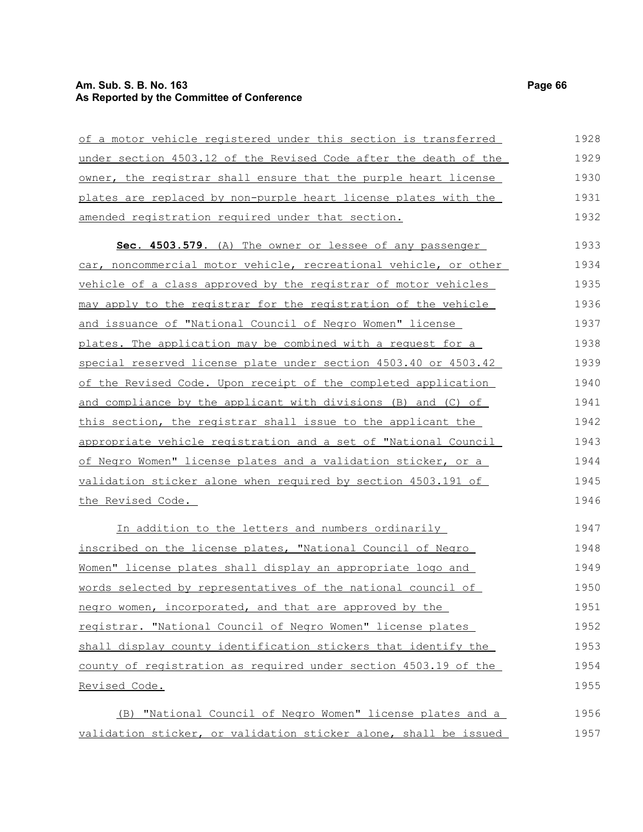## **Am. Sub. S. B. No. 163 Page 66 As Reported by the Committee of Conference**

| of a motor vehicle registered under this section is transferred  | 1928 |
|------------------------------------------------------------------|------|
|                                                                  |      |
| under section 4503.12 of the Revised Code after the death of the | 1929 |
| owner, the registrar shall ensure that the purple heart license  | 1930 |
| plates are replaced by non-purple heart license plates with the  | 1931 |
| amended registration required under that section.                | 1932 |
| Sec. 4503.579. (A) The owner or lessee of any passenger          | 1933 |
| car, noncommercial motor vehicle, recreational vehicle, or other | 1934 |
| vehicle of a class approved by the registrar of motor vehicles   | 1935 |
| may apply to the registrar for the registration of the vehicle   | 1936 |
| and issuance of "National Council of Negro Women" license        | 1937 |
| plates. The application may be combined with a request for a     | 1938 |
| special reserved license plate under section 4503.40 or 4503.42  | 1939 |
| of the Revised Code. Upon receipt of the completed application   | 1940 |
| and compliance by the applicant with divisions (B) and (C) of    | 1941 |
| this section, the registrar shall issue to the applicant the     | 1942 |
| appropriate vehicle registration and a set of "National Council  | 1943 |
| of Negro Women" license plates and a validation sticker, or a    | 1944 |
| validation sticker alone when required by section 4503.191 of    | 1945 |
| the Revised Code.                                                | 1946 |
| In addition to the letters and numbers ordinarily                | 1947 |
| inscribed on the license plates, "National Council of Negro      | 1948 |
| Women" license plates shall display an appropriate logo and      | 1949 |
| words selected by representatives of the national council of     | 1950 |
| negro women, incorporated, and that are approved by the          | 1951 |
| registrar. "National Council of Negro Women" license plates      | 1952 |
| shall display county identification stickers that identify the   | 1953 |
| county of registration as required under section 4503.19 of the  | 1954 |
| Revised Code.                                                    | 1955 |
| (B) "National Council of Negro Women" license plates and a       | 1956 |
| validation sticker, or validation sticker alone, shall be issued | 1957 |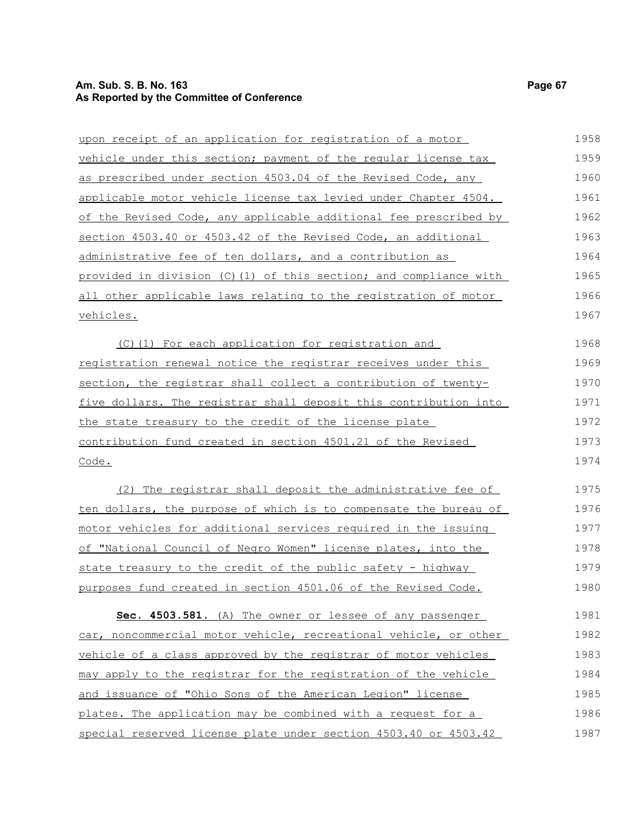## **Am. Sub. S. B. No. 163 Page 67 As Reported by the Committee of Conference**

| upon receipt of an application for registration of a motor       | 1958 |
|------------------------------------------------------------------|------|
| vehicle under this section; payment of the reqular license tax   | 1959 |
| as prescribed under section 4503.04 of the Revised Code, any     | 1960 |
| applicable motor vehicle license tax levied under Chapter 4504.  | 1961 |
| of the Revised Code, any applicable additional fee prescribed by | 1962 |
| section 4503.40 or 4503.42 of the Revised Code, an additional    | 1963 |
| administrative fee of ten dollars, and a contribution as         | 1964 |
| provided in division (C)(1) of this section; and compliance with | 1965 |
| all other applicable laws relating to the registration of motor  | 1966 |
| vehicles.                                                        | 1967 |
| (C)(1) For each application for registration and                 | 1968 |
| registration renewal notice the registrar receives under this    | 1969 |
| section, the registrar shall collect a contribution of twenty-   | 1970 |
| five dollars. The registrar shall deposit this contribution into | 1971 |
| the state treasury to the credit of the license plate            | 1972 |
| contribution fund created in section 4501.21 of the Revised      | 1973 |
| Code.                                                            | 1974 |
| (2) The registrar shall deposit the administrative fee of        | 1975 |
| ten dollars, the purpose of which is to compensate the bureau of | 1976 |
| motor vehicles for additional services required in the issuing   | 1977 |
| of "National Council of Negro Women" license plates, into the    | 1978 |
| state treasury to the credit of the public safety - highway      | 1979 |
| purposes fund created in section 4501.06 of the Revised Code.    | 1980 |
| Sec. 4503.581. (A) The owner or lessee of any passenger          | 1981 |
| car, noncommercial motor vehicle, recreational vehicle, or other | 1982 |
| vehicle of a class approved by the registrar of motor vehicles   | 1983 |
| may apply to the registrar for the registration of the vehicle   | 1984 |
| and issuance of "Ohio Sons of the American Legion" license       | 1985 |
| plates. The application may be combined with a request for a     | 1986 |
| special reserved license plate under section 4503.40 or 4503.42  | 1987 |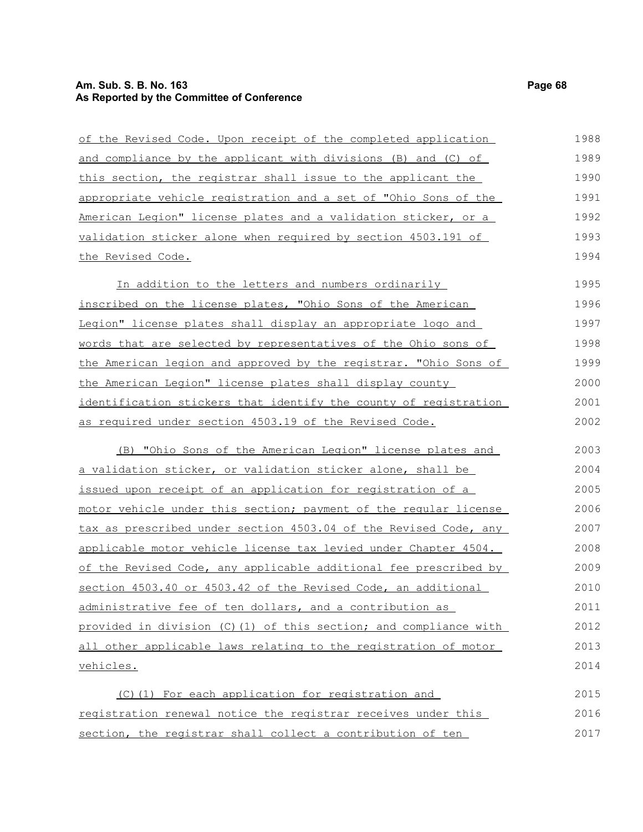## **Am. Sub. S. B. No. 163 Page 68 As Reported by the Committee of Conference**

| of the Revised Code. Upon receipt of the completed application   | 1988 |
|------------------------------------------------------------------|------|
| and compliance by the applicant with divisions (B) and (C) of    | 1989 |
| this section, the registrar shall issue to the applicant the     | 1990 |
| appropriate vehicle registration and a set of "Ohio Sons of the  | 1991 |
| American Legion" license plates and a validation sticker, or a   | 1992 |
| validation sticker alone when required by section 4503.191 of    | 1993 |
| the Revised Code.                                                | 1994 |
| In addition to the letters and numbers ordinarily                | 1995 |
| inscribed on the license plates, "Ohio Sons of the American      | 1996 |
| Legion" license plates shall display an appropriate logo and     | 1997 |
| words that are selected by representatives of the Ohio sons of   | 1998 |
| the American legion and approved by the registrar. "Ohio Sons of | 1999 |
| the American Legion" license plates shall display county         | 2000 |
| identification stickers that identify the county of registration | 2001 |
| as required under section 4503.19 of the Revised Code.           | 2002 |
| (B) "Ohio Sons of the American Legion" license plates and        | 2003 |
| a validation sticker, or validation sticker alone, shall be      | 2004 |
| issued upon receipt of an application for registration of a      | 2005 |
| motor vehicle under this section; payment of the reqular license | 2006 |
| tax as prescribed under section 4503.04 of the Revised Code, any | 2007 |
| applicable motor vehicle license tax levied under Chapter 4504.  | 2008 |
| of the Revised Code, any applicable additional fee prescribed by | 2009 |
| section 4503.40 or 4503.42 of the Revised Code, an additional    | 2010 |
| administrative fee of ten dollars, and a contribution as         | 2011 |
| provided in division (C)(1) of this section; and compliance with | 2012 |
| all other applicable laws relating to the registration of motor  | 2013 |
| <u>vehicles.</u>                                                 | 2014 |
| (C) (1) For each application for registration and                | 2015 |
| registration renewal notice the registrar receives under this    | 2016 |
| section, the registrar shall collect a contribution of ten       | 2017 |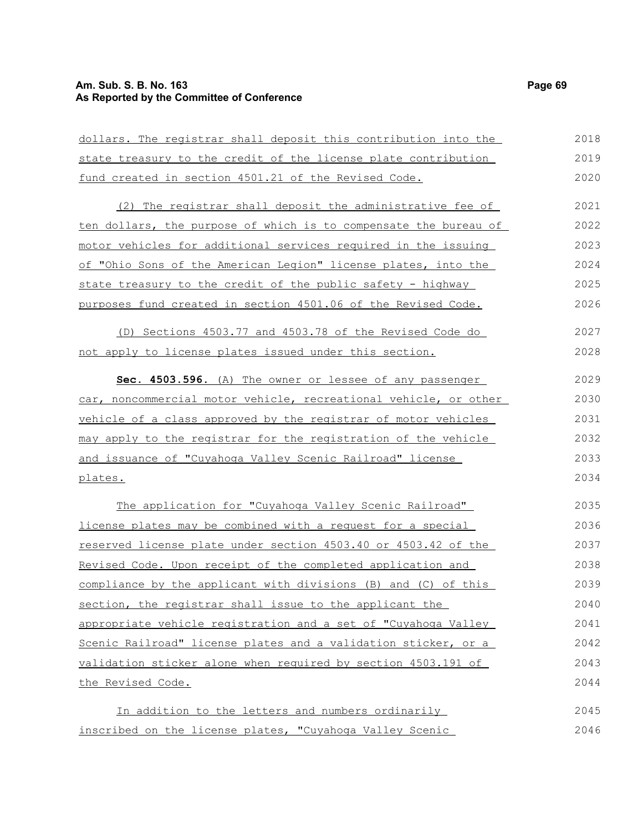## **Am. Sub. S. B. No. 163 Page 69 As Reported by the Committee of Conference**

| dollars. The registrar shall deposit this contribution into the  | 2018 |
|------------------------------------------------------------------|------|
| state treasury to the credit of the license plate contribution   | 2019 |
| fund created in section 4501.21 of the Revised Code.             | 2020 |
| (2) The registrar shall deposit the administrative fee of        | 2021 |
| ten dollars, the purpose of which is to compensate the bureau of | 2022 |
| motor vehicles for additional services required in the issuing   | 2023 |
| of "Ohio Sons of the American Legion" license plates, into the   | 2024 |
| state treasury to the credit of the public safety - highway      | 2025 |
| purposes fund created in section 4501.06 of the Revised Code.    | 2026 |
| (D) Sections 4503.77 and 4503.78 of the Revised Code do          | 2027 |
| not apply to license plates issued under this section.           | 2028 |
| Sec. 4503.596. (A) The owner or lessee of any passenger          | 2029 |
| car, noncommercial motor vehicle, recreational vehicle, or other | 2030 |
| vehicle of a class approved by the registrar of motor vehicles   | 2031 |
| may apply to the registrar for the registration of the vehicle   | 2032 |
| and issuance of "Cuyahoga Valley Scenic Railroad" license        | 2033 |
| plates.                                                          | 2034 |
| The application for "Cuyahoga Valley Scenic Railroad"            | 2035 |
| license plates may be combined with a request for a special      | 2036 |
| reserved license plate under section 4503.40 or 4503.42 of the   | 2037 |
| Revised Code. Upon receipt of the completed application and      | 2038 |
| compliance by the applicant with divisions (B) and (C) of this   | 2039 |
| section, the registrar shall issue to the applicant the          | 2040 |
| appropriate vehicle registration and a set of "Cuyahoga Valley   | 2041 |
| Scenic Railroad" license plates and a validation sticker, or a   | 2042 |
| validation sticker alone when required by section 4503.191 of    | 2043 |
| the Revised Code.                                                | 2044 |
| In addition to the letters and numbers ordinarily                | 2045 |
| inscribed on the license plates, "Cuyahoga Valley Scenic         | 2046 |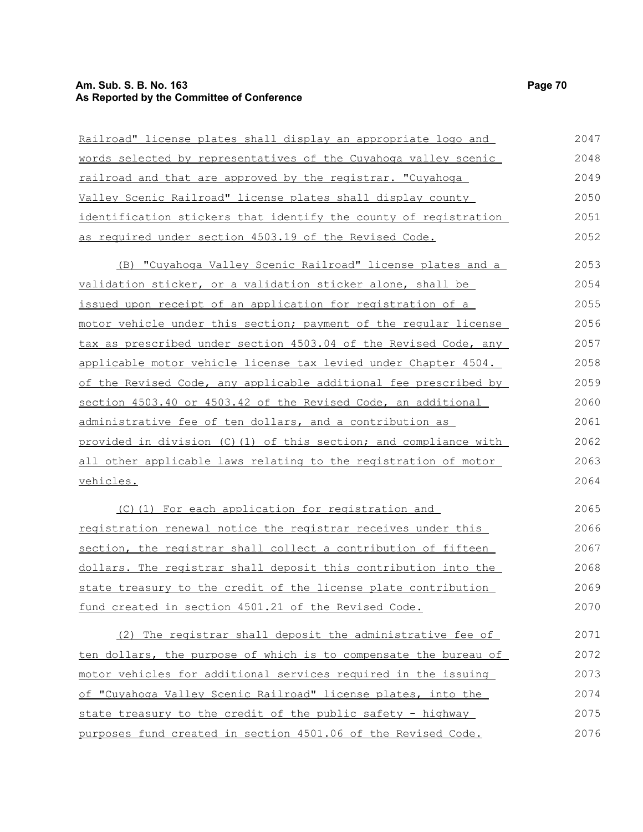## **Am. Sub. S. B. No. 163 Page 70 As Reported by the Committee of Conference**

| Railroad" license plates shall display an appropriate logo and   | 2047 |
|------------------------------------------------------------------|------|
| words selected by representatives of the Cuyahoga valley scenic  | 2048 |
| railroad and that are approved by the registrar. "Cuyahoga       | 2049 |
| Valley Scenic Railroad" license plates shall display county      | 2050 |
| identification stickers that identify the county of registration | 2051 |
| as required under section 4503.19 of the Revised Code.           | 2052 |
| (B) "Cuyahoga Valley Scenic Railroad" license plates and a       | 2053 |
| validation sticker, or a validation sticker alone, shall be      | 2054 |
| issued upon receipt of an application for registration of a      | 2055 |
| motor vehicle under this section; payment of the regular license | 2056 |
| tax as prescribed under section 4503.04 of the Revised Code, any | 2057 |
| applicable motor vehicle license tax levied under Chapter 4504.  | 2058 |
| of the Revised Code, any applicable additional fee prescribed by | 2059 |
| section 4503.40 or 4503.42 of the Revised Code, an additional    | 2060 |
| administrative fee of ten dollars, and a contribution as         | 2061 |
| provided in division (C)(1) of this section; and compliance with | 2062 |
| all other applicable laws relating to the registration of motor  | 2063 |
| vehicles.                                                        | 2064 |
| (C)(1) For each application for registration and                 | 2065 |
| registration renewal notice the registrar receives under this    | 2066 |
| section, the registrar shall collect a contribution of fifteen   | 2067 |
| dollars. The registrar shall deposit this contribution into the  | 2068 |
| state treasury to the credit of the license plate contribution   | 2069 |
| fund created in section 4501.21 of the Revised Code.             | 2070 |
| (2) The registrar shall deposit the administrative fee of        | 2071 |
| ten dollars, the purpose of which is to compensate the bureau of | 2072 |
| motor vehicles for additional services required in the issuing   | 2073 |
| of "Cuyahoga Valley Scenic Railroad" license plates, into the    | 2074 |
| state treasury to the credit of the public safety - highway      | 2075 |
| purposes fund created in section 4501.06 of the Revised Code.    | 2076 |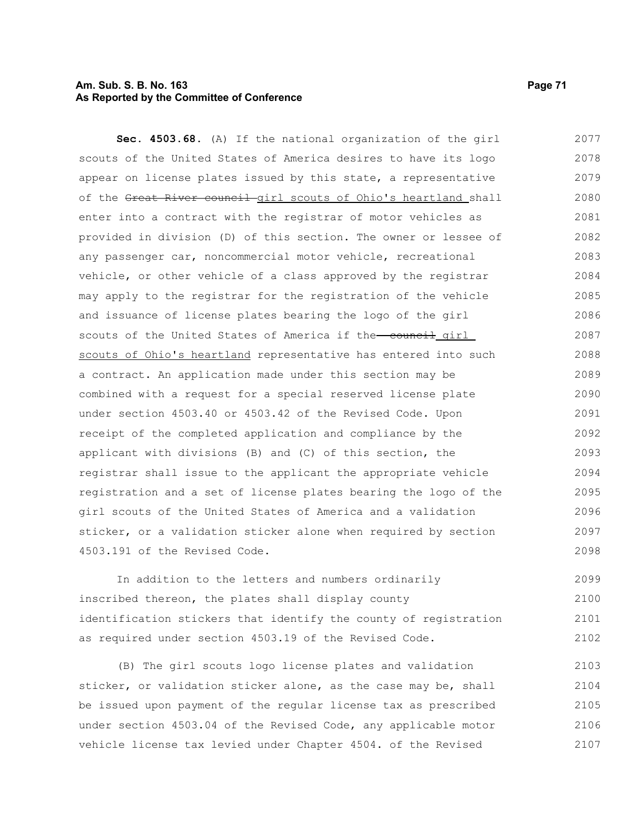## **Am. Sub. S. B. No. 163 Page 71 As Reported by the Committee of Conference**

**Sec. 4503.68.** (A) If the national organization of the girl scouts of the United States of America desires to have its logo appear on license plates issued by this state, a representative of the Great River council qirl scouts of Ohio's heartland shall enter into a contract with the registrar of motor vehicles as provided in division (D) of this section. The owner or lessee of any passenger car, noncommercial motor vehicle, recreational vehicle, or other vehicle of a class approved by the registrar may apply to the registrar for the registration of the vehicle and issuance of license plates bearing the logo of the girl scouts of the United States of America if the-council girl scouts of Ohio's heartland representative has entered into such a contract. An application made under this section may be combined with a request for a special reserved license plate under section 4503.40 or 4503.42 of the Revised Code. Upon receipt of the completed application and compliance by the applicant with divisions (B) and (C) of this section, the registrar shall issue to the applicant the appropriate vehicle registration and a set of license plates bearing the logo of the girl scouts of the United States of America and a validation sticker, or a validation sticker alone when required by section 4503.191 of the Revised Code. 2077 2078 2079 2080 2081 2082 2083 2084 2085 2086 2087 2088 2089 2090 2091 2092 2093 2094 2095 2096 2097 2098

In addition to the letters and numbers ordinarily inscribed thereon, the plates shall display county identification stickers that identify the county of registration as required under section 4503.19 of the Revised Code. 2099 2100 2101 2102

(B) The girl scouts logo license plates and validation sticker, or validation sticker alone, as the case may be, shall be issued upon payment of the regular license tax as prescribed under section 4503.04 of the Revised Code, any applicable motor vehicle license tax levied under Chapter 4504. of the Revised 2103 2104 2105 2106 2107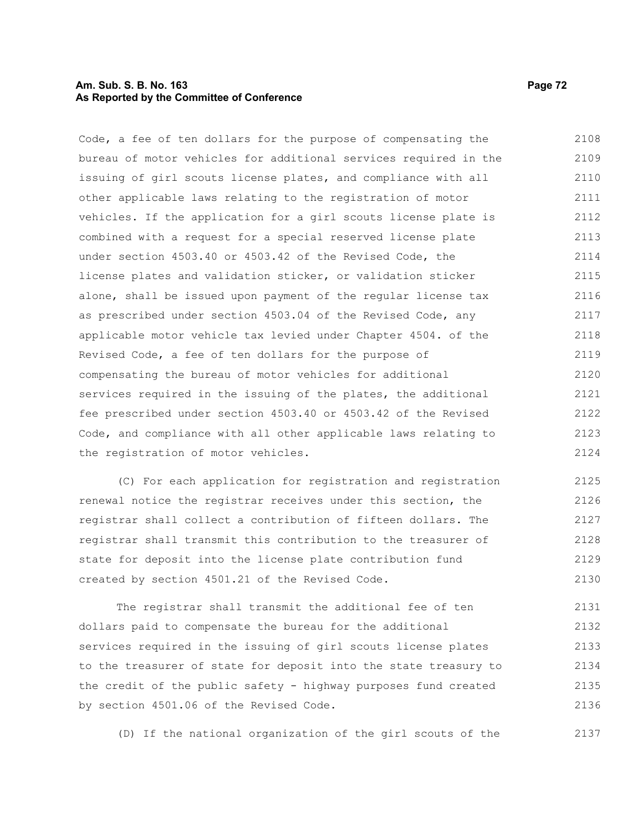## **Am. Sub. S. B. No. 163 Page 72 As Reported by the Committee of Conference**

Code, a fee of ten dollars for the purpose of compensating the bureau of motor vehicles for additional services required in the issuing of girl scouts license plates, and compliance with all other applicable laws relating to the registration of motor vehicles. If the application for a girl scouts license plate is combined with a request for a special reserved license plate under section 4503.40 or 4503.42 of the Revised Code, the license plates and validation sticker, or validation sticker alone, shall be issued upon payment of the regular license tax as prescribed under section 4503.04 of the Revised Code, any applicable motor vehicle tax levied under Chapter 4504. of the Revised Code, a fee of ten dollars for the purpose of compensating the bureau of motor vehicles for additional services required in the issuing of the plates, the additional fee prescribed under section 4503.40 or 4503.42 of the Revised Code, and compliance with all other applicable laws relating to the registration of motor vehicles. 2108 2109 2110 2111 2112 2113 2114 2115 2116 2117 2118 2119 2120 2121 2122 2123 2124

(C) For each application for registration and registration renewal notice the registrar receives under this section, the registrar shall collect a contribution of fifteen dollars. The registrar shall transmit this contribution to the treasurer of state for deposit into the license plate contribution fund created by section 4501.21 of the Revised Code. 2125 2126 2127 2128 2129 2130

The registrar shall transmit the additional fee of ten dollars paid to compensate the bureau for the additional services required in the issuing of girl scouts license plates to the treasurer of state for deposit into the state treasury to the credit of the public safety - highway purposes fund created by section 4501.06 of the Revised Code. 2131 2132 2133 2134 2135 2136

(D) If the national organization of the girl scouts of the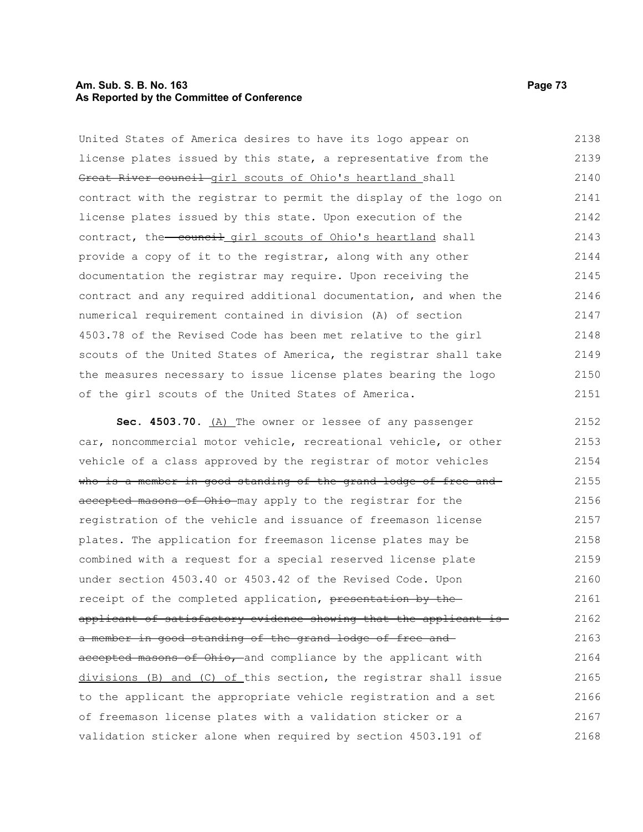#### **Am. Sub. S. B. No. 163 Page 73 As Reported by the Committee of Conference**

United States of America desires to have its logo appear on license plates issued by this state, a representative from the Great River council girl scouts of Ohio's heartland shall contract with the registrar to permit the display of the logo on license plates issued by this state. Upon execution of the contract, the council girl scouts of Ohio's heartland shall provide a copy of it to the registrar, along with any other documentation the registrar may require. Upon receiving the contract and any required additional documentation, and when the numerical requirement contained in division (A) of section 4503.78 of the Revised Code has been met relative to the girl scouts of the United States of America, the registrar shall take the measures necessary to issue license plates bearing the logo of the girl scouts of the United States of America. 2138 2139 2140 2141 2142 2143 2144 2145 2146 2147 2148 2149 2150 2151

Sec. 4503.70. (A) The owner or lessee of any passenger car, noncommercial motor vehicle, recreational vehicle, or other vehicle of a class approved by the registrar of motor vehicles who is a member in good standing of the grand lodge of free andaccepted masons of Ohio may apply to the registrar for the registration of the vehicle and issuance of freemason license plates. The application for freemason license plates may be combined with a request for a special reserved license plate under section 4503.40 or 4503.42 of the Revised Code. Upon receipt of the completed application, presentation by the applicant of satisfactory evidence showing that the applicant is a member in good standing of the grand lodge of free and accepted masons of Ohio, and compliance by the applicant with divisions (B) and (C) of this section, the registrar shall issue to the applicant the appropriate vehicle registration and a set of freemason license plates with a validation sticker or a validation sticker alone when required by section 4503.191 of 2152 2153 2154 2155 2156 2157 2158 2159 2160 2161 2162 2163 2164 2165 2166 2167 2168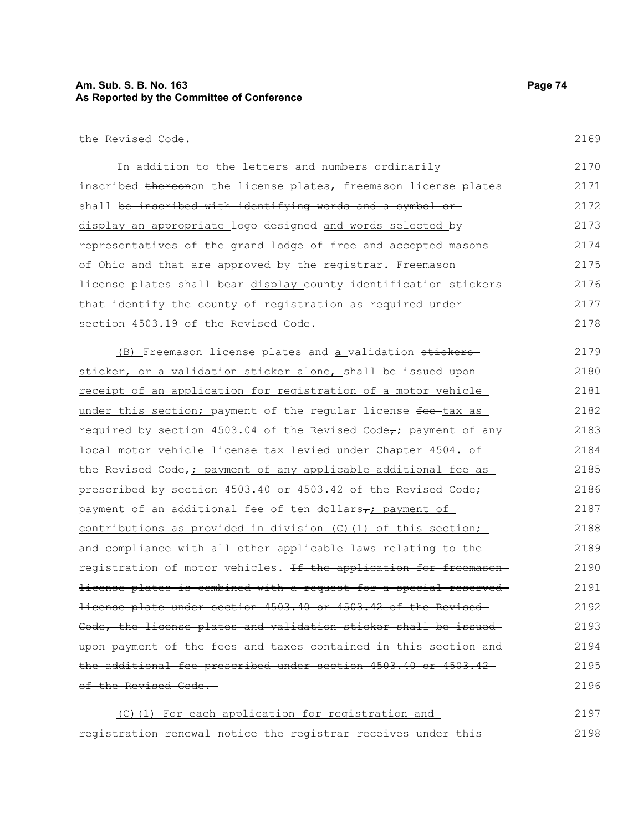#### **Am. Sub. S. B. No. 163 Page 74 As Reported by the Committee of Conference**

the Revised Code.

2169

| In addition to the letters and numbers ordinarily                            | 2170 |
|------------------------------------------------------------------------------|------|
| inscribed <del>thereon</del> on the license plates, freemason license plates | 2171 |
| shall be inscribed with identifying words and a symbol or-                   | 2172 |
| display an appropriate logo designed and words selected by                   | 2173 |
| representatives of the grand lodge of free and accepted masons               | 2174 |
| of Ohio and that are approved by the registrar. Freemason                    | 2175 |
| license plates shall bear-display_county identification stickers             | 2176 |
| that identify the county of registration as required under                   | 2177 |
| section 4503.19 of the Revised Code.                                         | 2178 |

(B) Freemason license plates and a validation stickerssticker, or a validation sticker alone, shall be issued upon receipt of an application for registration of a motor vehicle under this section; payment of the regular license fee-tax as required by section 4503.04 of the Revised Code $\tau_i$  payment of any local motor vehicle license tax levied under Chapter 4504. of the Revised Code<sub>r</sub>; payment of any applicable additional fee as prescribed by section 4503.40 or 4503.42 of the Revised Code; payment of an additional fee of ten dollars<sub>7</sub>; payment of contributions as provided in division (C)(1) of this section; and compliance with all other applicable laws relating to the registration of motor vehicles. If the application for freemasonlicense plates is combined with a request for a special reserved license plate under section 4503.40 or 4503.42 of the Revised Code, the license plates and validation sticker shall be issued upon payment of the fees and taxes contained in this section and the additional fee prescribed under section 4503.40 or 4503.42 of the Revised Code. 2179 2180 2181 2182 2183 2184 2185 2186 2187 2188 2189 2190 2191 2192 2193 2194 2195 2196

(C)(1) For each application for registration and registration renewal notice the registrar receives under this 2197 2198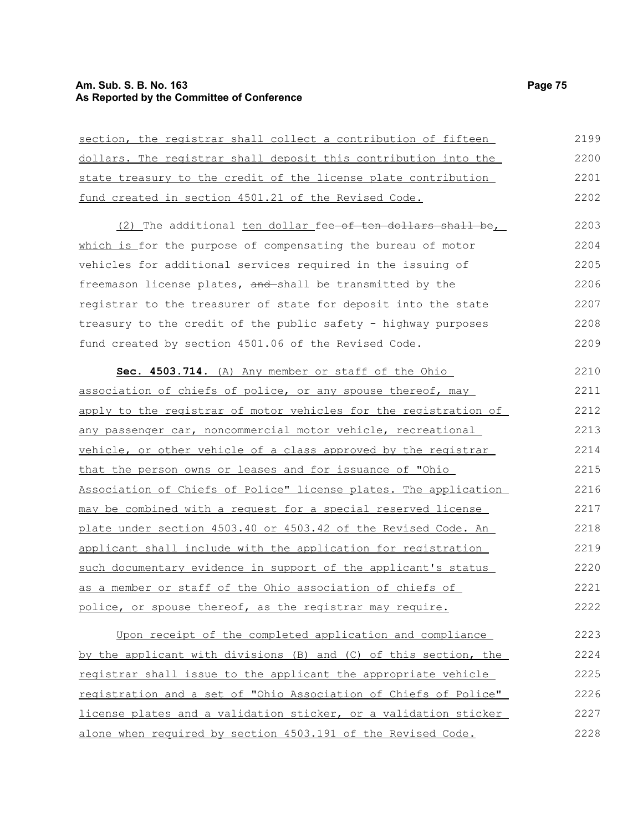#### **Am. Sub. S. B. No. 163 Page 75 As Reported by the Committee of Conference**

| section, the registrar shall collect a contribution of fifteen   | 2199 |
|------------------------------------------------------------------|------|
| dollars. The registrar shall deposit this contribution into the  | 2200 |
| state treasury to the credit of the license plate contribution   | 2201 |
| fund created in section 4501.21 of the Revised Code.             | 2202 |
| (2) The additional ten dollar fee of ten dollars shall be,       | 2203 |
| which is for the purpose of compensating the bureau of motor     | 2204 |
| vehicles for additional services required in the issuing of      | 2205 |
| freemason license plates, and shall be transmitted by the        | 2206 |
| registrar to the treasurer of state for deposit into the state   | 2207 |
| treasury to the credit of the public safety - highway purposes   | 2208 |
| fund created by section 4501.06 of the Revised Code.             | 2209 |
| Sec. 4503.714. (A) Any member or staff of the Ohio               | 2210 |
| association of chiefs of police, or any spouse thereof, may      | 2211 |
| apply to the registrar of motor vehicles for the registration of | 2212 |
| any passenger car, noncommercial motor vehicle, recreational     | 2213 |
| vehicle, or other vehicle of a class approved by the registrar   | 2214 |
| that the person owns or leases and for issuance of "Ohio         | 2215 |
| Association of Chiefs of Police" license plates. The application | 2216 |
| may be combined with a request for a special reserved license    | 2217 |
| plate under section 4503.40 or 4503.42 of the Revised Code. An   | 2218 |
| applicant shall include with the application for registration    | 2219 |
| such documentary evidence in support of the applicant's status   | 2220 |
| as a member or staff of the Ohio association of chiefs of        | 2221 |
| police, or spouse thereof, as the registrar may require.         | 2222 |
| Upon receipt of the completed application and compliance         | 2223 |

Upon receipt of the completed application and compliance by the applicant with divisions (B) and (C) of this section, the registrar shall issue to the applicant the appropriate vehicle registration and a set of "Ohio Association of Chiefs of Police" license plates and a validation sticker, or a validation sticker alone when required by section 4503.191 of the Revised Code. 2223 2224 2225 2226 2227 2228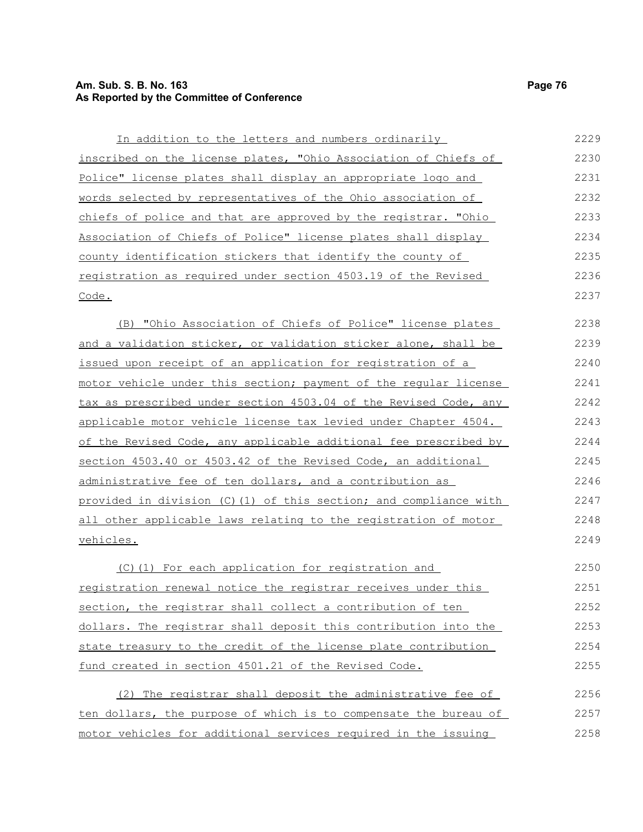# **Am. Sub. S. B. No. 163 Page 76 As Reported by the Committee of Conference**

| In addition to the letters and numbers ordinarily                | 2229 |
|------------------------------------------------------------------|------|
| inscribed on the license plates, "Ohio Association of Chiefs of  | 2230 |
| Police" license plates shall display an appropriate logo and     | 2231 |
| words selected by representatives of the Ohio association of     | 2232 |
| chiefs of police and that are approved by the registrar. "Ohio   | 2233 |
| Association of Chiefs of Police" license plates shall display    | 2234 |
| county identification stickers that identify the county of       | 2235 |
| registration as required under section 4503.19 of the Revised    | 2236 |
| Code.                                                            | 2237 |
| (B) "Ohio Association of Chiefs of Police" license plates        | 2238 |
| and a validation sticker, or validation sticker alone, shall be  | 2239 |
| issued upon receipt of an application for registration of a      | 2240 |
| motor vehicle under this section; payment of the regular license | 2241 |
| tax as prescribed under section 4503.04 of the Revised Code, any | 2242 |
| applicable motor vehicle license tax levied under Chapter 4504.  | 2243 |
| of the Revised Code, any applicable additional fee prescribed by | 2244 |
| section 4503.40 or 4503.42 of the Revised Code, an additional    | 2245 |
| administrative fee of ten dollars, and a contribution as         | 2246 |
| provided in division (C)(1) of this section; and compliance with | 2247 |
| all other applicable laws relating to the registration of motor  | 2248 |
| vehicles.                                                        | 2249 |
| (C)(1) For each application for registration and                 | 2250 |
| registration renewal notice the registrar receives under this    | 2251 |
| section, the registrar shall collect a contribution of ten       | 2252 |
| dollars. The registrar shall deposit this contribution into the  | 2253 |
| state treasury to the credit of the license plate contribution   | 2254 |
| fund created in section 4501.21 of the Revised Code.             | 2255 |
| (2) The registrar shall deposit the administrative fee of        | 2256 |
| ten dollars, the purpose of which is to compensate the bureau of | 2257 |
| motor vehicles for additional services required in the issuing   | 2258 |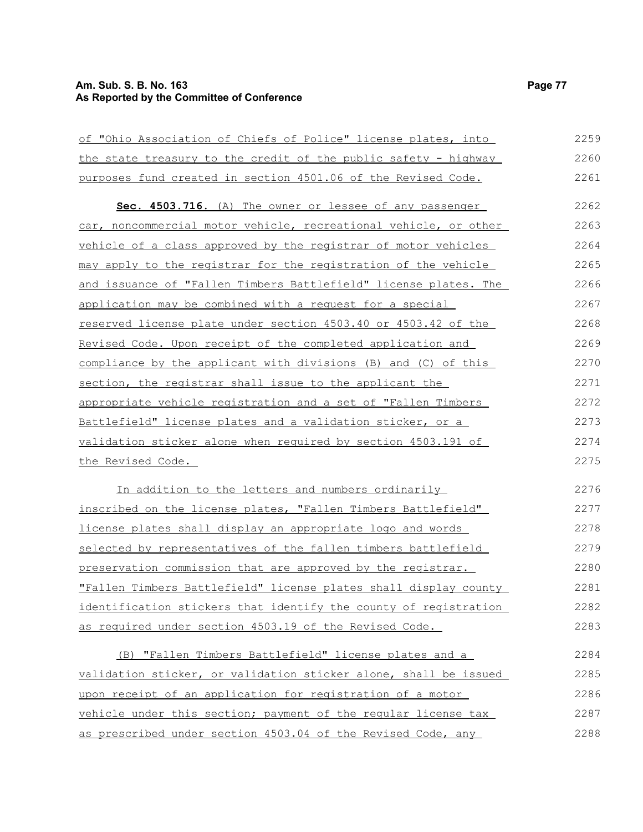# **Am. Sub. S. B. No. 163 Page 77 As Reported by the Committee of Conference**

| of "Ohio Association of Chiefs of Police" license plates, into   | 2259 |
|------------------------------------------------------------------|------|
| the state treasury to the credit of the public safety - highway  | 2260 |
| purposes fund created in section 4501.06 of the Revised Code.    | 2261 |
| Sec. 4503.716. (A) The owner or lessee of any passenger          | 2262 |
| car, noncommercial motor vehicle, recreational vehicle, or other | 2263 |
| vehicle of a class approved by the registrar of motor vehicles   | 2264 |
| may apply to the registrar for the registration of the vehicle   | 2265 |
| and issuance of "Fallen Timbers Battlefield" license plates. The | 2266 |
| application may be combined with a request for a special         | 2267 |
| reserved license plate under section 4503.40 or 4503.42 of the   | 2268 |
| Revised Code. Upon receipt of the completed application and      | 2269 |
| compliance by the applicant with divisions (B) and (C) of this   | 2270 |
| section, the registrar shall issue to the applicant the          | 2271 |
| appropriate vehicle registration and a set of "Fallen Timbers    | 2272 |
| Battlefield" license plates and a validation sticker, or a       | 2273 |
| validation sticker alone when required by section 4503.191 of    | 2274 |
| the Revised Code.                                                | 2275 |
| In addition to the letters and numbers ordinarily                | 2276 |
| inscribed on the license plates, "Fallen Timbers Battlefield"    | 2277 |
| license plates shall display an appropriate logo and words       | 2278 |
| selected by representatives of the fallen timbers battlefield    | 2279 |
| preservation commission that are approved by the registrar.      | 2280 |
| "Fallen Timbers Battlefield" license plates shall display county | 2281 |
| identification stickers that identify the county of registration | 2282 |
| as required under section 4503.19 of the Revised Code.           | 2283 |
| (B) "Fallen Timbers Battlefield" license plates and a            | 2284 |
| validation sticker, or validation sticker alone, shall be issued | 2285 |
| upon receipt of an application for registration of a motor       | 2286 |
| vehicle under this section; payment of the regular license tax   | 2287 |
| as prescribed under section 4503.04 of the Revised Code, any     | 2288 |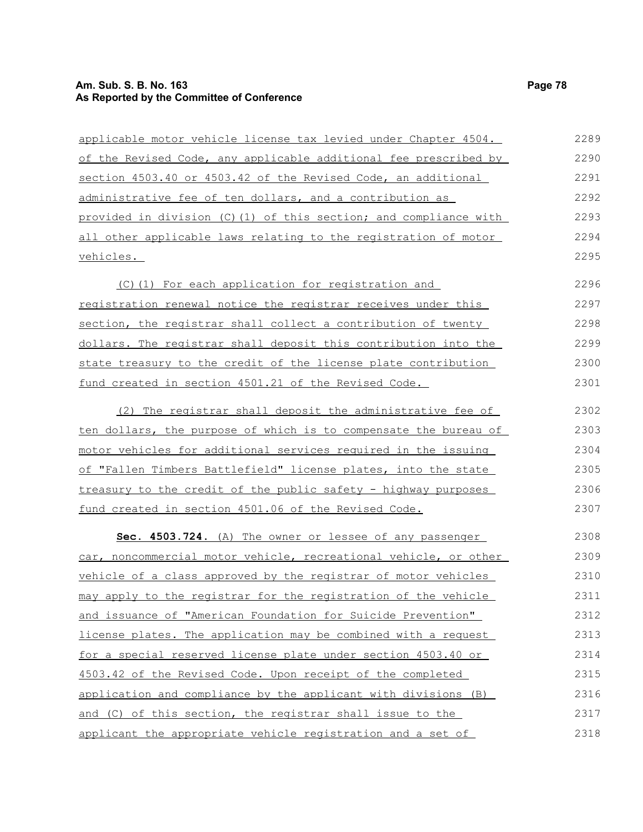# **Am. Sub. S. B. No. 163 Page 78 As Reported by the Committee of Conference**

| applicable motor vehicle license tax levied under Chapter 4504.  | 2289 |
|------------------------------------------------------------------|------|
| of the Revised Code, any applicable additional fee prescribed by | 2290 |
| section 4503.40 or 4503.42 of the Revised Code, an additional    | 2291 |
| administrative fee of ten dollars, and a contribution as         | 2292 |
| provided in division (C)(1) of this section; and compliance with | 2293 |
| all other applicable laws relating to the registration of motor  | 2294 |
| vehicles.                                                        | 2295 |
| (C) (1) For each application for registration and                | 2296 |
| registration renewal notice the registrar receives under this    | 2297 |
| section, the registrar shall collect a contribution of twenty    | 2298 |
| dollars. The registrar shall deposit this contribution into the  | 2299 |
| state treasury to the credit of the license plate contribution   | 2300 |
| fund created in section 4501.21 of the Revised Code.             | 2301 |
| (2) The registrar shall deposit the administrative fee of        | 2302 |
| ten dollars, the purpose of which is to compensate the bureau of | 2303 |
| motor vehicles for additional services required in the issuing   | 2304 |
| of "Fallen Timbers Battlefield" license plates, into the state   | 2305 |
| treasury to the credit of the public safety - highway purposes   | 2306 |
| fund created in section 4501.06 of the Revised Code.             | 2307 |
| Sec. 4503.724. (A) The owner or lessee of any passenger          | 2308 |
| car, noncommercial motor vehicle, recreational vehicle, or other | 2309 |
| vehicle of a class approved by the registrar of motor vehicles   | 2310 |
| may apply to the registrar for the registration of the vehicle   | 2311 |
| and issuance of "American Foundation for Suicide Prevention"     | 2312 |
| license plates. The application may be combined with a request   | 2313 |
| for a special reserved license plate under section 4503.40 or    | 2314 |
| 4503.42 of the Revised Code. Upon receipt of the completed       | 2315 |
| application and compliance by the applicant with divisions (B)   | 2316 |
| and (C) of this section, the registrar shall issue to the        | 2317 |
| applicant the appropriate vehicle registration and a set of      | 2318 |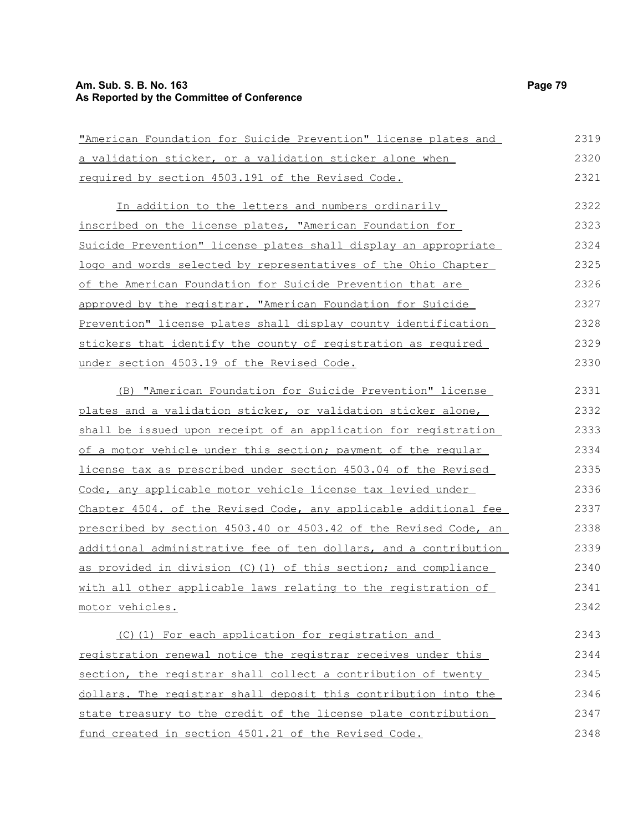# **Am. Sub. S. B. No. 163 Page 79 As Reported by the Committee of Conference**

| "American Foundation for Suicide Prevention" license plates and       | 2319 |
|-----------------------------------------------------------------------|------|
| a validation sticker, or a validation sticker alone when              | 2320 |
| required by section 4503.191 of the Revised Code.                     | 2321 |
| In addition to the letters and numbers ordinarily                     | 2322 |
| inscribed on the license plates, "American Foundation for             | 2323 |
| Suicide Prevention" license plates shall display an appropriate       | 2324 |
| <u>logo and words selected by representatives of the Ohio Chapter</u> | 2325 |
| of the American Foundation for Suicide Prevention that are            | 2326 |
| approved by the registrar. "American Foundation for Suicide           | 2327 |
| Prevention" license plates shall display county identification        | 2328 |
| stickers that identify the county of registration as required         | 2329 |
| under section 4503.19 of the Revised Code.                            | 2330 |
|                                                                       |      |
| (B) "American Foundation for Suicide Prevention" license              | 2331 |
| plates and a validation sticker, or validation sticker alone,         | 2332 |
| shall be issued upon receipt of an application for registration       | 2333 |
| of a motor vehicle under this section; payment of the regular         | 2334 |
| license tax as prescribed under section 4503.04 of the Revised        | 2335 |
| Code, any applicable motor vehicle license tax levied under           | 2336 |
| Chapter 4504. of the Revised Code, any applicable additional fee      | 2337 |
| prescribed by section 4503.40 or 4503.42 of the Revised Code, an      | 2338 |
| additional administrative fee of ten dollars, and a contribution      | 2339 |
| as provided in division (C) (1) of this section; and compliance       | 2340 |
| with all other applicable laws relating to the registration of        | 2341 |
| motor vehicles.                                                       | 2342 |
| (C)(1) For each application for registration and                      | 2343 |
| registration renewal notice the registrar receives under this         | 2344 |
| section, the registrar shall collect a contribution of twenty         | 2345 |
| dollars. The registrar shall deposit this contribution into the       | 2346 |
| state treasury to the credit of the license plate contribution        | 2347 |
| fund created in section 4501.21 of the Revised Code.                  | 2348 |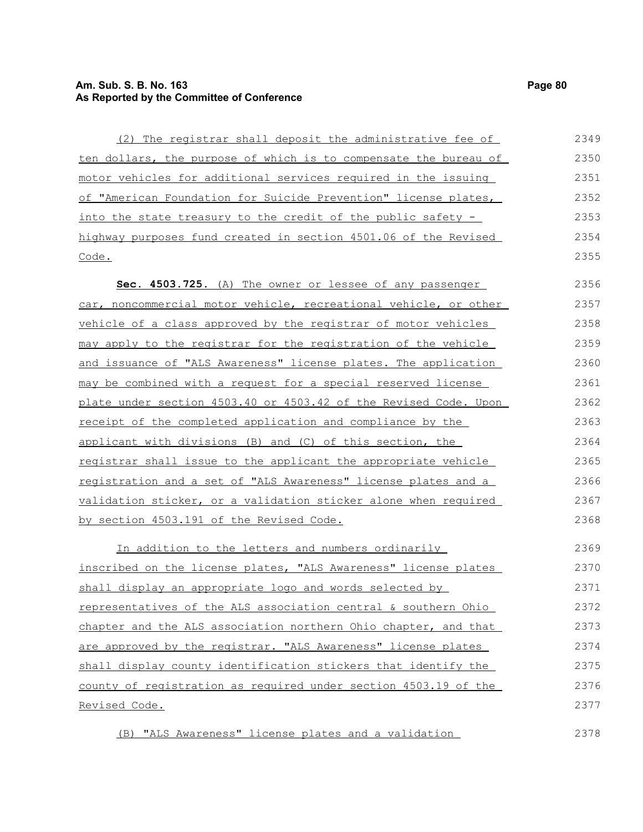# **Am. Sub. S. B. No. 163 Page 80 As Reported by the Committee of Conference**

| (2) The registrar shall deposit the administrative fee of        | 2349 |
|------------------------------------------------------------------|------|
| ten dollars, the purpose of which is to compensate the bureau of | 2350 |
| motor vehicles for additional services required in the issuing   | 2351 |
| of "American Foundation for Suicide Prevention" license plates,  | 2352 |
| into the state treasury to the credit of the public safety -     | 2353 |
| highway purposes fund created in section 4501.06 of the Revised  | 2354 |
| Code.                                                            | 2355 |
| Sec. 4503.725. (A) The owner or lessee of any passenger          | 2356 |
| car, noncommercial motor vehicle, recreational vehicle, or other | 2357 |
| vehicle of a class approved by the registrar of motor vehicles   | 2358 |
| may apply to the registrar for the registration of the vehicle   | 2359 |
| and issuance of "ALS Awareness" license plates. The application  | 2360 |
| may be combined with a request for a special reserved license    | 2361 |
| plate under section 4503.40 or 4503.42 of the Revised Code. Upon | 2362 |
| receipt of the completed application and compliance by the       | 2363 |
| applicant with divisions (B) and (C) of this section, the        | 2364 |
| registrar shall issue to the applicant the appropriate vehicle   | 2365 |
| registration and a set of "ALS Awareness" license plates and a   | 2366 |
| validation sticker, or a validation sticker alone when required  | 2367 |
| by section 4503.191 of the Revised Code.                         | 2368 |
| In addition to the letters and numbers ordinarily                | 2369 |
| inscribed on the license plates, "ALS Awareness" license plates  | 2370 |
| shall display an appropriate logo and words selected by          | 2371 |
| representatives of the ALS association central & southern Ohio   | 2372 |
| chapter and the ALS association northern Ohio chapter, and that  | 2373 |
| are approved by the registrar. "ALS Awareness" license plates    | 2374 |
| shall display county identification stickers that identify the   | 2375 |
| county of registration as required under section 4503.19 of the  | 2376 |
| Revised Code.                                                    | 2377 |
|                                                                  |      |

(B) "ALS Awareness" license plates and a validation

2378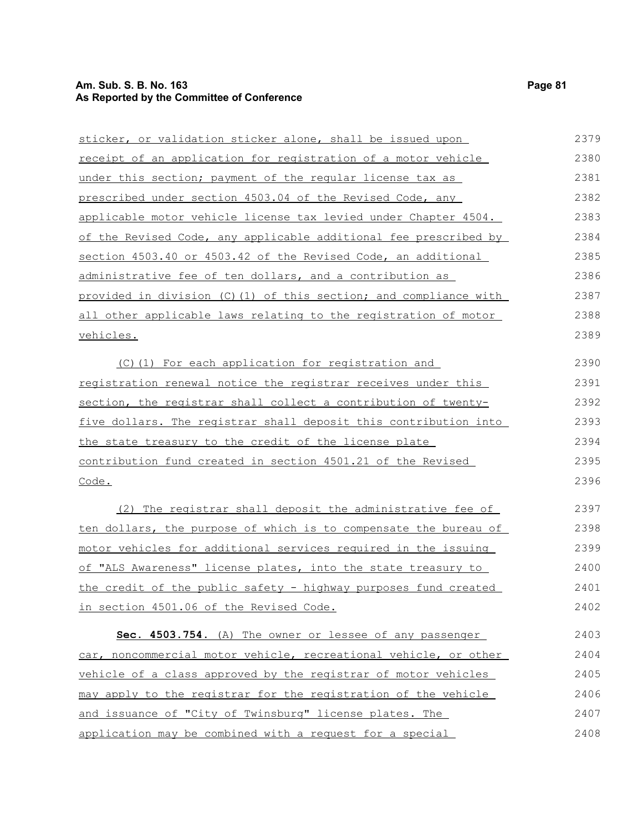# **Am. Sub. S. B. No. 163 Page 81 As Reported by the Committee of Conference**

| sticker, or validation sticker alone, shall be issued upon             | 2379 |
|------------------------------------------------------------------------|------|
| receipt of an application for registration of a motor vehicle          | 2380 |
| under this section; payment of the reqular license tax as              | 2381 |
| prescribed under section 4503.04 of the Revised Code, any              | 2382 |
| applicable motor vehicle license tax levied under Chapter 4504.        | 2383 |
| of the Revised Code, any applicable additional fee prescribed by       | 2384 |
| section 4503.40 or 4503.42 of the Revised Code, an additional          | 2385 |
| administrative fee of ten dollars, and a contribution as               | 2386 |
| provided in division (C)(1) of this section; and compliance with       | 2387 |
| <u>all other applicable laws relating to the registration of motor</u> | 2388 |
| vehicles.                                                              | 2389 |
| (C)(1) For each application for registration and                       | 2390 |
| registration renewal notice the registrar receives under this          | 2391 |
| section, the registrar shall collect a contribution of twenty-         | 2392 |
| five dollars. The registrar shall deposit this contribution into       | 2393 |
| the state treasury to the credit of the license plate                  | 2394 |
| contribution fund created in section 4501.21 of the Revised            | 2395 |
| Code.                                                                  | 2396 |
| (2) The registrar shall deposit the administrative fee of              | 2397 |
| ten dollars, the purpose of which is to compensate the bureau of       | 2398 |
| motor vehicles for additional services required in the issuing         | 2399 |
| of "ALS Awareness" license plates, into the state treasury to          | 2400 |
| the credit of the public safety - highway purposes fund created        | 2401 |
| in section 4501.06 of the Revised Code.                                | 2402 |
| Sec. 4503.754. (A) The owner or lessee of any passenger                | 2403 |
| car, noncommercial motor vehicle, recreational vehicle, or other       | 2404 |
| vehicle of a class approved by the registrar of motor vehicles         | 2405 |
| may apply to the registrar for the registration of the vehicle         | 2406 |
| and issuance of "City of Twinsburg" license plates. The                | 2407 |
| application may be combined with a request for a special               | 2408 |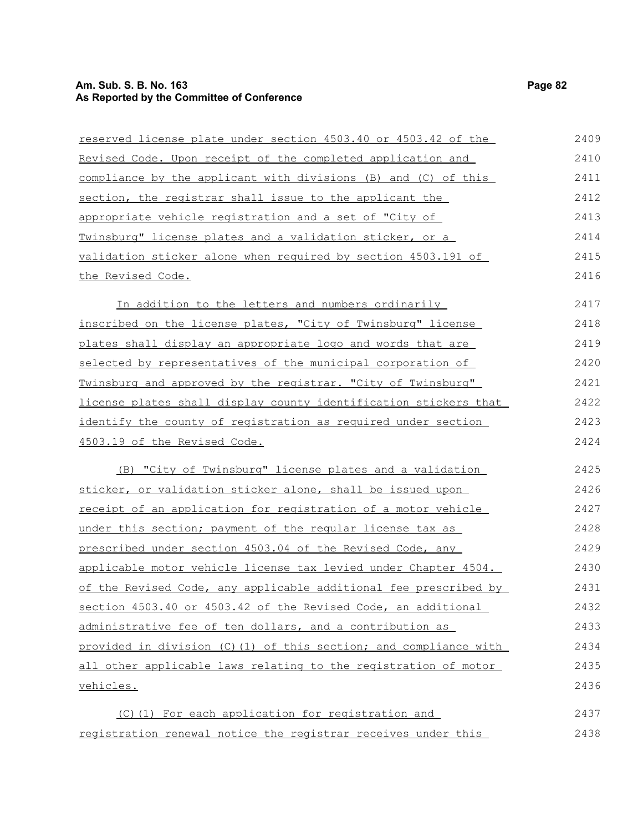# **Am. Sub. S. B. No. 163 Page 82 As Reported by the Committee of Conference**

| reserved license plate under section 4503.40 or 4503.42 of the   | 2409 |
|------------------------------------------------------------------|------|
| Revised Code. Upon receipt of the completed application and      | 2410 |
| compliance by the applicant with divisions (B) and (C) of this   | 2411 |
| section, the registrar shall issue to the applicant the          | 2412 |
| appropriate vehicle reqistration and a set of "City of           | 2413 |
| Twinsburg" license plates and a validation sticker, or a         | 2414 |
| validation sticker alone when required by section 4503.191 of    | 2415 |
| the Revised Code.                                                | 2416 |
| In addition to the letters and numbers ordinarily                | 2417 |
| inscribed on the license plates, "City of Twinsburg" license     | 2418 |
| plates shall display an appropriate logo and words that are      | 2419 |
| selected by representatives of the municipal corporation of      | 2420 |
| Twinsburg and approved by the registrar. "City of Twinsburg"     | 2421 |
| license plates shall display county identification stickers that | 2422 |
| identify the county of registration as required under section    | 2423 |
| 4503.19 of the Revised Code.                                     | 2424 |
| (B) "City of Twinsburg" license plates and a validation          | 2425 |
| sticker, or validation sticker alone, shall be issued upon       | 2426 |
| receipt of an application for registration of a motor vehicle    | 2427 |
| under this section; payment of the reqular license tax as        | 2428 |
| prescribed under section 4503.04 of the Revised Code, any        | 2429 |
| applicable motor vehicle license tax levied under Chapter 4504.  | 2430 |
| of the Revised Code, any applicable additional fee prescribed by | 2431 |
| section 4503.40 or 4503.42 of the Revised Code, an additional    | 2432 |
| administrative fee of ten dollars, and a contribution as         | 2433 |
| provided in division (C)(1) of this section; and compliance with | 2434 |
| all other applicable laws relating to the registration of motor  | 2435 |
| <u>vehicles.</u>                                                 | 2436 |
| (C)(1) For each application for registration and                 | 2437 |
| registration renewal notice the registrar receives under this    | 2438 |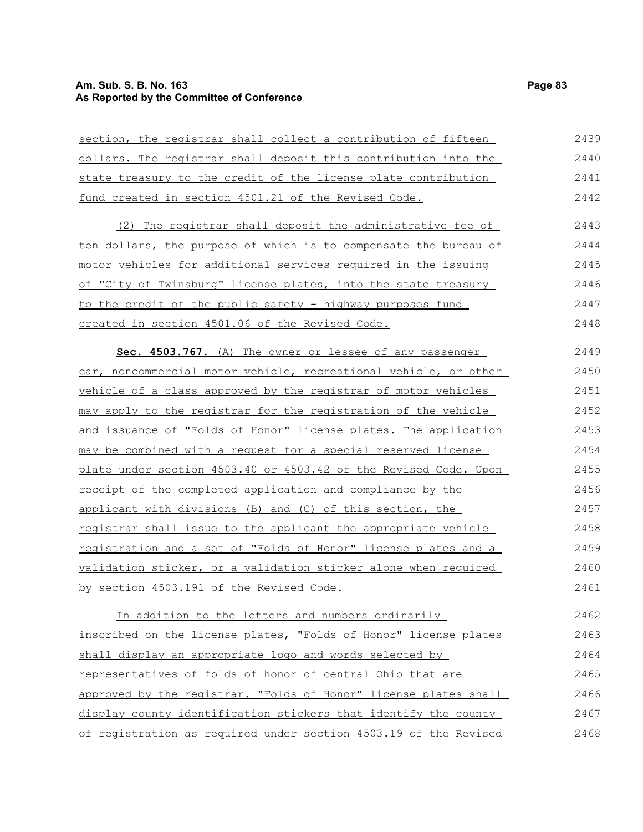#### **Am. Sub. S. B. No. 163 Page 83 As Reported by the Committee of Conference**

| section, the registrar shall collect a contribution of fifteen   | 2439 |
|------------------------------------------------------------------|------|
| dollars. The registrar shall deposit this contribution into the  | 2440 |
| state treasury to the credit of the license plate contribution   | 2441 |
| fund created in section 4501.21 of the Revised Code.             | 2442 |
| (2) The registrar shall deposit the administrative fee of        | 2443 |
| ten dollars, the purpose of which is to compensate the bureau of | 2444 |
| motor vehicles for additional services required in the issuing   | 2445 |
| of "City of Twinsburg" license plates, into the state treasury   | 2446 |
| to the credit of the public safety - highway purposes fund       | 2447 |
| created in section 4501.06 of the Revised Code.                  | 2448 |
| Sec. 4503.767. (A) The owner or lessee of any passenger          | 2449 |
| car, noncommercial motor vehicle, recreational vehicle, or other | 2450 |
| vehicle of a class approved by the registrar of motor vehicles   | 2451 |
| may apply to the registrar for the registration of the vehicle   | 2452 |
| and issuance of "Folds of Honor" license plates. The application | 2453 |
| may be combined with a request for a special reserved license    | 2454 |
| plate under section 4503.40 or 4503.42 of the Revised Code. Upon | 2455 |
| receipt of the completed application and compliance by the       | 2456 |
| applicant with divisions (B) and (C) of this section, the        | 2457 |
| registrar shall issue to the applicant the appropriate vehicle   | 2458 |
| registration and a set of "Folds of Honor" license plates and a  | 2459 |
| validation sticker, or a validation sticker alone when required  | 2460 |
| by section 4503.191 of the Revised Code.                         | 2461 |
| In addition to the letters and numbers ordinarily                | 2462 |
| inscribed on the license plates, "Folds of Honor" license plates | 2463 |
| shall display an appropriate logo and words selected by          | 2464 |
| representatives of folds of honor of central Ohio that are       | 2465 |
| approved by the registrar. "Folds of Honor" license plates shall | 2466 |
| display county identification stickers that identify the county  | 2467 |
| of reqistration as required under section 4503.19 of the Revised | 2468 |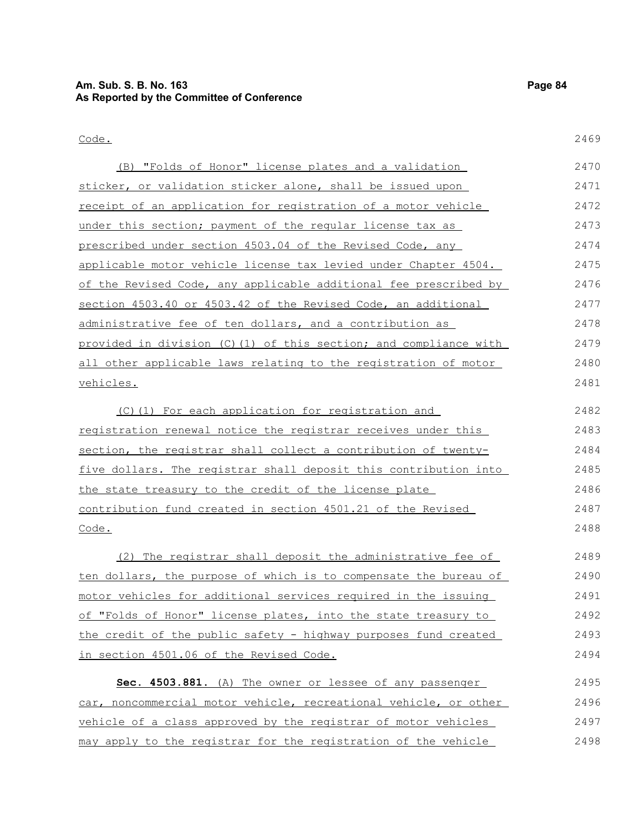# **Am. Sub. S. B. No. 163 Page 84 As Reported by the Committee of Conference**

| Code.                                                               | 2469 |
|---------------------------------------------------------------------|------|
| (B) "Folds of Honor" license plates and a validation                | 2470 |
| sticker, or validation sticker alone, shall be issued upon          | 2471 |
| receipt of an application for registration of a motor vehicle       | 2472 |
| under this section; payment of the reqular license tax as           | 2473 |
| prescribed under section 4503.04 of the Revised Code, any           | 2474 |
| applicable motor vehicle license tax levied under Chapter 4504.     | 2475 |
| of the Revised Code, any applicable additional fee prescribed by    | 2476 |
| section 4503.40 or 4503.42 of the Revised Code, an additional       | 2477 |
| administrative fee of ten dollars, and a contribution as            | 2478 |
| provided in division $(C)$ (1) of this section; and compliance with | 2479 |
| all other applicable laws relating to the registration of motor     | 2480 |
| <u>vehicles.</u>                                                    | 2481 |
| (C)(1) For each application for registration and                    | 2482 |
| registration renewal notice the registrar receives under this       | 2483 |
| section, the registrar shall collect a contribution of twenty-      | 2484 |
| five dollars. The registrar shall deposit this contribution into    | 2485 |
| the state treasury to the credit of the license plate               | 2486 |
| contribution fund created in section 4501.21 of the Revised         | 2487 |
| Code.                                                               | 2488 |
| The registrar shall deposit the administrative fee of<br>(2)        | 2489 |
| ten dollars, the purpose of which is to compensate the bureau of    | 2490 |
| motor vehicles for additional services required in the issuing      | 2491 |
| of "Folds of Honor" license plates, into the state treasury to      | 2492 |
| the credit of the public safety - highway purposes fund created     | 2493 |
| in section 4501.06 of the Revised Code.                             | 2494 |
| Sec. 4503.881. (A) The owner or lessee of any passenger             | 2495 |
| car, noncommercial motor vehicle, recreational vehicle, or other    | 2496 |
| vehicle of a class approved by the registrar of motor vehicles      | 2497 |
| may apply to the registrar for the registration of the vehicle      | 2498 |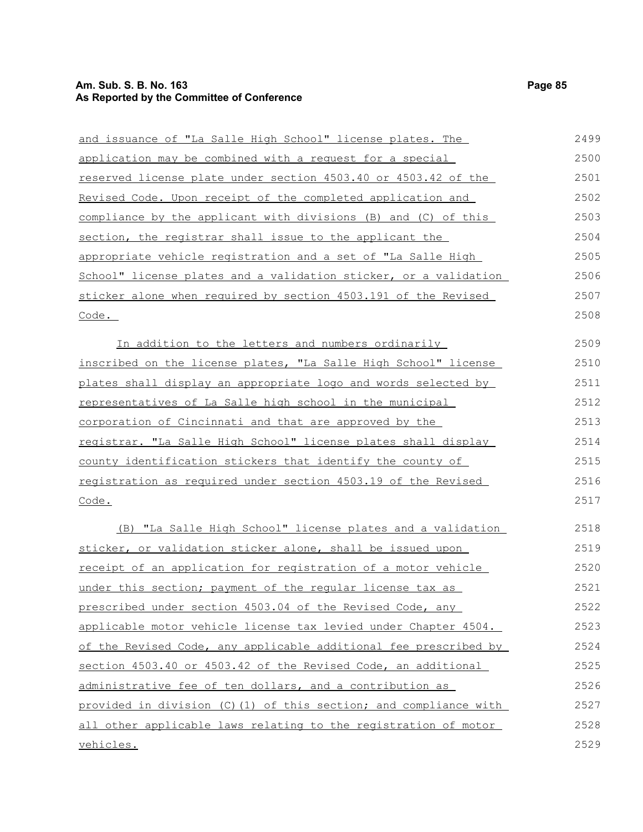# **Am. Sub. S. B. No. 163 Page 85 As Reported by the Committee of Conference**

| and issuance of "La Salle High School" license plates. The       | 2499 |
|------------------------------------------------------------------|------|
| application may be combined with a request for a special         | 2500 |
| reserved license plate under section 4503.40 or 4503.42 of the   | 2501 |
| Revised Code. Upon receipt of the completed application and      | 2502 |
| compliance by the applicant with divisions (B) and (C) of this   | 2503 |
| section, the registrar shall issue to the applicant the          | 2504 |
| appropriate vehicle registration and a set of "La Salle High     | 2505 |
| School" license plates and a validation sticker, or a validation | 2506 |
| sticker alone when required by section 4503.191 of the Revised   | 2507 |
| Code.                                                            | 2508 |
| In addition to the letters and numbers ordinarily                | 2509 |
| inscribed on the license plates, "La Salle High School" license  | 2510 |
| plates shall display an appropriate logo and words selected by   | 2511 |
| representatives of La Salle high school in the municipal         | 2512 |
| <u>corporation of Cincinnati and that are approved by the </u>   | 2513 |
| registrar. "La Salle High School" license plates shall display   | 2514 |
| county identification stickers that identify the county of       | 2515 |
| registration as required under section 4503.19 of the Revised    | 2516 |
| Code.                                                            | 2517 |
| (B) "La Salle High School" license plates and a validation       | 2518 |
| sticker, or validation sticker alone, shall be issued upon       | 2519 |
| receipt of an application for registration of a motor vehicle    | 2520 |
| under this section; payment of the reqular license tax as        | 2521 |
| prescribed under section 4503.04 of the Revised Code, any        | 2522 |
| applicable motor vehicle license tax levied under Chapter 4504.  | 2523 |
| of the Revised Code, any applicable additional fee prescribed by | 2524 |
| section 4503.40 or 4503.42 of the Revised Code, an additional    | 2525 |
| administrative fee of ten dollars, and a contribution as         | 2526 |
| provided in division (C)(1) of this section; and compliance with | 2527 |
| all other applicable laws relating to the registration of motor  | 2528 |
| <u>vehicles.</u>                                                 | 2529 |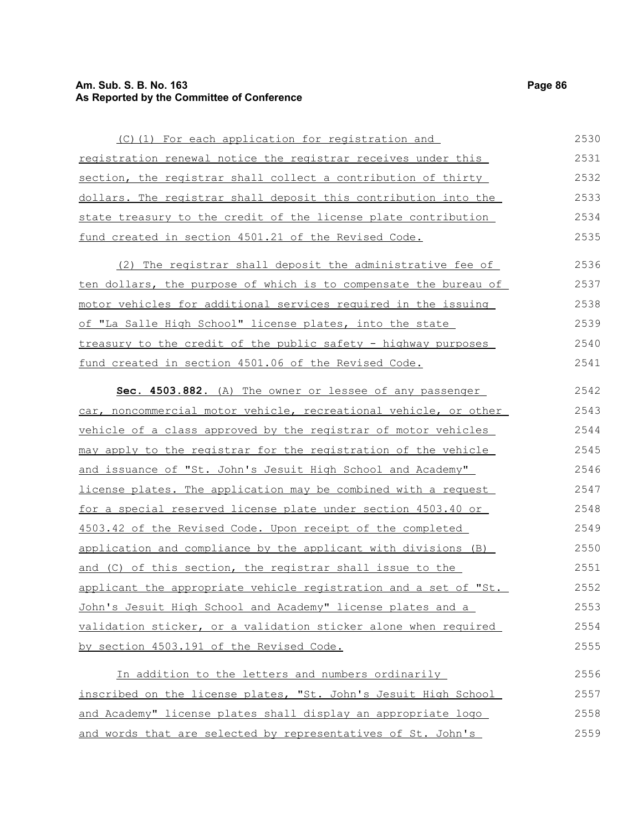#### **Am. Sub. S. B. No. 163 Page 86 As Reported by the Committee of Conference**

| (C)(1) For each application for registration and                 | 2530 |
|------------------------------------------------------------------|------|
| registration renewal notice the registrar receives under this    | 2531 |
| section, the registrar shall collect a contribution of thirty    | 2532 |
| dollars. The registrar shall deposit this contribution into the  | 2533 |
| state treasury to the credit of the license plate contribution   | 2534 |
| fund created in section 4501.21 of the Revised Code.             | 2535 |
| (2) The registrar shall deposit the administrative fee of        | 2536 |
| ten dollars, the purpose of which is to compensate the bureau of | 2537 |
| motor vehicles for additional services required in the issuing   | 2538 |
| of "La Salle High School" license plates, into the state         | 2539 |
| treasury to the credit of the public safety - highway purposes   | 2540 |
| fund created in section 4501.06 of the Revised Code.             | 2541 |
| Sec. 4503.882. (A) The owner or lessee of any passenger          | 2542 |
| car, noncommercial motor vehicle, recreational vehicle, or other | 2543 |
| vehicle of a class approved by the registrar of motor vehicles   | 2544 |
| may apply to the registrar for the registration of the vehicle   | 2545 |
| and issuance of "St. John's Jesuit High School and Academy"      | 2546 |
| license plates. The application may be combined with a request   | 2547 |
| for a special reserved license plate under section 4503.40 or    | 2548 |
| 4503.42 of the Revised Code. Upon receipt of the completed       | 2549 |
| application and compliance by the applicant with divisions (B)   | 2550 |
| and (C) of this section, the registrar shall issue to the        | 2551 |
| applicant the appropriate vehicle registration and a set of "St. | 2552 |
| John's Jesuit High School and Academy" license plates and a      | 2553 |
| validation sticker, or a validation sticker alone when required  | 2554 |
| by section 4503.191 of the Revised Code.                         | 2555 |

In addition to the letters and numbers ordinarily inscribed on the license plates, "St. John's Jesuit High School and Academy" license plates shall display an appropriate logo and words that are selected by representatives of St. John's 2556 2557 2558 2559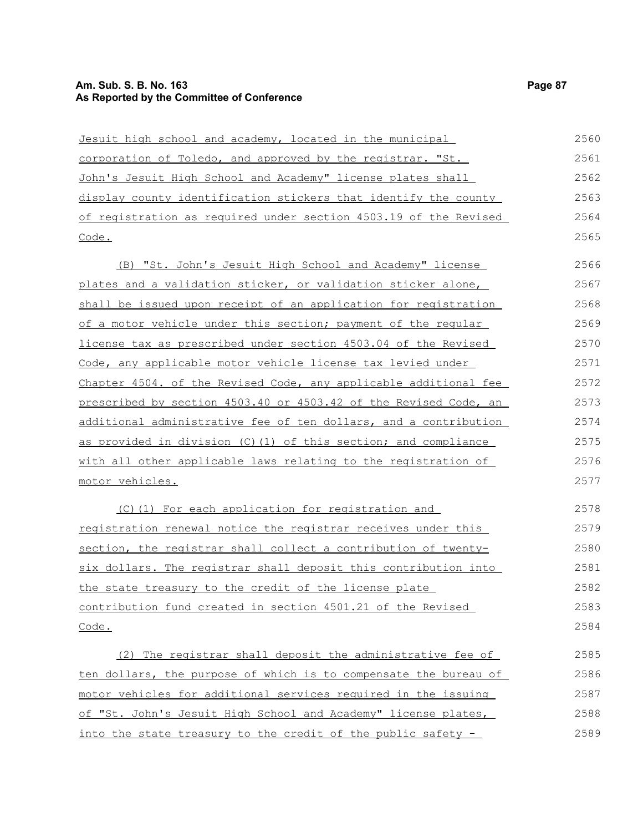# **Am. Sub. S. B. No. 163 Page 87 As Reported by the Committee of Conference**

| Jesuit high school and academy, located in the municipal         | 2560 |
|------------------------------------------------------------------|------|
| corporation of Toledo, and approved by the registrar. "St.       | 2561 |
| John's Jesuit High School and Academy" license plates shall      | 2562 |
| display county identification stickers that identify the county  | 2563 |
| of registration as required under section 4503.19 of the Revised | 2564 |
| Code.                                                            | 2565 |
| (B) "St. John's Jesuit High School and Academy" license          | 2566 |
| plates and a validation sticker, or validation sticker alone,    | 2567 |
| shall be issued upon receipt of an application for registration  | 2568 |
| of a motor vehicle under this section; payment of the regular    | 2569 |
| license tax as prescribed under section 4503.04 of the Revised   | 2570 |
| Code, any applicable motor vehicle license tax levied under      | 2571 |
| Chapter 4504. of the Revised Code, any applicable additional fee | 2572 |
| prescribed by section 4503.40 or 4503.42 of the Revised Code, an | 2573 |
| additional administrative fee of ten dollars, and a contribution | 2574 |
| as provided in division (C) (1) of this section; and compliance  | 2575 |
| with all other applicable laws relating to the registration of   | 2576 |
| motor vehicles.                                                  | 2577 |
| (C)(1) For each application for registration and                 | 2578 |
| registration renewal notice the registrar receives under this    | 2579 |
| section, the registrar shall collect a contribution of twenty-   | 2580 |
| six dollars. The registrar shall deposit this contribution into  | 2581 |
| the state treasury to the credit of the license plate            | 2582 |
| contribution fund created in section 4501.21 of the Revised      | 2583 |
| Code.                                                            | 2584 |
| (2) The registrar shall deposit the administrative fee of        | 2585 |
| ten dollars, the purpose of which is to compensate the bureau of | 2586 |
| motor vehicles for additional services required in the issuing   | 2587 |
| of "St. John's Jesuit High School and Academy" license plates,   | 2588 |
| into the state treasury to the credit of the public safety -     | 2589 |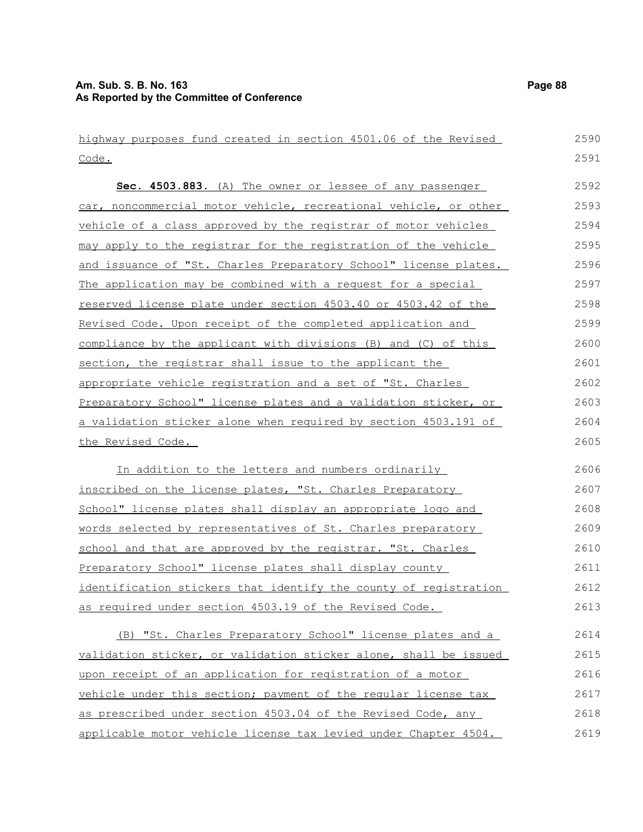#### **Am. Sub. S. B. No. 163 Page 88 As Reported by the Committee of Conference**

| highway purposes fund created in section 4501.06 of the Revised  | 2590 |
|------------------------------------------------------------------|------|
| Code.                                                            | 2591 |
| Sec. 4503.883. (A) The owner or lessee of any passenger          | 2592 |
| car, noncommercial motor vehicle, recreational vehicle, or other | 2593 |
| vehicle of a class approved by the registrar of motor vehicles   | 2594 |
| may apply to the registrar for the registration of the vehicle   | 2595 |
| and issuance of "St. Charles Preparatory School" license plates. | 2596 |
| The application may be combined with a request for a special     | 2597 |
| reserved license plate under section 4503.40 or 4503.42 of the   | 2598 |
| Revised Code. Upon receipt of the completed application and      | 2599 |
| compliance by the applicant with divisions (B) and (C) of this   | 2600 |
| section, the registrar shall issue to the applicant the          | 2601 |
| appropriate vehicle registration and a set of "St. Charles       | 2602 |
| Preparatory School" license plates and a validation sticker, or  | 2603 |
| a validation sticker alone when required by section 4503.191 of  | 2604 |
| the Revised Code.                                                | 2605 |
| In addition to the letters and numbers ordinarily                | 2606 |
| inscribed on the license plates, "St. Charles Preparatory        | 2607 |
| School" license plates shall display an appropriate logo and     | 2608 |
| words selected by representatives of St. Charles preparatory     | 2609 |
| school and that are approved by the registrar. "St. Charles      | 2610 |
| Preparatory School" license plates shall display county          | 2611 |
| identification stickers that identify the county of registration | 2612 |
| as required under section 4503.19 of the Revised Code.           | 2613 |
| (B) "St. Charles Preparatory School" license plates and a        | 2614 |
|                                                                  |      |

validation sticker, or validation sticker alone, shall be issued upon receipt of an application for registration of a motor vehicle under this section; payment of the regular license tax as prescribed under section 4503.04 of the Revised Code, any applicable motor vehicle license tax levied under Chapter 4504. 2615 2616 2617 2618 2619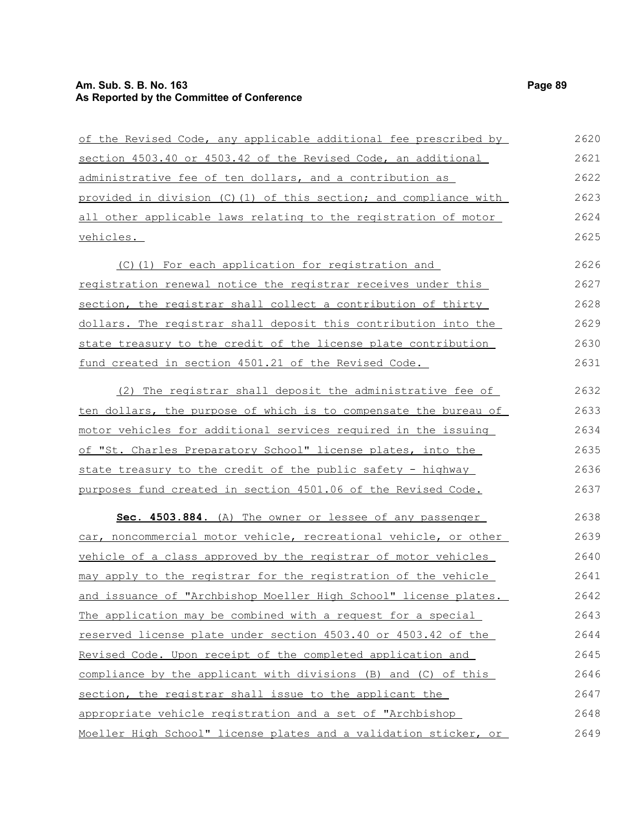# **Am. Sub. S. B. No. 163 Page 89 As Reported by the Committee of Conference**

| of the Revised Code, any applicable additional fee prescribed by  | 2620 |
|-------------------------------------------------------------------|------|
| section 4503.40 or 4503.42 of the Revised Code, an additional     | 2621 |
| administrative fee of ten dollars, and a contribution as          | 2622 |
| provided in division (C) (1) of this section; and compliance with | 2623 |
| all other applicable laws relating to the registration of motor   | 2624 |
| vehicles.                                                         | 2625 |
| (C)(1) For each application for registration and                  | 2626 |
| registration renewal notice the registrar receives under this     | 2627 |
| section, the registrar shall collect a contribution of thirty     | 2628 |
| dollars. The registrar shall deposit this contribution into the   | 2629 |
| state treasury to the credit of the license plate contribution    | 2630 |
| fund created in section 4501.21 of the Revised Code.              | 2631 |
| (2) The registrar shall deposit the administrative fee of         | 2632 |
| ten dollars, the purpose of which is to compensate the bureau of  | 2633 |
| motor vehicles for additional services required in the issuing    | 2634 |
| of "St. Charles Preparatory School" license plates, into the      | 2635 |
| state treasury to the credit of the public safety - highway       | 2636 |
| purposes fund created in section 4501.06 of the Revised Code.     | 2637 |
| Sec. 4503.884. (A) The owner or lessee of any passenger           | 2638 |
| car, noncommercial motor vehicle, recreational vehicle, or other  | 2639 |
| vehicle of a class approved by the registrar of motor vehicles    | 2640 |
| may apply to the registrar for the registration of the vehicle    | 2641 |
| and issuance of "Archbishop Moeller High School" license plates.  | 2642 |
| The application may be combined with a request for a special      | 2643 |
| reserved license plate under section 4503.40 or 4503.42 of the    | 2644 |
| Revised Code. Upon receipt of the completed application and       | 2645 |
| compliance by the applicant with divisions (B) and (C) of this    | 2646 |
| section, the registrar shall issue to the applicant the           | 2647 |
| appropriate vehicle registration and a set of "Archbishop         | 2648 |
| Moeller High School" license plates and a validation sticker, or  | 2649 |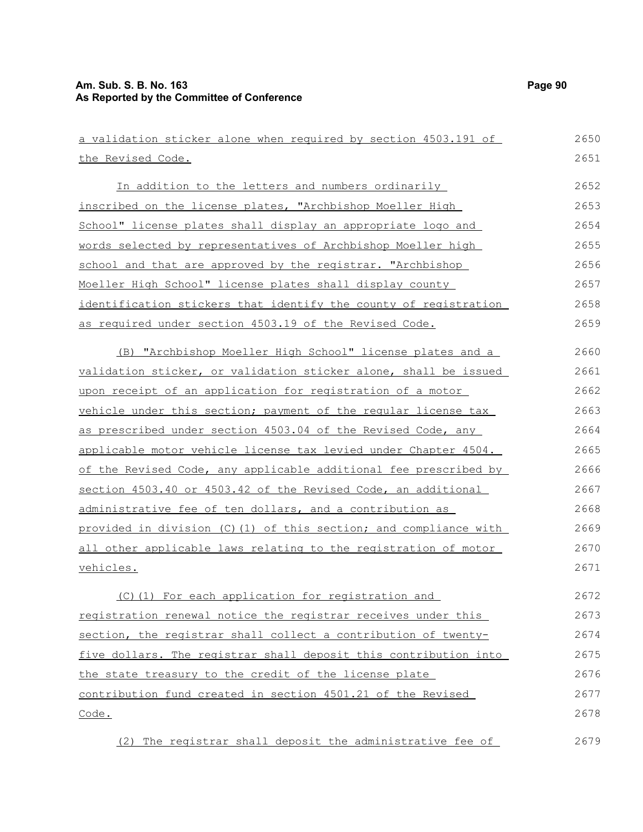# **Am. Sub. S. B. No. 163 Page 90 As Reported by the Committee of Conference**

| a validation sticker alone when required by section 4503.191 of   | 2650 |
|-------------------------------------------------------------------|------|
| the Revised Code.                                                 | 2651 |
| In addition to the letters and numbers ordinarily                 | 2652 |
| inscribed on the license plates, "Archbishop Moeller High         | 2653 |
| School" license plates shall display an appropriate logo and      | 2654 |
| words selected by representatives of Archbishop Moeller high      | 2655 |
| school and that are approved by the registrar. "Archbishop        | 2656 |
| Moeller High School" license plates shall display county          | 2657 |
| identification stickers that identify the county of registration  | 2658 |
| as required under section 4503.19 of the Revised Code.            | 2659 |
| (B) "Archbishop Moeller High School" license plates and a         | 2660 |
| validation sticker, or validation sticker alone, shall be issued  | 2661 |
| upon receipt of an application for registration of a motor        | 2662 |
| vehicle under this section; payment of the regular license tax    | 2663 |
| as prescribed under section 4503.04 of the Revised Code, any      | 2664 |
| applicable motor vehicle license tax levied under Chapter 4504.   | 2665 |
| of the Revised Code, any applicable additional fee prescribed by  | 2666 |
| section 4503.40 or 4503.42 of the Revised Code, an additional     | 2667 |
| administrative fee of ten dollars, and a contribution as          | 2668 |
| provided in division (C) (1) of this section; and compliance with | 2669 |
| all other applicable laws relating to the registration of motor   | 2670 |
| <u>vehicles.</u>                                                  | 2671 |
| (C)(1) For each application for registration and                  | 2672 |
| registration renewal notice the registrar receives under this     | 2673 |
| section, the registrar shall collect a contribution of twenty-    | 2674 |
| five dollars. The registrar shall deposit this contribution into  | 2675 |
| the state treasury to the credit of the license plate             | 2676 |
| contribution fund created in section 4501.21 of the Revised       | 2677 |
| Code.                                                             | 2678 |
| (2) The registrar shall deposit the administrative fee of         | 2679 |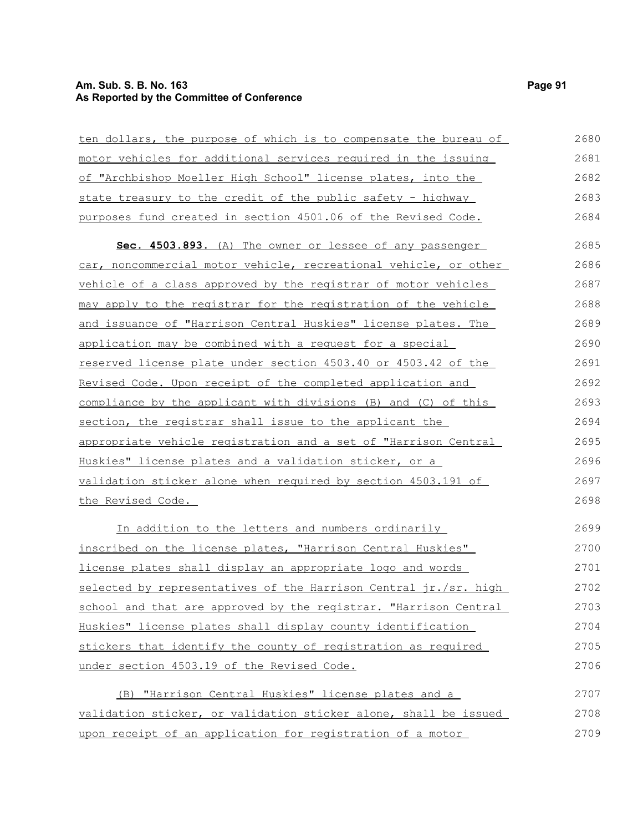# **Am. Sub. S. B. No. 163 Page 91 As Reported by the Committee of Conference**

| ten dollars, the purpose of which is to compensate the bureau of | 2680 |
|------------------------------------------------------------------|------|
| motor vehicles for additional services required in the issuing   | 2681 |
| of "Archbishop Moeller High School" license plates, into the     | 2682 |
| state treasury to the credit of the public safety - highway      | 2683 |
| purposes fund created in section 4501.06 of the Revised Code.    | 2684 |
| Sec. 4503.893. (A) The owner or lessee of any passenger          | 2685 |
| car, noncommercial motor vehicle, recreational vehicle, or other | 2686 |
| vehicle of a class approved by the registrar of motor vehicles   | 2687 |
| may apply to the registrar for the registration of the vehicle   | 2688 |
| and issuance of "Harrison Central Huskies" license plates. The   | 2689 |
| application may be combined with a request for a special         | 2690 |
| reserved license plate under section 4503.40 or 4503.42 of the   | 2691 |
| Revised Code. Upon receipt of the completed application and      | 2692 |
| compliance by the applicant with divisions (B) and (C) of this   | 2693 |
| section, the registrar shall issue to the applicant the          | 2694 |
| appropriate vehicle registration and a set of "Harrison Central  | 2695 |
| Huskies" license plates and a validation sticker, or a           | 2696 |
| validation sticker alone when required by section 4503.191 of    | 2697 |
| the Revised Code.                                                | 2698 |
| In addition to the letters and numbers ordinarily                | 2699 |
| inscribed on the license plates, "Harrison Central Huskies"      | 2700 |
| license plates shall display an appropriate logo and words       | 2701 |
| selected by representatives of the Harrison Central jr./sr. high | 2702 |
| school and that are approved by the registrar. "Harrison Central | 2703 |
| Huskies" license plates shall display county identification      | 2704 |
| stickers that identify the county of registration as required    | 2705 |
| under section 4503.19 of the Revised Code.                       | 2706 |
| (B) "Harrison Central Huskies" license plates and a              | 2707 |
| validation sticker, or validation sticker alone, shall be issued | 2708 |
| upon receipt of an application for registration of a motor       | 2709 |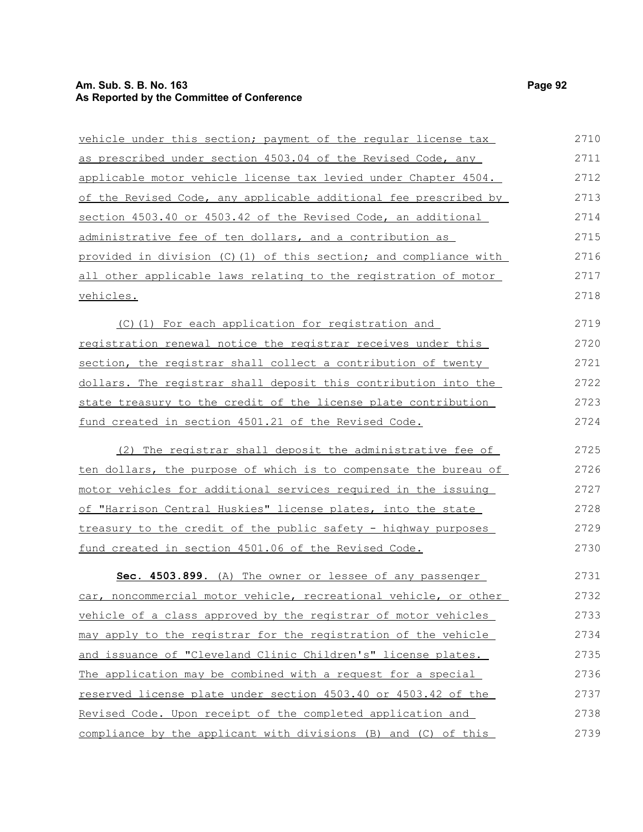# **Am. Sub. S. B. No. 163 Page 92 As Reported by the Committee of Conference**

| vehicle under this section; payment of the regular license tax          | 2710 |
|-------------------------------------------------------------------------|------|
| as prescribed under section 4503.04 of the Revised Code, any            | 2711 |
| applicable motor vehicle license tax levied under Chapter 4504.         | 2712 |
| of the Revised Code, any applicable additional fee prescribed by        | 2713 |
| section 4503.40 or 4503.42 of the Revised Code, an additional           | 2714 |
| administrative fee of ten dollars, and a contribution as                | 2715 |
| provided in division (C)(1) of this section; and compliance with        | 2716 |
| all other applicable laws relating to the registration of motor         | 2717 |
| vehicles.                                                               | 2718 |
| (C)(1) For each application for registration and                        | 2719 |
| registration renewal notice the registrar receives under this           | 2720 |
| section, the registrar shall collect a contribution of twenty           | 2721 |
| <u>dollars. The registrar shall deposit this contribution into the </u> | 2722 |
| state treasury to the credit of the license plate contribution          | 2723 |
| fund created in section 4501.21 of the Revised Code.                    | 2724 |
| (2) The registrar shall deposit the administrative fee of               | 2725 |
| ten dollars, the purpose of which is to compensate the bureau of        | 2726 |
| motor vehicles for additional services required in the issuing          | 2727 |
| of "Harrison Central Huskies" license plates, into the state            | 2728 |
| treasury to the credit of the public safety - highway purposes          | 2729 |
| fund created in section 4501.06 of the Revised Code.                    | 2730 |
| Sec. 4503.899. (A) The owner or lessee of any passenger                 | 2731 |
| car, noncommercial motor vehicle, recreational vehicle, or other        | 2732 |
| vehicle of a class approved by the registrar of motor vehicles          | 2733 |
| may apply to the registrar for the registration of the vehicle          | 2734 |
| and issuance of "Cleveland Clinic Children's" license plates.           | 2735 |
| The application may be combined with a request for a special            | 2736 |
| reserved license plate under section 4503.40 or 4503.42 of the          | 2737 |
| Revised Code. Upon receipt of the completed application and             | 2738 |
| compliance by the applicant with divisions (B) and (C) of this          | 2739 |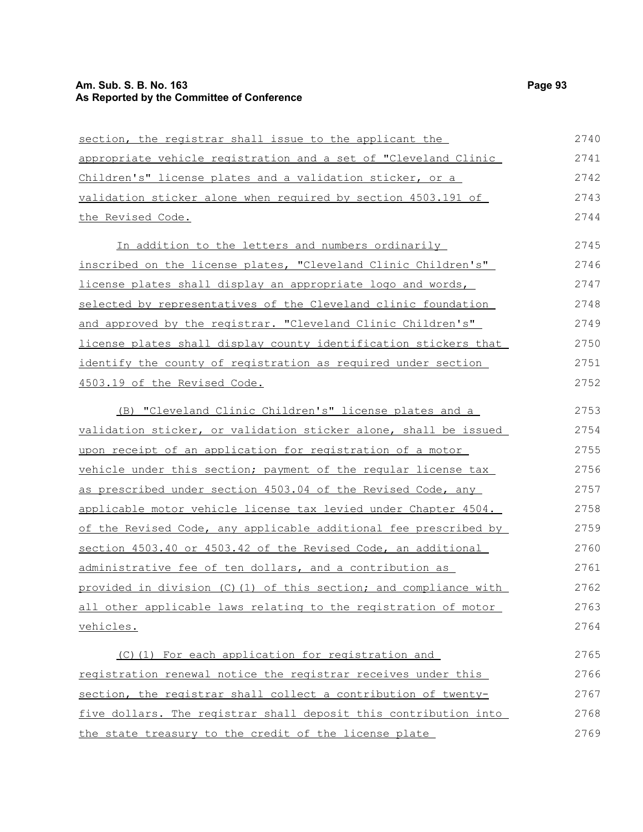# **Am. Sub. S. B. No. 163 Page 93 As Reported by the Committee of Conference**

| section, the registrar shall issue to the applicant the           | 2740 |
|-------------------------------------------------------------------|------|
| appropriate vehicle registration and a set of "Cleveland Clinic   | 2741 |
| Children's" license plates and a validation sticker, or a         | 2742 |
| validation sticker alone when required by section 4503.191 of     | 2743 |
| the Revised Code.                                                 | 2744 |
| In addition to the letters and numbers ordinarily                 | 2745 |
| inscribed on the license plates, "Cleveland Clinic Children's"    | 2746 |
| license plates shall display an appropriate logo and words,       | 2747 |
| selected by representatives of the Cleveland clinic foundation    | 2748 |
| and approved by the registrar. "Cleveland Clinic Children's"      | 2749 |
| license plates shall display county identification stickers that  | 2750 |
| identify the county of registration as required under section     | 2751 |
| 4503.19 of the Revised Code.                                      | 2752 |
| (B) "Cleveland Clinic Children's" license plates and a            | 2753 |
| validation sticker, or validation sticker alone, shall be issued  | 2754 |
| upon receipt of an application for registration of a motor        | 2755 |
| vehicle under this section; payment of the regular license tax    | 2756 |
| as prescribed under section 4503.04 of the Revised Code, any      | 2757 |
| applicable motor vehicle license tax levied under Chapter 4504.   | 2758 |
| of the Revised Code, any applicable additional fee prescribed by  | 2759 |
| section 4503.40 or 4503.42 of the Revised Code, an additional     | 2760 |
| administrative fee of ten dollars, and a contribution as          | 2761 |
| provided in division (C) (1) of this section; and compliance with | 2762 |
| all other applicable laws relating to the registration of motor   | 2763 |
| <u>vehicles.</u>                                                  | 2764 |
| (C)(1) For each application for registration and                  | 2765 |
| registration renewal notice the registrar receives under this     | 2766 |
| section, the registrar shall collect a contribution of twenty-    | 2767 |
| five dollars. The registrar shall deposit this contribution into  | 2768 |
| the state treasury to the credit of the license plate             | 2769 |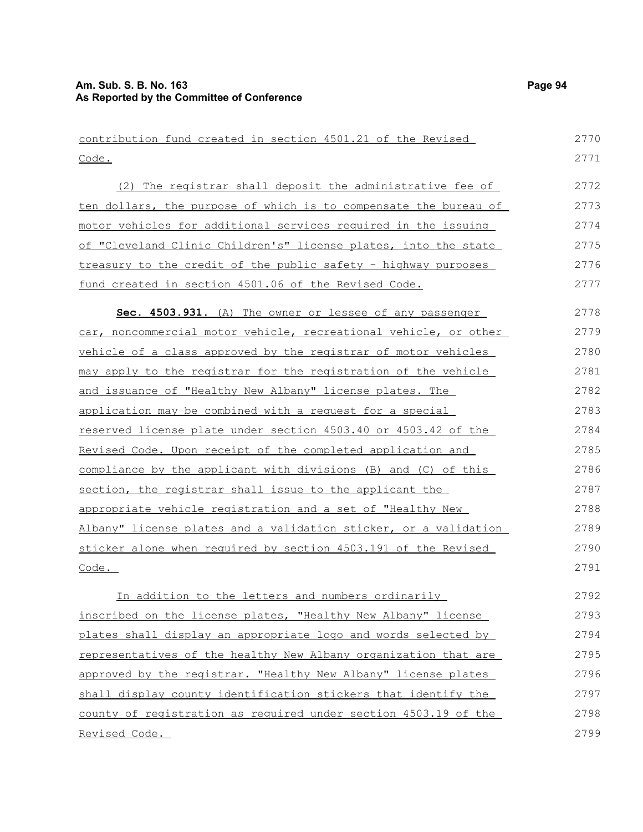| contribution fund created in section 4501.21 of the Revised      | 2770 |
|------------------------------------------------------------------|------|
| Code.                                                            | 2771 |
| (2) The registrar shall deposit the administrative fee of        | 2772 |
| ten dollars, the purpose of which is to compensate the bureau of | 2773 |
| motor vehicles for additional services required in the issuing   | 2774 |
| of "Cleveland Clinic Children's" license plates, into the state  | 2775 |
| treasury to the credit of the public safety - highway purposes   | 2776 |
| fund created in section 4501.06 of the Revised Code.             | 2777 |
| Sec. 4503.931. (A) The owner or lessee of any passenger          | 2778 |
| car, noncommercial motor vehicle, recreational vehicle, or other | 2779 |
| vehicle of a class approved by the registrar of motor vehicles   | 2780 |
| may apply to the registrar for the registration of the vehicle   | 2781 |
| and issuance of "Healthy New Albany" license plates. The         | 2782 |
| application may be combined with a request for a special         | 2783 |
| reserved license plate under section 4503.40 or 4503.42 of the   | 2784 |
| Revised Code. Upon receipt of the completed application and      | 2785 |
| compliance by the applicant with divisions (B) and (C) of this   | 2786 |
| section, the registrar shall issue to the applicant the          | 2787 |
| appropriate vehicle registration and a set of "Healthy New       | 2788 |
| Albany" license plates and a validation sticker, or a validation | 2789 |
| sticker alone when required by section 4503.191 of the Revised   | 2790 |
| Code.                                                            | 2791 |
| In addition to the letters and numbers ordinarily                | 2792 |
| inscribed on the license plates, "Healthy New Albany" license    | 2793 |
| plates shall display an appropriate logo and words selected by   | 2794 |
| representatives of the healthy New Albany organization that are  | 2795 |
| approved by the registrar. "Healthy New Albany" license plates   | 2796 |
| shall display county identification stickers that identify the   | 2797 |
| county of registration as required under section 4503.19 of the  | 2798 |
| Revised Code.                                                    | 2799 |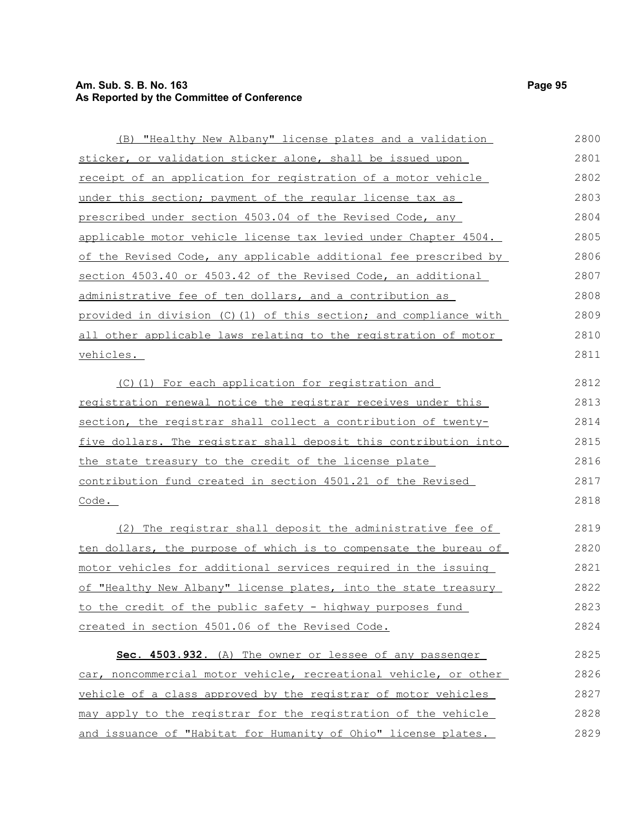# **Am. Sub. S. B. No. 163 Page 95 As Reported by the Committee of Conference**

| (B) "Healthy New Albany" license plates and a validation         | 2800 |
|------------------------------------------------------------------|------|
| sticker, or validation sticker alone, shall be issued upon       | 2801 |
| receipt of an application for registration of a motor vehicle    | 2802 |
| under this section; payment of the regular license tax as        | 2803 |
| prescribed under section 4503.04 of the Revised Code, any        | 2804 |
| applicable motor vehicle license tax levied under Chapter 4504.  | 2805 |
| of the Revised Code, any applicable additional fee prescribed by | 2806 |
| section 4503.40 or 4503.42 of the Revised Code, an additional    | 2807 |
| <u>administrative fee of ten dollars, and a contribution as </u> | 2808 |
| provided in division (C)(1) of this section; and compliance with | 2809 |
| all other applicable laws relating to the registration of motor  | 2810 |
| vehicles.                                                        | 2811 |
| (C)(1) For each application for registration and                 | 2812 |
| registration renewal notice the registrar receives under this    | 2813 |
| section, the registrar shall collect a contribution of twenty-   | 2814 |
| five dollars. The registrar shall deposit this contribution into | 2815 |
| the state treasury to the credit of the license plate            | 2816 |
| contribution fund created in section 4501.21 of the Revised      | 2817 |
| Code.                                                            | 2818 |
| (2) The registrar shall deposit the administrative fee of        | 2819 |
| ten dollars, the purpose of which is to compensate the bureau of | 2820 |
| motor vehicles for additional services required in the issuing   | 2821 |
| of "Healthy New Albany" license plates, into the state treasury  | 2822 |
| to the credit of the public safety - highway purposes fund       | 2823 |
| created in section 4501.06 of the Revised Code.                  | 2824 |
| Sec. 4503.932. (A) The owner or lessee of any passenger          | 2825 |
| car, noncommercial motor vehicle, recreational vehicle, or other | 2826 |
| vehicle of a class approved by the registrar of motor vehicles   | 2827 |
| may apply to the registrar for the registration of the vehicle   | 2828 |
| and issuance of "Habitat for Humanity of Ohio" license plates.   | 2829 |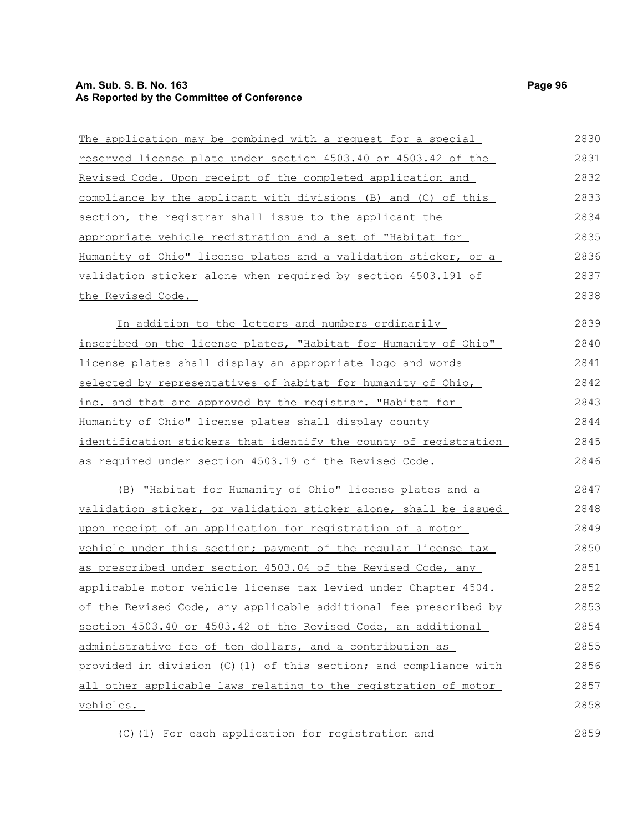# **Am. Sub. S. B. No. 163 Page 96 As Reported by the Committee of Conference**

| The application may be combined with a request for a special      | 2830 |
|-------------------------------------------------------------------|------|
| reserved license plate under section 4503.40 or 4503.42 of the    | 2831 |
| Revised Code. Upon receipt of the completed application and       | 2832 |
| compliance by the applicant with divisions (B) and (C) of this    | 2833 |
| section, the registrar shall issue to the applicant the           | 2834 |
| appropriate vehicle registration and a set of "Habitat for        | 2835 |
| Humanity of Ohio" license plates and a validation sticker, or a   | 2836 |
| validation sticker alone when required by section 4503.191 of     | 2837 |
| the Revised Code.                                                 | 2838 |
| In addition to the letters and numbers ordinarily                 | 2839 |
| inscribed on the license plates, "Habitat for Humanity of Ohio"   | 2840 |
| license plates shall display an appropriate logo and words        | 2841 |
| selected by representatives of habitat for humanity of Ohio,      | 2842 |
| <u>inc. and that are approved by the registrar. "Habitat for </u> | 2843 |
| Humanity of Ohio" license plates shall display county             | 2844 |
| identification stickers that identify the county of registration  | 2845 |
| as required under section 4503.19 of the Revised Code.            | 2846 |
| (B) "Habitat for Humanity of Ohio" license plates and a           | 2847 |
| validation sticker, or validation sticker alone, shall be issued  | 2848 |
| upon receipt of an application for registration of a motor        | 2849 |
| vehicle under this section; payment of the reqular license tax    | 2850 |
| as prescribed under section 4503.04 of the Revised Code, any      | 2851 |
| applicable motor vehicle license tax levied under Chapter 4504.   | 2852 |
| of the Revised Code, any applicable additional fee prescribed by  | 2853 |
| section 4503.40 or 4503.42 of the Revised Code, an additional     | 2854 |
| administrative fee of ten dollars, and a contribution as          | 2855 |
| provided in division (C) (1) of this section; and compliance with | 2856 |
| all other applicable laws relating to the registration of motor   | 2857 |
| vehicles.                                                         | 2858 |
| (C)(1) For each application for registration and                  | 2859 |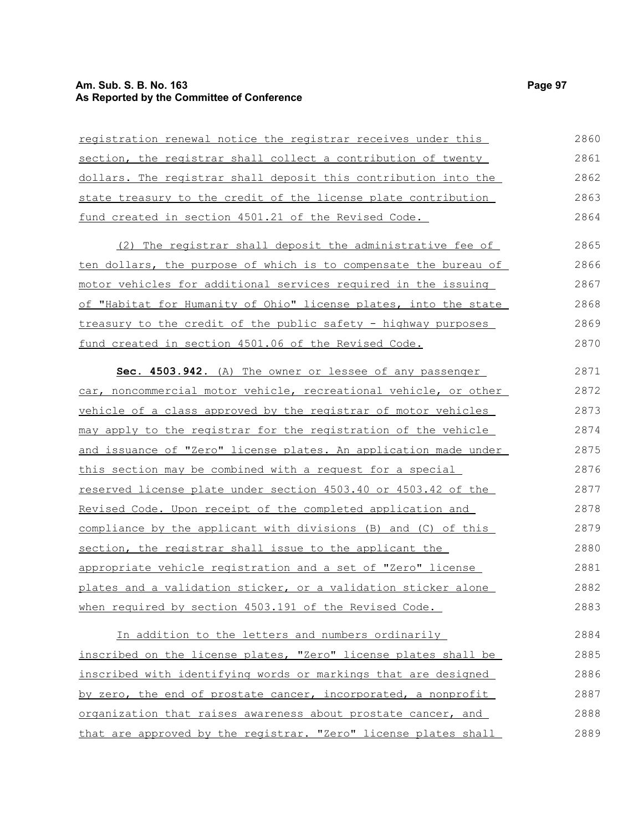#### **Am. Sub. S. B. No. 163 Page 97 As Reported by the Committee of Conference**

| registration renewal notice the registrar receives under this    | 2860 |
|------------------------------------------------------------------|------|
| section, the registrar shall collect a contribution of twenty    | 2861 |
| dollars. The registrar shall deposit this contribution into the  | 2862 |
| state treasury to the credit of the license plate contribution   | 2863 |
| fund created in section 4501.21 of the Revised Code.             | 2864 |
| (2) The registrar shall deposit the administrative fee of        | 2865 |
| ten dollars, the purpose of which is to compensate the bureau of | 2866 |
| motor vehicles for additional services required in the issuing   | 2867 |
| of "Habitat for Humanity of Ohio" license plates, into the state | 2868 |
| treasury to the credit of the public safety - highway purposes   | 2869 |
| fund created in section 4501.06 of the Revised Code.             | 2870 |
| Sec. 4503.942. (A) The owner or lessee of any passenger          | 2871 |
| car, noncommercial motor vehicle, recreational vehicle, or other | 2872 |
| vehicle of a class approved by the registrar of motor vehicles   | 2873 |
| may apply to the registrar for the registration of the vehicle   | 2874 |
| and issuance of "Zero" license plates. An application made under | 2875 |
| this section may be combined with a request for a special        | 2876 |
| reserved license plate under section 4503.40 or 4503.42 of the   | 2877 |
| Revised Code. Upon receipt of the completed application and      | 2878 |
| compliance by the applicant with divisions (B) and (C) of this   | 2879 |
| section, the registrar shall issue to the applicant the          | 2880 |
| appropriate vehicle registration and a set of "Zero" license     | 2881 |
| plates and a validation sticker, or a validation sticker alone   | 2882 |
| when required by section 4503.191 of the Revised Code.           | 2883 |
| In addition to the letters and numbers ordinarily                | 2884 |
| inscribed on the license plates, "Zero" license plates shall be  | 2885 |
| inscribed with identifying words or markings that are designed   | 2886 |
| by zero, the end of prostate cancer, incorporated, a nonprofit   | 2887 |
| organization that raises awareness about prostate cancer, and    | 2888 |

that are approved by the registrar. "Zero" license plates shall

2889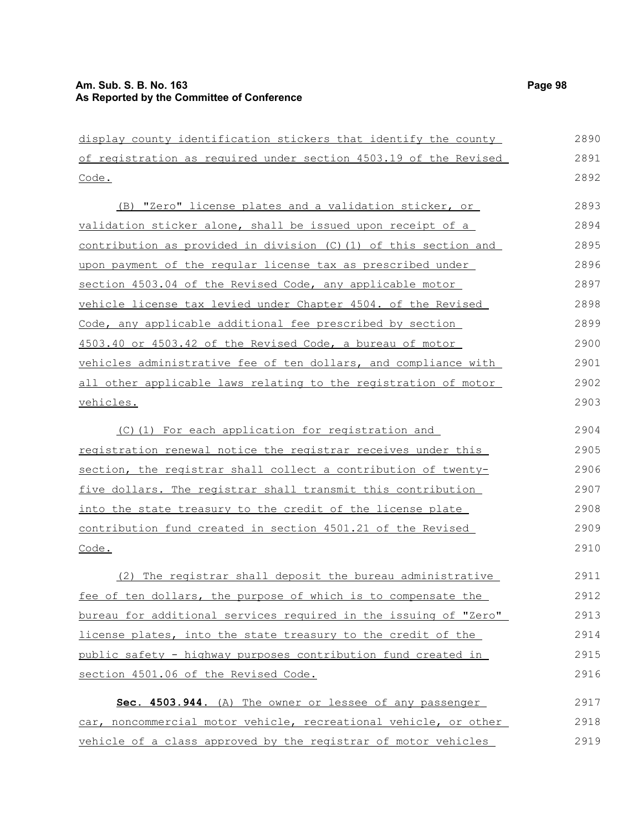| display county identification stickers that identify the county  | 2890 |
|------------------------------------------------------------------|------|
| of registration as required under section 4503.19 of the Revised | 2891 |
| Code.                                                            | 2892 |
| (B) "Zero" license plates and a validation sticker, or           | 2893 |
| validation sticker alone, shall be issued upon receipt of a      | 2894 |
| contribution as provided in division (C) (1) of this section and | 2895 |
| upon payment of the regular license tax as prescribed under      | 2896 |
| section 4503.04 of the Revised Code, any applicable motor        | 2897 |
| vehicle license tax levied under Chapter 4504. of the Revised    | 2898 |
| Code, any applicable additional fee prescribed by section        | 2899 |
| 4503.40 or 4503.42 of the Revised Code, a bureau of motor        | 2900 |
| vehicles administrative fee of ten dollars, and compliance with  | 2901 |
| all other applicable laws relating to the registration of motor  | 2902 |
| vehicles.                                                        | 2903 |
| (C)(1) For each application for registration and                 | 2904 |
| registration renewal notice the registrar receives under this    | 2905 |
| section, the registrar shall collect a contribution of twenty-   | 2906 |
| five dollars. The registrar shall transmit this contribution     | 2907 |
| into the state treasury to the credit of the license plate       | 2908 |
| contribution fund created in section 4501.21 of the Revised      | 2909 |
| Code.                                                            | 2910 |
| The registrar shall deposit the bureau administrative<br>(2)     | 2911 |
| fee of ten dollars, the purpose of which is to compensate the    | 2912 |
| bureau for additional services required in the issuing of "Zero" | 2913 |
| license plates, into the state treasury to the credit of the     | 2914 |
| public safety - highway purposes contribution fund created in    | 2915 |
| section 4501.06 of the Revised Code.                             | 2916 |
| Sec. 4503.944. (A) The owner or lessee of any passenger          | 2917 |
| car, noncommercial motor vehicle, recreational vehicle, or other | 2918 |
| vehicle of a class approved by the registrar of motor vehicles   | 2919 |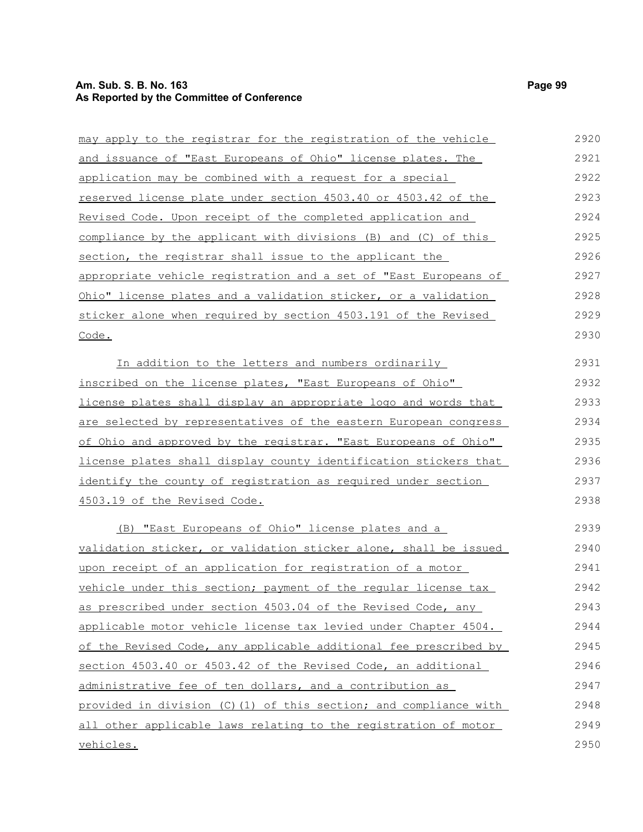# **Am. Sub. S. B. No. 163 Page 99 As Reported by the Committee of Conference**

| may apply to the registrar for the registration of the vehicle          | 2920 |
|-------------------------------------------------------------------------|------|
| and issuance of "East Europeans of Ohio" license plates. The            | 2921 |
| application may be combined with a request for a special                | 2922 |
| reserved license plate under section 4503.40 or 4503.42 of the          | 2923 |
| Revised Code. Upon receipt of the completed application and             | 2924 |
| compliance by the applicant with divisions (B) and (C) of this          | 2925 |
| section, the registrar shall issue to the applicant the                 | 2926 |
| appropriate vehicle registration and a set of "East Europeans of        | 2927 |
| Ohio" license plates and a validation sticker, or a validation          | 2928 |
| sticker alone when required by section 4503.191 of the Revised          | 2929 |
| Code.                                                                   | 2930 |
| In addition to the letters and numbers ordinarily                       | 2931 |
| inscribed on the license plates, "East Europeans of Ohio"               | 2932 |
| license plates shall display an appropriate logo and words that         | 2933 |
| <u>are selected by representatives of the eastern European congress</u> | 2934 |
| of Ohio and approved by the registrar. "East Europeans of Ohio"         | 2935 |
| license plates shall display county identification stickers that        | 2936 |
| identify the county of registration as required under section           | 2937 |
| 4503.19 of the Revised Code.                                            | 2938 |
| (B) "East Europeans of Ohio" license plates and a                       | 2939 |
| validation sticker, or validation sticker alone, shall be issued        | 2940 |
| upon receipt of an application for registration of a motor              | 2941 |
| vehicle under this section; payment of the regular license tax          | 2942 |
| as prescribed under section 4503.04 of the Revised Code, any            | 2943 |
| applicable motor vehicle license tax levied under Chapter 4504.         | 2944 |
| of the Revised Code, any applicable additional fee prescribed by        | 2945 |
| section 4503.40 or 4503.42 of the Revised Code, an additional           | 2946 |
| administrative fee of ten dollars, and a contribution as                | 2947 |
| provided in division (C)(1) of this section; and compliance with        | 2948 |
| all other applicable laws relating to the registration of motor         | 2949 |
| vehicles.                                                               | 2950 |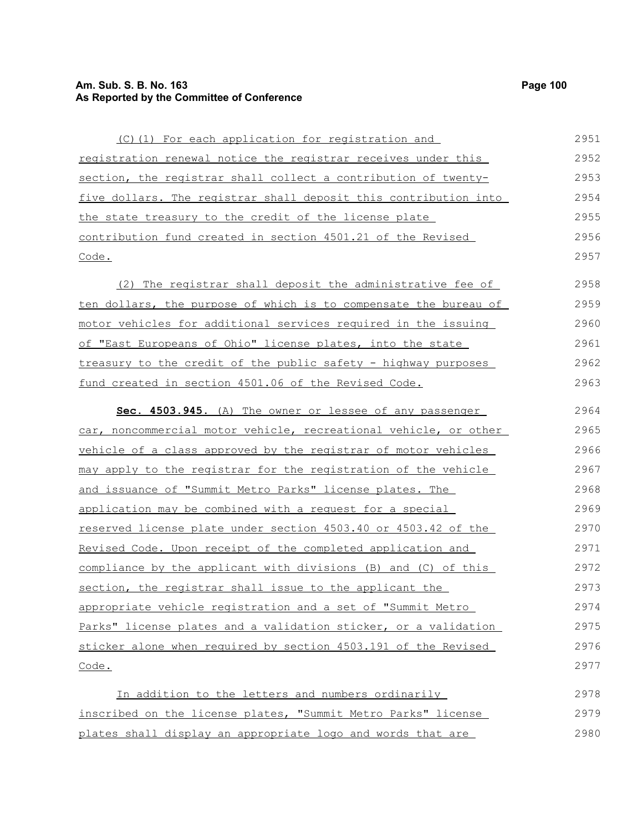#### **Am. Sub. S. B. No. 163 Page 100 As Reported by the Committee of Conference**

| (C) (1) For each application for registration and                | 2951 |
|------------------------------------------------------------------|------|
| registration renewal notice the registrar receives under this    | 2952 |
| section, the registrar shall collect a contribution of twenty-   | 2953 |
| five dollars. The registrar shall deposit this contribution into | 2954 |
| the state treasury to the credit of the license plate            | 2955 |
| contribution fund created in section 4501.21 of the Revised      | 2956 |
| Code.                                                            | 2957 |

(2) The registrar shall deposit the administrative fee of ten dollars, the purpose of which is to compensate the bureau of motor vehicles for additional services required in the issuing of "East Europeans of Ohio" license plates, into the state treasury to the credit of the public safety - highway purposes fund created in section 4501.06 of the Revised Code. 2958 2959 2960 2961 2962 2963

| Sec. 4503.945. (A) The owner or lessee of any passenger          | 2964 |
|------------------------------------------------------------------|------|
| car, noncommercial motor vehicle, recreational vehicle, or other | 2965 |
| vehicle of a class approved by the registrar of motor vehicles   | 2966 |
| may apply to the registrar for the registration of the vehicle   | 2967 |
| and issuance of "Summit Metro Parks" license plates. The         | 2968 |
| application may be combined with a request for a special         | 2969 |
| reserved license plate under section 4503.40 or 4503.42 of the   | 2970 |
| Revised Code. Upon receipt of the completed application and      | 2971 |
| compliance by the applicant with divisions (B) and (C) of this   | 2972 |
| section, the registrar shall issue to the applicant the          | 2973 |
| appropriate vehicle registration and a set of "Summit Metro"     | 2974 |
| Parks" license plates and a validation sticker, or a validation  | 2975 |
| sticker alone when required by section 4503.191 of the Revised   | 2976 |
| Code.                                                            | 2977 |
|                                                                  |      |

In addition to the letters and numbers ordinarily inscribed on the license plates, "Summit Metro Parks" license plates shall display an appropriate logo and words that are 2978 2979 2980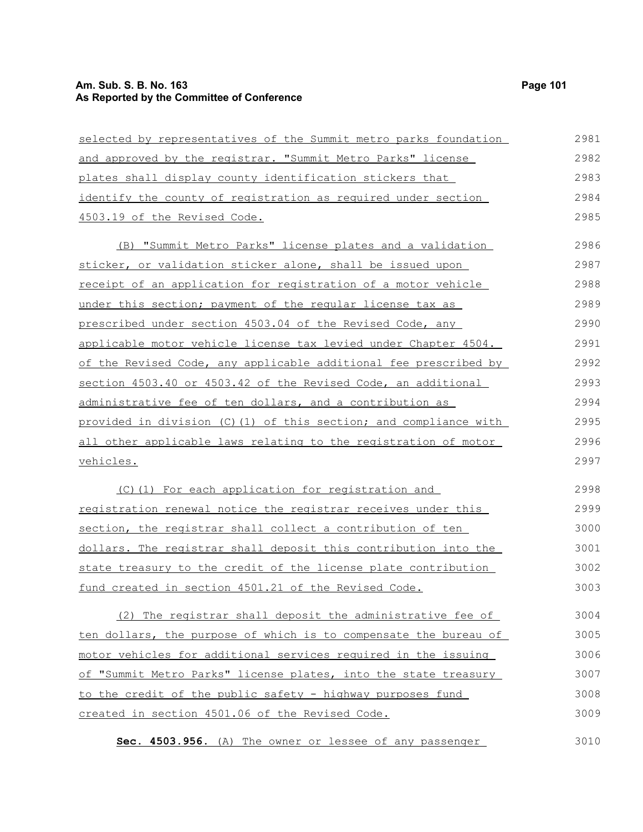# **Am. Sub. S. B. No. 163 Page 101 As Reported by the Committee of Conference**

| selected by representatives of the Summit metro parks foundation | 2981 |
|------------------------------------------------------------------|------|
| and approved by the registrar. "Summit Metro Parks" license      | 2982 |
| plates shall display county identification stickers that         | 2983 |
| identify the county of registration as required under section    | 2984 |
| 4503.19 of the Revised Code.                                     | 2985 |
| (B) "Summit Metro Parks" license plates and a validation         | 2986 |
| sticker, or validation sticker alone, shall be issued upon       | 2987 |
| receipt of an application for registration of a motor vehicle    | 2988 |
| under this section; payment of the reqular license tax as        | 2989 |
| prescribed under section 4503.04 of the Revised Code, any        | 2990 |
| applicable motor vehicle license tax levied under Chapter 4504.  | 2991 |
| of the Revised Code, any applicable additional fee prescribed by | 2992 |
| section 4503.40 or 4503.42 of the Revised Code, an additional    | 2993 |
| administrative fee of ten dollars, and a contribution as         | 2994 |
| provided in division (C)(1) of this section; and compliance with | 2995 |
| all other applicable laws relating to the registration of motor  | 2996 |
| vehicles.                                                        | 2997 |
| (C)(1) For each application for registration and                 | 2998 |
| registration renewal notice the registrar receives under this    | 2999 |
| section, the registrar shall collect a contribution of ten       | 3000 |
| dollars. The registrar shall deposit this contribution into the  | 3001 |
| state treasury to the credit of the license plate contribution   | 3002 |
| fund created in section 4501.21 of the Revised Code.             | 3003 |
| (2) The registrar shall deposit the administrative fee of        | 3004 |
| ten dollars, the purpose of which is to compensate the bureau of | 3005 |
| motor vehicles for additional services required in the issuing   | 3006 |
| of "Summit Metro Parks" license plates, into the state treasury  | 3007 |
| to the credit of the public safety - highway purposes fund       | 3008 |
| created in section 4501.06 of the Revised Code.                  | 3009 |
| Sec. 4503.956. (A) The owner or lessee of any passenger          | 3010 |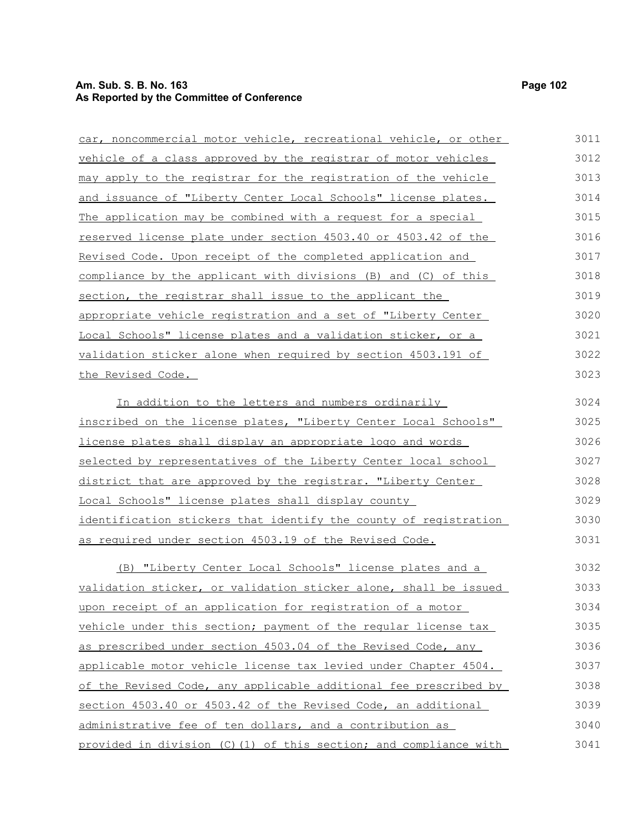# **Am. Sub. S. B. No. 163 Page 102 As Reported by the Committee of Conference**

| car, noncommercial motor vehicle, recreational vehicle, or other  | 3011 |
|-------------------------------------------------------------------|------|
| vehicle of a class approved by the registrar of motor vehicles    | 3012 |
| may apply to the registrar for the registration of the vehicle    | 3013 |
| and issuance of "Liberty Center Local Schools" license plates.    | 3014 |
| The application may be combined with a request for a special      | 3015 |
| reserved license plate under section 4503.40 or 4503.42 of the    | 3016 |
| Revised Code. Upon receipt of the completed application and       | 3017 |
| compliance by the applicant with divisions (B) and (C) of this    | 3018 |
| section, the registrar shall issue to the applicant the           | 3019 |
| appropriate vehicle registration and a set of "Liberty Center     | 3020 |
| Local Schools" license plates and a validation sticker, or a      | 3021 |
| validation sticker alone when required by section 4503.191 of     | 3022 |
| the Revised Code.                                                 | 3023 |
| In addition to the letters and numbers ordinarily                 | 3024 |
| inscribed on the license plates, "Liberty Center Local Schools"   | 3025 |
| license plates shall display an appropriate logo and words        | 3026 |
| selected by representatives of the Liberty Center local school    | 3027 |
| district that are approved by the registrar. "Liberty Center      | 3028 |
| Local Schools" license plates shall display county                | 3029 |
| identification stickers that identify the county of registration  | 3030 |
| as required under section 4503.19 of the Revised Code.            | 3031 |
| (B) "Liberty Center Local Schools" license plates and a           | 3032 |
| validation sticker, or validation sticker alone, shall be issued  | 3033 |
| upon receipt of an application for registration of a motor        | 3034 |
| vehicle under this section; payment of the regular license tax    | 3035 |
| as prescribed under section 4503.04 of the Revised Code, any      | 3036 |
| applicable motor vehicle license tax levied under Chapter 4504.   | 3037 |
| of the Revised Code, any applicable additional fee prescribed by  | 3038 |
| section 4503.40 or 4503.42 of the Revised Code, an additional     | 3039 |
| administrative fee of ten dollars, and a contribution as          | 3040 |
| provided in division (C) (1) of this section; and compliance with | 3041 |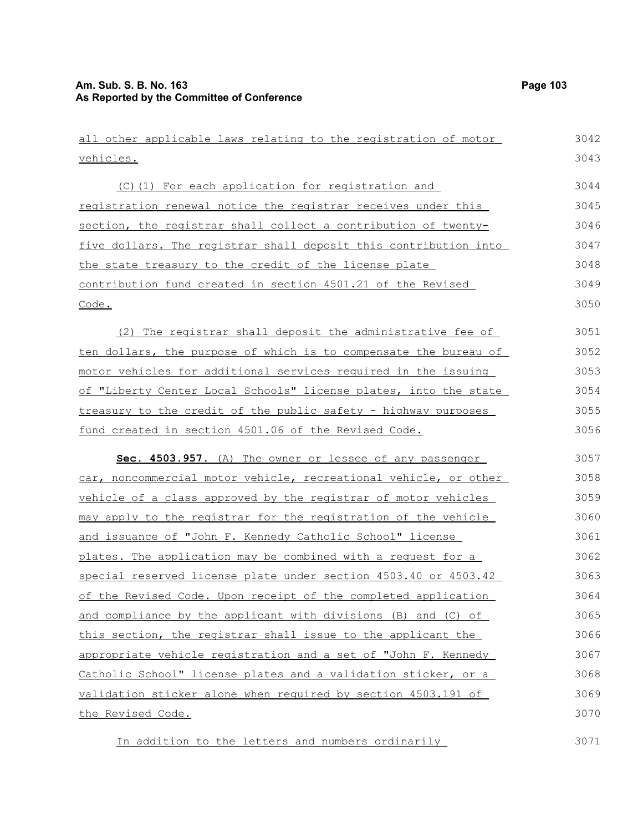| all other applicable laws relating to the registration of motor       | 3042 |
|-----------------------------------------------------------------------|------|
| vehicles.                                                             | 3043 |
| (C)(1) For each application for registration and                      | 3044 |
| registration renewal notice the registrar receives under this         | 3045 |
| section, the registrar shall collect a contribution of twenty-        | 3046 |
| five dollars. The registrar shall deposit this contribution into      | 3047 |
| the state treasury to the credit of the license plate                 | 3048 |
| contribution fund created in section 4501.21 of the Revised           | 3049 |
| Code.                                                                 | 3050 |
| (2) The registrar shall deposit the administrative fee of             | 3051 |
| ten dollars, the purpose of which is to compensate the bureau of      | 3052 |
| <u>motor vehicles for additional services required in the issuing</u> | 3053 |
| of "Liberty Center Local Schools" license plates, into the state      | 3054 |
| treasury to the credit of the public safety - highway purposes        | 3055 |
| fund created in section 4501.06 of the Revised Code.                  | 3056 |
| Sec. 4503.957. (A) The owner or lessee of any passenger               | 3057 |
| car, noncommercial motor vehicle, recreational vehicle, or other      | 3058 |
| vehicle of a class approved by the registrar of motor vehicles        | 3059 |
| may apply to the registrar for the registration of the vehicle        | 3060 |
| and issuance of "John F. Kennedy Catholic School" license             | 3061 |
| plates. The application may be combined with a request for a          | 3062 |
| special reserved license plate under section 4503.40 or 4503.42       | 3063 |
| of the Revised Code. Upon receipt of the completed application        | 3064 |
| and compliance by the applicant with divisions (B) and (C) of         | 3065 |
| this section, the registrar shall issue to the applicant the          | 3066 |
| appropriate vehicle registration and a set of "John F. Kennedy        | 3067 |
| Catholic School" license plates and a validation sticker, or a        | 3068 |
| validation sticker alone when required by section 4503.191 of         | 3069 |
| the Revised Code.                                                     | 3070 |
| In addition to the letters and numbers ordinarily                     | 3071 |

In addition to the letters and numbers ordinarily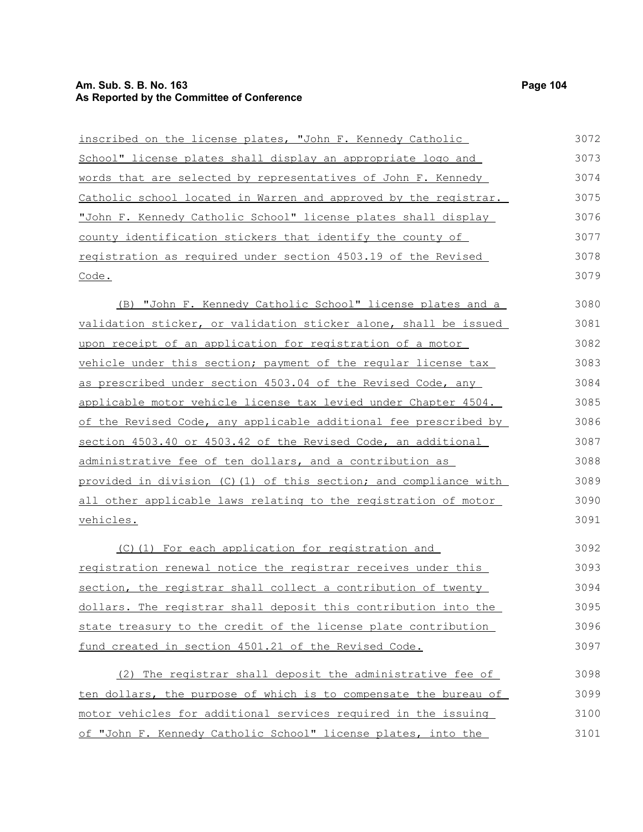# **Am. Sub. S. B. No. 163 Page 104 As Reported by the Committee of Conference**

| inscribed on the license plates, "John F. Kennedy Catholic       | 3072 |
|------------------------------------------------------------------|------|
| School" license plates shall display an appropriate logo and     | 3073 |
| words that are selected by representatives of John F. Kennedy    | 3074 |
| Catholic school located in Warren and approved by the registrar. | 3075 |
| "John F. Kennedy Catholic School" license plates shall display   | 3076 |
| county identification stickers that identify the county of       | 3077 |
| registration as required under section 4503.19 of the Revised    | 3078 |
| Code.                                                            | 3079 |
| (B) "John F. Kennedy Catholic School" license plates and a       | 3080 |
| validation sticker, or validation sticker alone, shall be issued | 3081 |
| upon receipt of an application for registration of a motor       | 3082 |
| vehicle under this section; payment of the regular license tax   | 3083 |
| as prescribed under section 4503.04 of the Revised Code, any     | 3084 |
| applicable motor vehicle license tax levied under Chapter 4504.  | 3085 |
| of the Revised Code, any applicable additional fee prescribed by | 3086 |
| section 4503.40 or 4503.42 of the Revised Code, an additional    | 3087 |
| administrative fee of ten dollars, and a contribution as         | 3088 |
| provided in division (C)(1) of this section; and compliance with | 3089 |
| all other applicable laws relating to the registration of motor  | 3090 |
| vehicles.                                                        | 3091 |
| (C) (1) For each application for registration and                | 3092 |
| registration renewal notice the registrar receives under this    | 3093 |
| section, the registrar shall collect a contribution of twenty    | 3094 |
| dollars. The registrar shall deposit this contribution into the  | 3095 |
| state treasury to the credit of the license plate contribution   | 3096 |
| fund created in section 4501.21 of the Revised Code.             | 3097 |
| (2) The registrar shall deposit the administrative fee of        | 3098 |
| ten dollars, the purpose of which is to compensate the bureau of | 3099 |
| motor vehicles for additional services required in the issuing   | 3100 |
| of "John F. Kennedy Catholic School" license plates, into the    | 3101 |

3101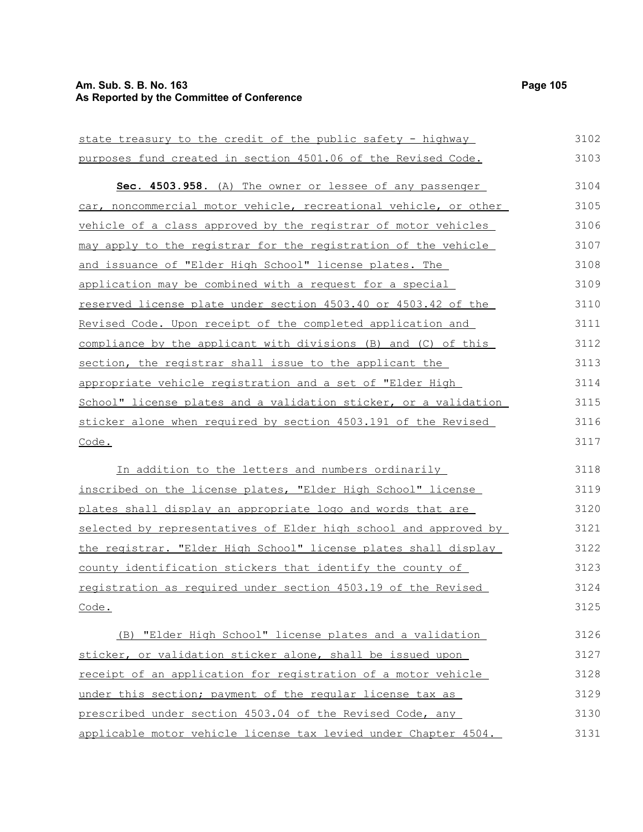# **Am. Sub. S. B. No. 163 Page 105 As Reported by the Committee of Conference**

| state treasury to the credit of the public safety - highway      | 3102 |
|------------------------------------------------------------------|------|
| purposes fund created in section 4501.06 of the Revised Code.    | 3103 |
| Sec. 4503.958. (A) The owner or lessee of any passenger          | 3104 |
| car, noncommercial motor vehicle, recreational vehicle, or other | 3105 |
| vehicle of a class approved by the registrar of motor vehicles   | 3106 |
| may apply to the registrar for the registration of the vehicle   | 3107 |
| and issuance of "Elder High School" license plates. The          | 3108 |
| application may be combined with a request for a special         | 3109 |
| reserved license plate under section 4503.40 or 4503.42 of the   | 3110 |
| Revised Code. Upon receipt of the completed application and      | 3111 |
| compliance by the applicant with divisions (B) and (C) of this   | 3112 |
| section, the registrar shall issue to the applicant the          | 3113 |
| appropriate vehicle registration and a set of "Elder High        | 3114 |
| School" license plates and a validation sticker, or a validation | 3115 |
| sticker alone when required by section 4503.191 of the Revised   | 3116 |
| Code.                                                            | 3117 |
| In addition to the letters and numbers ordinarily                | 3118 |
| inscribed on the license plates, "Elder High School" license     | 3119 |
| plates shall display an appropriate logo and words that are      | 3120 |
| selected by representatives of Elder high school and approved by | 3121 |
| the registrar. "Elder High School" license plates shall display  | 3122 |
| county identification stickers that identify the county of       | 3123 |
| registration as required under section 4503.19 of the Revised    | 3124 |
| Code.                                                            | 3125 |
| (B) "Elder High School" license plates and a validation          | 3126 |
| sticker, or validation sticker alone, shall be issued upon       | 3127 |
| receipt of an application for registration of a motor vehicle    | 3128 |
| under this section; payment of the reqular license tax as        | 3129 |
| prescribed under section 4503.04 of the Revised Code, any        | 3130 |
| applicable motor vehicle license tax levied under Chapter 4504.  | 3131 |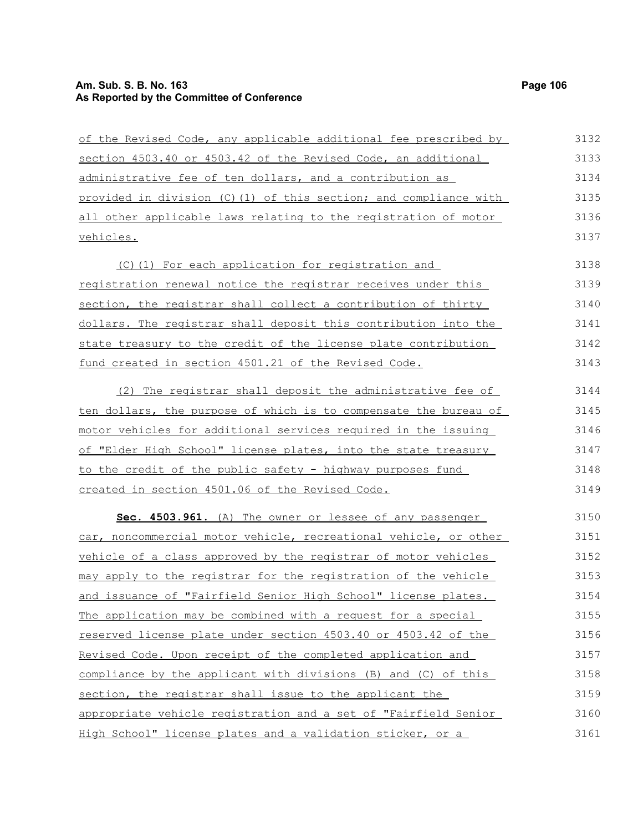# **Am. Sub. S. B. No. 163 Page 106 As Reported by the Committee of Conference**

| of the Revised Code, any applicable additional fee prescribed by  | 3132 |
|-------------------------------------------------------------------|------|
| section 4503.40 or 4503.42 of the Revised Code, an additional     | 3133 |
| administrative fee of ten dollars, and a contribution as          | 3134 |
| provided in division (C)(1) of this section; and compliance with  | 3135 |
| all other applicable laws relating to the registration of motor   | 3136 |
| vehicles.                                                         | 3137 |
| (C)(1) For each application for registration and                  | 3138 |
| registration renewal notice the registrar receives under this     | 3139 |
| section, the registrar shall collect a contribution of thirty     | 3140 |
| dollars. The registrar shall deposit this contribution into the   | 3141 |
| state treasury to the credit of the license plate contribution    | 3142 |
| fund created in section 4501.21 of the Revised Code.              | 3143 |
| (2) The registrar shall deposit the administrative fee of         | 3144 |
| ten dollars, the purpose of which is to compensate the bureau of  | 3145 |
| motor vehicles for additional services required in the issuing    | 3146 |
| of "Elder High School" license plates, into the state treasury    | 3147 |
| <u>to the credit of the public safety - highway purposes fund</u> | 3148 |
| created in section 4501.06 of the Revised Code.                   | 3149 |
| Sec. 4503.961. (A) The owner or lessee of any passenger           | 3150 |
| car, noncommercial motor vehicle, recreational vehicle, or other  | 3151 |
| vehicle of a class approved by the registrar of motor vehicles    | 3152 |
| may apply to the registrar for the registration of the vehicle    | 3153 |
| and issuance of "Fairfield Senior High School" license plates.    | 3154 |
| The application may be combined with a request for a special      | 3155 |
| reserved license plate under section 4503.40 or 4503.42 of the    | 3156 |
| Revised Code. Upon receipt of the completed application and       | 3157 |
| compliance by the applicant with divisions (B) and (C) of this    | 3158 |
| section, the registrar shall issue to the applicant the           | 3159 |
| appropriate vehicle registration and a set of "Fairfield Senior   | 3160 |
| High School" license plates and a validation sticker, or a        | 3161 |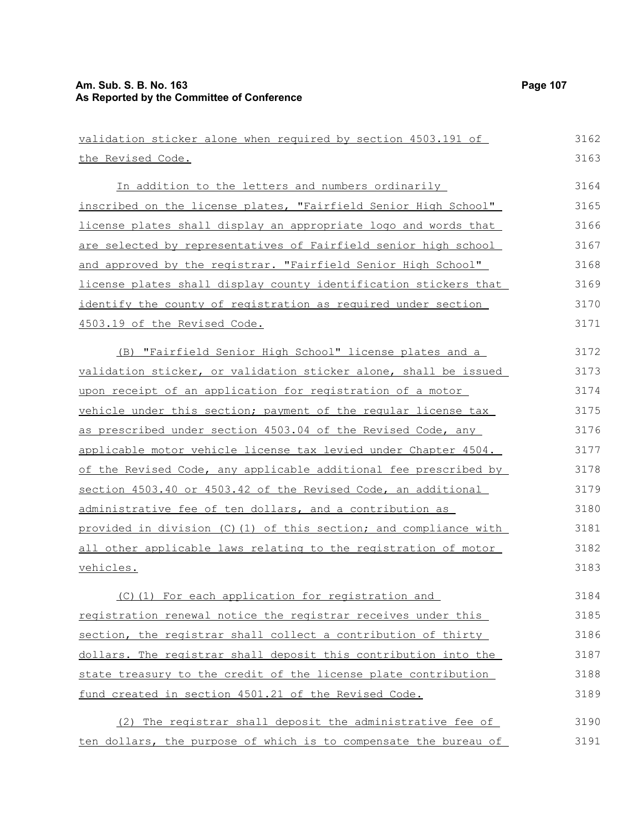# **Am. Sub. S. B. No. 163 Page 107 As Reported by the Committee of Conference**

| validation sticker alone when required by section 4503.191 of     | 3162 |
|-------------------------------------------------------------------|------|
| the Revised Code.                                                 | 3163 |
| In addition to the letters and numbers ordinarily                 | 3164 |
| inscribed on the license plates, "Fairfield Senior High School"   | 3165 |
| license plates shall display an appropriate logo and words that   | 3166 |
| are selected by representatives of Fairfield senior high school   | 3167 |
| and approved by the registrar. "Fairfield Senior High School"     | 3168 |
| license plates shall display county identification stickers that  | 3169 |
| identify the county of registration as required under section     | 3170 |
| 4503.19 of the Revised Code.                                      | 3171 |
| (B) "Fairfield Senior High School" license plates and a           | 3172 |
| validation sticker, or validation sticker alone, shall be issued  | 3173 |
| upon receipt of an application for registration of a motor        | 3174 |
| vehicle under this section; payment of the regular license tax    | 3175 |
| as prescribed under section 4503.04 of the Revised Code, any      | 3176 |
| applicable motor vehicle license tax levied under Chapter 4504.   | 3177 |
| of the Revised Code, any applicable additional fee prescribed by  | 3178 |
| section 4503.40 or 4503.42 of the Revised Code, an additional     | 3179 |
| administrative fee of ten dollars, and a contribution as          | 3180 |
| provided in division (C) (1) of this section; and compliance with | 3181 |
| all other applicable laws relating to the registration of motor   | 3182 |
| vehicles.                                                         | 3183 |
| (C)(1) For each application for registration and                  | 3184 |
| registration renewal notice the registrar receives under this     | 3185 |
| section, the registrar shall collect a contribution of thirty     | 3186 |
| dollars. The registrar shall deposit this contribution into the   | 3187 |
| state treasury to the credit of the license plate contribution    | 3188 |
| fund created in section 4501.21 of the Revised Code.              | 3189 |
| (2) The registrar shall deposit the administrative fee of         | 3190 |
| ten dollars, the purpose of which is to compensate the bureau of  | 3191 |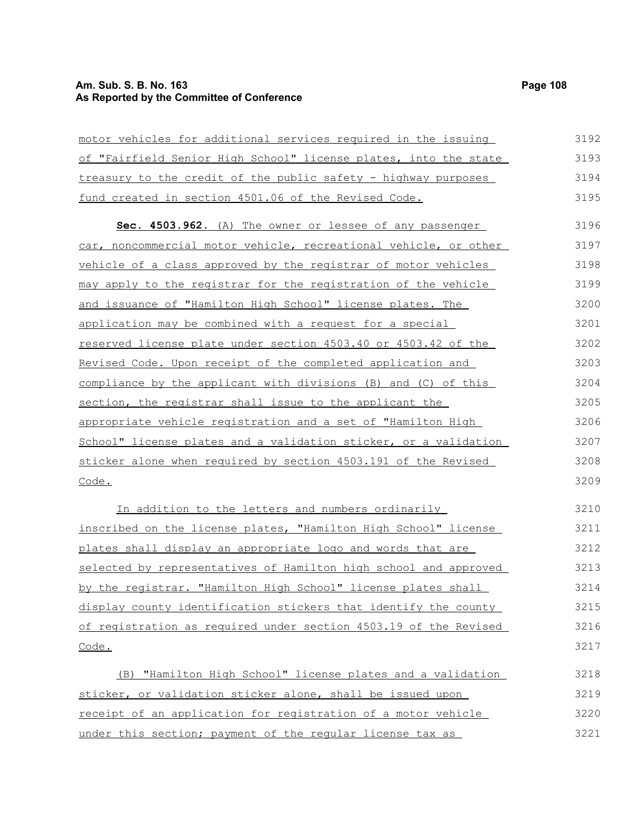# **Am. Sub. S. B. No. 163 Page 108 As Reported by the Committee of Conference**

| motor vehicles for additional services required in the issuing          | 3192 |
|-------------------------------------------------------------------------|------|
| of "Fairfield Senior High School" license plates, into the state        | 3193 |
| treasury to the credit of the public safety - highway purposes          | 3194 |
| fund created in section 4501.06 of the Revised Code.                    | 3195 |
| Sec. 4503.962. (A) The owner or lessee of any passenger                 | 3196 |
| <u>car, noncommercial motor vehicle, recreational vehicle, or other</u> | 3197 |
| vehicle of a class approved by the registrar of motor vehicles          | 3198 |
| may apply to the registrar for the registration of the vehicle          | 3199 |
| and issuance of "Hamilton High School" license plates. The              | 3200 |
| application may be combined with a request for a special                | 3201 |
| reserved license plate under section 4503.40 or 4503.42 of the          | 3202 |
| Revised Code. Upon receipt of the completed application and             | 3203 |
| compliance by the applicant with divisions (B) and (C) of this          | 3204 |
| section, the registrar shall issue to the applicant the                 | 3205 |
| appropriate vehicle registration and a set of "Hamilton High            | 3206 |
| School" license plates and a validation sticker, or a validation        | 3207 |
| sticker alone when required by section 4503.191 of the Revised          | 3208 |
| Code.                                                                   | 3209 |
| In addition to the letters and numbers ordinarily                       | 3210 |
| inscribed on the license plates, "Hamilton High School" license         | 3211 |
| plates shall display an appropriate logo and words that are             | 3212 |
| selected by representatives of Hamilton high school and approved        | 3213 |
| by the registrar. "Hamilton High School" license plates shall           | 3214 |
| display county identification stickers that identify the county         | 3215 |
| of registration as required under section 4503.19 of the Revised        | 3216 |
| Code.                                                                   | 3217 |
| (B) "Hamilton High School" license plates and a validation              | 3218 |
| sticker, or validation sticker alone, shall be issued upon              | 3219 |
| receipt of an application for registration of a motor vehicle           | 3220 |
| under this section; payment of the regular license tax as               | 3221 |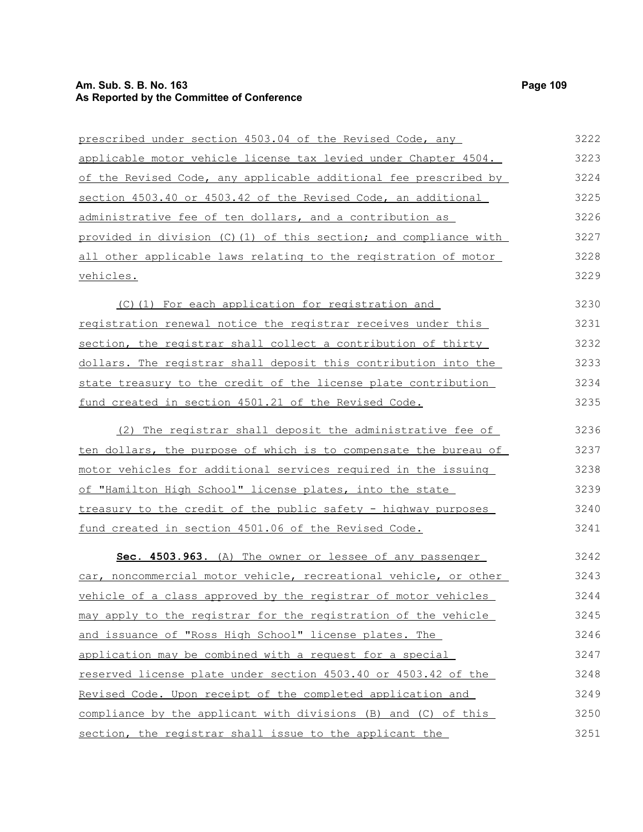# **Am. Sub. S. B. No. 163 Page 109 As Reported by the Committee of Conference**

| prescribed under section 4503.04 of the Revised Code, any        | 3222 |
|------------------------------------------------------------------|------|
| applicable motor vehicle license tax levied under Chapter 4504.  | 3223 |
| of the Revised Code, any applicable additional fee prescribed by | 3224 |
| section 4503.40 or 4503.42 of the Revised Code, an additional    | 3225 |
| administrative fee of ten dollars, and a contribution as         | 3226 |
| provided in division (C)(1) of this section; and compliance with | 3227 |
| all other applicable laws relating to the registration of motor  | 3228 |
| vehicles.                                                        | 3229 |
| (C)(1) For each application for registration and                 | 3230 |
| registration renewal notice the registrar receives under this    | 3231 |
| section, the registrar shall collect a contribution of thirty    | 3232 |
| dollars. The registrar shall deposit this contribution into the  | 3233 |
| state treasury to the credit of the license plate contribution   | 3234 |
| fund created in section 4501.21 of the Revised Code.             | 3235 |
| (2) The registrar shall deposit the administrative fee of        | 3236 |
| ten dollars, the purpose of which is to compensate the bureau of | 3237 |
| motor vehicles for additional services required in the issuing   | 3238 |
| of "Hamilton High School" license plates, into the state         | 3239 |
| treasury to the credit of the public safety - highway purposes   | 3240 |
| fund created in section 4501.06 of the Revised Code.             | 3241 |
| Sec. 4503.963. (A) The owner or lessee of any passenger          | 3242 |
| car, noncommercial motor vehicle, recreational vehicle, or other | 3243 |
| vehicle of a class approved by the registrar of motor vehicles   | 3244 |
| may apply to the registrar for the registration of the vehicle   | 3245 |
| and issuance of "Ross High School" license plates. The           | 3246 |
| application may be combined with a request for a special         | 3247 |
| reserved license plate under section 4503.40 or 4503.42 of the   | 3248 |
| Revised Code. Upon receipt of the completed application and      | 3249 |
| compliance by the applicant with divisions (B) and (C) of this   | 3250 |
| section, the registrar shall issue to the applicant the          | 3251 |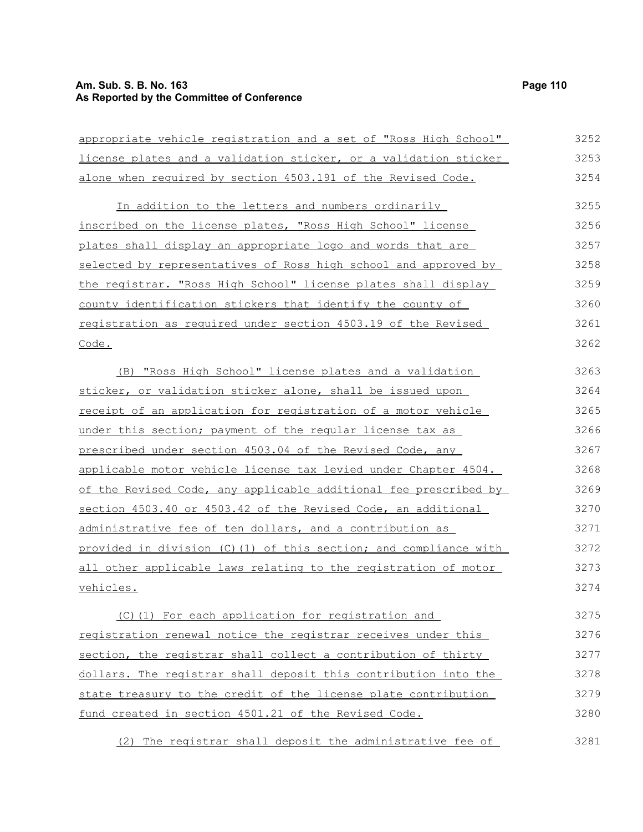# **Am. Sub. S. B. No. 163 Page 110 As Reported by the Committee of Conference**

| appropriate vehicle registration and a set of "Ross High School" | 3252 |
|------------------------------------------------------------------|------|
| license plates and a validation sticker, or a validation sticker | 3253 |
| alone when required by section 4503.191 of the Revised Code.     | 3254 |
| In addition to the letters and numbers ordinarily                | 3255 |
| inscribed on the license plates, "Ross High School" license      | 3256 |
| plates shall display an appropriate logo and words that are      | 3257 |
| selected by representatives of Ross high school and approved by  | 3258 |
| the registrar. "Ross High School" license plates shall display   | 3259 |
| county identification stickers that identify the county of       | 3260 |
| registration as required under section 4503.19 of the Revised    | 3261 |
| Code.                                                            | 3262 |
| (B) "Ross High School" license plates and a validation           | 3263 |
| sticker, or validation sticker alone, shall be issued upon       | 3264 |
| receipt of an application for registration of a motor vehicle    | 3265 |
| under this section; payment of the reqular license tax as        | 3266 |
| prescribed under section 4503.04 of the Revised Code, any        | 3267 |
| applicable motor vehicle license tax levied under Chapter 4504.  | 3268 |
| of the Revised Code, any applicable additional fee prescribed by | 3269 |
| section 4503.40 or 4503.42 of the Revised Code, an additional    | 3270 |
| administrative fee of ten dollars, and a contribution as         | 3271 |
| provided in division (C)(1) of this section; and compliance with | 3272 |
| all other applicable laws relating to the registration of motor  | 3273 |
| vehicles.                                                        | 3274 |
| (C)(1) For each application for registration and                 | 3275 |
| registration renewal notice the registrar receives under this    | 3276 |
| section, the registrar shall collect a contribution of thirty    | 3277 |
| dollars. The registrar shall deposit this contribution into the  | 3278 |
| state treasury to the credit of the license plate contribution   | 3279 |
| fund created in section 4501.21 of the Revised Code.             | 3280 |
| (2) The registrar shall deposit the administrative fee of        | 3281 |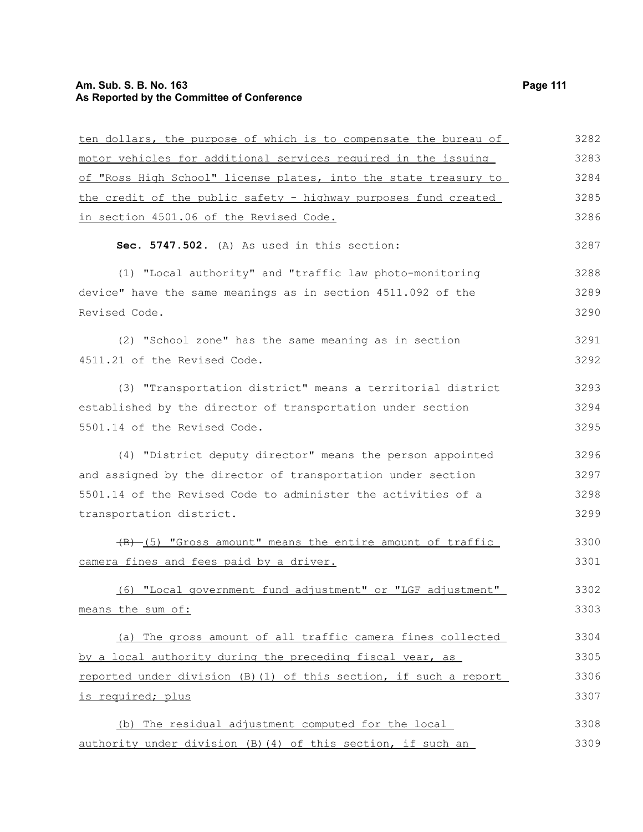# **Am. Sub. S. B. No. 163 Page 111 As Reported by the Committee of Conference**

| ten dollars, the purpose of which is to compensate the bureau of  | 3282 |
|-------------------------------------------------------------------|------|
| motor vehicles for additional services required in the issuing    | 3283 |
| of "Ross High School" license plates, into the state treasury to  | 3284 |
| the credit of the public safety - highway purposes fund created   | 3285 |
| in section 4501.06 of the Revised Code.                           | 3286 |
| Sec. 5747.502. (A) As used in this section:                       | 3287 |
| (1) "Local authority" and "traffic law photo-monitoring           | 3288 |
| device" have the same meanings as in section 4511.092 of the      | 3289 |
| Revised Code.                                                     | 3290 |
| (2) "School zone" has the same meaning as in section              | 3291 |
| 4511.21 of the Revised Code.                                      | 3292 |
| (3) "Transportation district" means a territorial district        | 3293 |
| established by the director of transportation under section       | 3294 |
| 5501.14 of the Revised Code.                                      | 3295 |
| (4) "District deputy director" means the person appointed         | 3296 |
| and assigned by the director of transportation under section      | 3297 |
| 5501.14 of the Revised Code to administer the activities of a     | 3298 |
| transportation district.                                          | 3299 |
| (B) (5) "Gross amount" means the entire amount of traffic         | 3300 |
| camera fines and fees paid by a driver.                           | 3301 |
| (6) "Local government fund adjustment" or "LGF adjustment"        | 3302 |
| means the sum of:                                                 | 3303 |
| (a) The gross amount of all traffic camera fines collected        | 3304 |
| by a local authority during the preceding fiscal year, as         | 3305 |
| reported under division (B) (1) of this section, if such a report | 3306 |
| is required; plus                                                 | 3307 |
| (b) The residual adjustment computed for the local                | 3308 |
| authority under division (B) (4) of this section, if such an      | 3309 |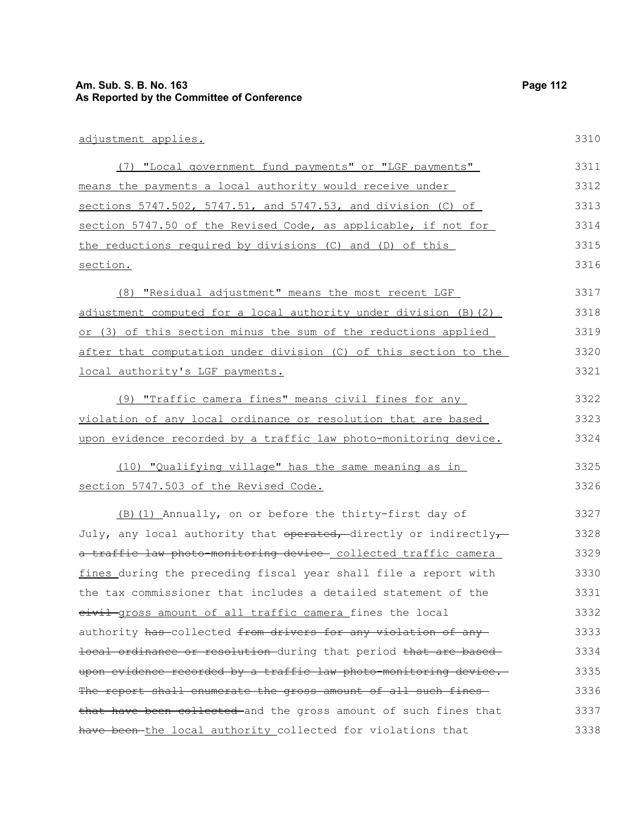# **As Reported by the Committee of Conference**

adjustment applies.

# **Am. Sub. S. B. No. 163 Page 112**

| (7) "Local government fund payments" or "LGF payments"                    | 3311 |
|---------------------------------------------------------------------------|------|
| means the payments a local authority would receive under                  | 3312 |
| sections 5747.502, 5747.51, and 5747.53, and division (C) of              | 3313 |
| section 5747.50 of the Revised Code, as applicable, if not for            | 3314 |
| the reductions required by divisions (C) and (D) of this                  | 3315 |
| section.                                                                  | 3316 |
| (8) "Residual adjustment" means the most recent LGF                       | 3317 |
| adjustment computed for a local authority under division (B)(2)           | 3318 |
| or (3) of this section minus the sum of the reductions applied            | 3319 |
| after that computation under division (C) of this section to the          | 3320 |
| local authority's LGF payments.                                           | 3321 |
| (9) "Traffic camera fines" means civil fines for any                      | 3322 |
| violation of any local ordinance or resolution that are based             | 3323 |
| upon evidence recorded by a traffic law photo-monitoring device.          | 3324 |
| (10) "Qualifying village" has the same meaning as in                      | 3325 |
| section 5747.503 of the Revised Code.                                     | 3326 |
| (B) (1) Annually, on or before the thirty-first day of                    | 3327 |
| July, any local authority that $\theta$ operated, directly or indirectly, | 3328 |
| a traffic law photo-monitoring device - collected traffic camera          | 3329 |
| fines during the preceding fiscal year shall file a report with           | 3330 |
| the tax commissioner that includes a detailed statement of the            | 3331 |
|                                                                           |      |

civil gross amount of all traffic camera fines the local authority has collected from drivers for any violation of any local ordinance or resolution during that period that are based upon evidence recorded by a traffic law photo-monitoring device. The report shall enumerate the gross amount of all such finesthat have been collected and the gross amount of such fines that have been the local authority collected for violations that 3332 3333 3334 3335 3336 3337 3338

3310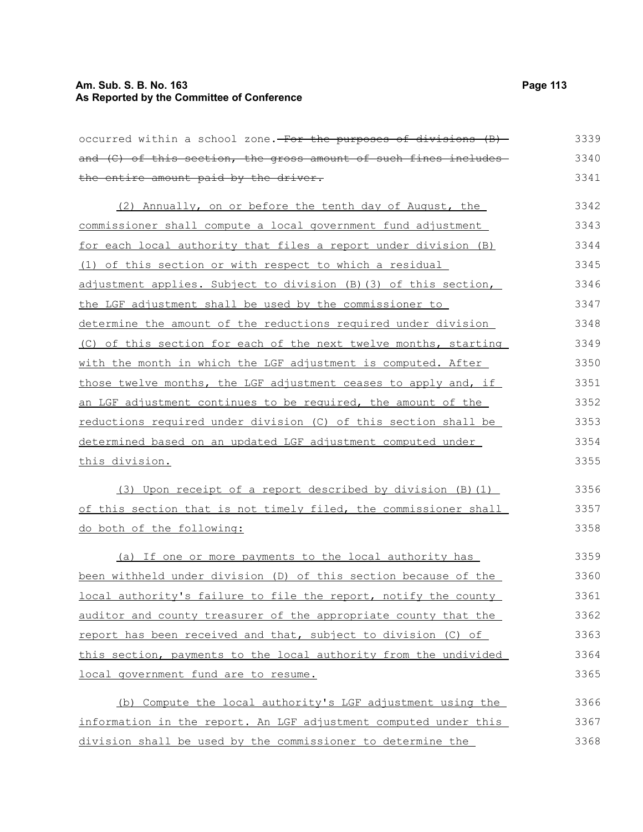# **Am. Sub. S. B. No. 163 Page 113 As Reported by the Committee of Conference**

| occurred within a school zone. For the purposes of divisions (B) | 3339 |
|------------------------------------------------------------------|------|
| and (C) of this section, the gross amount of such fines includes | 3340 |
| the entire amount paid by the driver.                            | 3341 |
| (2) Annually, on or before the tenth day of August, the          | 3342 |
| commissioner shall compute a local government fund adjustment    | 3343 |
| for each local authority that files a report under division (B)  | 3344 |
| (1) of this section or with respect to which a residual          | 3345 |
| adjustment applies. Subject to division (B) (3) of this section, | 3346 |
| the LGF adjustment shall be used by the commissioner to          | 3347 |
| determine the amount of the reductions required under division   | 3348 |
| (C) of this section for each of the next twelve months, starting | 3349 |
| with the month in which the LGF adjustment is computed. After    | 3350 |
| those twelve months, the LGF adjustment ceases to apply and, if  | 3351 |
| an LGF adjustment continues to be required, the amount of the    | 3352 |
| reductions required under division (C) of this section shall be  | 3353 |
| determined based on an updated LGF adjustment computed under     | 3354 |
| this division.                                                   | 3355 |
| (3) Upon receipt of a report described by division (B) (1)       | 3356 |
| of this section that is not timely filed, the commissioner shall | 3357 |
| do both of the following:                                        | 3358 |
| (a) If one or more payments to the local authority has           | 3359 |
| been withheld under division (D) of this section because of the  | 3360 |
| local authority's failure to file the report, notify the county  | 3361 |
| auditor and county treasurer of the appropriate county that the  | 3362 |
| report has been received and that, subject to division (C) of    | 3363 |
| this section, payments to the local authority from the undivided | 3364 |
| local government fund are to resume.                             | 3365 |
| (b) Compute the local authority's LGF adjustment using the       | 3366 |
| information in the report. An LGF adjustment computed under this | 3367 |
| division shall be used by the commissioner to determine the      | 3368 |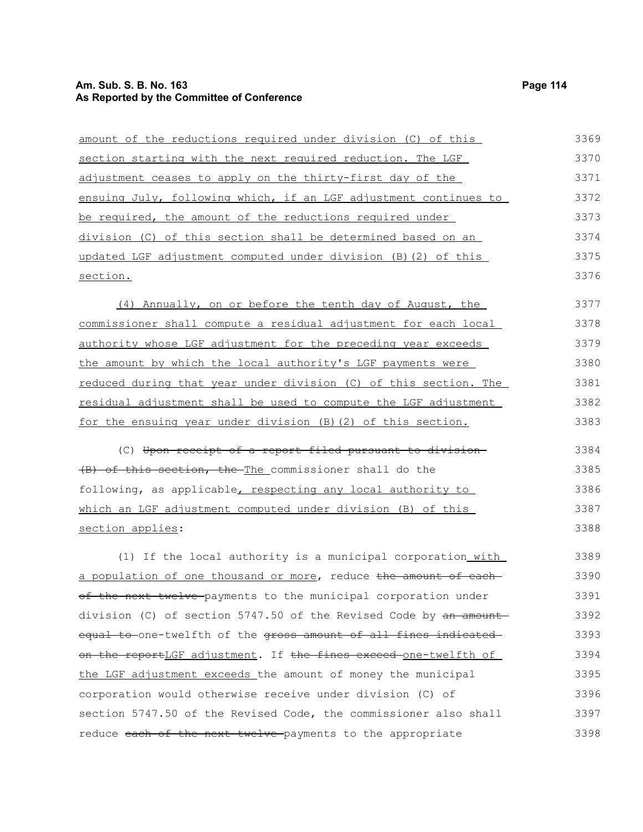# **Am. Sub. S. B. No. 163 Page 114 As Reported by the Committee of Conference**

| amount of the reductions required under division (C) of this                            | 3369 |
|-----------------------------------------------------------------------------------------|------|
| section starting with the next required reduction. The LGF                              | 3370 |
| adjustment ceases to apply on the thirty-first day of the                               | 3371 |
| ensuing July, following which, if an LGF adjustment continues to                        | 3372 |
| be required, the amount of the reductions required under                                | 3373 |
| division (C) of this section shall be determined based on an                            | 3374 |
| updated LGF adjustment computed under division (B) (2) of this                          | 3375 |
| section.                                                                                | 3376 |
| (4) Annually, on or before the tenth day of August, the                                 | 3377 |
| commissioner shall compute a residual adjustment for each local                         | 3378 |
| authority whose LGF adjustment for the preceding year exceeds                           | 3379 |
| the amount by which the local authority's LGF payments were                             | 3380 |
| reduced during that year under division (C) of this section. The                        | 3381 |
| residual adjustment shall be used to compute the LGF adjustment                         | 3382 |
| for the ensuing year under division (B) (2) of this section.                            | 3383 |
| (C) Upon receipt of a report filed pursuant to division                                 | 3384 |
| (B) of this section, the The commissioner shall do the                                  | 3385 |
| following, as applicable, respecting any local authority to                             | 3386 |
| which an LGF adjustment computed under division (B) of this                             | 3387 |
| section applies:                                                                        | 3388 |
| (1) If the local authority is a municipal corporation with                              | 3389 |
| a population of one thousand or more, reduce the amount of each-                        | 3390 |
| of the next twelve payments to the municipal corporation under                          | 3391 |
| division (C) of section 5747.50 of the Revised Code by an amount                        | 3392 |
| <del>equal to </del> one-twelfth of the <del>gross amount of all fines indicated-</del> | 3393 |
| on the reportLGF adjustment. If the fines exceed one-twelfth of                         | 3394 |
| the LGF adjustment exceeds the amount of money the municipal                            | 3395 |
| corporation would otherwise receive under division (C) of                               | 3396 |
| section 5747.50 of the Revised Code, the commissioner also shall                        | 3397 |
| reduce each of the next twelve payments to the appropriate                              | 3398 |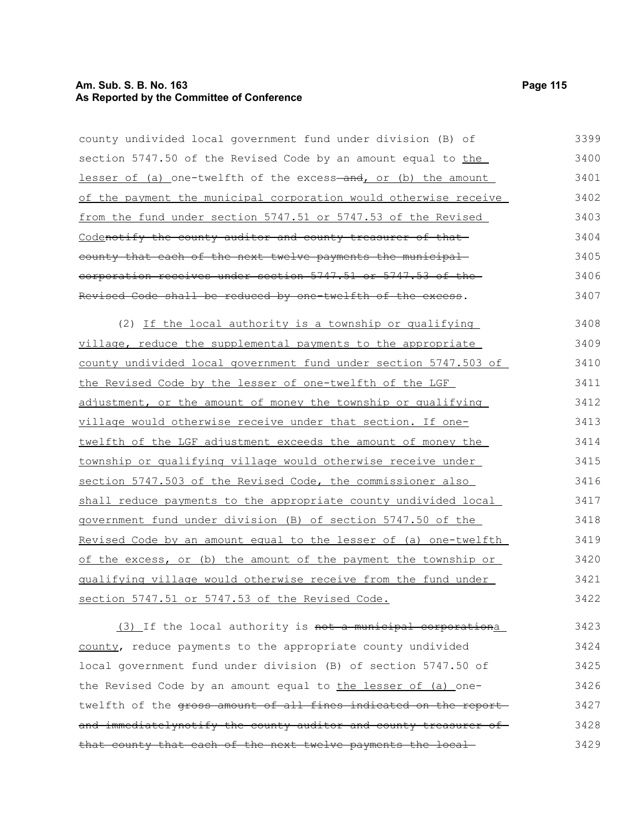#### **Am. Sub. S. B. No. 163 Page 115 As Reported by the Committee of Conference**

| county undivided local government fund under division (B) of       | 3399 |
|--------------------------------------------------------------------|------|
| section 5747.50 of the Revised Code by an amount equal to the      | 3400 |
| lesser of (a) one-twelfth of the excess-and, or (b) the amount     | 3401 |
| of the payment the municipal corporation would otherwise receive   | 3402 |
| from the fund under section 5747.51 or 5747.53 of the Revised      | 3403 |
| <u>Codenotify the county auditor and county treasurer of that-</u> | 3404 |
| county that each of the next twelve payments the municipal-        | 3405 |
| corporation receives under section 5747.51 or 5747.53 of the       | 3406 |
| Revised Code shall be reduced by one-twelfth of the excess.        | 3407 |
| (2) If the local authority is a township or qualifying             | 3408 |
| village, reduce the supplemental payments to the appropriate       | 3409 |
| county undivided local government fund under section 5747.503 of   | 3410 |
| the Revised Code by the lesser of one-twelfth of the LGF           | 3411 |
| adjustment, or the amount of money the township or qualifying      | 3412 |
| village would otherwise receive under that section. If one-        | 3413 |
| twelfth of the LGF adjustment exceeds the amount of money the      | 3414 |
| township or qualifying village would otherwise receive under       | 3415 |
| section 5747.503 of the Revised Code, the commissioner also        | 3416 |
| shall reduce payments to the appropriate county undivided local    | 3417 |
| government fund under division (B) of section 5747.50 of the       | 3418 |
| Revised Code by an amount equal to the lesser of (a) one-twelfth   | 3419 |
| of the excess, or (b) the amount of the payment the township or    | 3420 |
| gualifying village would otherwise receive from the fund under     | 3421 |
| section 5747.51 or 5747.53 of the Revised Code.                    | 3422 |
| (3) If the local authority is not a municipal corporationa         | 3423 |
| county, reduce payments to the appropriate county undivided        | 3424 |
| local government fund under division (B) of section 5747.50 of     | 3425 |
| the Revised Code by an amount equal to the lesser of (a) one-      | 3426 |

the Revised Code by an amount equal to <u>the lesser of (a) o</u> twelfth of the gross amount of all fines indicated on the reportand immediatelynotify the county auditor and county treasurer of that county that each of the next twelve payments the local 3426 3427 3428 3429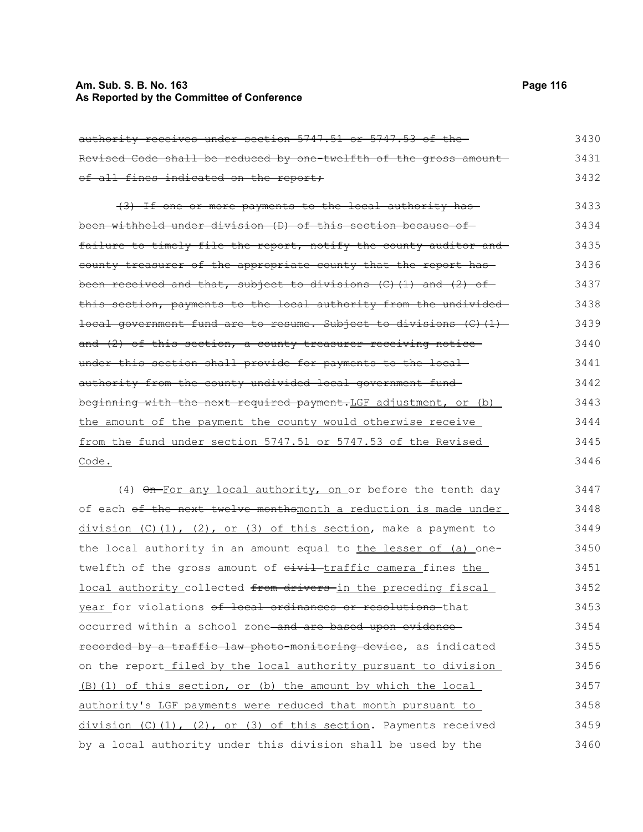# **Am. Sub. S. B. No. 163 Page 116 As Reported by the Committee of Conference**

| authority receives under section 5747.51 or 5747.53 of the               | 3430 |
|--------------------------------------------------------------------------|------|
| Revised Code shall be reduced by one-twelfth of the gross amount         | 3431 |
| of all fines indicated on the report;                                    | 3432 |
| (3) If one or more payments to the local authority has                   | 3433 |
| been withheld under division (D) of this section because of              | 3434 |
| failure to timely file the report, notify the county auditor and         | 3435 |
| county treasurer of the appropriate county that the report has-          | 3436 |
| been received and that, subject to divisions $(C)$ (1) and (2) of        | 3437 |
| this section, payments to the local authority from the undivided-        | 3438 |
| local government fund are to resume. Subject to divisions (C) (1)        | 3439 |
| and (2) of this section, a county treasurer receiving notice             | 3440 |
| under this section shall provide for payments to the local-              | 3441 |
| authority from the county undivided local government fund-               | 3442 |
| beginning with the next required payment. LGF adjustment, or (b)         | 3443 |
| the amount of the payment the county would otherwise receive             | 3444 |
| from the fund under section 5747.51 or 5747.53 of the Revised            | 3445 |
| Code.                                                                    | 3446 |
| (4) On-For any local authority, on or before the tenth day               | 3447 |
| of each of the next twelve monthsmonth a reduction is made under         | 3448 |
| $division (C) (1), (2), or (3) of this section, make a payment to$       | 3449 |
| the local authority in an amount equal to the lesser of (a) one-         | 3450 |
| twelfth of the gross amount of eivil-traffic camera fines the            | 3451 |
| local authority collected from drivers-in the preceding fiscal           | 3452 |
| year for violations of local ordinances or resolutions that              | 3453 |
| occurred within a school zone and are based upon evidence                | 3454 |
| recorded by a traffic law photo-monitoring device, as indicated          | 3455 |
| on the report filed by the local authority pursuant to division          | 3456 |
| (B) (1) of this section, or (b) the amount by which the local            | 3457 |
| authority's LGF payments were reduced that month pursuant to             | 3458 |
| $division (C) (1)$ , $(2)$ , or $(3)$ of this section. Payments received | 3459 |
| by a local authority under this division shall be used by the            | 3460 |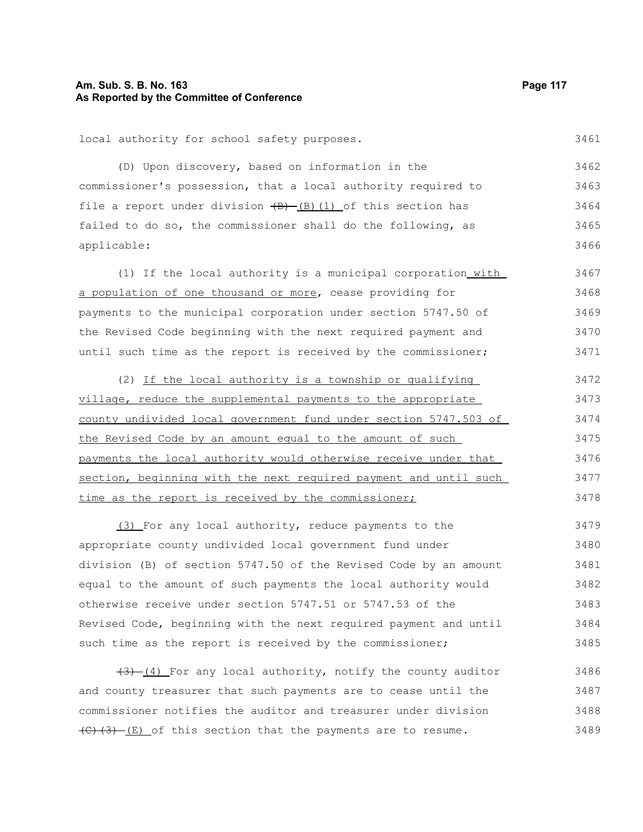#### **Am. Sub. S. B. No. 163 Page 117 As Reported by the Committee of Conference**

(D) Upon discovery, based on information in the commissioner's possession, that a local authority required to file a report under division  $(B)$  (B)(1) of this section has failed to do so, the commissioner shall do the following, as applicable: (1) If the local authority is a municipal corporation with a population of one thousand or more, cease providing for payments to the municipal corporation under section 5747.50 of the Revised Code beginning with the next required payment and until such time as the report is received by the commissioner; (2) If the local authority is a township or qualifying village, reduce the supplemental payments to the appropriate county undivided local government fund under section 5747.503 of the Revised Code by an amount equal to the amount of such payments the local authority would otherwise receive under that section, beginning with the next required payment and until such 3462 3463 3464 3465 3466 3467 3468 3469 3470 3471 3472 3473 3474 3475 3476 3477

(3) For any local authority, reduce payments to the appropriate county undivided local government fund under division (B) of section 5747.50 of the Revised Code by an amount equal to the amount of such payments the local authority would otherwise receive under section 5747.51 or 5747.53 of the Revised Code, beginning with the next required payment and until such time as the report is received by the commissioner; 3479 3480 3481 3482 3483 3484 3485

time as the report is received by the commissioner;

 $(3)$   $(4)$  For any local authority, notify the county auditor and county treasurer that such payments are to cease until the commissioner notifies the auditor and treasurer under division  $(C)$  (3) (E) of this section that the payments are to resume. 3486 3487 3488 3489

3461

3478

local authority for school safety purposes.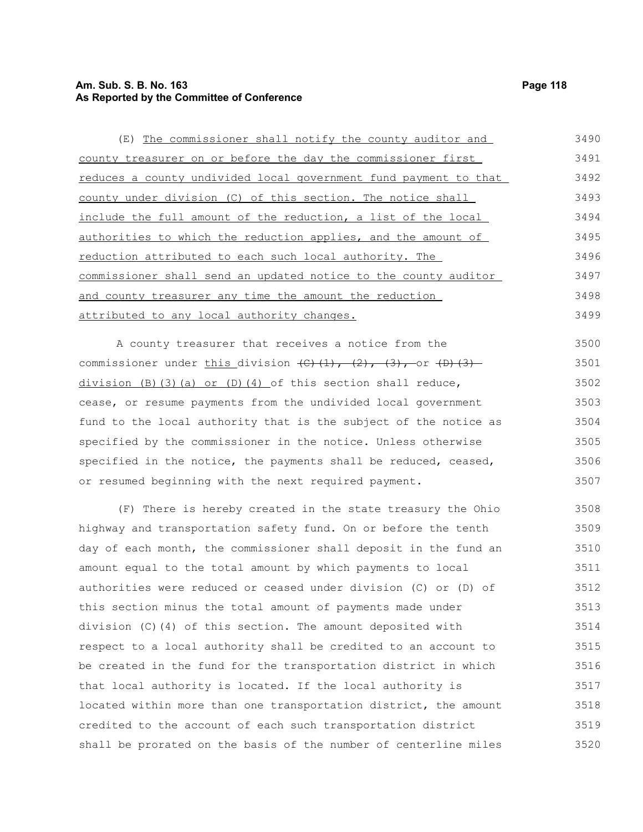# **Am. Sub. S. B. No. 163 Page 118 As Reported by the Committee of Conference**

| (E) The commissioner shall notify the county auditor and                                                    | 3490 |
|-------------------------------------------------------------------------------------------------------------|------|
| county treasurer on or before the day the commissioner first                                                | 3491 |
| reduces a county undivided local government fund payment to that                                            | 3492 |
| county under division (C) of this section. The notice shall                                                 | 3493 |
| include the full amount of the reduction, a list of the local                                               | 3494 |
| authorities to which the reduction applies, and the amount of                                               | 3495 |
| reduction attributed to each such local authority. The                                                      | 3496 |
| commissioner shall send an updated notice to the county auditor                                             | 3497 |
| and county treasurer any time the amount the reduction                                                      | 3498 |
| attributed to any local authority changes.                                                                  | 3499 |
| A county treasurer that receives a notice from the                                                          | 3500 |
| commissioner under this division $\left(\frac{C}{1}, \frac{2}{1}, \frac{3}{1}, \frac{3}{1}, \cdots \right)$ | 3501 |
| $division (B) (3) (a) or (D) (4) of this section shall reduce,$                                             | 3502 |
| cease, or resume payments from the undivided local government                                               | 3503 |
| fund to the local authority that is the subject of the notice as                                            | 3504 |
| specified by the commissioner in the notice. Unless otherwise                                               | 3505 |
| specified in the notice, the payments shall be reduced, ceased,                                             | 3506 |
| or resumed beginning with the next required payment.                                                        | 3507 |
| (F) There is hereby created in the state treasury the Ohio                                                  | 3508 |
| highway and transportation safety fund. On or before the tenth                                              | 3509 |
| day of each month, the commissioner shall deposit in the fund an                                            | 3510 |
| amount equal to the total amount by which payments to local                                                 | 3511 |
| authorities were reduced or ceased under division (C) or (D) of                                             | 3512 |
| this section minus the total amount of payments made under                                                  | 3513 |
| division $(C)$ (4) of this section. The amount deposited with                                               | 3514 |
| respect to a local authority shall be credited to an account to                                             | 3515 |
| be created in the fund for the transportation district in which                                             | 3516 |
| that local authority is located. If the local authority is                                                  | 3517 |
| located within more than one transportation district, the amount                                            | 3518 |
| credited to the account of each such transportation district                                                | 3519 |
| shall be prorated on the basis of the number of centerline miles                                            | 3520 |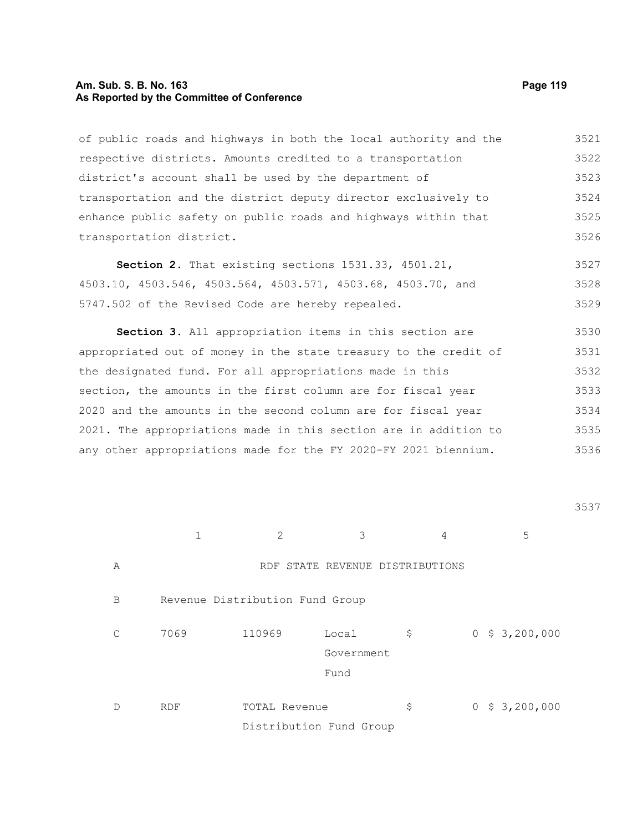#### **Am. Sub. S. B. No. 163 Page 119 As Reported by the Committee of Conference**

of public roads and highways in both the local authority and the respective districts. Amounts credited to a transportation district's account shall be used by the department of transportation and the district deputy director exclusively to enhance public safety on public roads and highways within that transportation district. 3521 3522 3523 3524 3525 3526

**Section 2.** That existing sections 1531.33, 4501.21, 4503.10, 4503.546, 4503.564, 4503.571, 4503.68, 4503.70, and 5747.502 of the Revised Code are hereby repealed. 3527 3528 3529

**Section 3.** All appropriation items in this section are appropriated out of money in the state treasury to the credit of the designated fund. For all appropriations made in this section, the amounts in the first column are for fiscal year 2020 and the amounts in the second column are for fiscal year 2021. The appropriations made in this section are in addition to any other appropriations made for the FY 2020-FY 2021 biennium. 3530 3531 3532 3533 3534 3535 3536

3537

1 2 3 4 5 A RDF STATE REVENUE DISTRIBUTIONS B Revenue Distribution Fund Group C 7069 110969 Local Government Fund \$ 0 \$ 3,200,000 D RDF TOTAL Revenue Distribution Fund Group  $$ 0 $3,200,000$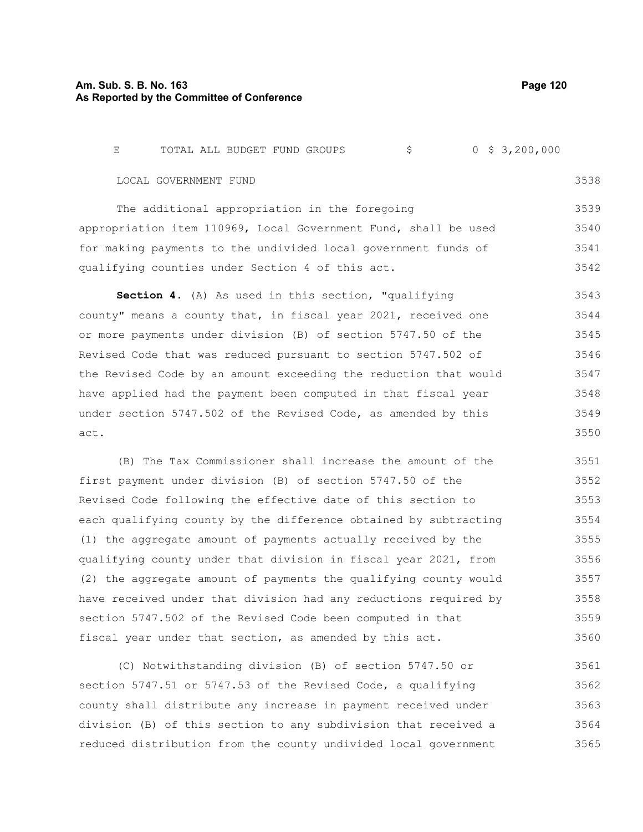| $0$ \$ 3,200,000<br>\$<br>TOTAL ALL BUDGET FUND GROUPS<br>E.     |      |
|------------------------------------------------------------------|------|
| LOCAL GOVERNMENT FUND                                            | 3538 |
| The additional appropriation in the foregoing                    | 3539 |
| appropriation item 110969, Local Government Fund, shall be used  | 3540 |
| for making payments to the undivided local government funds of   | 3541 |
| qualifying counties under Section 4 of this act.                 | 3542 |
| Section 4. (A) As used in this section, "qualifying              | 3543 |
| county" means a county that, in fiscal year 2021, received one   | 3544 |
| or more payments under division (B) of section 5747.50 of the    | 3545 |
| Revised Code that was reduced pursuant to section 5747.502 of    | 3546 |
| the Revised Code by an amount exceeding the reduction that would | 3547 |
| have applied had the payment been computed in that fiscal year   | 3548 |
| under section 5747.502 of the Revised Code, as amended by this   | 3549 |
| act.                                                             | 3550 |
| (B) The Tax Commissioner shall increase the amount of the        | 3551 |
| first payment under division (B) of section 5747.50 of the       | 3552 |
| Revised Code following the effective date of this section to     | 3553 |
| each qualifying county by the difference obtained by subtracting | 3554 |
| (1) the aggregate amount of payments actually received by the    | 3555 |
| qualifying county under that division in fiscal year 2021, from  | 3556 |
| (2) the aggregate amount of payments the qualifying county would | 3557 |
| have received under that division had any reductions required by | 3558 |
| section 5747.502 of the Revised Code been computed in that       | 3559 |
| fiscal year under that section, as amended by this act.          | 3560 |
| (C) Notwithstanding division (B) of section 5747.50 or           | 3561 |
| section 5747.51 or 5747.53 of the Revised Code, a qualifying     | 3562 |
| county shall distribute any increase in payment received under   | 3563 |
| division (B) of this section to any subdivision that received a  | 3564 |

reduced distribution from the county undivided local government

3565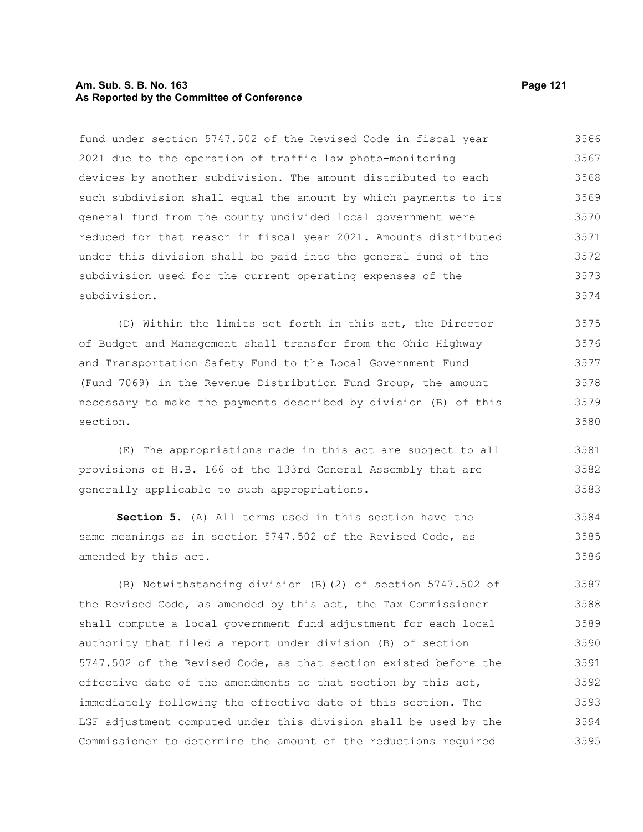#### **Am. Sub. S. B. No. 163 Page 121 As Reported by the Committee of Conference**

fund under section 5747.502 of the Revised Code in fiscal year 2021 due to the operation of traffic law photo-monitoring devices by another subdivision. The amount distributed to each such subdivision shall equal the amount by which payments to its general fund from the county undivided local government were reduced for that reason in fiscal year 2021. Amounts distributed under this division shall be paid into the general fund of the subdivision used for the current operating expenses of the subdivision. 3566 3567 3568 3569 3570 3571 3572 3573 3574

(D) Within the limits set forth in this act, the Director of Budget and Management shall transfer from the Ohio Highway and Transportation Safety Fund to the Local Government Fund (Fund 7069) in the Revenue Distribution Fund Group, the amount necessary to make the payments described by division (B) of this section. 3575 3576 3577 3578 3579 3580

(E) The appropriations made in this act are subject to all provisions of H.B. 166 of the 133rd General Assembly that are generally applicable to such appropriations. 3581 3582 3583

**Section 5.** (A) All terms used in this section have the same meanings as in section 5747.502 of the Revised Code, as amended by this act. 3584 3585 3586

(B) Notwithstanding division (B)(2) of section 5747.502 of the Revised Code, as amended by this act, the Tax Commissioner shall compute a local government fund adjustment for each local authority that filed a report under division (B) of section 5747.502 of the Revised Code, as that section existed before the effective date of the amendments to that section by this act, immediately following the effective date of this section. The LGF adjustment computed under this division shall be used by the Commissioner to determine the amount of the reductions required 3587 3588 3589 3590 3591 3592 3593 3594 3595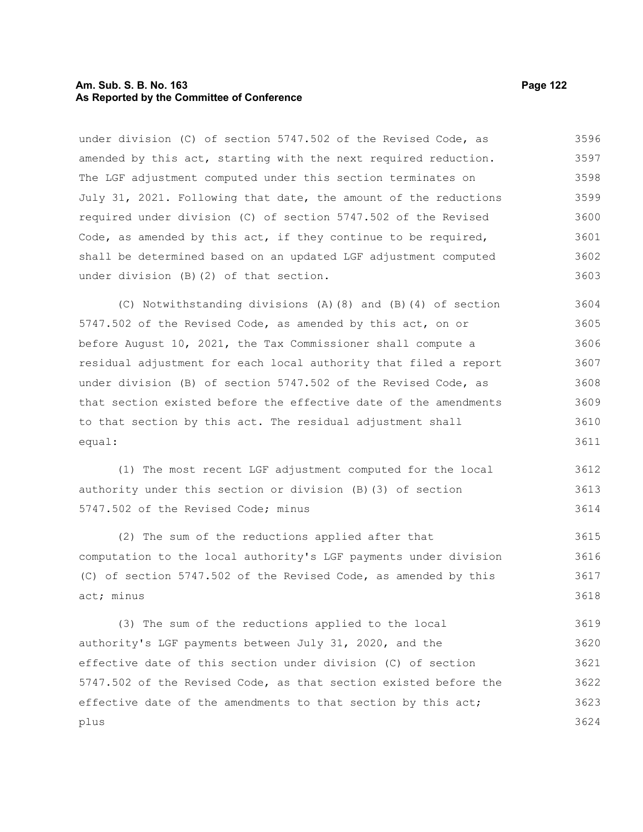#### **Am. Sub. S. B. No. 163 Page 122 As Reported by the Committee of Conference**

under division (C) of section 5747.502 of the Revised Code, as amended by this act, starting with the next required reduction. The LGF adjustment computed under this section terminates on July 31, 2021. Following that date, the amount of the reductions required under division (C) of section 5747.502 of the Revised Code, as amended by this act, if they continue to be required, shall be determined based on an updated LGF adjustment computed under division (B)(2) of that section. 3596 3597 3598 3599 3600 3601 3602 3603

(C) Notwithstanding divisions (A)(8) and (B)(4) of section 5747.502 of the Revised Code, as amended by this act, on or before August 10, 2021, the Tax Commissioner shall compute a residual adjustment for each local authority that filed a report under division (B) of section 5747.502 of the Revised Code, as that section existed before the effective date of the amendments to that section by this act. The residual adjustment shall equal: 3604 3605 3606 3607 3608 3609 3610 3611

(1) The most recent LGF adjustment computed for the local authority under this section or division (B)(3) of section 5747.502 of the Revised Code; minus 3612 3613 3614

(2) The sum of the reductions applied after that computation to the local authority's LGF payments under division (C) of section 5747.502 of the Revised Code, as amended by this act; minus 3615 3616 3617 3618

(3) The sum of the reductions applied to the local authority's LGF payments between July 31, 2020, and the effective date of this section under division (C) of section 5747.502 of the Revised Code, as that section existed before the effective date of the amendments to that section by this act; plus 3619 3620 3621 3622 3623 3624